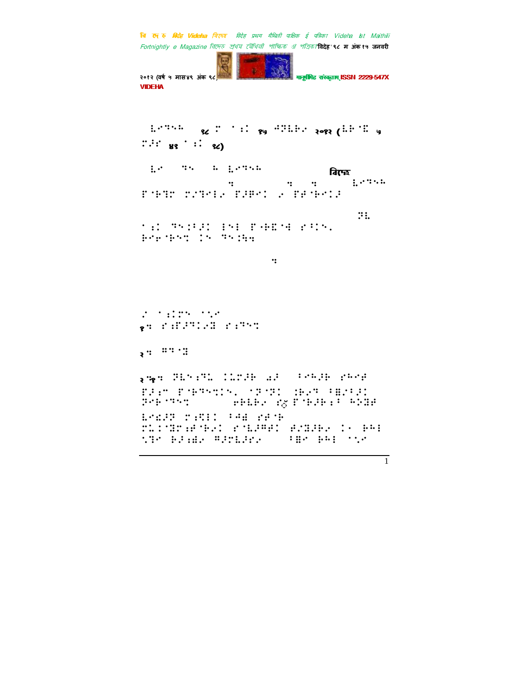

मानुमिह संस्कृतम् ISSN 2229-547X २०१२ (वर्ष ५ मास४९ अंक ९८ **VIDEHA** 

**Entitle Reference of the Second Control**  $\therefore$  if  $\mathbf{g}$  if  $\therefore$   $\mathbf{g}$ 

**Allent Street Section** বিদেহ  $\dddot{\mathbf{z}}$ robar rzakis piper s pederj

∷.

til medal in færd ratn. Portion In Belle

 $\dddot{\cdot}$ 

 $\mathcal{L} \in \{1,2,3,3,5\}$  $\bullet$  : FHPLE FRPS

 $2^{\frac{1}{2} + \frac{1}{2} + \frac{1}{2}}$ 

gage PESTRO COMPOSIT COMPROHERED EAST EMPATING SEMIL BAR FEARD **Seemer by Poncert Press** 

Beachers (1990) 12022 2021 140 2818

PLITERAPTESI KTEPPE PAGPES IS PRE the Blame Almiliae (Some Ball over

 $\overline{1}$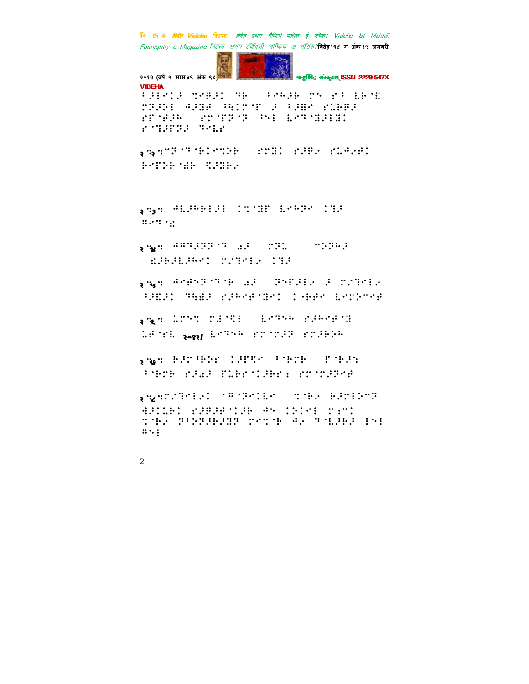

मानुबंधिह संस्कृताम् ISSN 2229-547X

**VIDEHA** FRENCH SPERI ME COPARE SNORT LETE roch and mirit (1986 cape FEMALE FROM THE ESTIMATE POINTER TOLP

gogord the former of problements on every **BOYSE MANUEL REPORT** 

<sub>3797</sub> HLPPECH COMBE EMPROVER  $\mathbb{R} \times \mathbb{R} \times \mathbb{R}$ 

, mar (189222-18) 12 (1820)  $\cdots$  , where  $\cdots$ ROBOT STORY CONTROL

gage screening and installed constant BUDI MAD KURSTON (ARP LOTECE

gage Love classe (Lessa classes) LEATH ROBERT ESTATE STATES STREET

gage Bandban (anne Cobre Chiba) Pobre dalas flecolaeci prorazeg

gazernels: Sachense Schule Beniber APILEI KREPENIR AN INIME MANI<br>MNEZ PINGRESO MMMM AZ MNEZER ENE  $\mathbf{u}$  . :

 $\overline{2}$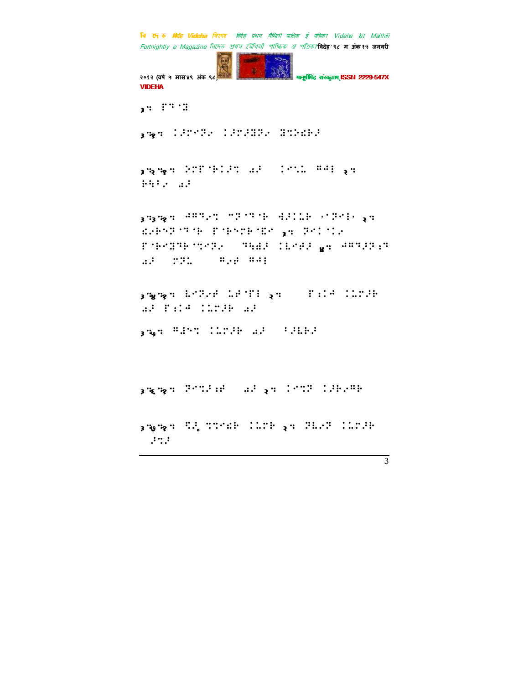```
चि एत् रू मिन्हे Videha निएन्थ विदेह प्रथम मैथिली पाक्षिक ई पत्रिका Videha Ist Maithili
Fortnightly e Magazine বিদেত প্ৰথম মৌথিনী পাক্ষিক প্ৰ পত্ৰিকা'বিदेह'९८ म अंक१५ जनवरी
२०१२ (वर्ष ५ मास४९ अंक ९८) मानुष्य कर्णाटक संकृतम् ISSN 2229-547X
VIDEHA 
                                                                  3
3: "2"३⣒१⣒!⢼⢽⢴!⢼⢼⣝⢽⢴.⣝⣉⢵⣎⢷⢼!
३३३ % अब्दा निर्माणिक विकास समिति । अस्ति । अस्ति । अस्ति । अस्ति । अस्ति । अस्ति । अस्ति । अस्ति । अस्ति । अस<br>प्राचीन
⢷⣓A⢴!⣔⢼!
३७३७ थे <sup>अस</sup>र्पात पर पार्टी के बर्जियों के राष्ट्रपति <sub>रा</sub>ष
⣎⢴⢷⢽⢹⢷!2⢷⢷⣏!३⣒!⢽⢴!
2⢷⣝⢹⢷⣉⢽⢴.!⢹⣓⣞⢼!⣇⢾⢼!४⣒!⢺⢻⢹⢼⢽⣐⢹!
⣔⢼!(⢽⣅(!.⢻⢴⢾.⢻⢺5!
३%४% अधिकार निर्माण करते हैं। अधिकार करते हैं । अधिकार करते हैं । अधिकार करते हैं । अधिकार करते हैं । अधिकार क<br>इतिहास
\overline{2}.2 PH 22 COPE 32
३⣒५⣒!⢻⣜⣉!⣅⢼⢷!⣔⢼!#A⢼⣇⢷⢼#!
३६६७ र प्रताप्रसार कर <sub>देश</sub>ीताप्र (संस्थान)
३<u></u>ुुुुुुुुुु थे %२% थे %२% थे %२% थे %२% थे %२% थे %२% थे %२% थे %
  \mathbb{R}^n
```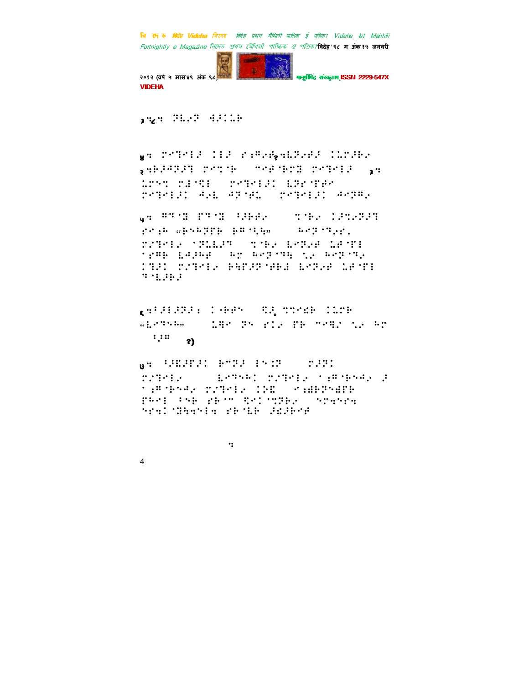

२०१२ (वर्ष ५ मास४९ अंक ९८) मानुषिक संस्कृतम् ISSN 2229-547X VIDEHA

३% : निर्देश कर

४⣒!⣙5⢼!5⢼."⣐⢻⢴⢾१⣒⣇⢽⢴⢾⢼!⣅⢼⢷⢴!  $\frac{1}{2}$ 4BJPPJP (Provide construction of the second construction of the second construction of the second construction of the second construction of the second construction of the second construction of the second constru ⣅⣉!⣜⣋5!)⣙5⢼!⣇⢽"2⢾0!  $5 - 5 - 5 - 5 = 5$ 

५⣒!⢻⢹⣝.2⢹⣝!⢸⢼⢷⢾⢴;!!⣉⢷⢴!⢼⣉⢴⢽⢼⣙!  $^{\circ}$   $^{\circ}$   $^{\circ}$   $^{\circ}$   $^{\circ}$   $^{\circ}$   $^{\circ}$   $^{\circ}$   $^{\circ}$   $^{\circ}$   $^{\circ}$   $^{\circ}$   $^{\circ}$   $^{\circ}$   $^{\circ}$   $^{\circ}$   $^{\circ}$   $^{\circ}$   $^{\circ}$   $^{\circ}$   $^{\circ}$   $^{\circ}$   $^{\circ}$   $^{\circ}$   $^{\circ}$   $^{\circ}$   $^{\circ}$   $^{\circ}$   $^{\circ}$   $^{\circ}$   $^{\circ}$   $^{\circ}$ 4⣙5⢴!⢽⣅⣇⢼⢹!!⣉⢷⢴!⣇⢽⢴⢾!⣅⢾25\*! "⢻⢷!⣇⢺⢼⢳⢾.!⢳!⢳⢽⢹⣓!⣁⢴!⢳⢽⢹⢴!  $^{\prime}$  (9.1)  $^{\prime}$  (5.1)  $^{\prime}$  (5.1)  $^{\prime}$  (6.1)  $^{\prime}$  (6.1)  $^{\prime}$  (6.1)  $^{\prime}$  (6.1)  $^{\prime}$  (6.1)  $^{\prime}$  (6.1)  $^{\prime}$  (6.1)  $^{\prime}$  (6.1)  $^{\prime}$  (6.1)  $^{\prime}$  (6.1)  $^{\prime}$  (6.1)  $^{\prime}$  (6.1)  $^{\prime}$  (6.1)  $^{\prime}$  (6.1) ⢹⣇⢼⢷⢼.!!!

 $\epsilon$ sidist, lees ing tree lurb  $\mu$   $\bar{L}$  . The state of the state of the state of the state of the state of the state of the state of the state of the state of the state of the state of the state of the state of the state of the state of the state of  $\vdots$   $\vdots$   $\vdots$ 

७⣒!⢸⢼⣏⢼2⢼!⢷[⢽⢼.5⣈⢽!.\⢼⢽! 4⣙5⢴^-!\⣇⢹⢳!4⣙5⢴.⣐⢻⢷⢺⢴!⢼!  $^{\prime}$  .4 The state of the state of the state of the state of the state of the state of the state of the state of the state of the state of the state of the state of the state of the state of the state of the state of the 2þei (158 al-an 159 an 159 an 159 an 159 an 159 an 159 an 159 an 159 an 159 an 159 an 159 an 159 an 159 an 15 "⣒⣝⣓⣒5⣒!"⢷⣇⢷!⢼⣎⢼⢷⢾!.Cbtfe!

ejduje pobs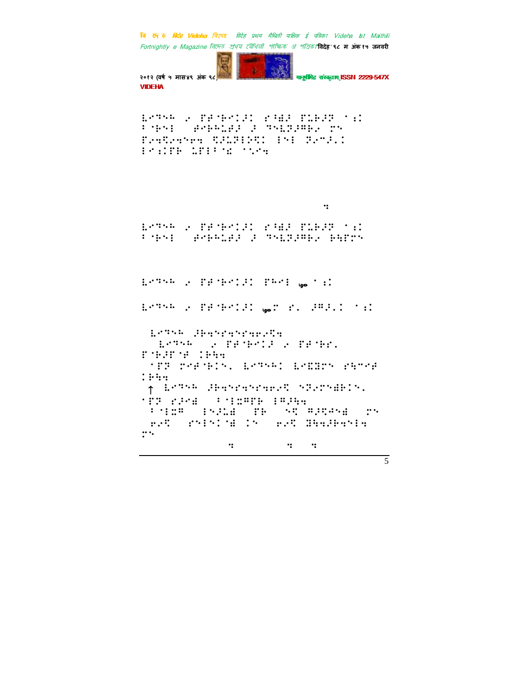

VIDEHA

L'INE DE L'ESTRE L'ESTRE L'ESTRE L'ESTRE L'ESTRE L'ESTRE L'ESTRE L'ESTRE L'ESTRE L'ESTRE L'ESTRE L'ESTRE L'ES A⢷5-!⢾⢷⢳⣅⢾⢼!⢼!⢹⣇⢽⢼⢻⢷⢴!!\*! 2⢴⣒⣋⢴⣒⢶⣒!⣋⢼⣅⢽5⢵⣋!55!⢽⢴[⢼E! 5⣐2⢷!⣅25A⣎!⣁⣒!Bmm!uif!pme!

bu!uif!gpmmpxjoh!mjol⣒!!

L'ESTRA V PENECIS PARI PIEZZ N.:<br>PNESE (PRESIDE J TRIPIER PAPPY A⢷5-!⢾⢷⢳⣅⢾⢼!⢼!⢹⣇⢽⢼⢻⢷⢴!⢷⣓2!

⣇⢹⢳!⢴.2⢾⢷⢼!2⢳5!५० ⣐!

LATHE & PENECIL GOT BUILDING

!⣇⢹⢳!⢼⢷⣒"⣒"⣒⢶⢴⣋⣒!

!#⣇⢹⢳#!⢴.2⢾⢷⢼!⢴.2⢾⢷"E! 2⢷⢼2⢾!⢷⣓⣒!

!2⢽!⢾⢷E!⣇⢹⢳!⣇⣏⣝!"⣓[⢾!  $:$   $:$   $:$   $:$   $:$ 

↑!⣇⢹⢳!⢼⢷⣒"⣒"⣒⢶⢴⣋!⢽⢴⣞⢷E!

 $'$  PP (2008)  $'$  PP (2008)  $'$  PP (2008)  $'$  PP (3008)  $'$ !A5⣍⢻!#5⢼⣅⣞#!2⢷!#⣋!⢻⢼⣋⢺⣞#!! #⢶⢴⣋#!"5⣞!!#⢶⢴⣋!⣝⣓⣒⢼⢷⣒5⣒#!

!!!

iuuq;00xxx⣒wjefib⣒dp⣒jo0joefy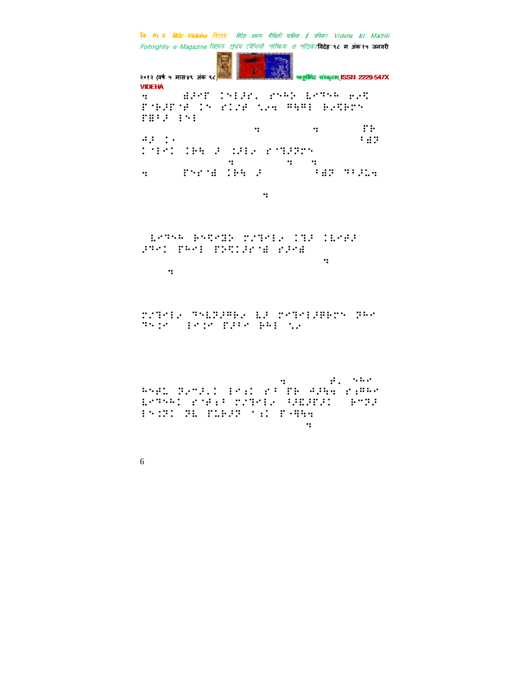**Separate** 

२०१२ (वर्ष ५ मास४९ अंक ९८) साल को संकृति संस्कृताम् ISSN 2229-547X VIDEHA ÿnm: ∴ darf 1913r. r982 br998 e25 2⢷⢼2⢾!!"4⢾!⣁⢴⣒!⢻⣓⢻5!⢷⢴⣋⢷! **PHILE 1551** ius;00sfbefsquare.com **b**:Bee: b:Bee: b:Bee: b:Bee: b:Bee: b:Bee: b:Bee: b:Bee: b:Bee: b:Bee: b:Bee: b:B 5!⢷⣓!⢼!⣈⢼5⢴!"⣙⢼⢽! iuuq;00xxx⣒wjefib⣒dp⣒jo0joefy  $y = 2$  . The decision  $P$  is a set of  $P$ 

 $\mathbf{g}$  is a set of  $\mathbf{g}$  is a set of  $\mathbf{g}$ 

!⣇⢹⢳!⢷⣋⣝⢵;4⣙5⢴!⣙⢼.⣇⢾⢼! ⢼⢹!2⢳5!2⢵⣋⢼"⣞!"⢼⣞! ius (1983) in the control of the control of the control of the control of the control of the control of the co  $\cdot$ :

4⣙5⢴!⢹⣇⢽⢼⢻⢷⢴!⣇⢼!⣙5⢼⢿⢷!⢽⢳! ⢹⣈0!5⣈!2⢼A!⢷⢳5!⣁⢴-!)dboopu!

hhbkfoesbawjefibles begin der der stellt in der stellt begin der stellt in der stellt in der stellt in der stell ⢳⢾⣅!⢽⢴[⢼E!5⣐!"⢸!2⢷!⢺⢼⣓⣒!"⣐⢻⢳! ⣇⢹⢳!"⢾⣐⢸!4⣙5⢴!⢸⢼⣏⢼2⢼0!⢷[⢽⢼! 5⣈⢽!⢽⣇.2⣅⢷⢼⢽!⣐!2B⣛⣓⣒!! ius (1990), provincia est anno 1990.<br>1900 - Carlo Carlo Carlo Carlo Carlo Carlo Carlo Carlo Carlo Carlo Carlo Carlo Carlo Carlo Carlo Carlo Carlo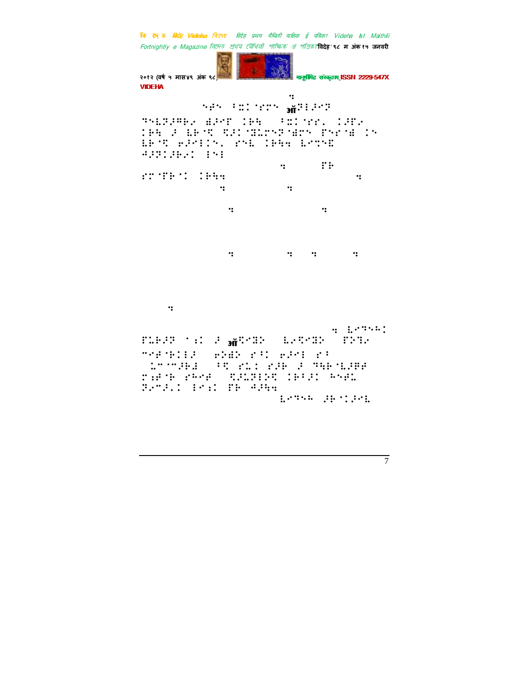

२०१२ (वर्ष ५ मास४९ अंक ९८ **VIDEHA** 

मानूबंगिह संस्कृतम् ISSN 2229-547X

## SPS FOLOGEN WRIGHT

 $\dddot{\cdot}$ 

THINARY WAS THE SUITED IND THE FILENT RADORDERS PERSON IN ERST PROBLEM POL IPAR ECTOR **APPIDENT (5)**  $\dddot{\bullet}$ 

|                      |    | $\mathbf{r}$ , and the state $\mathbf{r}$ |                     |    |
|----------------------|----|-------------------------------------------|---------------------|----|
| <b>STATE CONTROL</b> |    |                                           |                     | ∵. |
|                      | •: |                                           |                     |    |
|                      | •: |                                           | •:                  |    |
|                      | ∵: |                                           | <b>Participants</b> | .∙ |

 $\dddot{\mathbf{r}}$ 

 $\alpha$  (i.equal) subsector of Western Elevent Prince nergerik (1945) ble en 1945 ble 1948.<br>Som nergerik (1945) ble ble 1946 ble 1949 ble 1949 ble 1949 ble 1949 ble 1949 ble 1949 ble 1949 ble 1949 ble 1 rang reng (Chapter Cetal engl **RAMALI BALL PROBLEM** ESTAR SESTIME

 $\overline{7}$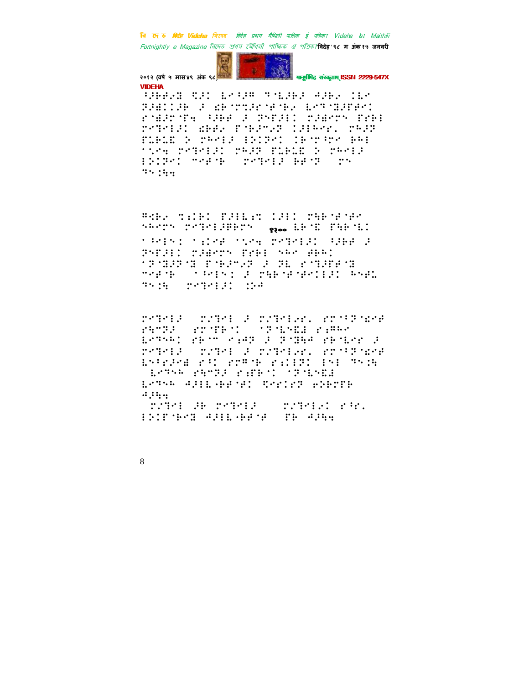

२०१२ (वर्ष ५ मास४९ अंक ९८) **VIDEHA** 

मानूबंगिह संस्कृताम् ISSN 2229-547X

HARD TO BELOW THREE AND THE FAULTH IS WESTTANSEN ESTSCHED roderona (Che la Porali radoro Prbl reteill der Poeses (Sieer, resp PLEAD & PRESS ENCRET CREPTOR RRD ting reposed regularized tensi ESCRAC MARINE (MATALE BRITE ) MN  $35.344$ 

PARA TILE: FAILIT CAIL THE ROBO SPORT POINT PERMIT ROOM ARTE FER TAL ternitricke type pobleiden de SAPJE: MJERMA PRBE ARA BBR: **MEMBER PRESE FROM PLANTER S** serger (1991) Port Perfective Asp. This repeat the

PARKER (PICRAFIC POSTABLES) PD SPORT PROTE STORE COOPERED PARA ESTARD PROTOCER 2 FORM PROPER 2 regela (regel a regelar, rrogorea ENFRANE RAD ROBOB RAIDED ENE SNOW **BOTH PROTE PATE I STARED** LOTAR APEL AND MEDICAT SCRIPT  $4.144$ STATED OF TETERS SOCIETIES STAT

**ISSUED: ANILAND AND AND**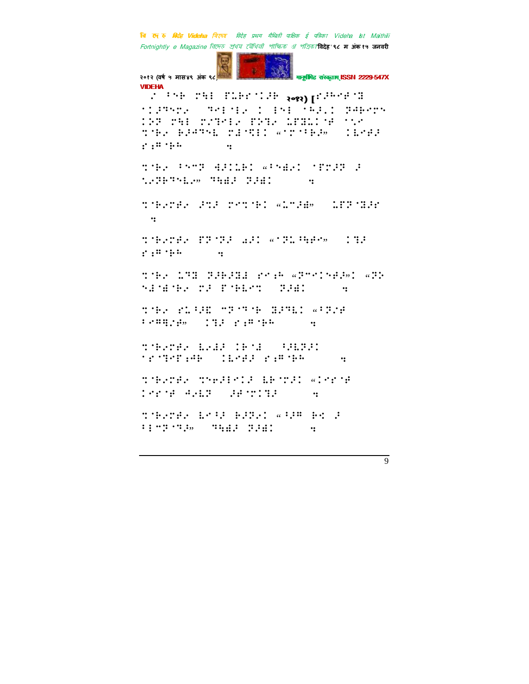२०१२ (वर्ष ५ मास४९ अंक ९८) । मनुषमिह संस्कृतम् ISSN 2229-547X **VIDEHA**  $\overline{\mathbb{R}^2}$  (the state films with  $\overline{\mathfrak{z}_{\text{opt}}}$  probability  $\overline{\mathfrak{z}}$ tighter and death in the fact chapter **ISS MAI MATHER TATE LITTLE MAY** the EPPSE plus: «trues (1992)  $\mathbf{r}^{\prime}$  ,  $\mathbf{r}^{\prime}$  ,  $\mathbf{r}^{\prime}$  ,  $\mathbf{r}^{\prime}$  $\cdot$ : the Profession when they y **WEBBS100** THE BILL  $\mathbf{H}$ there and reth with large the  $\dddot{\mathbf{r}}$ there frit at changes the  $2.1433344444$  $\dddot{\mathbf{r}}$ TTES LTD THEADD POIN WITHING WILL WILL ranger of Pomper Sap  $\ddot{\phantom{1}}$ THE PLACE TRIP BRACK WARD **Formster Constanting Constanting Constanting Constanting Constanting Constanting Constanting Constanting Const**  $\dddot{\mathbf{r}}$ THERE EAR IFT SHIPS troporad linguage news a TORATES TORRESTS EROTED WINKIN **MAN AND SPILE**  $\dddot{\mathbf{r}}$ TORONTA LAST RIPLE WSIM RE F **117773, THE STAT**  $\dddot{\mathbf{r}}$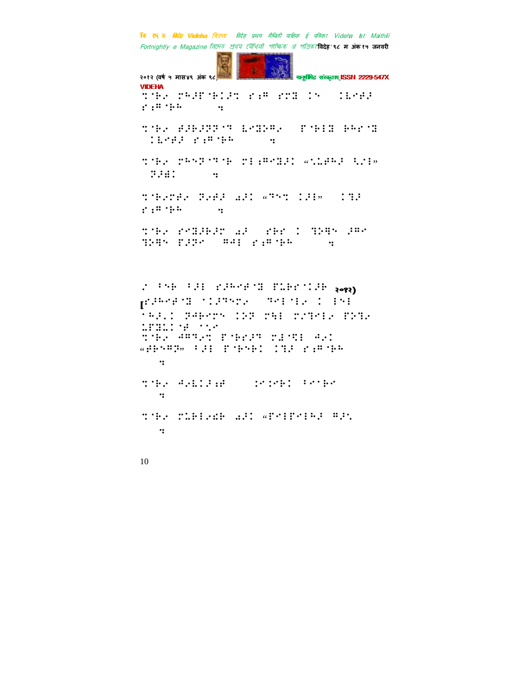**Country**  $\mathbf{a}$ २०१२ (वर्ष ५ मास४९ अंक ९८) मानूबंगिह संस्कृताम् ISSN 2229-547X **VIDEHA** THE TRAP BIAT FAR FTD IN TIMES  $17.14 \pm 0.001$  $\dddot{\mathbf{r}}$ THE BROOM SOURCE PAID BROOM TERMI PARTNA  $\mathbf{r}$ THE PROPORT FIREST WINDS END **PASS**  $\sim 20$ there had all whiches the  $\mathbf{r}$  , and the set of  $\mathbf{r}$  $\dddot{\bullet}$ diferent all services and different services.<br>Notes for the service of the services of the services of the services of the services of the services of the s 2005年10月1日 SPPSFTE FLEETIFF (2003) ROBERT SIPPER CREATE IN 19 **TRAVE REPORT COR THE TIMES CONF.** WEBSTER TOP TORY PROVIDENCE CAMP AND **@HESHIB F.H. F.H.SET INF P.H.SET**  $\dddot{\mathbf{r}}$ the Addition (Stock) from a  $\dddot{\cdot}$ THE TIBLED AN APPROXIMATE  $\dddot{\mathbf{r}}$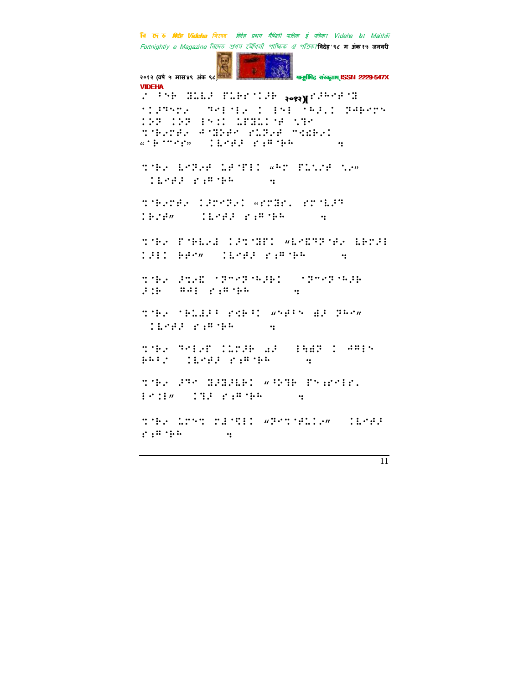

्<br>अपने अनुसीह संस्कृतम् ISSN 2229-547X

**VIDEHA** FURNISHED FIRE THE ROBBY THURSDAY **STATISTIC INTO PARTY TABATA STORY STARS MARK HOLD MARKET START** TORING ANDRE FIRE MODEL  $\omega^{\mu} \oplus \gamma^{\mu} \gamma^{\mu} \gamma^{\nu} \gamma^{\nu} \qquad \text{and} \qquad \gamma^{\mu} \oplus \gamma^{\mu} \gamma^{\mu} \gamma^{\mu} \gamma^{\nu} \gamma^{\nu} \gamma^{\nu} \gamma^{\nu} \gamma^{\nu} \gamma^{\nu} \gamma^{\nu} \gamma^{\nu} \gamma^{\nu} \gamma^{\nu} \gamma^{\nu} \gamma^{\nu} \gamma^{\nu} \gamma^{\nu} \gamma^{\nu} \gamma^{\nu} \gamma^{\nu} \gamma^{\nu} \gamma^{\nu} \gamma^{\nu} \gamma^{\nu} \gamma^{\nu} \gamma^{\nu} \gamma^{\nu} \gamma^{\nu$  $\dddot{\bullet}$ 

the ESTER LETTI WAT TILLY LOW tisk remain  $\mathbf{r}$ 

there large graph and a  $\frac{1}{2}$   $\frac{1}{2}$   $\frac{1}{2}$   $\frac{1}{2}$   $\frac{1}{2}$   $\frac{1}{2}$   $\frac{1}{2}$   $\frac{1}{2}$   $\frac{1}{2}$   $\frac{1}{2}$   $\frac{1}{2}$   $\frac{1}{2}$   $\frac{1}{2}$   $\frac{1}{2}$   $\frac{1}{2}$   $\frac{1}{2}$   $\frac{1}{2}$   $\frac{1}{2}$   $\frac{1}{2}$   $\frac{1}{2}$   $\frac{1}{2}$   $\frac{1}{2}$   $\dddot{\mathbf{r}}$ 

TORY PORTAL CATOREL WESTFIEL ERTA  $1.311 \pm 0.000$   $1.0011 \pm 0.0000$  $\mathbf{r}$ 

the PuB (Proposed) (Proposes gib adj riacion  $\dddot{\mathbf{r}}$ 

THE TELEPT POET WHIT HE PROW tisk removed  $\cdot$ 

THE THE COOR AN IRON I AND pary (pred rummer)  $\dddot{\mathbf{r}}$ 

THE PROBREY WORK PHREE.  $1 + 11$ ,  $111 + 111 + 111$ ,  $111 + 111 + 111$ 

the Love present whoseholds (1993)  $\dddot{\mathbf{r}}$  $\mathcal{C}$  , if the  $\mathcal{C}$ 

 $\overline{11}$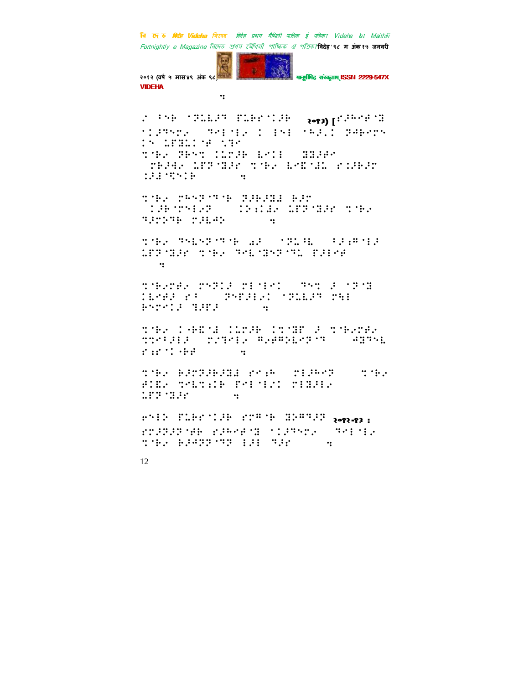**County** २०१२ (वर्ष ५ मास४९ अंक ९८) मानूबंगिह संस्कृताम् ISSN 2229-547X **VIDEHA** 

 $\cdot$ :

2005年 TRELEFT FLEETIFF (2003) [FIFTETH SIPPOS TRESPORTATIONS THEORY **IN APRILIE ARE** TORY PROT INTER ESIE (BB285) **TEACH AND THE CONSTRUCTION OF START**  $12.2125131414$  $\cdot$ :

the response parameter **THOMAS CONSIDERED** SPECIE SHARE  $\mathbf{H}$ 

THE PHOTOGRAPH OF STREET FREME MTP MAR (1918) PRESIDENT PAPPE  $\cdot$ :

there religious control and control TERAP 21 (CONFIRM) (PELÉP ÎNE

THE LABOR COMP LIMB 2 THEME STORIE CONTO L'ALABIARTA (CARAGE ranter  $\dddot{\mathbf{r}}$ 

the Edinburg real films  $\mathbf{r}$  ,  $\mathbf{r}$  ,  $\mathbf{r}$  ,  $\mathbf{r}$ FIRE TERRIT FEINDATION **WEBSTERN**  $\dddot{\mathbf{r}}$ 

POIN FLEETIFF FURTH BERTER 3083-83 L rragagement can be a control de la control de la control de la control de la control de la control de la contr the BREETH HI TRY  $\cdot$ 

 $12<sub>12</sub>$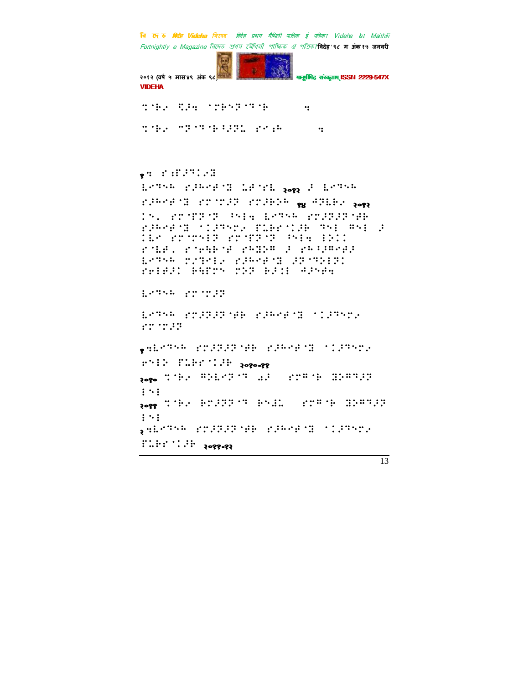२०१२ (वर्ष ५ मास४९ अंक ९८) मानुषिक संस्कृतम् ISSN 2229-547X VIDEHA

⣉⢷⢴!⣋⢼⣒!⢷⢽⢹⢷!!32⣒54&!!!!!  $\mathbf{T}$  (10  $\mathbf{F}$  )  $\mathbf{T}$  (10  $\mathbf{T}$  )  $\mathbf{T}$  (10  $\mathbf{T}$  )  $\mathbf{T}$  (10  $\mathbf{T}$  )  $\mathbf{T}$  (10  $\mathbf{T}$  )  $\mathbf{T}$  (10  $\mathbf{T}$  )  $\mathbf{T}$  (10  $\mathbf{T}$  )  $\mathbf{T}$  (10  $\mathbf{T}$  )  $\mathbf{T}$  (10  $\mathbf{T}$  )  $\mathbf{T}$  (10  $\mathbf{T}$  )

१⣒!"⣐2⢼⢹⢴⣝!

LATAR SIRRENT LENCH 2002 F. LATAR "⢼⢳⢾⣝!"⢼⢽!"⢼⢷⢵⢳!१४ ⢺⢽⣇⢷⢴!२०१२  $E$  . The state of the state of the state of the state of the state of the state of the state of the state of the state of the state of the state of the state of the state of the state of the state of the state of the stat "⢼⢳⢾⣝!⢼⢹⢴!2⣅⢷"⢼⢷!⢹5!⢻5!⢼!  $|115\rangle$  step the state state state state state state state state state state state state state state state sta "⣇⢾⣀."⢶⣓⢷⢾!"⢳⣝⢵⢻!⢼!"⢳⢸⢼⢻⢾⢼! ⣇⢹⢳!4⣙5⢴!"⢼⢳⢾⣝!⢼⢽⢹⢵5⢽!

"⢶5⢾⢼!⢷⣓2!⢵⢽!⢷⢼⣈5!⢺⢼⢾⣒!

⣇⢹⢳!"⢼⢽!

⣇⢹⢳!"⢼⢽⢼⢽⢾⢷!"⢼⢳⢾⣝!⢼⢹⢴! ::::::

१⣒⣇⢹⢳!"⢼⢽⢼⢽⢾⢷!"⢼⢳⢾⣝!⢼⢹⢴!  $\mathbf{r}$ .  $\mathbf{r}$  :  $\mathbf{r}$  :  $\mathbf{r}$  :  $\mathbf{r}$  :  $\mathbf{r}$  :  $\mathbf{r}$  :  $\mathbf{r}$  :  $\mathbf{r}$  :  $\mathbf{r}$  :  $\mathbf{r}$  :  $\mathbf{r}$  :  $\mathbf{r}$  :  $\mathbf{r}$  :  $\mathbf{r}$  :  $\mathbf{r}$  :  $\mathbf{r}$  :  $\mathbf{r}$  :  $\mathbf{r}$  :  $\mathbf{r}$  :  $\math$ २०१० ⣉⢷⢴!⢻⢵⣇⢽⢹!⣔⢼!)"⢻⢷!⣝⢵⢻⢹⢼⢽!

 $\vdots$ 

२०११ ⣉⢷⢴!⢷⢼⢽⢽⢹!⢷⣜⣅!)"⢻⢷!⣝⢵⢻⢹⢼⢽!  $\vdots$ 

२⣒⣇⢹⢳!"⢼⢽⢼⢽⢾⢷!"⢼⢳⢾⣝!⢼⢹⢴!  $2 \cdot 2 \cdot 1 \cdot 1 \cdot 1 \cdot 2 \cdot 3 \cdot 1$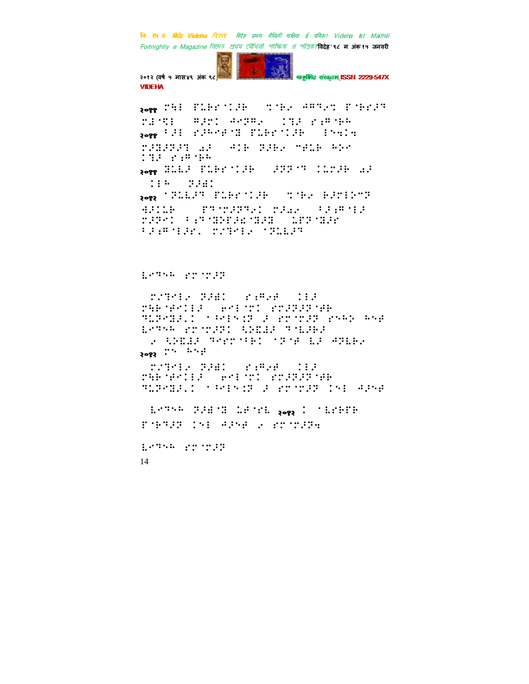

२०१२ (वर्ष ५ मास४९ अंक ९८) मानुबंधिह संस्कृतम् ISSN 2229-547X **VIDEHA** 

<sub>logg</sub> PH FLEETIFE THE SPEED PREPT  $\frac{1}{2}$  =  $\frac{1}{2}$  =  $\frac{1}{2}$  =  $\frac{1}{2}$  =  $\frac{1}{2}$  =  $\frac{1}{2}$  =  $\frac{1}{2}$  =  $\frac{1}{2}$  =  $\frac{1}{2}$  =  $\frac{1}{2}$  =  $\frac{1}{2}$  =  $\frac{1}{2}$  =  $\frac{1}{2}$  =  $\frac{1}{2}$  =  $\frac{1}{2}$  =  $\frac{1}{2}$  =  $\frac{1}{2}$  =  $\frac{1}{2}$  =  $\frac{1$  $1.11111$ <sub>Rogg</sub> (21 c2000011 FLBc112B) (Pulu **MARAZI AF AND THE MAIN ANY** 192 : 2016 <sub>Rogg</sub> Hills Films (1988) 992-78 (12796) ad  $\mathbf{1}$ :  $\mathbf{2}$   $\mathbf{3}$ 1023 TELLUS FLEETIJE (TSE) EJUINS **APPER THERMAN MARK SPACES MARKS REPORTED AND SERVICE FRAME STATES** STATES

### Letter sportle

**CONTROL PART CONFUSE TILE** THE GRIED - HRISTI PTITITIE SUPPRESS TREASE FOR THE PART AND ESTAR FRAMEN SAMILY TALLED **S WHIP REPORT OF WHIPE**  $\begin{array}{cccc}\n\mathbf{1} & \mathbf{1} & \mathbf{1} & \mathbf{1} & \mathbf{1} & \mathbf{1} & \mathbf{1} & \mathbf{1} & \mathbf{1} & \mathbf{1} & \mathbf{1} & \mathbf{1} & \mathbf{1} & \mathbf{1} & \mathbf{1} & \mathbf{1} & \mathbf{1} & \mathbf{1} & \mathbf{1} & \mathbf{1} & \mathbf{1} & \mathbf{1} & \mathbf{1} & \mathbf{1} & \mathbf{1} & \mathbf{1} & \mathbf{1} & \mathbf{1} & \mathbf{1} & \mathbf{1} & \math$ stree Part sach (11 **MARKET PRINT STARF** RIPERIN SPENIE F POUR INFORMA ALCREAGE DEALER Application in the PE response the speed and contra ESTAR STORES  $14$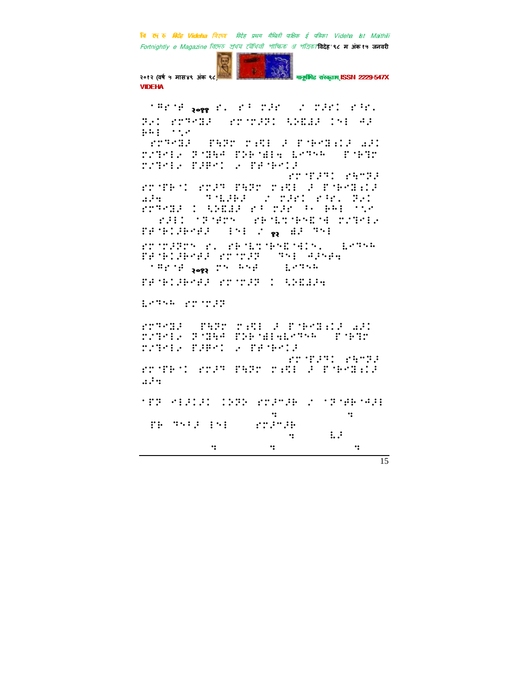15 ..º️"Ë:'#' <sub>Rogg</sub> :, :F 2012 | 2022 2021 | 1921 ⢽⢴!"⢹⣝⢼#!"⢼⢽!⣃⢵⣏⣜⢼!5!⢺⢼! **EFE**  $\cdots$ ."⢹⣝⢼.!2⣓⢽!⣐⣋5!⢼!2⢷⣝⣐⢼!⣔⢼! 4⣙5⢴!⢽⣝⣓⢺!2⢵⢷⣞5⣒!⣇⢹⢳.!2⢷⣙! 4⣙5⢴!2⢼⢿!⢴.2⢾⢷⢼!JTTO! 333:058Y.058Y  $2^{\frac{1}{2}}$ ⣔⢼⣒!!!.!⢹⣇⢼⢷⢼!#4!⢼"!"⢸"E!⢽⢴! Where I wall state the same .!"⢼5!⢽⢾!#"⢷⣇⣉⢷⣏⣚!4⣙5⢴! 2⢾⢷⢼⢷⢾⢼#!55!4!१२ ⣞⢼!⢹5! "CONSERVANCE CONSERVATION CONTROL 2⢾⢷⢼⢷⢾⢼!"⢼⢽#!⢹5!⢺⢼⢾⣒!! .⢻"⢾!२०१२ !⢳⢾!!#⣇⢹⢳! 2⢾⢷⢼⢷⢾⢼!"⢼⢽#!⣃⢵⣏⣜⢼⣒! ⣇⢹⢳!"⢼⢽! "⢹⣝⢼.!2⣓⢽!⣐⣋5!⢼!2⢷⣝⣐⢼!⣔⢼! 4⣙5⢴!⢽⣝⣓⢺!2⢵⢷⣞5⣒⣇⢹⢳.!2⢷⣙! 4⣙5⢴!2⢼⢿!⢴.2⢾⢷⢼!JTTO! 333:.658Y!WJEFIB!"2⢼⢹."⣓[⢽⢼. "2⢷."⢼⢹!2⣓⢽!⣐⣋5!⢼!2⢷⣝⣐⢼!  $\mathbf{a}$   $\mathbf{b}$  : 2⢽!5⢼⢼!⢵⢽⢵!"⢼[⢼⢷!4!⢽⢾⢷⢺⢼5! )iuuq;00ftbnbbesquadpnbbesquadpnbbesquadpnbbesquadpnbbesquadpnbbesquad \*2⢷!⢹A⢼!55!-!"⢼[⢼⢷!  $q_1$  and  $q_2$  and  $q_3$  and  $q_4$  and  $q_5$  and  $q_6$  and  $q_7$ qsjzbolbimada (1982), bishin diobat bashkibahnbimada (1982), bishin diobat bashkibahnbimada (1982), bishin dio

२०१२ (वर्ष ५ मास४९ अंक ९८) मानुष्य मानुसमित संस्कृतम् ISSN 2229-547X VIDEHA



चि एत् रू मिन्हे Videha निएन्थ विदेह प्रथम मैथिली पाक्षिक ई पत्रिका Videha Ist Maithili Fortnightly e Magazine বিদেত প্ৰথম মৌথিনী পাক্ষিক প্ৰ পত্ৰিকা**'বিदेह'९८ म अंक१५ जनवरी**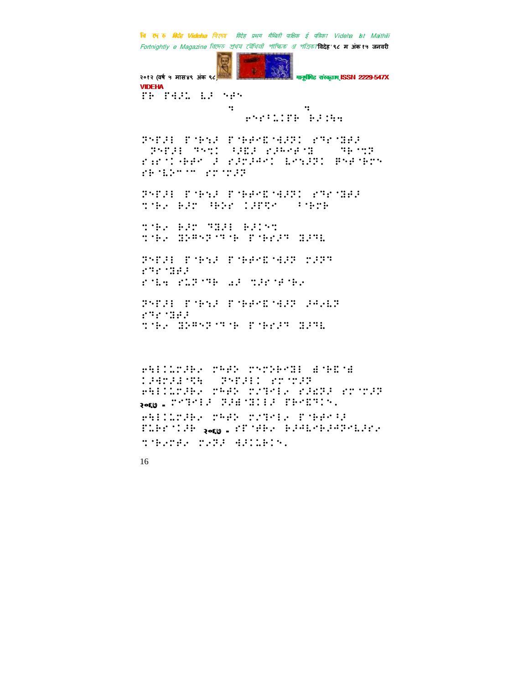२०१२ (वर्ष ५ मास४९ अंक ९८) मानुषिक संस्कृतम् ISSN 2229-547X VIDEHA 20 2010 2020 2020 2020 ius;00xxxx quadratic production of the control of the control of the control of the control of the control of the control of the control of the control of the control of the control of the control of the control of the con tot: The Basic ⢽2⢼5!2⢷⣑⢼!2⢷⢾⣏⣚⢼⢽!"⢹"⣝⢾⢼!

)⢽2⢼5!⢹⣉!⢸⢼⣏⢼."⢼⢳⢾⣝-!!⢹⢷⣉⢽-! THE SUPPOSE OF THE SERVE TO THE SERVE THE SERVE TO THE SERVE TO THE SERVE TO THE SERVE TO THE SERVE TO THE SERVE "⢷⣇⢵[[!"⢼⢽\*!

⢽2⢼5!2⢷⣑⢼!2⢷⢾⣏⣚⢼⢽!"⢹"⣝⢾⢼!! ⣉⢷⢴!⢷⢼!⢸⢷⢵"!⢼2⣋!(⢸⢷⢷(!

⣉⢷⢴!⢷⢼!⢹⣝⢼5!⢷⢼⣉!)2:::\*! ⣉⢷⢴!⣝⢵⢻⢽⢹⢷!2⢷"⢼⢹!⣝⢼⢹⣇!)2::5\*!

⢽2⢼5!2⢷⣑⢼!2⢷⢾⣏⣚⢼⢽!⢼⢽⢹! "⢹"⣝⢾⢼! "⣇⣒!"⣅⢽⢹⢷!⣔⢼!⣉⢼"⢾⢷⢴!

⢽2⢼5!2⢷⣑⢼!2⢷⢾⣏⣚⢼⢽!⢼⢺⢴⣇⢽! "⢹"⣝⢾⢼! ⣉⢷⢴!⣝⢵⢻⢽⢹⢷!2⢷"⢼⢹!⣝⢼⢹⣇!

⢶⣓5⣅⢼⢷⢴!⢳⢾⢵!⢵⢷⣝5!⣞⢷⣏⣞! ⢼⣚⢼⣜⣋⣓-!⢽2⢼5!"⢼⢽! ⢶⣓5⣅⢼⢷⢴!⢳⢾⢵!4⣙5⢴!"⢼⣎⢽⢼!"⢼⢽! २०६७ - <sup>197</sup>9913 - 2349113 - 198913 - 208 ⢶⣓5⣅⢼⢷⢴!⢳⢾⢵!4⣙5⢴!2⢷⢾⢸⢼! 2⣅⢷"⢼⢷!२०६७ - "2⢾⢷⢴!⢷⢼⢺⣇⢷⢼⢺⢽⣇⢼"⢴! ⣉⢷⢴⢾⢴!⢴⢽⢼!⣚⢼⣅⢷E!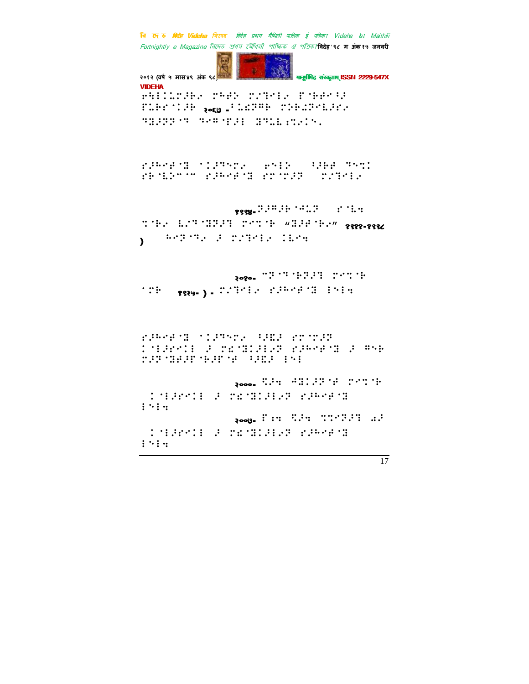

मानुबंधिह संस्कृताम् ISSN 2229-547X

**VIDEHA** PHILDSHE THEN TITMES PORTSH FLB: 112B <sub>Roll</sub>:LdFBB 20061F-1131 **MEASURE TARGED STAIRS STATE** 

rakram niamno emik (ake mmn PRODUCTS PROPERTY PROPERTY

## 

TOPS ESTIMATE POTTH WHAT THE SERVICE y <sup>congre</sup>s a remain dies

2020. "FIT TEEF TOTT **TIP (ggg=) DITPLE PIPPETH INIT** 

# raberi (1855) ABR rroza

IMERAIL FORMIELER PRAGHE FORG **THE MANUFACT OF STREET INE** 

 $\frac{1}{20000}$   $\frac{1}{2000}$   $\frac{1}{200}$   $\frac{1}{200}$   $\frac{1}{200}$   $\frac{1}{200}$   $\frac{1}{200}$   $\frac{1}{200}$   $\frac{1}{200}$   $\frac{1}{200}$   $\frac{1}{200}$   $\frac{1}{200}$   $\frac{1}{200}$   $\frac{1}{200}$   $\frac{1}{200}$ THERMI FORMISED PREMIO  $\mathbf{1} \cdot \mathbf{1}$ Roots First Windows 2009-2012

THEMI FORMISED REPRO  $\mathbf{1} \cdot \mathbf{1}$ 

 $\overline{17}$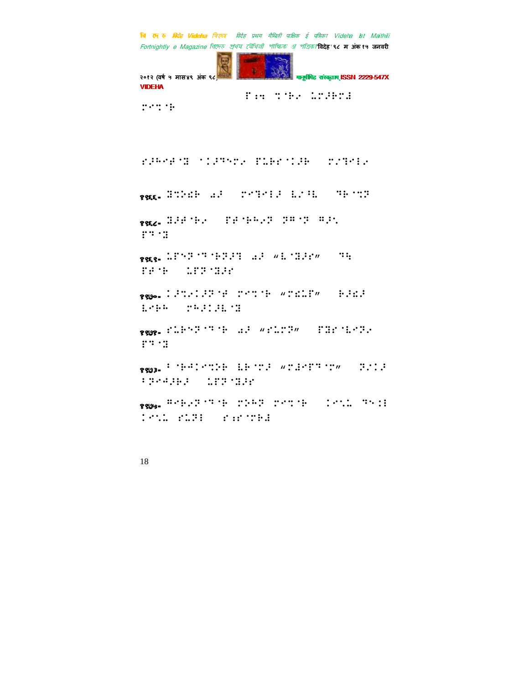२०१२ (वर्ष ५ मास४९ अंक ९८) मानुष्य कर्णाटक संकृतम् ISSN 2229-547X VIDEHA

!!!!!!!!!!!!2⣐⣒!⣉⢷⢴!⣅⢼⢷⣜!

⣉⢷!

"⢼⢳⢾⣝!⢼⢹⢴!2⣅⢷"⢼⢷.!4⣙5⢴!

१९६६ - अपनेवाल वर्तन, अपनेवाल मान्या अध्यक्ष करणा अध्यक्ष करणा अध्यक्ष करणा अध्यक्ष करणा अध्यक्ष करणा अध्यक्ष <br>पुरुष

१९६८- 2019 'De Yorkey 2019'2010  $2^{\circ}$ 

१९६९ - ⣅2⢽⢹⢷⢽⢼⣙!⣔⢼!"⣇⣝⢼""!)⢹⣓! 2⢾⢷-!⣅2⢽⣝⢼"\*!

<sub>१९७०</sub> : 29.2002 हिंदी का प्राप्त का अप्रदेश का स्टेट का अन्यान् Len engile

१९७१ - "⣅⢷⢽⢹⢷!⣔⢼!""⣅⢽"!)2⣝"⣇⢽⢴-! 22.25

१९७३ <sup>-</sup> Aेलिटिनेटेल सिन्टा अध्यक्षा प्रथ*ा ।*<br>१९७३ -A⢽⢺⢼⢷⢼-!⣅2⢽⣝⢼"\*!

१९७<sub>९ -</sub> भारतेलये स्टाइल्लेख स्टाइल्लेख का अन्यति ।<br>पुत्र  $\ddotsc$  . The second second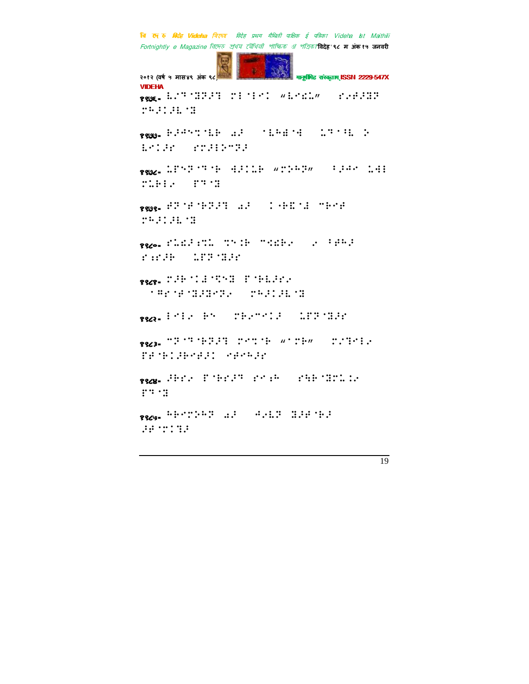२०१२ (वर्ष ५ मास४९ अंक ९८) मानुष्य मानुसार संस्कृताम् ISSN 2229-547X VIDEHA ९९७६ - <del>८८८८ (</del> अ. ७९८९ - ९९८९) अस्ति । अस्ति । अस्ति । अस्ति । अस्ति । अस्ति । ⢳⢼⢼⣇⣝\*! १९७७- नेत्रिकेट आई का अपने समिति का अपने अधिकारित हो।<br>पुरुष  $E \cdot 1.5$  =  $E \cdot 1.5$  =  $E \cdot 1.5$ १९७८- <del>1999 - २००० वाली सार्थ पर प्राप्त का प्राप्त का प्राप्त का प्राप्त का प्राप्त का प्राप्त का प्राप्त का प</del> ⣅⢷5⢴-!2⢹⣝\*! १९७९- <sup>27</sup>ाले क्या क्या किया किया है। इस क्या किया किया किया किया किया किया किया है। ⢳⢼⢼⣇⣝\*! <sub>१९८०</sub> - "Welfart Communications" (Parties) "⣐"⢼⢷-!⣅2⢽⣝⢼"\*! 8868 - PUBLICHT EN PRESENT )⢻"⢾⣝⢼⣝⢽⢴-!⢳⢼⢼⣇⣝\*! १९८२ - 55º EST (1998) - 55º EST (1998) - 59º EST (1998) - 59º EST (1998) - 59º EST (1998) - 59º EST (1998) - 5 १९८३ - [⢽⢹⢷⢽⢼⣙!⣉⢷!"⢷"!)4⣙5⢴! 2⢾⢷⢼⢷⢾⢼!⢾⢳⢼"\*! <sub>88</sub>∠<sub>88∠8</sub> - ₽Prince of The 2010 - Prince of The Martines of The Martines of T  $2^*$ <sub>?%८५-</sub> <del>፡፡</del>⊦∵∵ጉጉጉ .: .: .: .:: 3.:: 1.:: 1 ⢼⢾⣙⢼\*!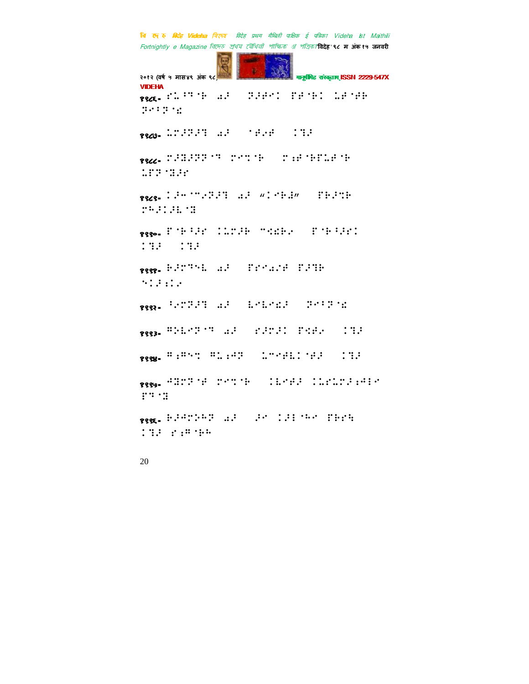२०१२ (वर्ष ५ मास४९ अंक ९८) मानुसारी मानुसीरि संस्कृताम् ISSN 2229-547X VIDEHA १९८६ - "⣅⢸⢹⢷!⣔⢼!)⢽⢼⢾!2⢾⢷!⣅⢾⢾⢷-! ⢽A⢽⣎\*! १९८७ -  $\ddots$ :  $\ddots$   $\ddots$   $\ddots$  .  $\ddots$ १९८८ - २००० २००१ - २००१ - २००१ - २००१ - २००१ - २००१ - २००१ - २००१ - २००१ - २००१ - २००१ - २००१ - २००१ - २००१ - <br>सन्दर्भ **LPP 1225** <sub>8868</sub> :JP 112929 al wlstedw - Pelsoe ⢳⢼⢼⣇⣝\*! <sub>888⊶</sub> P⁄B92: 1W2PB (seb. P⁄B92:1) ⣙⢼-!⣙⢼\*! १९९१ - <sup>1</sup>2775 - 220 - 220 - 220 - 220 - 230 - 240 - 240 - 240 - 240 - 240 - 240 - 240 - 240 - 240 - 240 - 240 ⢼⣐⢴\*! १९९२ - <sup>1</sup>८९३८मा अ.२०० ६८६८४३ - ३८१३ प्रथा १९९३- <sup>8</sup>२६८२° अ. अ. अ. ४३०३० अ.स. - २३३ १९९४ - ⢻⣐⢻⣉!⢻⣅⣐⢺⢽!)⣅[⢾⣇⢾⢼-!⣙⢼\*! १९९७ - असंस्थान संस्था का अधिकारी समाप्त का संस्था का संस्था का संस्था का संस्था का संस्था का संस्था का संस्था<br>प्राचीन 22.22 १९९६ - BUPPDER GUE (DR. 1919) PERRY ⣙⢼!"⣐⢻⢷⢳\*!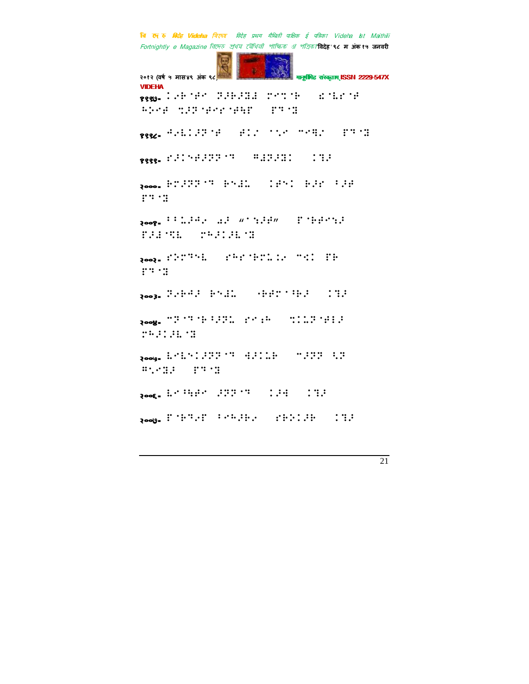२०१२ (वष ५ मास४९ अंक ९८) मानुषीिमह संकृताम्ISSN 2229-547X VIDEHA १९९७ - ⢴⢷⢾!⢽⢼⢷⢼⣝⣜!⣉⢷!)⣎⣇"⢾! ⢳⢵⢾!⣉⢼⢽⢾"⢾⣓2-!2⢹⣝\*! <sub>१९९८-</sub> २०६२,२२ थ्वी | २००० थ्यू शतान्त्रिक स्थान्त्रिक । १९९९ - "⢼⢾⢼⢽⢽⢹!)⢻⣜⢽⢼⣝-!⣙⢼\*! <sub>२०००</sub> २७.२२२ प्राप्त २५.३% | २२५ | २२५ | २२२ |  $2^{\circ}$ २००१ <sup>: 11</sup> 1999 - 1999 - 1999 - 1999 - 1999 - 1999 - 1999 - 1999 - 1999 - 1999 - 1999 - 1999 - 1999 - 1999 - 1<br>T 2⢼⣜⣋⣇-!⢳⢼⢼⣇⣝\*! <sub>२००२ -</sub> :२०१९५ <sub>-</sub> १००९ - १५०९ - १५०९ - १५०९ - १५०९ - १५०९ - १५०९ - १५०९ - १५०९ - १५०९ - १५०९ - १५०९ - १५०९ - १५०  $2^{\circ}$ <sub>२००३-</sub> २००४ - ०५.८८ - ०००० - ०००० - ०००० - ००० - ००० - ००० - ००० - ००० - ००० - ००० - ००० - ००० - ००० - ००० - ०० २००४ - 1999 - 1999 - 1999 - 1999 - 1999 - 1999 - 1999 - 1999 - 1999 - 1999 - 1999 - 1999 - 1999 - 19<br>राजधान ⢳⢼⢼⣇⣝\*! <sub>२००५-</sub> 1911-19191919 191  $::\cdot::\cdot::$ २००६ - Å<sup>. ८</sup> १३३० - १३३० - १३३० - १३३० - १३३० - १३३० - १३३० - १३३० - १३३० - १३३० - १३३० - १३३० - १३३० - १३३० - १ <sub>२००७-</sub> 2 (२ºººº - 2ººº - 2ººº - 2ºº - 2ºº - 2ºº - 2ºº - 2ºº - 2ºº - 2ºº - 2ºº - 2ºº - 2ºº - 2ºº - 2ºº - 2ºº - 2º<br>२००७-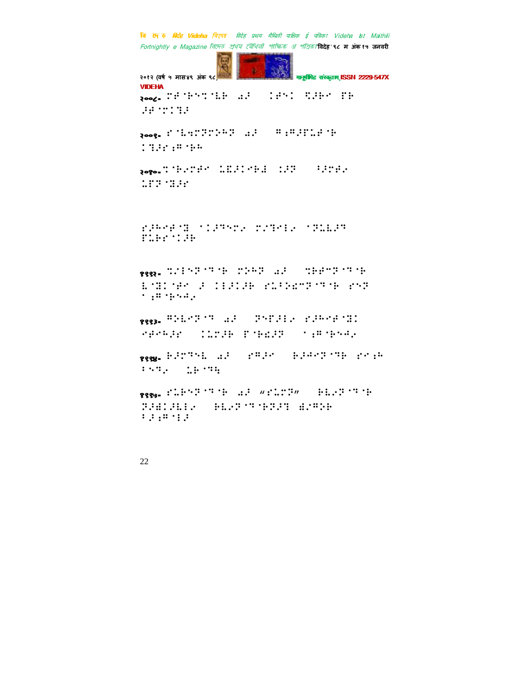**Separate** २०१२ (वर्ष ५ मास४९ अंक ९८) मानुसार मानुसार संस्कृताम् ISSN 2229-547X  $\mathcal{R}$ VIDEHA २००८- <sup>29</sup> (Provide all (1951) New Te ⢼⢾⣙⢼\*! <sub>२००९-</sub> : %1922299-2 al = #1#2PL# 9 ⣙⢼"⣐⢻⢷⢳\*! <sub>२०१०</sub>.:'<del>|</del> ⣅2⢽⣝⢼"\*! "⢼⢳⢾⣝!⢼⢹⢴!4⣙5⢴!⢽⣅⣇⢼⢹! 2⣅⢷"⢼⢷! १९९२ - २००३ असेल पुरुष के लाइनेट के साथ प्राप्त करने के साथ प्राप्त करने के साथ प्राप्त करने के साथ प्राप्त कर<br>जनसङ्ख्या ⣇⣝⢾!⢼!5⢼⢼⢷."⣅A⢵⣎[⢽⢹⢷!"⢽-! ⣐⢻⢷⢺⢴\*! १९९३- <sup>81</sup>06010 <sup>-</sup> 2001 - 2002 - 2003 - 2004 - 2005 - 2006 - 2006 - 2007 - 2008 - 2008 - 2008 - 2008 - 2008 - 20<br>|-⢾⢳⢼".!⣅⢼⢷!2⢷⣎⢼⢽-!⣐⢻⢷⢺⢴\*! <sub>१९९४ -</sub> <del>1</del>997 - 1998 - 1999 - 1999 - 1999 - 1999 - 1999 - 1999 - 1999 - 1999 - 1999 - 1999 - 1999 - 1999 - 199  $A \cdot B \cdot B \cdot B$ १९९५ - "⣅⢷⢽⢹⢷!⣔⢼!""⣅⢽"!)⢷⣇⢴⢽⢹⢷! ⢽⢼⣞⢼⣇5⢴.!⢷⣇⢴⢽⢹⢷⢽⢼⣙!⣞4⢻⢵⢷-!  $A, B, B, C, D, E, E$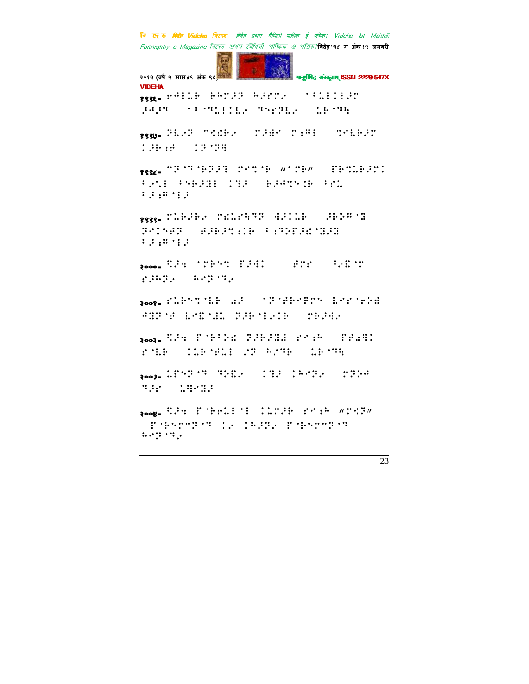मनूर्वनिह संस्कृतम् ISSN 2229-547X २०१२ (वर्ष ५ मास४९ अंक ९८, **RREE PHELE (PROJECT) RIPOLE (CONSTRUCT)** 

**VIDEHA** 

ggg. PERP SAGER (2006) 2008 (2016) 2016 *CONSTRUCTER* 

paper of federal energy and the

**RESEARCH THE STATE OF THE SAME REPORTS AND REPORTS** PROF PRESENTING BEATRIE PEL  $1.2 \pm 0.11$ 

eees Willelma worldwyf gattle (appeard SYNE ABUSIN CROSS  $1, 1, 1, 1, 1, 1$ 

 $\frac{1}{20000}$  (29  $\frac{1}{2}$  ) (29  $\frac{1}{2}$  ) (29  $\frac{1}{2}$  ) (39  $\frac{1}{2}$  ) (39  $\frac{1}{2}$  ) (39  $\frac{1}{2}$  ) (39  $\frac{1}{2}$  ) (39  $\frac{1}{2}$  ) (39  $\frac{1}{2}$  ) (39  $\frac{1}{2}$  ) (39  $\frac{1}{2}$  ) (39  $\frac{1}{2}$  ) (39  $\frac{1}{2}$  ) guage ages.

Deep Milbert Milb (213) of Post-Providence (2010) ANY WE LANDING THE MELTIC CONTROL

<sub>Pool</sub> CJA FYPING PJPJED PYAR (FFAR) rome (Meogli 23 A296) Meogl

1003 HPF T THE 1998 1997, TTP THE LEADER

pook. With Pothell the Classic response which FORSTER IS INJER FORSTER  $1.12.13$ 

 $\overline{23}$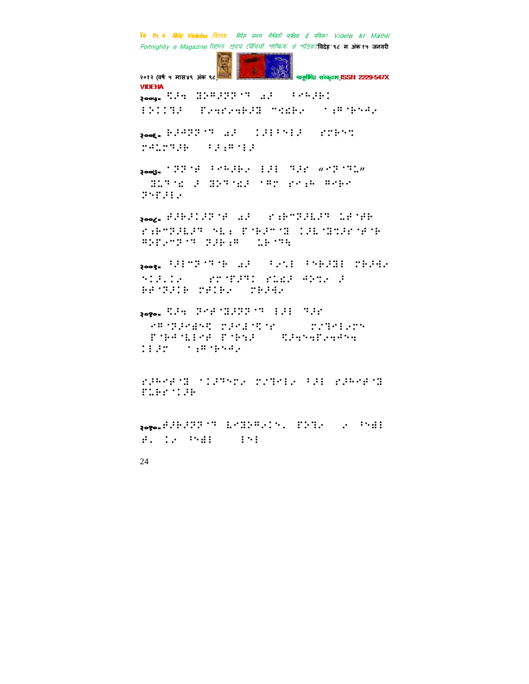**Separate** २०१२ (वर्ष ५ मास४९ अंक ९८) मनुसमिह संस्कृतम् ISSN 2229-547X

**VIDEHA** pools. West Historical and consider BOICH THREED TONE TIPS THE

Rook Published all (1919-19) and the ranrage spende

 $\frac{1}{20009}$  . The constraint in the state  $\frac{1}{20009}$  . The state  $\frac{1}{20009}$  . SHIPPE F HARRYER SAM PRINT AREA PHPHIP

pool #2021237 M al stabs 72021 M Letge ramaan surpara lahannya 

Pool: 12177-7-78 AP (1251) 159231 PR242 STATE ( FRONTS) FLEAGHERS & BENCH MAIRS MEDIA

1000 U.S. PORTHURS TO 111 T.H. **SEPRESS SEES TO** a se portuguesa e a consta **CONTRACT** Theodies Poed **CONTRACTOR** 

ramers (1955), report (20 ramers FLEE MAR

boom: HEFFING EMERGING TRIP ( PAH)  $\mathbf{F}_i$  (  $\mathbf{F}_i$  )  $\mathbf{F}_i$  (  $\mathbf{F}_i$  )  $\mathbf{F}_i$  (  $\mathbf{F}_i$  )  $\mathbf{F}_i$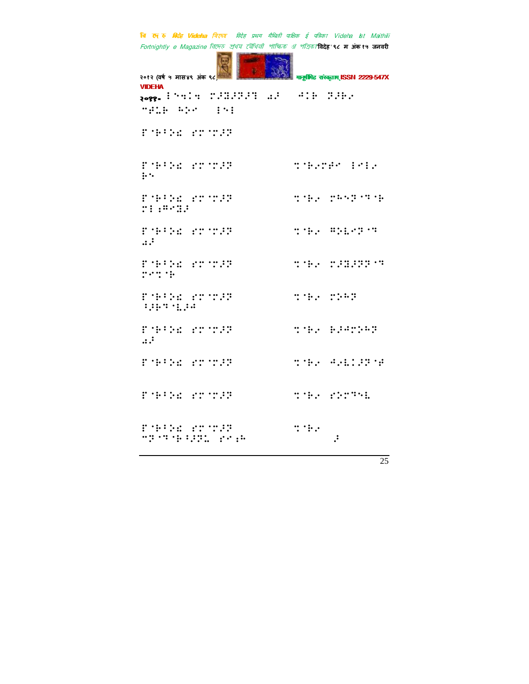| <b>TOP</b><br>२०१२ (वर्ष ५ मास४९ अंक ९८ <del>जिल</del><br><b>VIDEHA</b><br><sub>Rogg</sub> , Prolo 2000000 ad (916-206)                                                   | मानुधीरिह संस्कृतम् ISSN 2229-547X |
|---------------------------------------------------------------------------------------------------------------------------------------------------------------------------|------------------------------------|
| <b>MALE ADM (151</b>                                                                                                                                                      |                                    |
| FORTH PROPER                                                                                                                                                              |                                    |
| $\frac{1}{2}$ , $\frac{1}{2}$ , $\frac{1}{2}$ , $\frac{1}{2}$ , $\frac{1}{2}$ , $\frac{1}{2}$ , $\frac{1}{2}$ , $\frac{1}{2}$ , $\frac{1}{2}$ , $\frac{1}{2}$<br>$\cdots$ | STEPPER PRIP                       |
| roste croce<br>ri : "rda                                                                                                                                                  | The PRSPIER                        |
| <b><i>POINT CONTRACT</i></b><br>$\ddotsc$                                                                                                                                 | the milere                         |
| 5.75.5                                                                                                                                                                    |                                    |
| Portra (propra                                                                                                                                                            | TORE THE                           |
| return er mer<br>$\ddotsc$                                                                                                                                                | the BRSTER                         |
| POSSES PROPER                                                                                                                                                             | <b>The Second Constitution</b>     |
| POSSES PROPER                                                                                                                                                             | <b>TOBA SETTE</b>                  |
| FORTH STORES<br><b>MESTABILISM</b>                                                                                                                                        | $\ddot{z}$ the<br>$\cdot$          |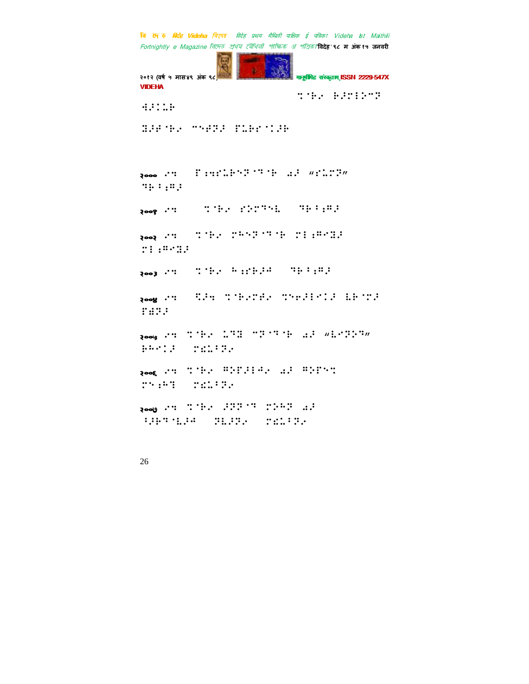२०१२ (वर्ष ५ मास४९ अंक ९८) मानुष्य कर्णाटक संकृतम् ISSN 2229-547X VIDEHA !!!!!!!!!!!!!!!!!!⣉⢷⢴!⢷⢼5⢵[⢽!

⣚⢼⣅⢷!)2:5:.!\*!

⣝⢼⢾⢷⢴.[⢾⢽⢼!2⣅⢷"⢼⢷!

<sub>२०००</sub> .q. ||:q:lP~2·7·7·10 a.P writt?*w* ⢹⢷⢸⣐⢻⢼<!

<sub>२००१</sub> ... 1999 - 1999 - 1999 - 1999 - 1999 - 1999 - 1999 - 1999 - 1999 - 1999 - 1999 - 1999 - 1999 - 1999 - 199

<sub>२००२</sub> २५ जनसङ्ख्या अस्ति । अस्ति । अस्ति । अस्ति । अस्ति । अस्ति । अस्ति । अस्ति । अस्ति । अस्ति । अस्ति । अस्ति<br>स् 5⣐⢻⣝⢼<!

<sub>२००३</sub> २९ जनगणिर केलाक्षेत्रक अक्षरकार

२<mark>००४</mark> २५ ऱ्यास याचेना प्राप्त प्राप्त हेत. याचे प्राप्त हे प्राप्त हे अस 2⣞⢽⢼<!

ال (1960 Aook) ... 1972. ��. 2014 ... 1972. ��. 2014 ... 1972. ��. 2014 ⢷⢳⢼-!⣎⣅A⢽⢴<!

२००६ ८**५ % थिए सन्दर्भ स्थान स्थान स्थान स्थान स्था**न स्थान स्थान स्थान स्थान स्थान स्थान स्थान स्थान स्थान स्थान ⣐⢳⣙-!⣎⣅A⢽⢴<!

२००७ ⢴⣒.⣉⢷⢴!⢼⢽⢽⢹!⢵⢳⢽!⣔⢼-! ⢸⢼⢷⢹⣇⢼⢺-!⢽⣇⢼⢽⢴-!⣎⣅A⢽⢴<!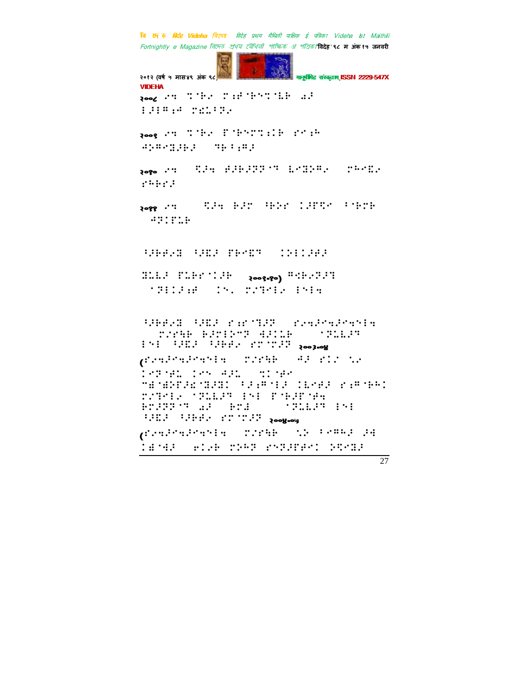बि एक स्टेड Videha विएक विदेह प्रथम मैथिली पाक्षिक ई पत्रिका Videha Ist Maithili Fortnightly e Magazine রিদেহ প্রথম মৌথিনী পাক্ষিক প্র পত্রিকা**'বিदेह'९८ म अंक१५ जनवरी** मार्गुमिट संस्कृतम् ISSN 2229-547X २०१२ (वर्ष ५ मास४९ अंक ९८) **VIDEHA** Roof of Time Park Treatments and **BOSTON SECTION** poor of Time Piraturele read  $a_1, a_2, a_3, a_4, a_5, a_6, a_7, a_8, a_9, a_1, a_2, a_3, a_4, a_5, a_6, a_7, a_8, a_9, a_1, a_2, a_3, a_4, a_5, a_6, a_7, a_8, a_9, a_1, a_2, a_3, a_4, a_5, a_6, a_7, a_8, a_9, a_1, a_2, a_3, a_4, a_5, a_6, a_7, a_8, a_9, a_1, a_2, a_3, a_4, a_5, a_6, a_1, a_2, a_3, a_4,$ paga und Sien die Persentat Europe und menor **PREPR** page of the Sund Burn Hold Curry Conduct **ASSESS**  $11.1.1$  Therefore,  $1.11$  and  $1.11.1$  and  $1.11.1$  and  $1.11.1$  and  $1.11.1$  and  $1.11.1$  and  $1.11.1$  and  $1.11.1$  and  $1.11.1$  and  $1.11.1$  and  $1.11.1$  and  $1.11.1$  and  $1.11.1$  and  $1.11.1$  and  $1.11.1$  and  $1.11.1$ **STRIPED IN THE TERMINAL** SPEAR SHEET RANGER TRANSPORTER **TIPE ESTRAT GRILE (1911)** 17: WHIP WHEN STITE Research dusing installation of the control 1979E 198 APL (21048 margarakoaako (aleman dagea elegea TITEL TELEP IN FURTIE **BOSSET AS BOSS**  $+711777774$  $1.11.1 + 1.11.11 + 1.11.11 + 1.11.11 + 1.11.11 + 1.11.11 + 1.11.11 + 1.11.11 + 1.11.11 + 1.11.11 + 1.11.11 + 1.11.11 + 1.11.11 + 1.11.11 + 1.11.11 + 1.11.11 + 1.11.11 + 1.11.11 + 1.11.11 + 1.11.11 + 1.11.11 + 1.11.11 + 1.11.11 + 1.11.11 + 1.11.$ guadealeania codale no cempola TEMAR (PIAR TARR PARAPAT DRAGA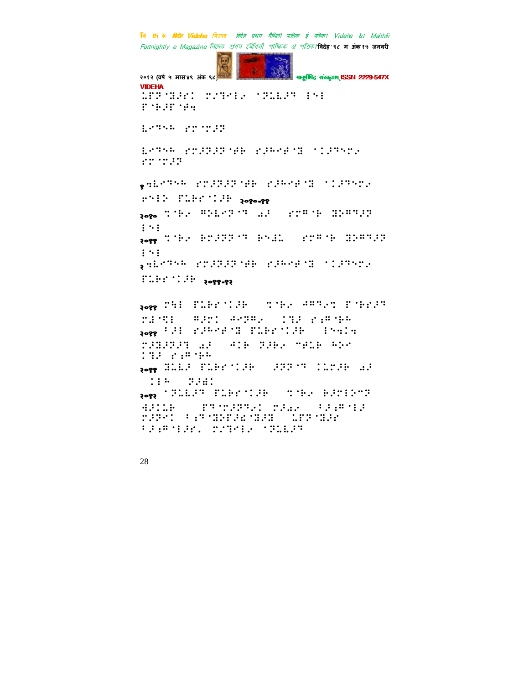Fortnightly e Magazine বিদেত প্ৰথম মৌথিনী পাক্ষিক প্ৰ পত্ৰিকা**'বিदेह'९८ म अंक१५ जनवरी Separate** २०१२ (वष ५ मास४९ अंक ९८) मानुषीिमह संकृताम्ISSN 2229-547X VIDEHA ⣅2⢽⣝⢼"!4⣙5⢴!⢽⣅⣇⢼⢹!55! 2⢷⢼2⢾⣒! ⣇⢹⢳!"⢼⢽! ⣇⢹⢳!"⢼⢽⢼⢽⢾⢷!"⢼⢳⢾⣝!⢼⢹⢴! :::::: १⣒⣇⢹⢳!"⢼⢽⢼⢽⢾⢷!"⢼⢳⢾⣝!⢼⢹⢴! : **THE SO ISSUES** २०१० ⣉⢷⢴!⢻⢵⣇⢽⢹!⣔⢼!)"⢻⢷!⣝⢵⢻⢹⢼⢽!  $\vdots$ २०११ ⣉⢷⢴!⢷⢼⢽⢽⢹!⢷⣜⣅!)"⢻⢷!⣝⢵⢻⢹⢼⢽!  $\vdots$ २⣒⣇⢹⢳!"⢼⢽⢼⢽⢾⢷!"⢼⢳⢾⣝!⢼⢹⢴!  $2^2$   $2^2$   $2^2$   $2^2$   $2^2$   $2^2$   $2^2$   $2^2$   $2^2$   $2^2$   $2^2$ <sub>२०११</sub> :5: FLBr 12B = 1962 (88921 F1Br23) ⣜⣋5!)⢻⢼!⢺⢽⢻⢴-!⣙⢼!"⣐⢻⢷⢳\*! २०११ <sup>2</sup> अंतर का जानिक सामान्य अधिकारिक सामान्य अधिकारिक सामान्य अधिकारिक सामान्य अधिकारिक सामान्य अधिकारिक सा ⢼⣝⢼⢽⢼⣙!⣔⢼!)⢺⢷!⢽⢼⢷⢴![⢾⣅⢷!⢳⢵-! ⣙⢼!"⣐⢻⢷⢳\*! २०११ ⣝⣅⣇⢼!2⣅⢷"⢼⢷.!⢼⢽⢽⢹!⣅⢼⢷!⣔⢼! )5⢳-!⢽⢼⣞\*! २०१२ ⢽⣅⣇⢼⢹!2⣅⢷"⢼⢷.!⣉⢷⢴!⢷⢼5⢵[⢽! ⣚⢼⣅⢷.!)2⢹⢼⢽⢹⢴!⢼⣔⢴-!A⢼⣐⢻5⢼.! ⢼⢽!A⣐⢹⣝⢵2⢼⣎⣝⢼⣝-!⣅2⢽⣝⢼"! AGASHI SHE

चि एत् रू मिन्हे Videha निएन्थ विदेह प्रथम मैथिली पाक्षिक ई पत्रिका Videha Ist Maithili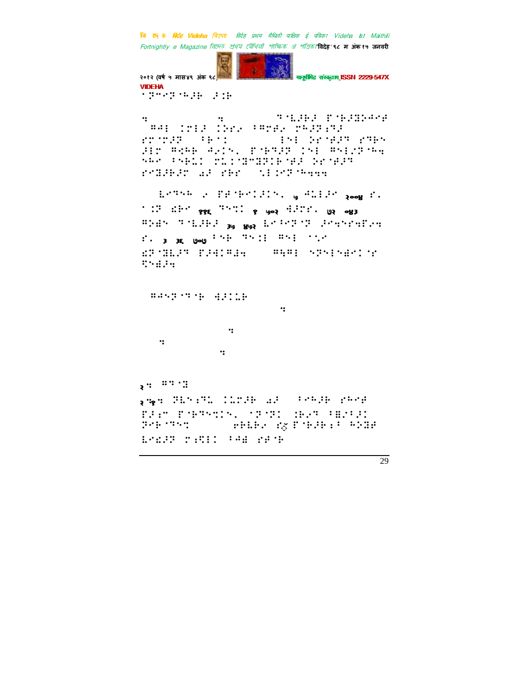२०१२ (वर्ष ५ मास४९ अंक ९८) मानुषिक संस्कृतम् ISSN 2229-547X

VIDEHA ⢽[⢽⢳⢼⢷!⢼⣈⢷!)!

 $\alpha$  $+$  0.5  $\pm$  0.5  $\pm$  0.5  $\pm$  0.5  $\pm$  0.5  $\pm$  0.5  $\pm$  0.5  $\pm$  0.5  $\pm$  0.5  $\pm$  0.5  $\pm$  0.5  $\pm$  0.5  $\pm$  0.5  $\pm$  0.5  $\pm$  0.5  $\pm$  0.5  $\pm$  0.5  $\pm$  0.5  $\pm$  0.5  $\pm$  0.5  $\pm$  0.5  $\pm$  0.5  $\pm$  0.5  $\pm$  0.5  $\pm$  0 "⢼⢽#!A⢷⣈!3122!55!⢵"⢾⢼⢹!"⢹⢷!  $H$ :  $H$   $\sim$   $H$   $\sim$   $H$   $\sim$   $H$   $\sim$   $H$   $\sim$   $H$   $\sim$   $H$   $\sim$   $H$   $\sim$   $H$   $\sim$   $H$   $\sim$   $H$   $\sim$   $H$   $\sim$   $H$   $\sim$   $H$   $\sim$   $H$   $\sim$   $H$   $\sim$   $H$   $\sim$   $H$   $\sim$   $H$   $\sim$   $H$   $\sim$   $H$   $\sim$   $H$   $\sim$   $H$   $\sim$   $H$   $\sim$   $\sim$ AA $\sim$  1861) which is the set of the set of the set of the set of the set of the set of the set of the set "⣝⢼⢷⢼!⣔⢼#"⢷"#!⣁5⣈⢽⢳⣒⣒⣒!

)!⣇⢹⢳!⢴!2⢾⢷⢼E!५ ⢺⣅5⢼!२००४ "E! ⣈⢽!⣎⢷!११६ ⢹⣉!१ ५०२ ⣚⢼"E!७२ ०४३ ⢻⢵⣞!⢹⣇⢼⢷⢼!३५ ४५२ ⣇⢸⢽⢽!⢼⣒"⣒2⢴⣒! "E!३ ३६ ७०७ A⢷!⢹⣈5!⢻5!⣁<! ⣎⢽⣝⣇⢼⢹!2⢼⣚⢻⣜⣒!.!⢻⣓⢻5!⢽5⣞"! ⣋⣞⢼⣒!\*!

!⢻⢺⢽⢹⢷!⣚⢼⣅⢷! hekawiefiburuh dipakan di kawiefiburuh dipakan di kawiefiburuh di kawiefiburuh di kawiefiburuh di kawiefiburuh<br>Awiefiburuh di kawiefiburuh di kawiefiburuh di kawiefiburuh di kawiefiburuh di kawiefiburuh di kawiefiburuh di iuuq;00xxx⣒nbjuijmjmflibltbo high control of the control of the control of the control of the control of the control of the control of the control of the control of the control of the control of the control of the control of the control of the control  $q_1 = \frac{q_1}{2}$ 

२: ""' "

२⣒१⣒!⢽⣇⣐⢹⣅!⣅⢼⢷!⣔⢼.!A⢳⢼⢷!"⢳⢾! 2⢼⣐[!2⢷⢹⣉E!⢽⢽!⣈⢷⢴⢹!A⣟4A⢼! ⢽⢷⢹⣉0!32!⢶⢷⣇⢷⢴!"◌ॅ 2⢷⢼⢷⣐⢸!⢳⢵⣝⢾! ⣇⣎⢼⢽!⣐⣋5!A⢺⣞!"⢾⢷0!!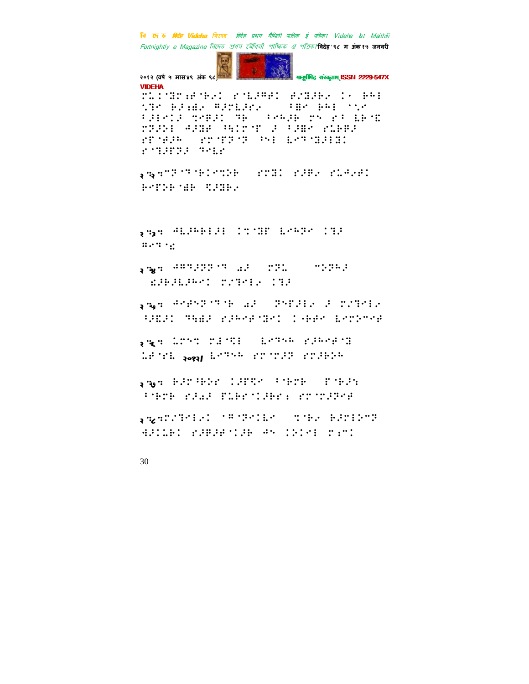

मानुबंधिह संस्कृताम् ISSN 2229-547X

**VIDEHA** richerated rained engage (+ pm) **MP REAR ASTRACT Alle page of the second control** PRESIDENTER THE PROPERTY FROM ENT TRINE ARBE METTE F FREE TABBE FROM PETRON MI LONGHII romana Selr

grams in recorded consciousness ordered 

anan HEPHELPE INSUE EPHPE INF  $\mathbf{u}$ .  $\mathbf{u}$ 

gage APP222-T a2 (221) (1928) ESPECIAL PERSONAL PRO

gage servicing all installe potentia SPEED MARK SCHAFTERI ISBN EATTACH

gaga Lond olimi (1975-ciperata LEATH 1001 LOTAR PTATES PTARAR

ginger Bart Harris (1988), Franklin Braker **Prese radio fierrates rougher** 

gegenvirtiet in de dentar in die Gaanters HAILBI KABABYIAN AS INIMI MEMI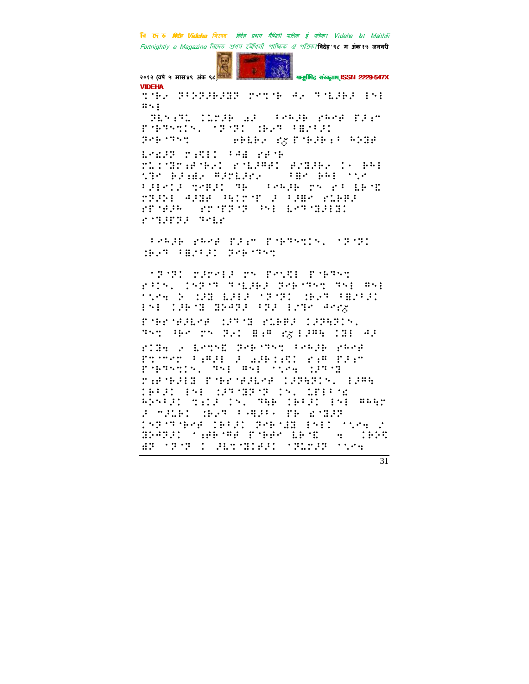

२०१२ (वर्ष ५ मास४९ अंक ९८)

**VIDEHA** 

the PISTHER forth 4, Thems in:  $\cdots$ 

TENTE COMPANY COMPANY MAR TET POPPHIN, MPORT HER PENCH pagentser **PHIP RTPHILLER** 

19633 THIL PH 2878 rtingrændet rigger digger (f. 641 the Blake Winding of the BAB ste PRESIDENT THE PART OF PERPO THIS AND SUTTI I SHE TIME rnde roman el badini roughts welr

SPARE PARE PRIM POPTATOL SPORT HAR SEMINI BEFORE

**MEMPI CHOMES ON PRINT PAPPAC** rans, norsh manger poesnog mor mor TORE & 198 E919 TRIRY 1825 FEMPI 151 (1871-1842) (22 (236 465)

Porteller OPPol PLRP, CPPRIS, 757 Resort Palomen & 1986 INF 89

ride a brown presons trepe rene ESTROLENER PORPORT KAR EPAR rathur roadach (Unun), 194 IPER INFORMATE IN INFORM RESERVISE IN THE IBER 154 THE a male: dels compos de acada 15379363 (PRES 30633 PHILIPS) HIGHER SANDWAY PONGO ARCH  $14.11$  $\mathbf{H}$ AR 1919 I ARTHAM (SIMAR 194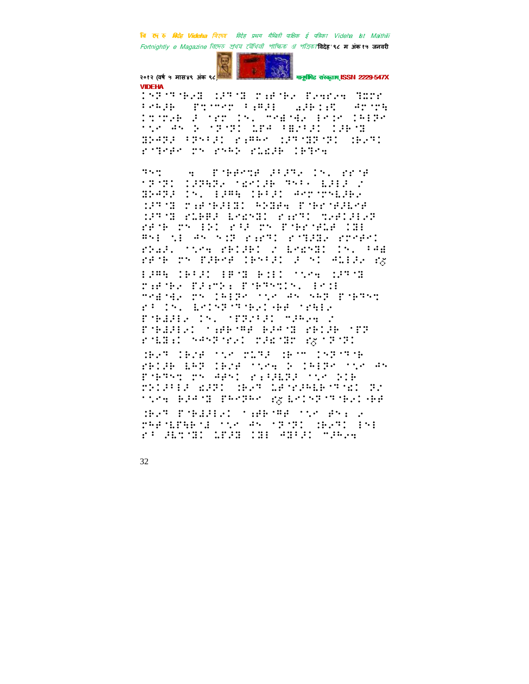

२०१२ (वर्ष ५ मास४९ अंक ९८) **VIDEHA** 

मानुबंधिह संस्कृतम् ISSN 2229-547X

**INFORMATION TO THE FUNCH THIS** PARAR TOMAT PARAL SARELD AT TH ISTRÁBUR MERUPA (MANGARA BAJA) IRBA<br>Manuel Sumartei Merupatai IRBA 82483 (89431) 23862 (29788781) (8291 rike roman class lite

a famos dida (n. 224  $\mathbf{u}$ HPARE (P. 1985-1993) APT TELER SPORTHOLIC SYNA PORTHOL <u> 1978 ribbi brondi rati nafilia</u> PETE TY IND PAR TY POPPORE CHE #5: 1: 45 5:P rant rimar roof: rbag, stra relgel z brembl 15. 948<br>rese po fgere (enggl g ni gliga rø

1986 1932 1833 6:01 1536 1933 rakter fransa forførte. Brib medias projected the archaeological ra in Bringen med Ar Srmie POBABLE IN STRAFFIC MARGE 2 ress: ''Herma each delle fr raman sestaran perang 1972.

HAT IENE TO TETE HIT INFITE PRINK ERT IRZE MINA I IRITA MIN 45 PORTS TO ARSI PIRER TO SIR relativ dan des laceamecrop  $\mathbb{R}^n$ the EPPS PROPE RESERVED BELIEF

HAT POBLESS THEORY TO BYE A refugeration as sport most is FROM THE STATE CONSIDERING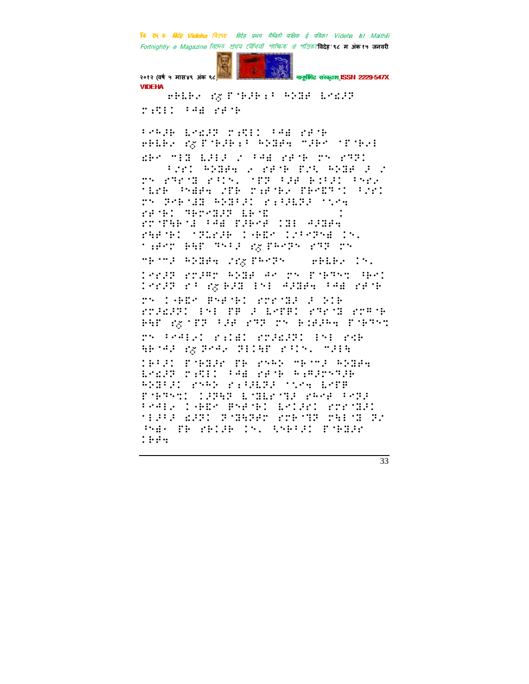rational remova POGGE LOCAT TAGIC PAR PROF FREE REPORT FREE THE TERR ERS MIN ESIP 2 PAR PROP 25 PRI Frei Abaum a rund com a com a c ns egend ests. The sam bisat ssee tick Pape STR raftky PROP'N FSN ry Person Avoid Filmon Ste rene mremo men rojegeja (64 papre 191 gager)<br>rgeje: Jacae 1960 125054 15. THET BEE THIS REPORT PTP TH TECTA PADER COSTRATA ( PELES IN. Derich rougho grie ar on pregnan geri 19822 KF 68923 ESE 42386 FAB 6878 ry came myster rrroma a bib POSERT IN THE SERVICE PROTECTIVE PHP 28-153 138 233 25 P.H.PPH F.B.351 ry Pedigi raidi rrgaggi 191 rek AB MAS AN TRAP TECHNOLOGY CHANNEL IPOI POSSE TR PORT OF OF ATSA DANIE SANII PAR PRAF PAPIRAGH PRESENTATO PASSAGE TOPA LOTE rîgayî: 1994-ciharine eye feze<br>Fedro 1982 Byene: 621921 erenge **MERGE ART STREED PORTH THEME TO** PARTIE PRINE IN ANELIC POBBE  $: ...$ 

बि एक रु मिनेट Videha विएक विदेह प्रथम मैथिली पाक्षिक ई पत्रिका Videha Ist Maithili Fortnightly e Magazine রিদেহ প্রথম মৌথিনী পাক্ষিক প্রাপত্রিকা**'বিदेह'९८ म अंक१५ जनवरी** 

PRINT WATTER: PRINT EMAIN

मानुबंधिह संस्कृताम् ISSN 2229-547X

२०१२ (वर्ष ५ मास४९ अंक ९८)

**VIDEHA**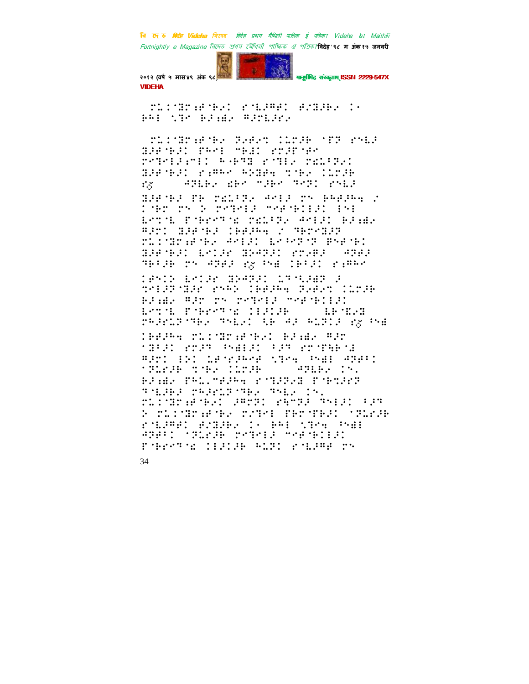

२०१२ (वर्ष ५ मास४९ अंक ९८) मानुबंधिह संस्कृताम् ISSN 2229-547X **VIDEHA** 

**MITHERS PRESS BARGE** PRI STR BJANK WITLEY

Things and state for the new real BRAND PRAI MED CORPOR repetFruit Robert reports rations! BREAK PARK RYBE THE COSE **SANDAL COMPANY REPORT PROPER**  $\mathcal{C}_{\alpha}$ 

BREAK THOTELITY AND THOMAS CON l'ar co l'oranis moralisi ini.<br>Local Parrota cellas solis Riab **APPI BURGE INSTALL STREET** richere de della letter person BARTHAI BRIAN BRAGGI MMARA (AGAA TELEVIS STEP 28 SECOND FIRE

18512 12132 STATE: 1751887 THEFTIF PARK INFRASTRENT INTER BJABA WJP PS PATALI MARJEJIC ESTAL PARSTAL CHAIR (1) ERADA TRENT TER THEN AR AF ROBER BY THE

**TERPH WITHMETER ERGE PRY MIRRY PROPERTY OF STARTS** BRY: ESI LETERANE (TRA PAEL ATE): **TRIAL TORAGE COMPANY IN.** Blue This Milke Politic Porter TALES PREMIER THE CA MUSTER ARTEST SPRED SAMPS THESE FOR S TICHER THE THITES (THIS rolage: evalue : Pel Sarg Pyde APART SPEECH SPORTS SPARTED Pobreto Mandh Alpi roller re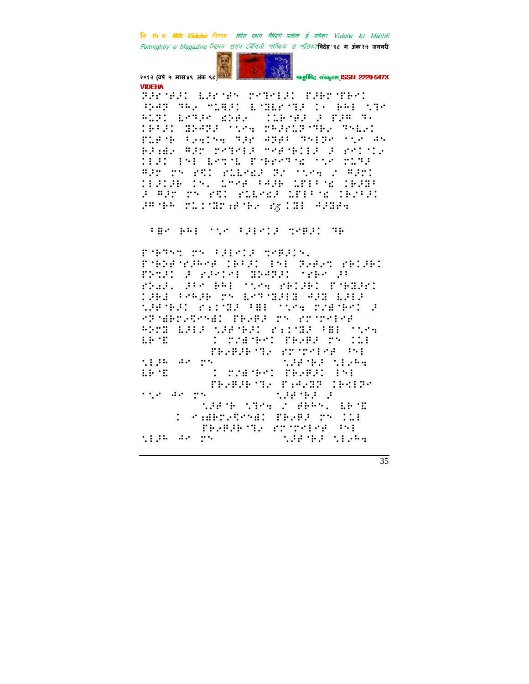२०१२ (वर्ष ५ मास४९ अंक ९८)

मानुबंधिह संस्कृताम् ISSN 2229-547X

**VIDEHA** BRYAN LAYAN MYRIAL BARYTHY SPAR THE MINER EMMERTIE IN BHE MIN SIT ROOM WHAT THE HULL FIN TH **THIS BARE YOU THANDYRE THEY** FLAGE FREISE SIR ASAR SSISK STRUCK BRAWN RRD CHREEK MARCHIER ROBACTIO HAD IN ESTE PORSTA TO TER Ran ny rui rikraa av sira vorant.<br>119196 15. inra 1996 infformatean a gar no 251 Pilesa iPB of 1829. PROPR TO CONTRACT WORLD APORT

FBP BRE TOP FREEDS MPRESS MB

PORTS TO PRINT TERRIT. rabearege (plu) in Gueur ablub:<br>rodu d'advivi dogui aaby d rhal. And BAI (the rB12B1 PoBB2) THE PARK 25 ESTERINGEN ERR tarna: richa (B) tin cinemated a **PROBECTSPART PRIPR CONSCIOUS PROPERTY** BRTH LILE SARGED FIDDED FHI SSP I THANK TEARS TO ILE  $\mathbf{h}$   $\mathbf{h}$   $\mathbf{f}$ TEARINGS STORIES IN special discovers. **NEW SEARCH**  $E: Y: Y$ Consideration of THANK INE TEARING TAGER CROCK **Contract of the State State**  $\begin{array}{ccc}\n\ddots & \vdots & \vdots & \vdots & \vdots\n\end{array}$ WHOR STORY SHEET, EROE **Conductional Phone ry CLE** TEARING STORIES IN tight are not **NEW SEARCH**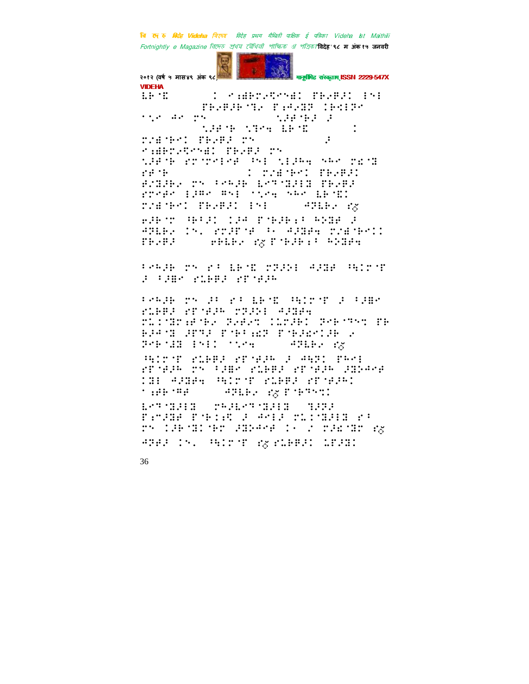

मानुबंधिह संस्कृताम् ISSN 2229-547X

**VIDEHA COMMISSION CONSUMERS**  $E: Y$ TEVEZENTA TAPAIR (EMIRA **Single State and Company**  $\begin{array}{ccc} \mathcal{L}_{11} & \mathcal{L}_{22} & \mathcal{L}_{33} & \mathcal{L}_{44} \\ \mathcal{L}_{12} & \mathcal{L}_{23} & \mathcal{L}_{34} & \mathcal{L}_{45} \\ \mathcal{L}_{51} & \mathcal{L}_{52} & \mathcal{L}_{53} & \mathcal{L}_{54} \\ \end{array}$ **NAPA NEW BER** maner: Health my  $\mathbf{R}$ PARTNERSHIP IN THE TR MARCH STOPPERS PRESSEARCHER TEST C STETHT TEARED  $\mathbf{r}$  and  $\mathbf{r}$  and  $\mathbf{r}$ FMIRE TY PERB LETTING TEEP gream part and steam new part? rzenko francoski (\* 4916. kg eden Gebor (de predese etade d ANLE, IN STARTE BOARDER TOEMACI PRINCISTOPHIC PREMA **PROPER** 

PARTH TH 23 LEAD TIME AND SHIPAT **COMMANDS SERVICE** 

Pengh on an ending macon a name FINDS STARD TILL ANDER PLINED HORN PREPD (LOVE) PERMIT PR BARYE APTA PYBRAZE PYBAWYLAB V President (1991) (1991) - Aller K PRIME PLANF PENNSYL AND TAME FEMALE TO LABY FLEED FEMALE SENAGE THE APHAM MOTOR PLANP PETRON  $\cdot$  .::  $\cdot$  .:: -AGLES SYTTERS! 10991111 791109911111 913 FRAGE FORISE F 4012 MILLONED RT ry (18-diver 285468 1) 2 rabder 28 APARTIC BITT RECENT LEAD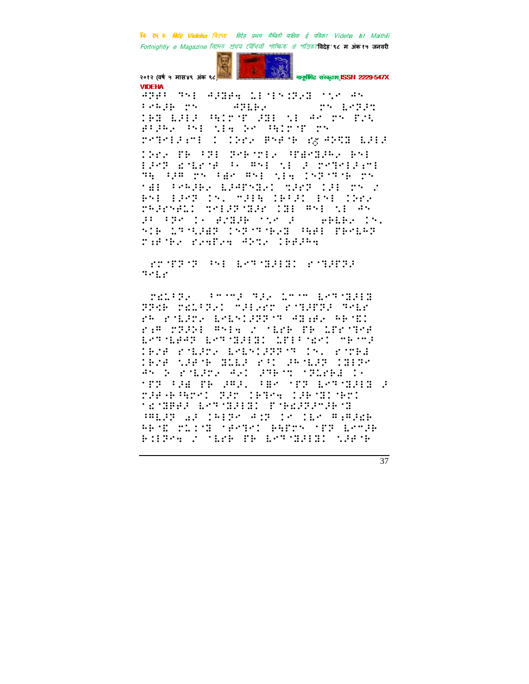

२०१२ (वर्ष ५ मास४९ अंक ९८) **VIDEHA** 

मानुबंधिह संस्कृताम् ISSN 2229-547X

APPE THE APREAL LENER CRATE STACK a wa gabeeyaha and Espain THE EACH ANDAPT AND NO ARTICLE CA BURG PE ME SO BID'T TY reteracy compared by sporting 1982 PROFIL PARTER (PAMIRA RNI)<br>1982 Bolete (F. RNI) ti 2 partizen THE CORPORATION CONTENTS OF THE CONTENTS OF tal Preser baggeda margolal peor PRESERVE IN THE IPPE ENE IPP relevent will delegate the well to av PURPENT PREPENDENT COMPENSATION **MIR LAMERE IMPORTER AGE TRALAR** rathe refer Abye (BAJA)

FORD PH ESTERIAL FURNA  $3.41.4$ 

TELER COMMUNICATION ESTABLE FRAN TALERAL MARGARY AMBARRA RELA re romany membrane and enough ram room myself tare op 10rthe Lés déspoises différentement TEMP POLENY LALSIFIED TO ISLANDER TEMP SPECE BLEF FAN DROEP IBERO AN DOEMERY AVE PROTOTERED IN **MP MAN TH ARA MEM MP LOTARIE A** raegement aar demne daenmonerd 'd'APAS L'ESTADI P'BADDESE'A **BREAK AN INTER ANY IN INFORMAN** REME PLIME MARTEL BAPPY MPP ESMAR BOST ROOM IS STORED AND THE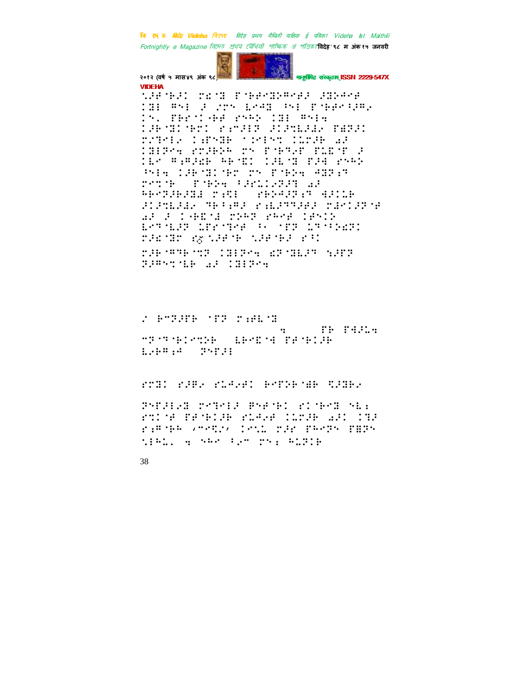

२०१२ (वर्ष ५ मास४९ अंक ९८) **VIDEHA** 

मानुबंधिह संस्कृताम् ISSN 2229-547X

MARTER TETE PIERTEPHAR REPAR ISE WAL 3 YOU ESSE THE PARKING. In, PHOTOBE PARK IBE ANEW <u> 1967: Seri Ferdiğ didemdik fandı</u> ratele langue (1919) Clrub ad COUPER POSSES OF PERSON PLETE S TER AGAZE ARTIC ISLTE FRE 25AX PHA CHEMICHE CH EMPA POPIS reth fibe Grillian ar RECRIBING TON CONSIDER ANILE STOCKER METHOD PALPMORE CAPIOPA AF F DARMI MAR PAPE CENTS BOTHER OPENBOR (1970) CREEK THE TEACHER SHOW FR **THE SERVICE CHIPPS AND HILP SHIP** 

FIRST LE AP INITES

S PORTH STR PAREST TP PASL. **MESTAL STAR CONFIDENTIAL EXPOSURE** Lebeca persi

rrot rugs right bonderne cup.

PRESENT TREES PRESENT SISTEME REV rtinë përshim kundë turde udi the rande votes loth christen province time, a she to probability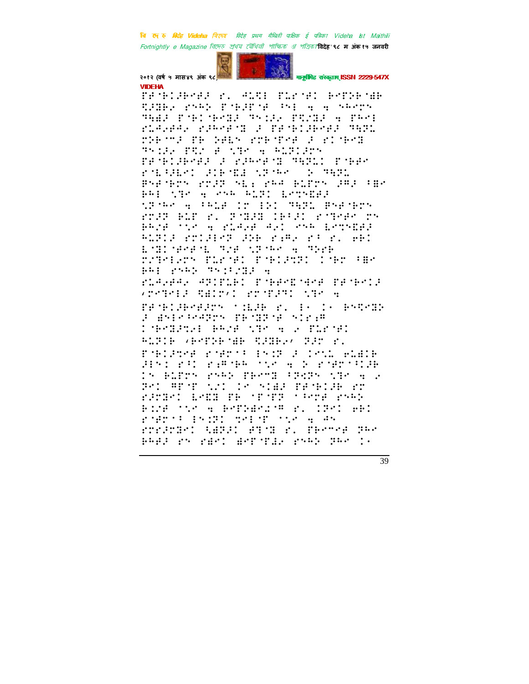

SUBDA PRODUCT DESCRIPTION OF A PORTU MARK PORTGERS MAJRE PRINS A PROP

मानुबंधिह संस्कृताम् ISSN 2229-547X

२०१२ (वर्ष ५ मास४९ अंक ९८) **VIDEHA** 



rtagaan rawang a pengianaan mut THE THE THE NEW STEPHAL IS STORED This PEACH NEW ACRES PRO TANKINGS I KAPANE MASI PNAP POLICES CONTENT SPORT OF THE Present roll risk reachings and the BH: MB A PAR RING EPTANDE 13:58 g (522 12 12) **THE PHETER** FTP BIL K THE IBID FTPP TY PRIE TIM A PLANE AND MAR EMINERS RLEDE PRIPERT PRESENTATOR (PRI ESERGEN THE STORY HOTELS rzakiler) Turfel Toklada (1968-) ak **BB: PSB: TS: CHI +** riaga, animit rapherare praphi **VISTED RECEASED TERMS AT** TEMPLIFYERTY TILLE BL IN IN BYRYSE a antropolitante de 1970 e contra **THERRY BRYE STATE POINTRY** 

stri Verbinde Compositor

PORTAGE ROBEON ENTROPOLOGICAL **JEND RAD RAPING TO A DOCTROLLE** In Bilth rnAt TBrnI (PRTh 196 a . Pri Arre this critical redecabler

Rabari Lrod of Social Profiles Pire tir a Proberie r. 1971 eB1 PORTO ENTER THE TOP A 45 rorange: Geba: Aqui r. Chemea pee PREF 25 2851 BST TIL 2552 TRS 1.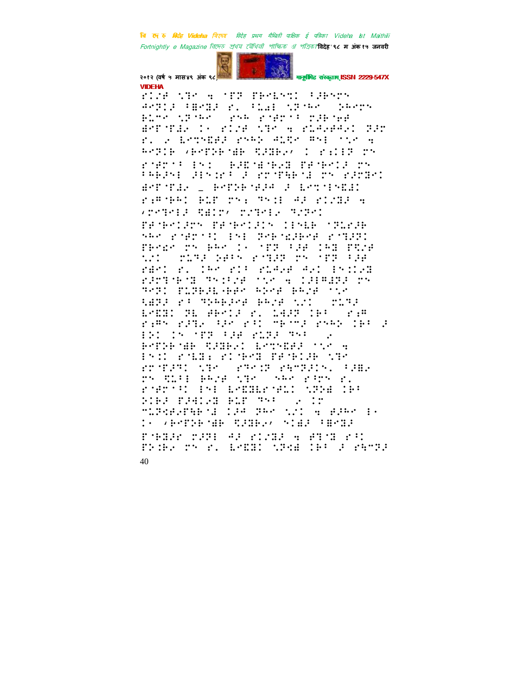## २०१२ (वर्ष ५ मास४९ अंक ९८) **VIDEHA**



मानुबंधिह संस्कृताम् ISSN 2229-547X

rich the 4 fff freien: Chrew AMTIF FEMIF P. PLAI NEMAN (PAMPA Bing the service problems with the BRITIN IN MINE NIM A MARRAYA **BEE** r. A Bennedy rubb ande and the a ROTIF (POTTECHE SJER)/ I PAILE TO rienis (S) (BAD diese feiend ni PRESSE SERVER S PONTRENS OR PSTORM BOTTER \_ BOTTERBOR & BOTTERRI rather but may this African A **VISTORIA RECOVAMINATIONS** FRONTIES PRONTIES TESEN CRIME SAK PORTIO ESE PRESERENT POBRI PHONO 25 BRO IS MPP FOR 188 PROF **TERM PROVIDED TO THE PRO**  $\dddot{\phantom{0}}$ rant r. 198 rit rigger gal fried FRONT ROLL TO STORE TO CALL LATHER FOR ner: rumen der aber bald Tie tan: r: nemera prop to common EMBOL PE ARMIA EL 1828 IRF (2188)<br>EGRN EVOLUCIÓN EST MEMOR ENNILOPEDA 101 15 MPP 528 PLP2 756 BOTHERN RANBAL LOTENS TOOK END POLE: POORCE FRONT NEW FOREST CROSS FROM PROPERTY PERP rn Sill Berg (1988) new rinn r. rdrit (M. Lemmedski (SVA (B) MIRMARHEMA 194 PAM NYI A ASAM EK **CONSTRAINS CONSTRUCTION** rame net al cide a stor et Think on all baddi (Sad (P) 3 anos: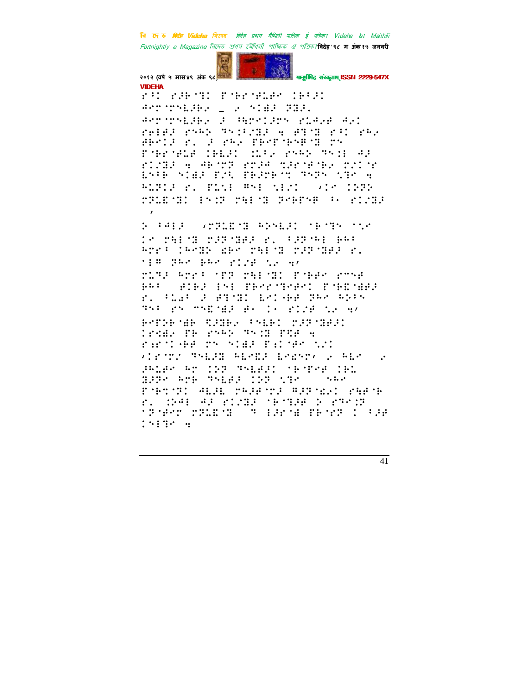

२०१२ (वर्ष ५ मास४९ अंक ९८)

 $1.54$  TeV  $\sim$ 

मानुबंधिह संस्कृताम् ISSN 2229-547X

**VIDEHA** FOR PARTICULAR MEDICINES Annonklike \_ P STAR BOR. And unlike a services riage and relea robo policia e encicata ro HERIF R. F. REA TERMINENT MY PORTHER CHECK CERA STAR TEST AS rivos a denna role narnene color ENFRONTER POR PREMENT PNPNONTHOLA RUPIS BY FINE ARE NEWS (1970) **MARKET BYS MARKE BYENE BY WINDS**  $\overline{1}$ 

PORTER STRIKT RESERVATIONS **10 29:00 232-033 21 232-03 202** Pres lengt den meind machdal e. ti# The Bhe flui th an MITA RMAR (MT MAI MI) E NAPO STOP PRI SEDE IN TRANSMART THEMBER r. Mist a grob bolge packers THE PHOTOGRAPH IN PICE NAMES BYTOB MAN SHEET TIT MAIL Trame The root soul PEP 4 rantee my signification VIETUS TALAI PLADA LAESTA 2001-100 V PALAK AT IST THEAR 'B'THE IBL 1828 Are 79183 152 133  $\cdots$ PORTON ALAL TRAPOTA RAPORT THEOR r. DAI AF RICH SECHE D'ROCH

**SPORT TRIESE OF EACH TEMP I FAR**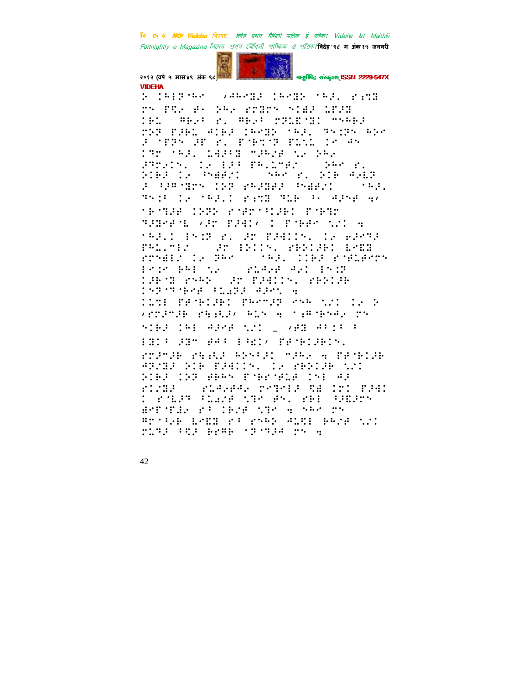

२०१२ (वर्ष ५ मास४९ अंक ९८, **VIDEHA** 

मानुबंधिह संस्कृताम् ISSN 2229-547X

S CREPART (ARRED CRRED TRE. PATH TH FRAUDHOUGHAND MINE AT LEAD **THE WEST P. MEST MULLIME START** MAR PARL ADEA DEPOIR TEACHTROOPS Glendy Grund ready riti 1974. 175 TRAVISARI MARK NE PRE PROSTAL IS BRA PRODUCT  $\mathbb{R}^{n \times n}$  . bied is there: " har r. bie Aser 2 GPSHM INF PROBE SHEET (1982) THIS IS THAT PICE TOP IS SAMPLEY **METHER COOPER STREET REPORTS** SARAH VAN BADA I PAAK WI 4 MARIN ENGEL AN EPHICAL IN BRANK PROTECT POSSES HOURS ROOM ESTALL LE PAR **Southern Communication** Principal New Schedule Art Prin NAPOB KORD (AM PARIJO) KRDIJR<br>Nogodobne filma Alen, A TIME PROPINED PROMIN ONE NOT IN 2 vrnamab regula, post e tipopsob ns **SIER INE ARME SAI LOVED AFILE F** FRIE SRM AAR FRIE PANELBIN.

rofolk radio mentic mame a problem ARABU NIN PARITY, TV ANNIAN NAI SIER IST ARRY PORTHER INFORM richa ( riggege reneid na tri figi D'ESLAT PLANE NTP AN, ERI PARAMA BATATLE PACIFICATION AND TH Briefe Ledd ri raab Aldi Bare thi ring og prog stoge på s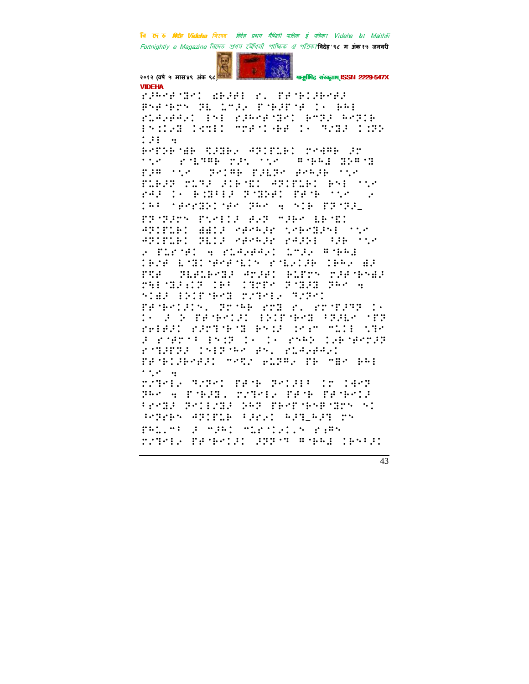

२०१२ (वर्ष ५ मास४९ अंक ९८) **VIDEHA** 

मानुबंधिह संस्कृताम् ISSN 2229-547X

rabnenget deaer r. Penetaenaa Preserv SL Logy Poperte 10 PH: PLAYAAVI ESE PURPANENI BMPU RAPIB ENGLAB CAMEL MORTLARE IN MOBE COPE  $131 - 9$ 

BYTHE HANDA ATITLED TYARE ST the starme particle where down FRAUDILY POINT FREED ANDER THE FLEAR TIME AND MINIMAL BY: TIM PAR IN BIBBER BYBED BETH TYPE IRE MARININA PROVE NIE PROPI FRONT POSIT AND MARK AROBY APIPLE: AALA PAPRAR SPRPBAR TSP APIELE: PECA PAPAGE PAGGE (GB 150 a mand a steamd, this where DEZA ESTOSAMASENDO BOERNADA DE PARTIER rne distingi grie: elfro riegenal rafonalis ia: infra sonan sac 4 MAR INTERNE MARIE AND PANELLIN, Prime and all arithments <u> 1980 - Branden Bergham (f. 1985)</u> releat rangers a byla chemicile the a prense programa prez cabopando

POINTRE INTERNA AND PLAYAAVI

rendieser: "Strategies in Mis bei

 $\mathcal{L}(\mathcal{L}^{\text{max}})$  ,  $\mathcal{L}^{\text{max}}$ PARTIE RARMA PENE RMIJER IP IEMR

PRO A PORTO CORRI PROPORTA

Repeat Address Carlo Address pr PRIZER SEMSPHI MINISTRATOR ESPA

Prode dollede bad from morning of

rather from 21 2007 Company (PSE)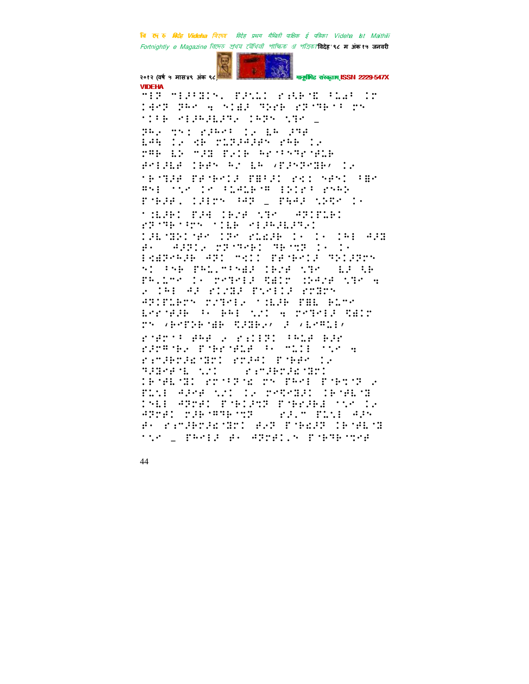

२०१२ (वर्ष ५ मास४९ अंक ९८) **VIDEHA** 

मानुबंधिह संस्कृताम् ISSN 2229-547X

MIR MERRING TRULL FILENT PLAT IN 1403 Serve Sidd Shee 23 Serve Stor ting and sensitive control Bay man riams to be sma 185 (2 de 2133636 256 (2 rep in 52 file artestration Prince they by in criterial (i) TECTER PROPOSE PHILE YAN SPS CHR BRE THAT IS REALBOR ENERGY PRAY PORT CHEW HP \_ PHAP SHE IS **THERE FRAMELY THE SAFETNED** FRONT CONTROL PERSONAL DEPERIMENTIEN BLEEK IN IN IHE AFE FOR ASSESSMENT REMOVAL ENBRAGGE ARD MAID BENEADE MEDGRAN SI PSE PRIIMPAGE IETE STAT EE LE PRIDER IS PERFIELD DECEMBER 4 2 THE AP PICHA PYPELA POWER AFIELEN NATHER TEAR FEL BLUE Reported to the collect peters this re verbende binde, a varman rnern ame a ridge (mid bar ranger as proportion of the state of the rangergenart arget på Geo **SERVE SERVE** 167eljški vrtitalni po roko potretje<br>Plin (step inni 12. perest) (bijeljšk SALE AGUAI P'RIANG P'REARD 'NY IR APMAIN MIREARD MUSIC RIGHT PLAIN AIR F remark the SA Pakin Crew the president appeils portioned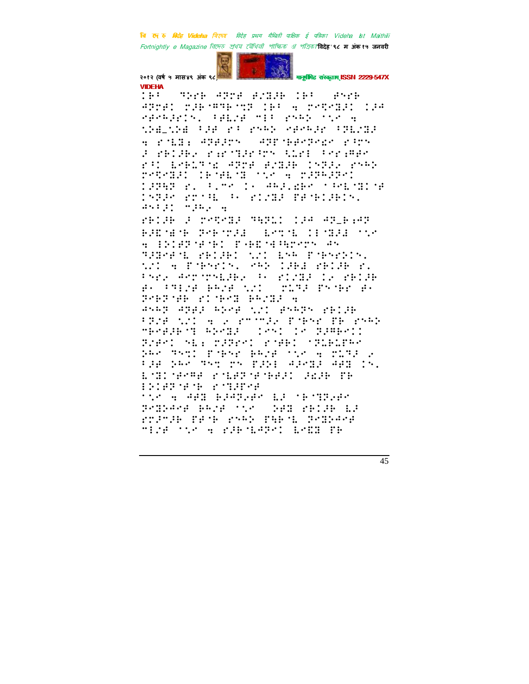

२०१२ (वर्ष ५ मास४९ अंक ९८) **VIDEHA** 

मानुबंधिह संस्कृताम् ISSN 2229-547X

THE ATTE BILE IE  $: \cdots$ a provincia de la contecidad della contecidad della contecidad della contecidad della contecidad della conteci APPAC PARTNERS CREATED PARTNERS CAR SESPECTS, PELIE MIP PAPE TOS A the the field of ones weekly freeze a rinne spera **ANY SEPTER FIRE** 3 SRIGG SAMTERRY RES PRESHA ra trenta anne eville inner roch PORCHEL IPOBLOB COOP & PERMERO 19968 r. time is angleke (Pringing **INSPERIES A RIVER PROPERTY.**  $\mathcal{A}^{n+1}(\mathbb{R}^{n}_{+})\cap\mathcal{C}^{n}_{+}\mathcal{C}^{n}_{-}\rightarrow$ 

ratua u retemu manii 194 49 A.A. BRING & POBOTRE (ESTOR CENTRE SOS **A INTERNAME FARMAGEMENT AN** SPECIAL PRIPEL NOT LOR ESPORTS. WI A POPYRTY, MPP ISBN 28138 2. Pres Archerman (P. etcha to eatda BROSSER BROBONI CONSERVANCE BOBBON COPPE BROWN asag agal ayea wil asags railer PROFILED A PUBLICATION TO PROPER HARRARY ANGER (1941-119 BIARA) Fresh Sie regest roekt offikates PRO TOTE EMPRES PROF STATE TITLE & Partner and by Band Aaron And In. L'OCTEVARE 2 (LAPTATORA) (2006-200 **CONSTRAIN POSSESS** ''' a 48 BRAD 12 'B'IRA' POBRAGE BASE SOM (DEB 28128 BP roanak peng rugi papni penyaka mine the 4 reporters ledg pp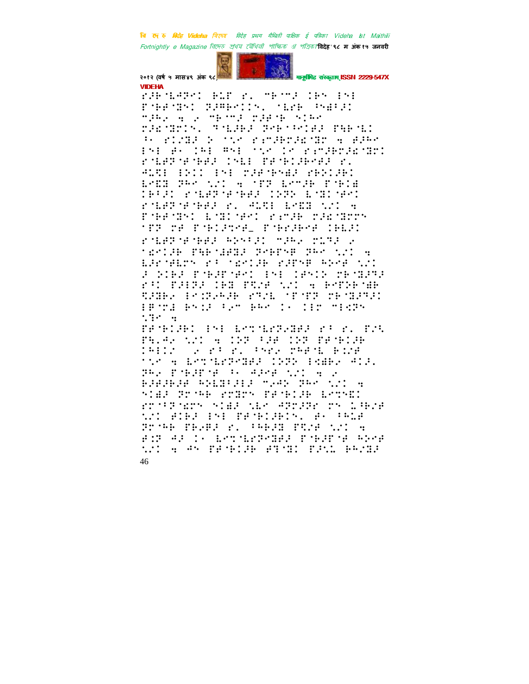

२०१२ (वर्ष ५ मास४९ अंक ९८) **VIDEHA** 

मानुबंधिह संस्कृताम् ISSN 2229-547X

FJEMEREN BLEVEL MENNE IBN 191 PORTUGAL PARRAIDAL CERR (PARRAI many and memal raene ster records, these perfects report Provincial Southern Professional Administration ESE BY CRESTSE TOM CA RAMPROPRINT rolecoper (Sli centerer r. ALCO DISC DAI TAPAPAR TERIAN BANN NAM A SIN BANNA PANG **TRACK POLESCE MERR (1935 LOGICAR)** rastems r. 420 bro 121 m POHOBY LOBIOST PROF PRESEDE **TER TA EMAGERYAL PMAGEAR CHLOC** romanos del sectio del distrit **MACCH PHP WHIP POPPOR PHOTOSIC 4** LEMBER PROMOte REPROSPER WI 2 SIER POERFORM (PH 1851) MEORGER ran parak den profiton a boppethe SPORA ESSEARE PROLOTENE DRIORES EBOTE BROAD FAT BRANCH CET TEMPE  $2.39 - 9$ PROBLEM INFORMATION POINT

PROFESSION OF CERTIFIED CERTIFIED Teatre, the check bide  $\frac{1}{2}$ the Alberthereman Corp. Bidby Atl. SAY PYRSPYR (F. ASYR 121  $\cdots$ BREED BREEZER 5245 BRK 521  $\dddot{\mathbf{r}}$ SIAF From STEPS PEOPLE ESTED rostando plas de aansanco lans thi alba ini panbiabin, ay fela Bright Beams at Cheam Brighting FOR AS IN ENTREPRES PREPROADNE tri e dy primar drip: primar byth 46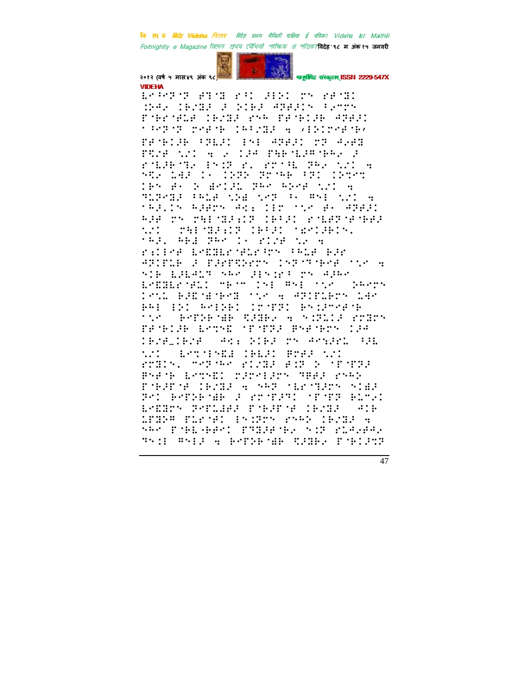

२०१२ (वर्ष ५ मास४९ अंक ९८) **VIDEHA** 

मानुबंधिह संस्कृताम् ISSN 2229-547X

ESPECT PTCE PRO PER PROPERT DAY IEZEA A NIEA APARIN FATTN PORTHER CRIME ROW PROPERTY ANDER **TRESPORTED IFFORE A VISIONAGE** TANKIN THEI IN STAIL TO SHA FOR AN AUGUST FACING ARE rasent from regard me to MI LAF I MIRI BROWN FRI INTER TEN BY 2 BRIEL BAR ADRESSING TERMIN PRES THE TWO PACES TERMS OF 192.15 92855 Adv (18 155 8) AGB21 RPP 25 281 MPH (2012) IPPED & MPP NORPR **THE MEETS INFER TESTING**  $\ddots$ TRED REE BRY IN WICH NE W rilef bezahretre (Gifte Bir APIELE J FJETTEETS 1575-964 STR 4 sik kanang sakulas ng Ugsulada.<br>Ng Kanang Sakulas ng Uga  $\mathcal{V}$  is a given <u> Det bargera ev e grinbre 18</u>0 PRI IN RENE IMMED PRIMAGE tic Bonnetae Camera Sinula 2010 PACELAR LATHE CECERA BRACEDS IAA <u> Carallard (Age Siad ns Anglew Sup</u> WILL ESTMERED IREAD ROAD WO POINT THE RESERVED FOR NOTHER Presh Letric ratelary SPAR ryky rnerne dezhe a sap nizheren sole SKI RATHRAB 2 KRATISTI ATATS BLAGI BRIEF PRIMARY PORTOR (PAIR ( #18 LEBRA BLETAD (PACEDA 255) (BIGG) 4 SAR PORLAGES PRESENT SIR PLATER. This Phil a brockie Clobe choice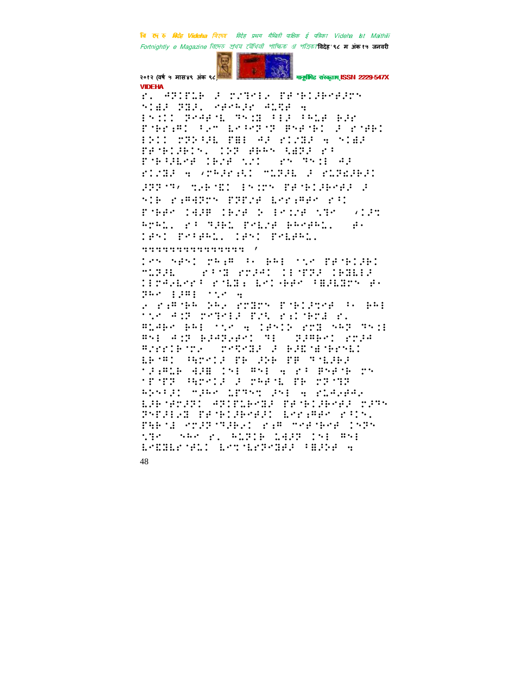

२०१२ (वर्ष ५ मास४९ अंक ९८) **VIDEHA** 

मानुबंधिह संस्कृताम् ISSN 2229-547X

f. WRITCH & TYTME, TRANSPROTH **MID THE PROBLE RITE R** Prill President State (P.P. 1942) Bar PORTHOLOGY LEARTS PRESED A ROBO **1911 239 88 881 48 81288 4 5188** rencient, the dega threat PORTHER CROB NOT TO THIS AP FIVER A STRAPHIC MIRRE 2 FIREARD FRANK THEORY ENTRY PEOPLEMENT SIE RIPHONS OODSE ERRIPHE ROOM POHR 1928 IRIE & Prize STR (SIR) Arab. Program Penne Bargan.  $\mathbf{H}$ **TAN STAR. IN PREAL** tes spst page in pap coe propint

 $11.7.71$ **THE PRESS CONSTRUCTS** TEPRESS SALE ES APSTELLENTE  $344 + 1341 + 144 + 4$ 

2 riche SA2 rolon Poblace (6 BA) the AdB rededs for raiders r. BLARK RAILYNY A CRNIE PTE NATURALE #5: 4:P BJ#P2BP1 7: "PJ#BP1 2734 #redever product bubyers. LEORI HERIA EN 200 ER TOLANA **MARGE AND INE WHE A RESPONSED SPORT RESOLUTIONS CONSTRUCT** ASSERT MIRR LETTE INFORMATION EJENFITI ATITLEMIJ TANKJEMAJ MJTH PSPJEVE PASHIJEMAJI EMPIRAN PJIS. PARTE STARTSHALL PAR TSPINAR 1585 **1980 - 2021 21: 01:31: 01:33: 12: 02: 02:** EPERENTALI EPTTEMPPRAS SHATA A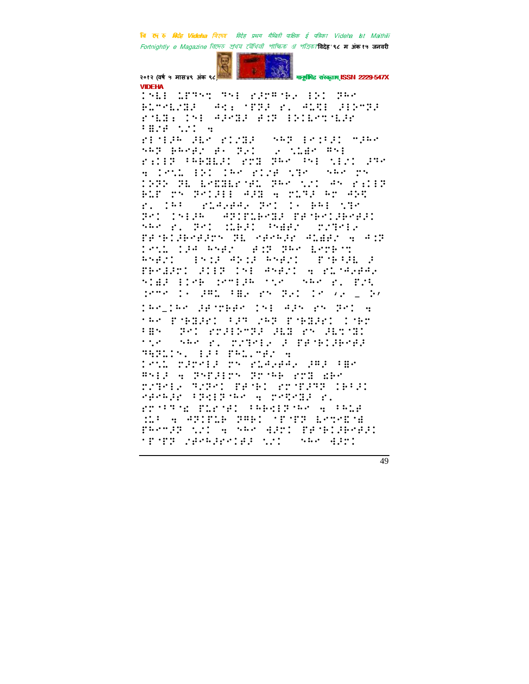

२०१२ (वर्ष ५ मास४९ अंक ९८) **VIDEHA** 

मानुबंधिह संस्कृताम् ISSN 2229-547X

INEE LETHT THE SUSTING EDI THA BLYMENER (AND MERROR) ALTE SERMER rdia, 154 APSE FS BRIESCHAR **FHAME NATURE** 

FESER RES FINER (SAP ESTER STAS SAP PAMES PO PAL CA SLAM AND rill Gebolt rol ae se sin 295 a loth EPI IRS rice the Carolina pr 1989 BE EMBREYAN BAM NIN AN PAIRB BLE TH BRISHE ASE A TLES AT AND r. 1930. rieges Pri is 991 MBC BY: 15136 (ARIELEMER PROPOSEMENT SAR PO PRI MESI PHENO PUBRIK TANELARMARY TE MARGAR ALBAN A ANT lend (24 mae) (232 Per broken<br>Aarol (1832 Prof barol (234) **SECRET SECTION** TRAINS ANIT IN ANASI A PLANARY SIER EISE CHTER TON (SAS E. P.S. 1000 13 281 FEA 25 221 10 32 2 19 IRKLIRK SEMPERK IN: ASN PN BKI A the predict for the predoct  $\mathcal{L}$  :  $\mathcal{L}$  $: \mathbb{R}^n$ **MAC PRODUCT DES PRODUCTS** tion (SAM) plocated a defecteded HALLS, HAR PRICHAGE 1951 rarela no elgugay aga ser #512 & PSP21rs Promp rrB dbc rathe sathe feder arders into PROPRIE INTERNATIONAL PORCHER ST. rrothe fore: teedings of tens MA A ATITLE THE STATE LATARYE PROMPE NOTE & SAME BENT PROPERTIES **SPARE CHARGESTER SCO**  $\sim$  545  $\sim$  4,221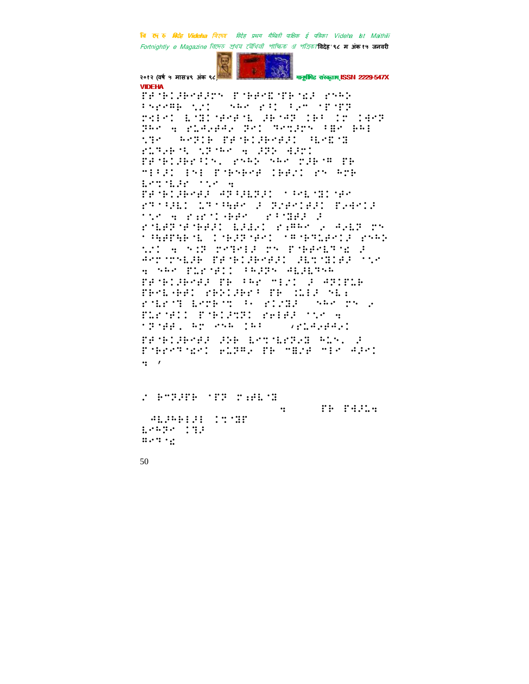

२०१२ (वर्ष ५ मास४९ अंक ९८) **VIDEHA** 

मानुबंधिह संस्कृताम् ISSN 2229-547X

FRONTROPHON PONGOBORNE CONF Presents that the same end of entirely refer boarded in Second Inc. 1973 PRO A PLANARY POI POSTUS FEO PRI MP PORTH PENINSHIP ROOM MISH 5 MP 57 4 HP 481 FRONTING TO SALE SAM THEOR TH MIRRI INI PAPAPAR CREAT PN POR Established the Second FRONTRIAN ARTHURS OFFICIAL ranger canders a grested fresta tic a randement return i righters alle crowd start to **SPAREAR LOOPER MAC SPORTLANCE ROAD** WITH SOF POTOLE PS PORFORM A Arrivorale penetierely laborately our 4 SAM PLETELL FARRY HERETSA response that will apiru PROBABL PROJECT PROMISSION rolect lephon (6) rights (560 ps ) FLETALL FORCATL PHEAR TOP 4 **TRING AT PARTIES (STARRES)** 

TACHIARAAD DYR EATORADAD RIN, D<br>Toraadoraal RIBBA TR MB2A MEA 4041  $\cdot$   $\cdot$ 

**September 1999**  $\mathbf{m}$ **ALIANISI INSUR** ESSER 133  $\mathbf{u} \cdot \mathbf{u} \cdot \mathbf{g}$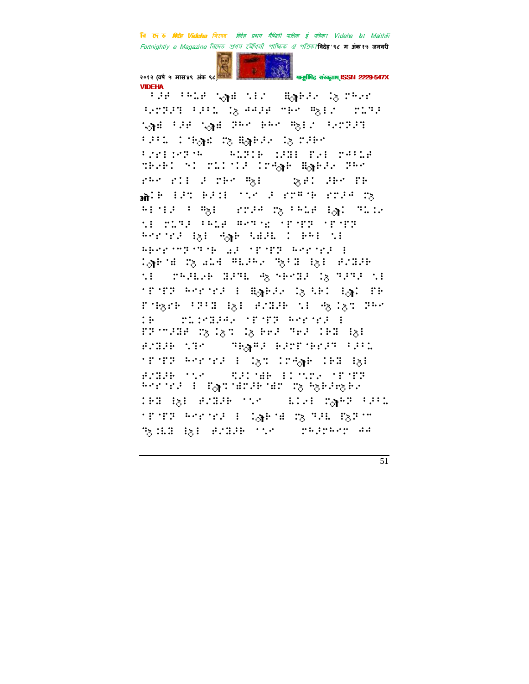

मानुमिंह संस्कृतम् ISSN 2229-547X

**VIDEHA** THE FELR SAR SECONDARIES IN THE PATRIC PREDICTS AARE TEACHSED CONTR Sail Fee Sail Per Per Patz Screen FRED O TESTO TS BSTREET OS CREET Prefects which we have the control dealer of purchase trage sales the PROVIDE PUPPORE CONSECUTED TE WHE EAR BACE only a grant grad rg BECER PER STREET STREET EARLY TILL ti mana kela esta crono crono Proton Britain San Canada Person REPENDENT BOOKS OF THE REPORT OF Takis is also many more take school ME SPEAKE BEND BY MEMBERING TATALOG TESTE POLOGE E ESPECIALE ESTIMATION FORCE PRED 181 EVERE NE P8 183 PRO **MIRTING STATE REPORT**  $\mathbf{::}$ FRITHER OS 18 TO 18 FEATHER 181 BOILE NEW COMMAND BOOK HERE FOR D trong and the filtest compare can use EMBRO NO CONSIDERED NO TEMP Here i racianar is ishasho 198 BŞİ AZBAR MAR () BILAT MƏRD FAFI renea enchos e logana do sau doann P& H.B. (B) BOBER (1981) - TRETRET (44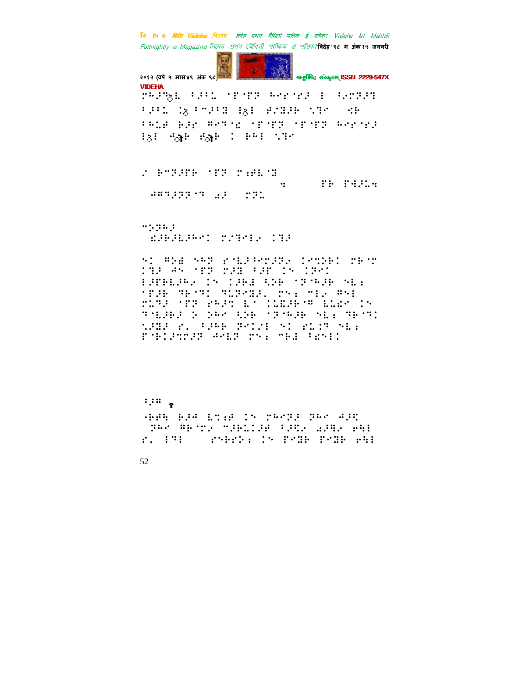

**VIDEHA** PRESENTED AFAIR REPORT IN REPER FRIDGE THREE BECKER STATES PALE BRY RETAIL STATE STATE REPARE 181 Park Park 1, PHE STP

<u> 1973: The State State</u> **THERE**  $\mathbf{B}$  and  $\mathbf{B}$ **ABS 200 - 200 - 200 - 200 - 200 - 200 - 200 - 200 - 200 - 200 - 200 - 200 - 200 - 200 - 200 - 200 - 200 - 200** 

 $0.123333121$ **ROBOTANI TITEL ITE** 

ni And nez rollennizi (nobel peop<br>1912 en opp nib (ip 1950) ESTELLAR IN TIME AND MITMED NEW **TERM NETTE NEPTER TYPE MER WAR** rusk off rekular limke selmmen in THERE I IN THE STARK SEE THAT tHER R. PERP BRIDE AT RECTANN FORTHULL AMER THE THE FEMIL

 $\cdot$ ....

SPAR BIR ETAR IN TRATE TRA AUT THE RESEARCHER FRAMERY WHI r. (M) - represente femp femp pai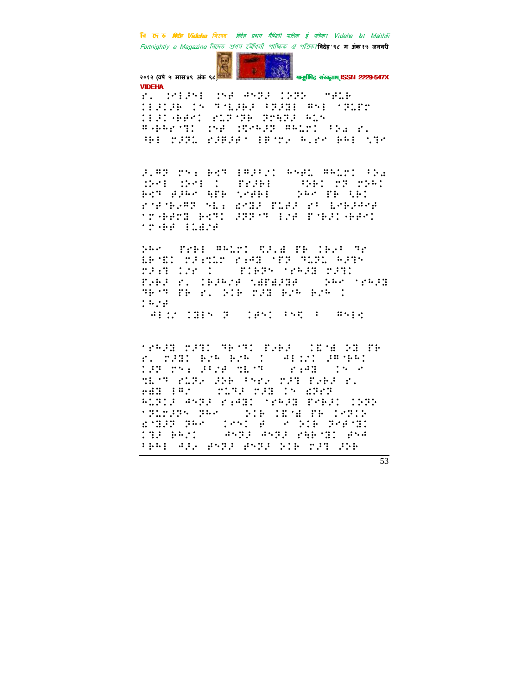

२०१२ (वर्ष ५ मास४९ अंक ९८ स **VIDEHA** 

मानुबंधिह संस्कृताम् ISSN 2229-547X

r. PEPH PH ANGE ING THIR 113138 15 TAURA (1938) #51 (2007 1191-4401 YLBYB6 BONGA ALS<br>A-AAYYO SSA SOMAAD AALDI FDW YL HE THE THEFT IBTS ALT BAILTY

F.RT 25: BRT 1RFF.1 B581 RR121 FD. **SPEC 23 2550 CONTROL CONSTRUCTION** Resigned Are (2001) - 200 resign rofores all roll fiel researcher **Transfer ben: SPP (R. 128 P.N.) and ( STORE HIMME** 

PRO Pref Welri Sald PR 1825 Mr LE MIL CASCILO STAN TEA MIGIN PANE MARK CONNECTING THE MARKET WAS SERVED AND MARKET WARRAND raka K. (Kakan Mereade) (Ska Makad TEST TE PL 21E PRE E2P E2P 1  $14.14$ 

nekar banı dengi mekal (1874-yıl me<br>sıl barı ezk ezk 1 (94-121 akçek)<br>198 myı atzelming (1994-11) (2 mar rite ave threaten feed f. **CONSTRAINS IN SERIES PASS 182** RITIS ANTI VIAI (VPRII PARI) (STR **TROUGH REPORTS ON SEARCH PRODUCT** angad deko (2011) e "A Gie deeng:<br>193 eest - Canda anda amerikal ena TERE ANY ANDER AND SIE WIT INE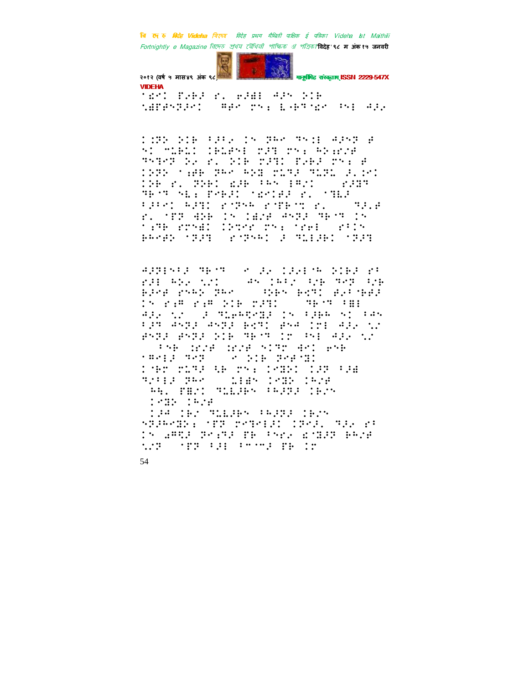

मानुबंधिह संस्कृतम् ISSN 2229-547X

**VIDEHA** 'SYLTABLE, FHB AP DIR taresport western better os well

1:32 5:6 FJF, 15 365 35:6 4352 8 SI MIRIC CRIPSE DAT DY: PREMIE THREE DO IN DIE MARI PARA MAR F 1989 (1986) 850 5082 5080 5000 CAR Y. TARI WIR (PA 1921) (YINT TECT SEE POESI CECISS FL CHES PROVINGE POPP PORCH PLUMBER r. (PP 406 In 1826 4592 9679 In time romal letter om free (2015 BRARD (2021) POTABL 2 POIDED (2021

APPENDENT OF BUILDING STEP 23 PAI REFORM OF RESIDENCE PRESENT king han dan sebagai prisani 15 P.A. P.A. SIE 2231 - 3653 P.H. agy (2000) a millegedig (300) geo 310 cos<br>com asgo asgo exhiber (2500) agy (22 #573 #573 218 78 78 12 351 432 12 Poblarie drie officer (ed. eo) **SAME ASSESSED AND STARTED** D'es sigle le soi (PARI 198 f.A STORY SAME STORY INSTALL **AR. PHIL MILLER FARRE IRIS** COMPOSITION

194 182 TILBY (6993 1825 SPARENT STRONGER (1983, 932 PP IN 2852 PRINT TH FNEW ENDIRET 100 100 121 1555 2010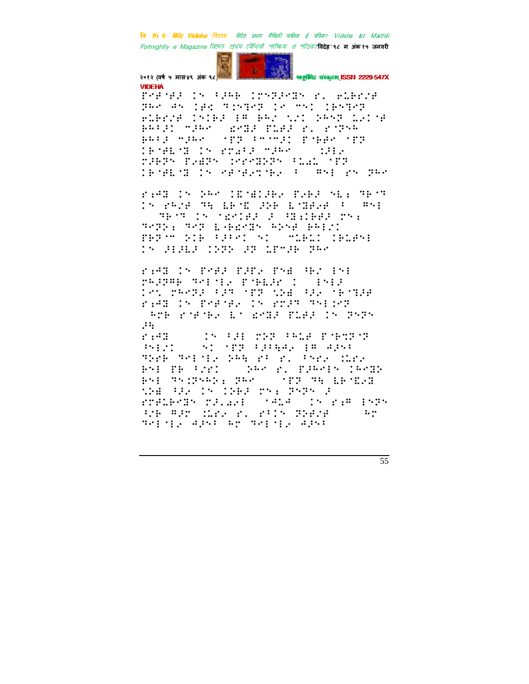२०१२ (वर्ष ५ मास४९ अंक ९८)



मानुबंधिह संस्कृताम् ISSN 2229-547X

**VIDEHA** Presence the Creptode riskbook PRO AN ISS FINGER IS THE ISPNESS PLAYING CHIAR OF ARITHIC LINE LINE PRISC MARK CEMER PLAN EL ESTRAR BRIDGER STEP POOR: POBES TE IPOBLO IS PERFUMANCE DR. MARY PARY MAYREN BLAD YR IPSEND IN RESENCT (PNE PN PRO

red in the diminuo feed not meer 15 PROF MA LEOD OSE LODEVE (F. 851 TEST IN MEDIA A PERIPA TN: Teles Tel Labour breaking FRESH SIR PRPMI SI (MIRLI IRLAN) <u> 1990 - Andrej Maria (d. 1995)</u>

right to read rure reactive in PRIPAR TRICIA ECHANY I (1912)<br>1952 PROVINCE CONVENTION real in Premar in role and pre-And ridge an end middle in Pres  $\ddots$ 

THE PERSONAL PROPERTY  $1:401$  $39.321$ THE TELL HE FE IS STEP ONE BME TROTICE IN THE TO TARGET CAMIN PSI TSTRAD: PAR (1998-1998) LP MAG the GRA IN INFR THE PAPA P rredege raige (1914) (5 rem 1525 An War dire r. rath Brana  $\cdots$ mental apocal by mental apoc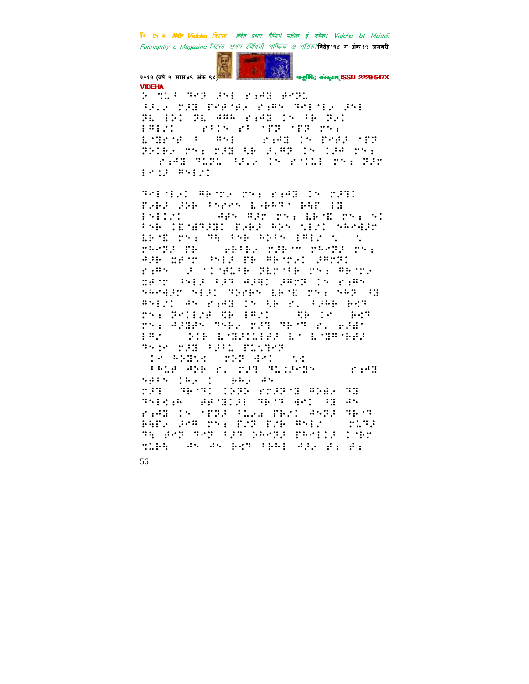

२०१२ (वर्ष ५ मास४९ अंक ९८) **VIDEHA** 

मानुबंधिह संस्कृताम् ISSN 2229-547X

5 MLP RPD 351 F183 8871 SPOKETHER SERVICE SERVICES BL 101 BL ARR PANE IN 18 BOI  $\begin{minipage}{.4\linewidth} \begin{tabular}{l} \hline \multicolumn{1}{c}{\textbf{\emph{1}}} & \multicolumn{1}{c}{\textbf{\emph{2}}} & \multicolumn{1}{c}{\textbf{\emph{3}}} & \multicolumn{1}{c}{\textbf{\emph{4}}} & \multicolumn{1}{c}{\textbf{\emph{5}}} & \multicolumn{1}{c}{\textbf{\emph{6}}} & \multicolumn{1}{c}{\textbf{\emph{7}}} & \multicolumn{1}{c}{\textbf{\emph{7}}} & \multicolumn{1}{c}{\textbf{\emph{7}}} & \multicolumn{1}{c}{\textbf{\emph{7}}} & \multicolumn{1}{$ ESBASE POSSESS AND THE TANK PART OFF BRIEF THE THE RE FIRE IN 198 THE STAR RURE RES IN STILL THE RRT EP 12 ( #59911)

THE MEAN THE CONFIDENTIAL CONTRACT THE SHE PERSONAL BANK BAT  $\mathbb{R}^2$ ENEDOD - APN APD DNE LETE DNE NO PAR IEMERAEL PARA PAS NEZI SPARAR EFTERN THE PHONE ERRICO CON **SPEED THEM TEMP TY:** rendi de Ade oft sid of After Dato rams of transportations metro MACHINES AND SPECIAL SECTIONS AND SARGED SEED REPEN LETE DRA SAR CH #5121 #5 P1#B IS AB P. (2006) BMT rn: Police Re EAst - Re Co (ed) rs: Albes Msel rif Mesmon, elet **MARINES DE L'ANGELES**  $\mathbb{R}^{n}$ The THE HAL TECHT Te Abdue (200 Ani (10 **FALE AND PL PRINTINGS**  $\mathbf{r} = \mathbf{r} \cdot \mathbf{r}$ SHER THE TOO BREAK **239 9691 1232 2233-96 8282 98** THE BOOK OF THE THE STATE OF THE STATE OF THE STATE OF THE STATE OF THE STATE OF THE STATE OF THE STATE OF THE rag (S MER Blad Bend SSEP GEM HAT, POR THE EVE EVE RHEY - TITE ng gay nay tin yaayi paalifi jar the avance sender and from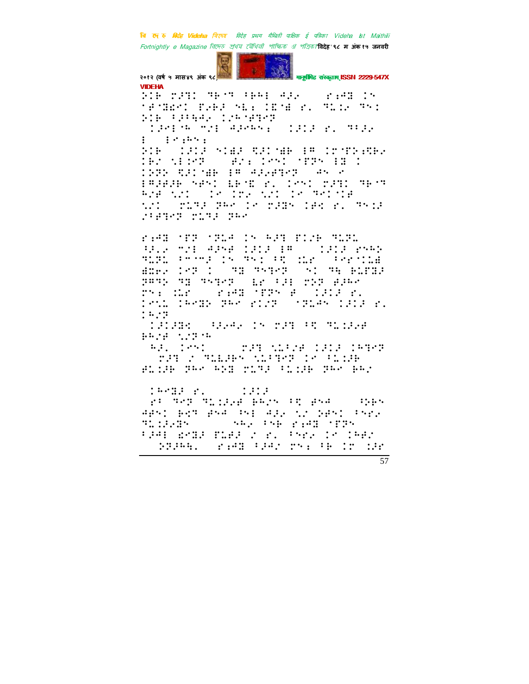

२०१२ (वर्ष ५ मास४९ अंक ९८) **VIDEHA** 

मानूसीमेह संस्कृताम् ISSN 2229-547X

**SIB MINI MESM (BHI 412)**  $\mathbb{R}^2$  :  $\mathbb{R}^2$  :  $\mathbb{R}^2$  :  $\mathbb{R}^2$ *'B'Bar: Tema Mas CE'B (. This Thi* **218 MPHAL (25 MPH)** TERENH MOBERNIAN DES SERVICES  $\vdots$   $\vdots$   $\vdots$   $\vdots$   $\vdots$ 

DIR (1919) SIAP RADMAR 18 OCMOBARD #2: 1851 (FPS 1B) 1920 MEDSEL 1992 SALMAR ER ABANNA (AS 2 192426 SASI ARME 21 ISSI 2291 9679<br>Azərbai (18 imazoni 18 961-19 W. TER PROTOCHE DES 200 P. POIR **CONSTRUCTION** 

F143 (FF (FL4 IN 423 F128 FLF) BELA MIN APRA CALE ER (1992) PRAG man (bing is melode in Terind WHEN IND I THE PART TAIL THE BAFBA personal request de 191 post game<br>personal de l'angles provinciales Denis (Aedia dae) rivo (Staan 1919 r.  $14.13$ 

**THINK HARRY IN THE BUILDER** BR28 127716

RAL CHAI (1982) MAR ALEVA (1919) CRRAR **THE POSSES WHEELS** IS HERE. FLIP PROGRESS TILE SIDE PROGRES

 $1313$  $(149.22, 21.1)$ 

an ang alika bentuk ang k  $\cdots$ 8851 BER 858 PSI 822 NJ 2851 PSIL TEMPER STATE THE PART TERM FRAME ROBE PLAR IN ST. Providence CARD and Caraves B In Ma  $1:1:1:1$ .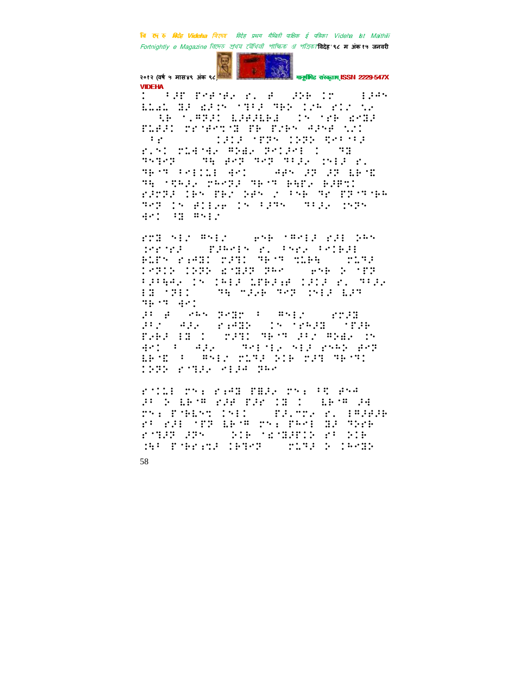

२०१२ (वर्ष ५ मास४९ अंक ९८,

**VIDEHA** 

मानुबंधिह संस्कृतम् ISSN 2229-547X

DO FRESHMANN POST RESIDENT BRAN ELAL BE WEDN THE THE CONSTITUTION ste svegar pakapel (18 sekoles).<br>Poear pesessor de pesessare sur **1919 (FPS 1999 Ref 99**  $\mathcal{L}$  . rind riene Aber Bright (1888 THEFT THEFT TELEVISION IN ne no feilli ael coaps de de Lear.<br>Necesiado peesa ne no eero ederic adred the rule subject the off process THE IN BILLE IN THIN THIS THEY  $401 - 12 - 0.11$ 

 $\sim$  pressure that  $\mu$  and  $\mu$  and  $\mu$ rni sir "sir" PERSONAL PROPERTY PLANTER SERIES BLES PARE PART TROT TIPE ( PLTA 18912 1292 ESB29 958 (1896) 2007 tange, in 1913 worker 1213 e. Mia.<br>18 Mai: J. Mechael Mealchia wan  $35.23 - 4.01$  $\mathbb{R}^{n+1}$ 

 $\begin{array}{ccccccccc} 23 & 4 & 0 & 0.58 & 2932 & 3 & 0.944 & 0 & 0.232 \\ 23 & 2 & 422 & 0.64932 & 0.18 & 0.6423 & 0.1248 \\ \end{array}$ PARA BE IS MANI MESMODEL MARK IN 481 F. Alex (1981)12 Silvers Art BRABA PARA MITROPORTARATI 1131 rule (134 348

rill ry: red PHB, ry: 95 and an a bhun ead fad 1971, bainn ag rn: Poblet (ni) ( Plota r. 1920)B PURSE TERMINAL PARTNER BE ANDE POINT ATA (1918) SECRIPTS PRODUCT HA PARAMA IPRO 1919 NO IPRO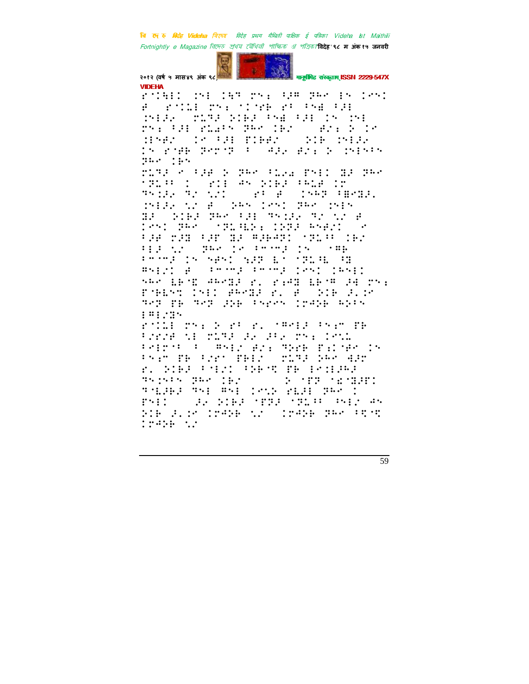

२०१२ (वर्ष ५ मास४९ अंक ९८) **VIDEHA** 

मानुबंधिह संस्कृताम् ISSN 2229-547X

role: he centre general parties # Prima resource research star some pier beginn it in ry: OH right He (Br)  $\mathbb{R}^2$  :  $\mathbb{R}^2$  :  $\mathbb{R}^2$  :  $\mathbb{R}^2$ HARD TROBH BIBBY FIB THEFT In rue Port Callege ers blindet 962 - 195

PLAS A FSH & BAA FLAW PAIL BS BAA this is not see the same. 35122 32 121 - 23 8 1592 38282. DESK NO BOOKS TENT BESONES HA STEAM PROTECT TRIAN TO NOTE **CONSTRUCTION OF THE CONSTRUCTION** 138 238 138 83 836421 1910 162 ara no specio anima de sapr<br>Anima de eger naporo chiar ar Bright and Personal Personal Central Canada SAR ERSE ARMEN PL PARE ERSPORE TS:

Poment (nic amount alone (nim nich 303 PE 303 SSE Press (2006 ASP) 181235

roll masket runner from me trere di cusa al atroche chu Print Power Britannic School Prim PR Prim PREr ( 2172 GRM 422) r. Sieh türn isem felthingen September 1970  $\ddot{c}$  (FF  $\ddot{c}$  (Equation salag salah terkenal pada PALL (AS NIBA MPRA MPLAK ANLY 45 BIB ALOM IMAGE NO (IMAGE BAM FROM trebb th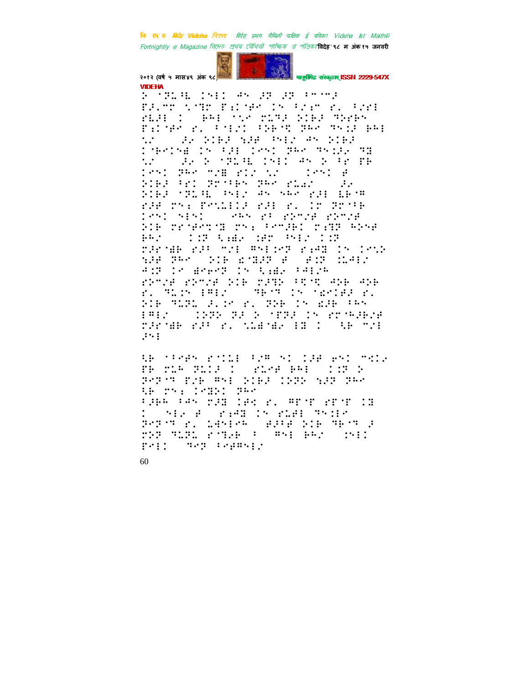

२०१२ (वर्ष ५ मास४९ अंक ९८) **VIDEHA** 

मानुबंधिह संस्कृताम् ISSN 2229-547X

3 TELEVISION & ST 22 From FAUNT STEP FAINER IN FRANCH FREE HAR I ARE THE MARKETING THEN Piler al Part (Genomena espera trust de bied noe sner an bied D'BRINE IN FAE IRNI PRO TNIAS TE the same from the cost and bosh fr Designe manager tra  $\mathbb{R}^n$  . The set of  $\mathbb{R}^n$ bieg (ei grues geborgigt)  $\cdot$ : NIER MELHE PHILOPHONE KAN KIE EENE FAR THE POWELL FAR F. IT PTURE Deni nini (Semna pi pichia pichia NIE zrjenija zna Progel zače Ange **CONTRACTS SECTION**  $1.1.1$ rande nach mus Anting nad in 1858 APP PRO SIR BOBP 8 (PIP WALD **AND IS BEEST IN LABY PAINE** FROM PROVE RIB CATR FROM ARE ARE ' Africa de Marcado el F. T.P. HAR MA TURN ROOM FOR THE CONDITION PRIZ (1939-32-5 MP32-15 Promable rande das dictamente la consegui  $\mathbf{1} \cdot \mathbf{1}$ 

SE SPARK POINT POR STOLEN PSI MAIL FROM PAIR IS PAPE RAISE IN R 30373 Fre #51 SIEP 1930 593 340 FARR FAR 228 198 2. APST 2835 18 l (1982) e conduit clear dragon.<br>Pracho di Larger (1993-1998) decenie THE BLEL FORM FOOT WAY ARE THE Prille **State Constanting State**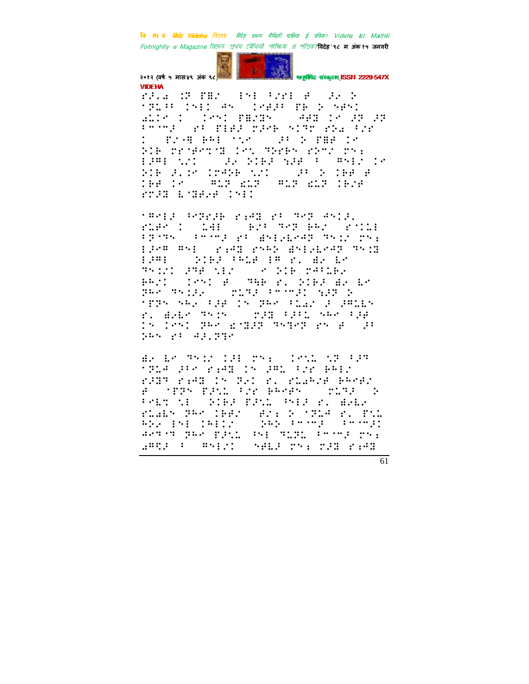

मानुबंधिह संस्कृताम् ISSN 2229-547X

२०१२ (वर्ष ५ मास४९ अंक ९८) **VIDEHA** 

rala da PAS (151-5211 e caso) **TRIP INED AN IPAPP BE 2 NAME CONSTRUCTS AND LOOPS**  $\therefore$   $\therefore$   $\therefore$ Proma (20) Bida part Simp 202 Pic I FOR PHONE (POSSER)  $\ddot{\phantom{0}}$ BIB TEMPETE IN TREP ERTS THE EPAI NATU U PAUSTER NIA (AUGUST) ANI BIB ALIM IMAB NAI (1981-8-1881-8) THE 12 ST RUB RUB RUB RUB 1828 **POSS ESSAGE INTI** 

SAMER PROVINCE PART PROVINCE anašči čnám češké popolekov a dina<br>Kpope o kolonica k abandenskom pova 1958 ASI (2183-2562 BS121542 ASI ide: Sied (Ald ie P. A. Le drivi ade nevo o bibogatiba.<br>Bavio isni e dab ri biba exobe ing the product of the second control of the second second second second second second second second second se sprosel (14 To peo Clas I Pop.)<br>2. Baro Porco (21 CPL Sec CP<br>15 Tour Peo Roman Pop.) 20 Porc 100 100 010 110

BROWN THIS ISBN 2018 CONSIGNED FRO 1914 PROVING TO PRINTED BRIDGE radh rand in hai r. righte bhnei BUT SERVICES PORT BRANCH (METROPORT) PART NEW PIER FRAM PHIP BY BREAK rlakt Persiker (2018) and the right.<br>And 1913-1911 (2018) and the Persian PRE 191 (PHIL) akter had hit and hine from pri-**SPEP TY: TPE PIPE**  $\frac{1}{2}$  and  $\frac{1}{2}$  are  $\frac{1}{2}$  and  $\frac{1}{2}$  are  $\frac{1}{2}$  and  $\frac{1}{2}$  are  $\frac{1}{2}$  and  $\frac{1}{2}$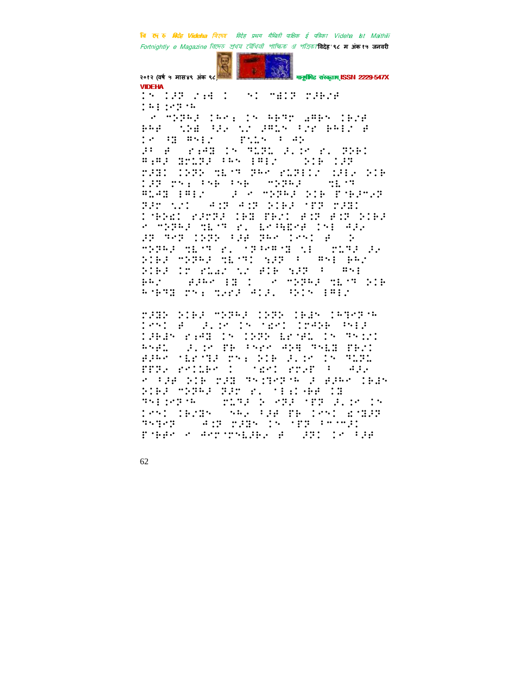

२०१२ (वर्ष ५ मास४९ अंक ९८) **VIDEHA** 

मानुबंधिह संस्कृताम् ISSN 2229-547X

15 198 234 1 ST MEDS MPP28  $1411774$ 

s e moded (en 1953 epar 2006) (por is underly state the .<br>Profile and in The Plan Plan all PhB: ### HruB: (#\* |#:/ | Mi 100 1981 (1985) MEST (258 VILBEI) (1982) SIB<br>1982 1984 (1986) 1982 (1983) - MEST RIAGO EREZO CODO A CASARÁ SIR PORTAGA 335 MAY 235 AM 2163 MPF 5381 **MARI KATA DA BAYAR AR ADA** K MERRE MEST BL EKTREME INFORMA PP Rep 1999 (PR PRe 1991 B ) 2 magala mishi ku shekara ni chung da ples opper diot are a complete NIER IM RLAN NN AIR NAM (\* 85) ier (geenlas) 'n miegeraarmonie<br>Anema byskunde miegeraarmonie

rada alea maggal 1993 (elektrogragog)<br>1951 eta alterita heri 1993e (513 19835 PARK OS 1985 BESEL OS PSIZO **SEARCH PROVIDE THAT IS AN ADDRESS**  $5.441$ BARK MENTAL THE DIR ALON IN TERE FFRE POLLET I  $\begin{array}{cccccccccc} \mathbf{1} & \mathbf{1} & \mathbf{1} & \mathbf{1} & \mathbf{1} & \mathbf{1} & \mathbf{1} & \mathbf{1} & \mathbf{1} & \mathbf{1} & \mathbf{1} & \mathbf{1} & \mathbf{1} & \mathbf{1} & \mathbf{1} & \mathbf{1} & \mathbf{1} & \mathbf{1} & \mathbf{1} & \mathbf{1} & \mathbf{1} & \mathbf{1} & \mathbf{1} & \mathbf{1} & \mathbf{1} & \mathbf{1} & \mathbf{1} & \mathbf{1} & \mathbf{1} & \mathbf{1} & \$ r far bir mas thoshed a ager inan BIBJ MOZRI ZIM K. MISLABE IN STORE & PRESSER RIPS IN 75110706 ISM IRIN (MAX PRE IR ISM) EMIR Bener Company Is the same: Pobel o Accordibu e (1918) to the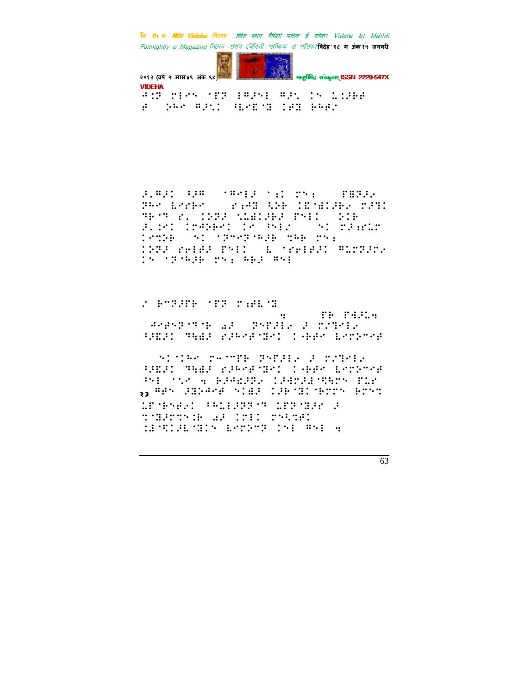**Service** २०१२ (वर्ष ५ मास४९ अंक ९८) मानूबंगिह संस्कृताम् ISSN 2229-547X

**VIDEHA ANY MESS MERGEBRAINERS IS LIBBE** # 100 #211 HPETH 198 BABY

F.B. HA SAMILY TE THE THILL BAS Legae () galax the conditions can jakor el (1989) (1981-963) est 177-914 ()<br>3. 161 - Impero (187-9612) - 151 - magnin<br>18194 - 151 - Carolinae (194-115) 1982 relea Pril (1 jrelea) Auraary<br>15 januari 25 Apal Ani

**MARKET START PARKS TH PASSA**  $\mathbf{r}$  ,  $\mathbf{r}$  ,  $\mathbf{r}$ Seeming all charges control HERRY THER STRAGGES (1980 ESTATA

**SIMPS THOTE PSEED I TITLE** SPEPI THEF PIPPENENT ISBN ENTIMAP PHILIPPINE BOWERS CONTOURTS TEM <sub>33</sub> Ago (Sheer oter 128-121-9220 Agos SPORAGE PRISHED SERVICE I **THETER HOWEL IN SERVICE MARIE MIN BRIDGE INFORMATION**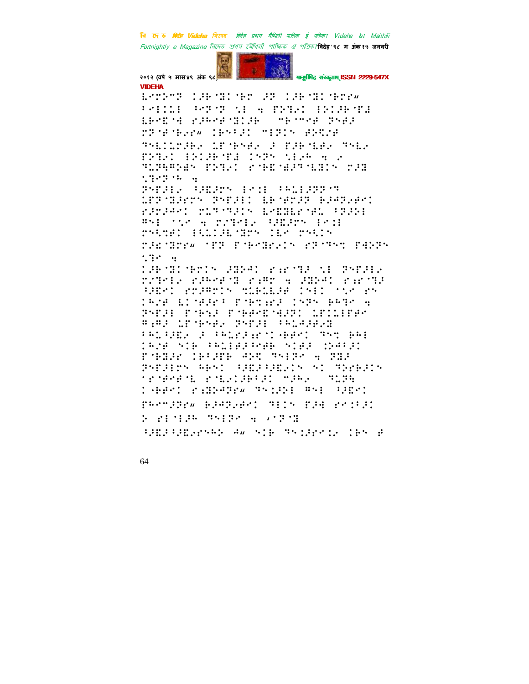

२०१२ (वर्ष ५ मास४९ अंक ९८) **VIDEHA** 

मानुबंधिह संस्कृताम् ISSN 2229-547X

Britaine Company and the Company of the Company of the Company of the Company of the Company of the Company of **FRILL RESEARCH STREET ASSESSED** LEADYS RUSAR MILLE ( MECHANICARY TEMPERATURES MITTY BRIDE THILLTON LETEND 3 FOR THE THIS TYTE: INCHETE CAPA NIGHTH 2 **TESTING STORY STEETHER TO THE**  $1.393333334$ PSPRIA (REPORT POI (PAIRPENT) LEP SERIES (PSERI) LE SPIRE ERPRENIS FRIGGE TO THE SECOND FRIGHT #51 Tir a riffeli (GEETS 1811 rether startered the retre racines from presents spross peopl  $\mathcal{L}(\mathbb{R}^n)$  .  $\mathcal{L}(\mathbb{R}^n)$ **THEORY AND PETROL PRESS** rather reports reproduced record  $0.911 - 0.127 - 0.97$ **THE STIRT STATE** *IRAB ELMERA EMPRESE LATA BRIA 4* PAPPE PAPAR PARAGAGERS LEILIPA # PRO LESPARA PAPIL (PELAPIA **FALGER FORESTRY GENT TYT BAI** INSE SIE FRIEZEREN SIED SAFEI POBBY IPLATE AND THIRD A THA PHPHPH ABMI ANDANIELIN NI MERBIIN TRIPPEN RINGERED MARK SALPH : Geri razvezru svice svi (201 TRANSPOR BEATGARY MICH TEA PAIRS S SIMBA THERE A VIRIS BEERBEATHER WAS STRUCKED FOR TRYING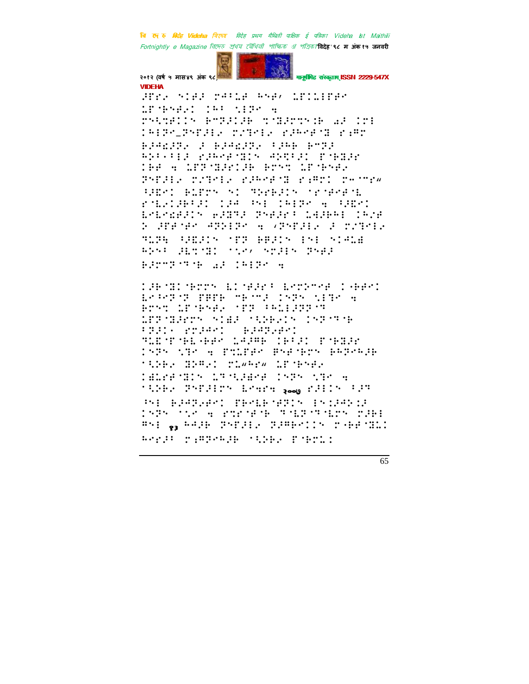

२०१२ (वर्ष ५ मास४९ अंक ९८) **VIDEHA** 

मानुबंधिह संस्कृताम् ISSN 2229-547X

STORY STAR MARTIN RSA, INTERNA EPHYPED INFORMACY PROBLEM BMPALAB SCHAPTECH WA CPE IREPORTED MORED MARKETERAT FRANCH S FRANCH CHE FTD Aproblem place direction predict IPF A LEPTERIJE EMPT LETERER PSPEER DIRECT BEARING BEACH DATA SARAT BLETA AT STREETA SPORAGOR rdaineil (Pe mi (Aire Aller) EMEMBERY PROTECTMENT CONFERENCE S STANAM ATSITU A VINTIL 2 TITUL **TERM FREED TREADS IN STARB** RESP. HETCHE STAY STRESS PARK

BETTER AL CHEF 4

**TAR MICHAEO BI MARKE BRONHAM I ARAN** ESPRIMA PRESIDENTAL INFORMACIÓN Bron LE Gody (Fr Pelipre G MPMBRTS SIMPLANESIS (SPMAR **FILL STEET BEERENT** <u>siru didee seema lega rumaa</u> 1535 MBK A POLEAN BSACKON BASKADA **TERRY HIMLE CLASS WATCHTER** TACHERY CRIME INFORMATION 'Sher Product Engine <sub>Read</sub> radio (23

PH BRATHAN TRALPATIN INSPESS 1535 March Portfolio Stiller (1861) #5: <sub>03</sub> HAJE JSTJ:2 JJ#B2:15 r-B#7211 Regard passenge (SSB) Poetic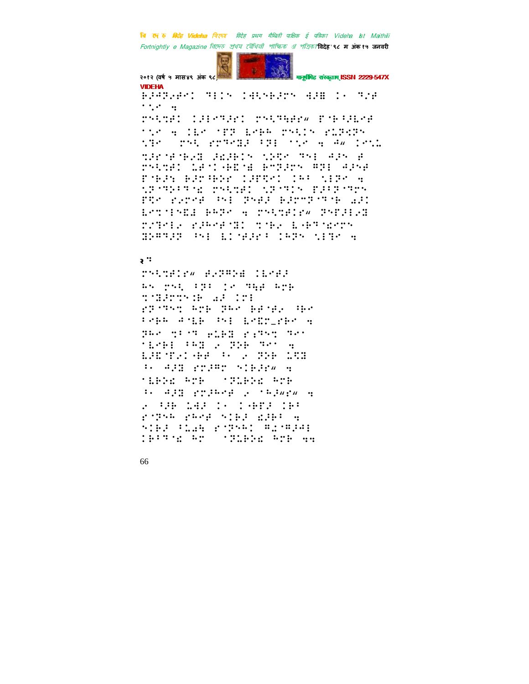BIGGER MILS LANSBICS AND IS MYB

× २०१२ (वर्ष ५ मास४९ अंक ९८) **VIDEHA** 



मानुबंधिह संस्कृताम् ISSN 2229-547X

66

 $\mathcal{L}^{\text{max}}$  , and the  $\mathcal{L}^{\text{max}}$ retra: Calenari rethaar. Pebaalea the A CLP TEP LeBR relie FLPEP the credit stress for the 4 August. THOMPS HERE'S THE THE RES R retof 1851-BE36 Brodre Add Adep PORT RESERVATION CAR NICH 4 SPIRARIS MASSAL SPIRA EARITY FRA SVEAR THE PHER BEENRING WELL ESTIMAE PROVINCIALE CONSTRUCTION rately rated that the leftingers BRANCH AND BINERE CAPR NERM A

## $\mathbf{R}$  :

rythelew B.PADE (12083 as put the jection app **TERMINE AFILIE** 837355 AMP 348 BENBY 468 repa dega sur permiser e partners when research **MAGE CAR & SCHOOL**  $\dddot{\bullet}$ LACTED HE HE STAR LES **B. ARB PTART SIBREW M TEPR ATE TTERE ATE** is dill pribed a things of 2 SH 142 16 1982 198 runa rang sigi digi 4 SIER FOAR KOPSEL ROORPAL IPPE RT TEER RT AT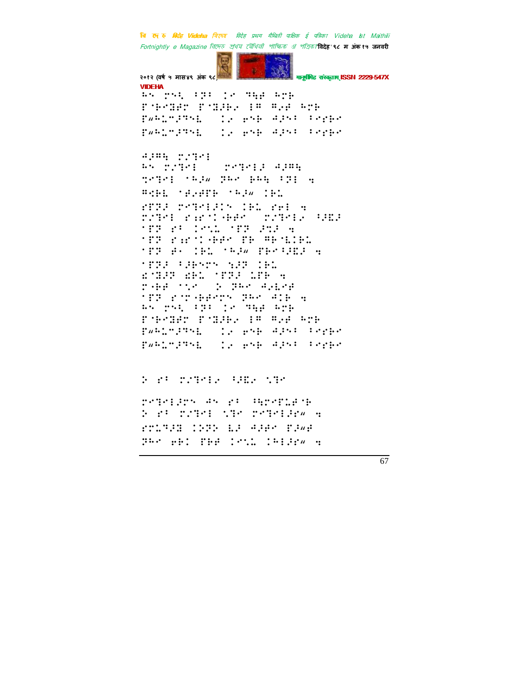

 $4344 - 22321$  $45.72331$ **STORY SECTION**  $\mathcal{L}(\mathcal{L}^{\mathcal{L}}(\mathcal{L}^{\mathcal{L}})) = \mathcal{L}(\mathcal{L}^{\mathcal{L}}(\mathcal{L}^{\mathcal{L}})) = \mathcal{L}(\mathcal{L}^{\mathcal{L}}(\mathcal{L}^{\mathcal{L}})) = \mathcal{L}(\mathcal{L}^{\mathcal{L}}(\mathcal{L}^{\mathcal{L}})) = \mathcal{L}(\mathcal{L}^{\mathcal{L}}(\mathcal{L}^{\mathcal{L}})) = \mathcal{L}(\mathcal{L}^{\mathcal{L}}(\mathcal{L}^{\mathcal{L}})) = \mathcal{L}(\mathcal{L}^{\mathcal$ sen elen se FTRE PRIPIEIN IEL FEL 4 rate: randame crame uma **199 21 1212 199 202 4 TER PARTICULES IN METALLED THE REAL PROPERTY OF START AND REAL PROPERTY OF START AND REAL PROPERTY OF START AND REAL PROPERTY** 

1000 : 0000 : 000 : 000 EMBP BR MPP DP 4 ranged that the state and state **SIP romandos Persiagos** 65 psi (pr. je nag 6pp FORCHER FORCHER CHARLEY Te enk dint terke Public Profession Pakingshi (2000) And Aghai Pappa

5 ST 223012 1202 130

repersons an exchangement P PR TITES NTP TRIPERTY 4 rning 193 as say nas The WEI THE ISLN INERVAL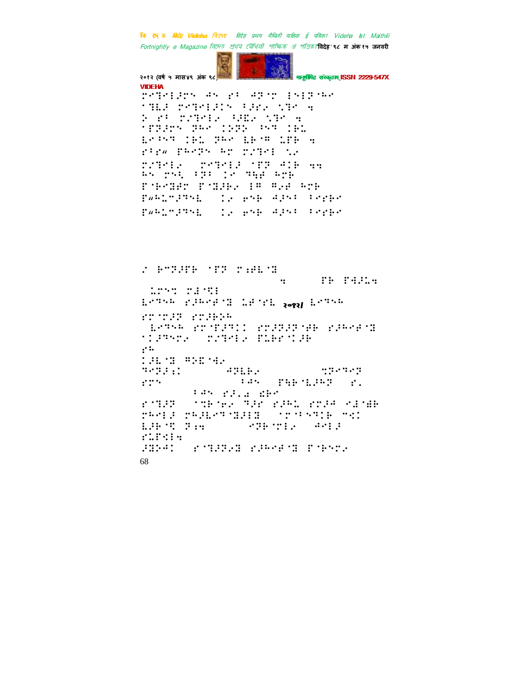

मानूबंगिह संस्कृताम् ISSN 2229-547X

**VIDEHA** TERRISTS 45 FR 43 TO ISID 188 **THE PERIPHER PRESSURE A** S PRODUCER PROVINCIA<br>STRADY RAMONSKÝ PYRODEL ESPAR TEL PRO EFOR LEE A Firm PROPE Ar relet to rath: reth: MF Alb A 85 g51 (2002) (2003) 896 FORCHE FORM: 18 828 528 Published in the special company Pathwritten (1) and dink kepac

*POSTER 199 266 18* **THE PAPER**  $\dddot{\mathbf{z}}$ LEST PESTI Estave Principle Charles Read Estave <u>Protesta de Santo</u> SPIRE PROPERTY PREPERTIES PERMENE **MIRROR TERMINE BEATING**  $\ddots$ 1913 #2042  $1477777$  $\ldots$ ings en el gr  $\mathbf{r}$  $\mathbf{1}$  and  $\mathbf{1}$ **THE LARE ST** tan gila dhe rings of the Server real role of the PROFILER CHAIRS CONTROLLED **LIDAY STATE Constanting Constanting Constanting Constanting Constanting Constanting Constanting** riftie  $333431$ **SECRETE PROPERTY PORTS**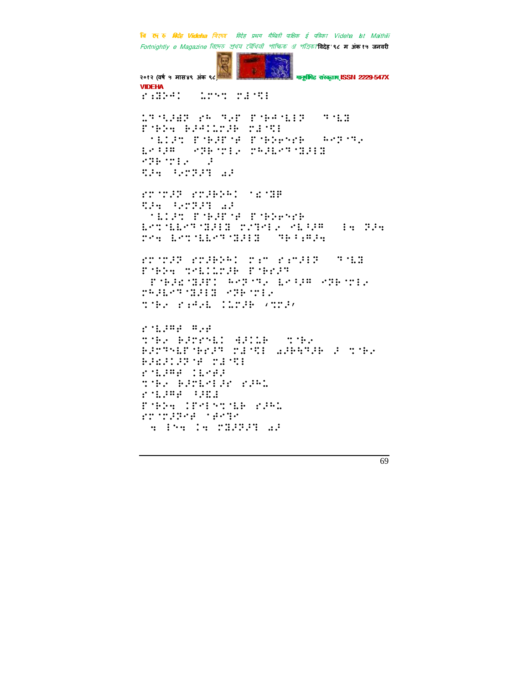२०१२ (वर्ष ५ मास४९ अंक ९८) मानूबंगिह संस्कृताम् ISSN 2229-547X **VIDEHA**  $f: 3741$ **COMMODE PRESS** STORE PROPERTIES TOS rang Bandra ring **MEDAN PREADRE PRESENTE (APPROV** ROUGH SPROTH PRAISTURES **PIP TILE SERVICE** 534 52733 43 FINDS FILLEN SENIE 524 52723 42 **MILLEY PORTLY PORTLAND** ESTALENARIE TETALE SERRA IN PRO re lettletting minne rough rogen: can ranged (2013) FORM SMILLER FOREST SPORTSCHED ROBOTA LOGAR OBROSL **TERMINIE METER** the real MrH (mB) roman si the Barnel Adile (the EPPTER TENP CLOSE APERIAL POINT **BEEFIER SECTION** riles iles the BREADTH RPD **PARTIES PARTIES** FORM IFMENTIE FAMI

rrondhe sene

**A PA MARINE S**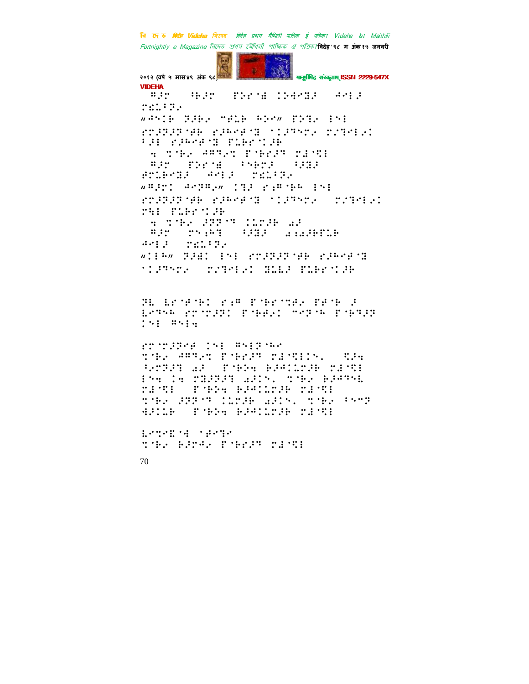**CONTRACTOR** 

募 २०१२ (वर्ष ५ मास४९ अंक ९८) मानुबंधिह संस्कृताम् ISSN 2229-547X **VIDEHA**  $\cdots$ SHIP THOM CHANGE WHIP man Parties weste have made bos form that is roffit has responded the control of the **FAIL SAMMAN PLESTAR A THE PRIET PRICE TO BE APP PREMI PARTE PROP** STORES AND THURS w#PPI AMPRAW INP PAPMER INE rragagement ranger for the control of **THE PLEY TIP A THE SEP LINE AF Tryle: What Shares**  $0.321$ w::A, P.H. (15: cr.P.C.96 c.Beck 2 **MIRTING TIMES IN BILE FIRENCE** SL LENEND ER PNETSE BENEJE ESTAR POSTER PARENT SSPACE AREA  $151 - 0514$ rr T2208 (5) #51256 the APPer Preservances (SS) SPORT AF TORRE REPORTED CITE Preside Magazin Walth, which Banner TEMPER THREE BEATLINGS TEMPER the SPP Time afts, the Prop HALLE TYPE: BARILEAR TITTE Lenen Harry THE BITE PARIT TIME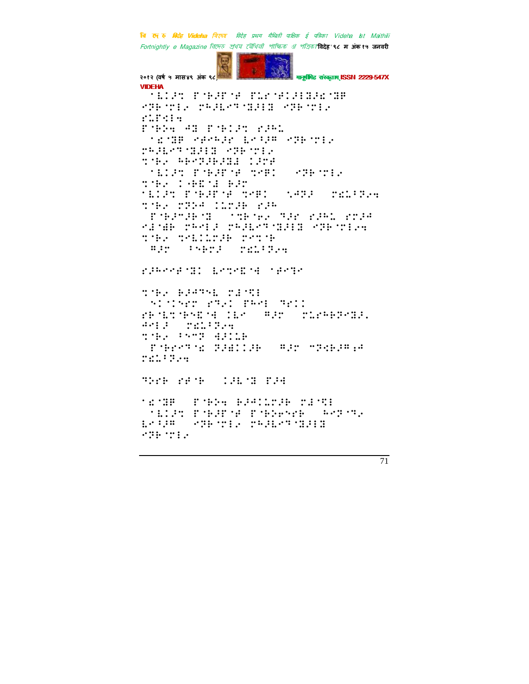**Service** ×, २०१२ (वर्ष ५ मास४९ अंक ९८) मानुबंधिह संस्कृताम् ISSN 2229-547X **VIDEHA MILLEY PONEROR PLAYELFILE.MORE** starte pagernage starte rifitie FORM AN PORTROOM **TEMP PROVE ESTABLISHTS** *PRODUCED CONTRACT* **THE BETHING LITE MILLEY PORTER WORL**  $\sim$  2008 1200  $\mu$ the COMMA BET **TECH PORTOR THE CONFE PELIPER** TORY PRESS COMPARING TORPHESE OSSESS THE RPAL ROPE KINGE TEMPER TERRY MIRIN KAENTIER the things that **BET PRETT TELLER** riberendi brondne narok **THE BINNE TIME SIMPER PRINTED BELL** PRODUCESEOR (118) #22 (21PRP2013. Weil Million THE PER BRIDE Thermal SHILLE (A) may reading

mada Para

**PORTER** 

Ther rank (18178-814

**MARKET START BRAINER PARKE** 

ERSIE REMODEL MARKET MARK

**MILLEY PORTER PORTER CAMPORE**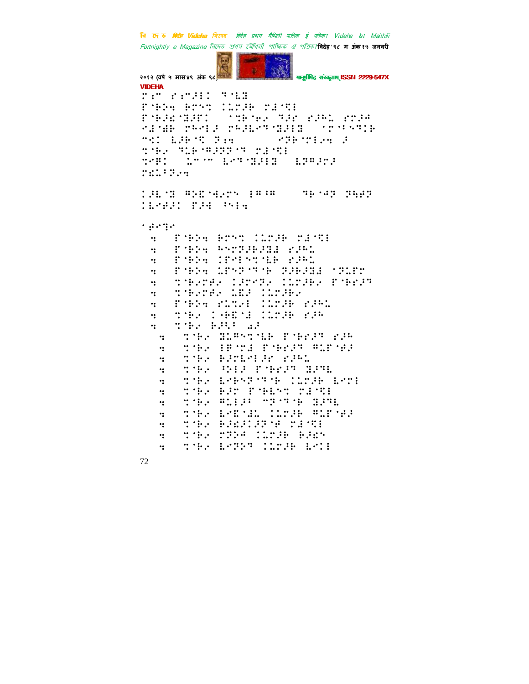**Separate** 

粤 २०१२ (वर्ष ५ मास४९ अंक ९८) मानूबंगिह संस्कृताम् ISSN 2229-547X **VIDEHA** rem senso mais FORM BOYS CLOSE CENTE ESPACIARI (STESHA PAR PARL PIAR KINE THE PART WELFT MILE TO THATE **MAI LIBMI Bin STRIPED BOOK** THE TIE SHIPS TO THINK  $17.211$ rategos **13178 #5879.75 (### - "B-542 PASS** TERRIT PAR SHIR n genge FYRR RTMT CONRE TIME  $\dddot{\mathbf{z}}$ ries bynded fil  $\dddot{\mathbf{z}}$ Porte (Polocolr 2001  $\dddot{\cdot}$ FRANCISCHE BRADE (BAPP  $\dddot{\cdot}$ tikre (Prok Crise Piece  $\dddot{\mathbf{r}}$ tikel William  $\dddot{\cdot}$ Fibe chil Code cable  $\dddot{\bullet}$ the last first way ∵. THE BRI AP  $\dddot{\bullet}$ THE ELESTAR PORCH 236  $\dddot{\bullet}$ the Buildings wilde  $\dddot{\phantom{a}}$ **THE BINESS STR.**  $\dddot{\bullet}$ **THE WILL BEET SET**  $\dddot{\bullet}$ the Energy who conce form  $\cdot$ : THE BET PORT TENT  $\dddot{\mathbf{r}}$ THE WILL THE THE IN  $\dddot{\cdot}$ THE BENCH CONDUCTION  $\dddot{\cdot}$ the Basiler's club  $\dddot{\cdot}$ **THE STATISTICS**  $\dddot{\mathbf{r}}$ the better first be:  $\dddot{\cdot}$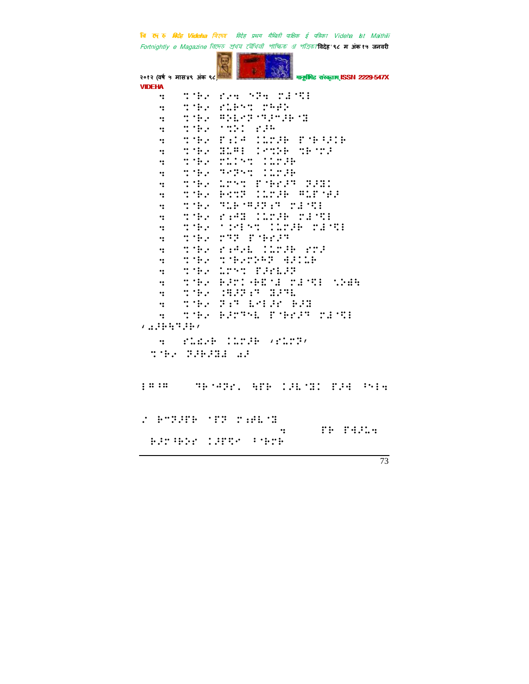**Service** 

× मानूसीमेह संस्कृताम् ISSN 2229-547X २०१२ (वर्ष ५ मास४९ अंक ९८) **VIDEHA** TTER FRAME STATES  $\dddot{\cdot}$ the substitute  $\dddot{\cdot}$ **THE WHETHING**  $\dddot{\cdot}$ TTE: 1721-238  $\dddot{\cdot}$ **THE PER COST PROGRE**  $\cdot$ : TORY HIPE COTOR TROTE  $\ddot{\cdot}$ THE MINT COOP  $\dddot{\cdot}$ the Wilth Chris  $\dddot{\cdot}$ THE LINE FORCH THIL  $\dddot{\cdot}$ the Bos (1228 miles  $\ddot{\cdot}$ THE TIP WHIP TITH  $\dddot{\cdot}$ THE PER CONFIDENTS  $\dddot{\cdot}$ THE TRINT COORDINATE  $\dddot{\cdot}$ **THE THE PHEP**  $\dddot{\cdot}$ THE PERMITTE PTP  $\dddot{\cdot}$ THE THETHE BUILE  $\ddot{\cdot}$ **THE LEAD PRESS**  $\cdot$ : **THE BRIGHT CONSTRUCTS**  $\cdot$ : **THE MUSIC REAL**  $\dddot{\cdot}$ THE FF EMPERIE  $\dddot{\bullet}$ THE BRYTE PORCH TIME  $\dddot{\mathbf{r}}$  $\sqrt{2}$ rted thru your  $\dddot{\mathbf{r}}$ **THE WHILE AP FARM THREE BOOKSTORY PRESSURE S ROBBER MED STARTS** TH PARLA  $\dddot{\mathbf{r}}$ **BETHER CERRY PAPE**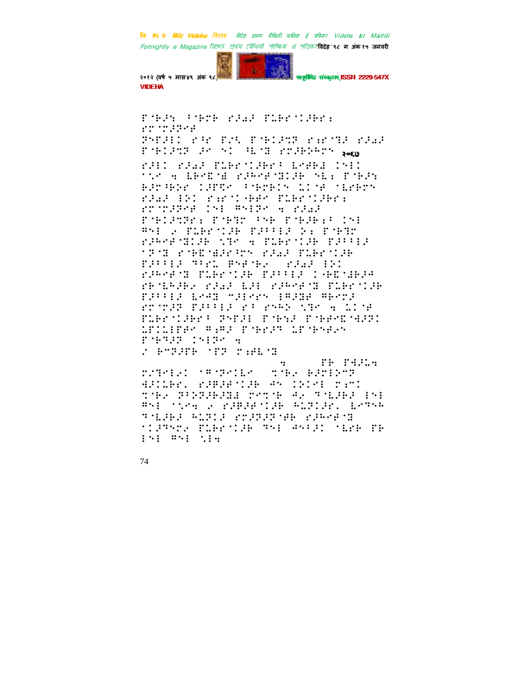

मानुबंधिह संस्कृतम् ISSN 2229-547X

२०१२ (वर्ष ५ मास४९ अंक ९८)

Poble form claf fleroling:

**VIDEHA** 

changes and PSTAIL FAR TZS TABLANT PAPAR PAGA PORTUGAL ARTIST HEORIGAN PROPERTY ROOM

rach raw cheffabra breed (Mc) tic a legisl compositor missingly BANGERY CAPRY STENDING LIGHT TEMPER **CraftWeek Miertiler:** rada (PC rronare is muse a rad PORTEST PORT PAR PORTER IN #ME & PLEATIJE PARRIE NE PORT KARAFOILAR NOM A PIRKNIJE PAPPIJ **TROB ROBEOGREEN REAR PLEYOLER** THILE TELL PERTECT FILE IN RAPRESE PLARTIAN PAPPILE I ABRIBAN render raache racent poernae FROM ESSE SHERE BRANK BEST rough facile researcher a live FLEETIGEES PYPIE POPME PORPENEDI MINISH WHAT PIRIT MITHAN FORTH INTER 8

ra razio  $\bullet\bullet$ THE BRIEFT rineisi (# getie ARIGHT PREPRISE AN INIME PIN the PISTHERE TOTH AF TERRI IN #51 Time 2 PARAFIAE RIFIAN 1275A TALLED FORCE POSTER ME PORMEAR STRANG PLENSIE AND ANGEL SENE PR 151 #51 Min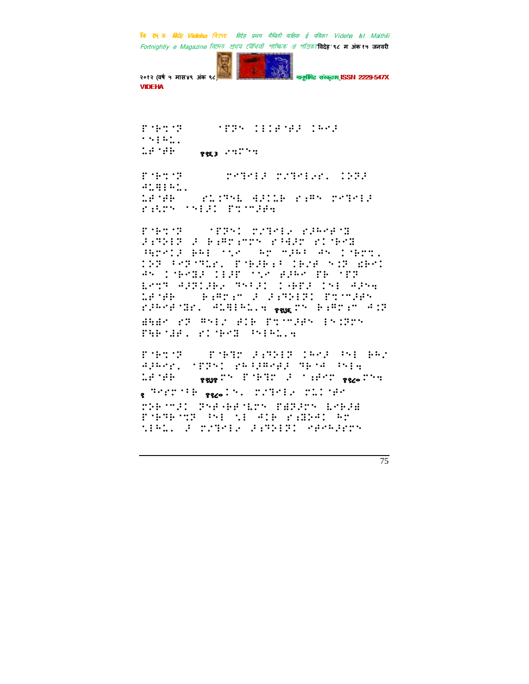

२०१२ (वर्ष ५ मास४९ अंक ९८) मानुषिक संस्कृतम् ISSN 2229-547X VIDEHA

2⢷⣉⢽..!!2⢽!5⢾⢾⢼!⢳⢼!  $5.5E$  $\mathbb{Z}$ : 1958  $\mathbb{Z}$  ,  $\mathbb{Z}$  ,  $\mathbb{Z}$  ,  $\mathbb{Z}$  ,  $\mathbb{Z}$  ,  $\mathbb{Z}$  ,  $\mathbb{Z}$  ,  $\mathbb{Z}$  ,  $\mathbb{Z}$  ,  $\mathbb{Z}$  ,  $\mathbb{Z}$  ,  $\mathbb{Z}$  ,  $\mathbb{Z}$  ,  $\mathbb{Z}$  ,  $\mathbb{Z}$  ,  $\mathbb{Z}$  ,  $\mathbb{Z}$  ,  $\mathbb{Z}$  ,  $\mathbb{Z}$ 

2⢷⣉⢽;..!!⣙5⢼!4⣙5⢴"E!⢵⢽⢼! **SECOSE** ⣅⢾⢾⢷..!"⣅⣈⢹⣇!⣚⢼⣅⢷!"⣐⢻!⣙5⢼.  $F$ : 000  $T$  500  $T$  500  $T$  500  $T$ 

2⢷⣉⢽..!2⢽!4⣙5⢴!"⢼⢳⢾⣝-!  $\overline{J}$ iĝiĝis de Bigrimo en 1917 (n. 1893 HERIC PART CAR THAT AN INFER.  $\mathbf{1}$ PE 'AZE'. I TERE E IENE 'AN 'EEN'.  $\pm$ 5 \ ) terms (1928) the second second second second second second second second second second second second ⣇⣉⢹!⢺⢼⢽⢼⢷⢴!⢹A⢼!B⢷2⢼!5!⢺⢼⣒!  $\Box$ " CHAPE THE CONSIDERED RESPONSE TO A RESPONSE THE STATE OF STATES ⣞⣓⣞!"⢽!⢻54!⢾⢷!2⣉[⢼⢾!5⣈⢽! 2⣓⢷⣜⢾⣀!"⢷⣝!⢸5⢳⣅E⣒!

2⢷⣉⢽..!2⢷⣙!⢼⣐⢹⢵5⢽!⢳⢼!⢸5!⢷⢳4! ⢺⢼⢳"E!2⢽!"⢳⢸⢼⢻⢾⢼!⢹⢷⢺!⢸5⣒! ⣅⢾⢾⢷...१९७१!2⢷⣙!⢼!⣐⢾!१९८०⣒! ९ परिमाणिके <sub>886</sub>1990 मान्यानिके मोठी जिल  $TSP$  [OU]  $TSP$   $BSP$   $BSP$   $BSP$   $BSP$ 2⢷⢹⢷⣉⢽!⢸5!⣁5!⢺⢷!"⣐⣝⢵⢺!⢳! ⣁5⢳⣅E!⢼!4⣙5⢴!⢼⣐⢹⢵5⢽!⢾⢳⢼"!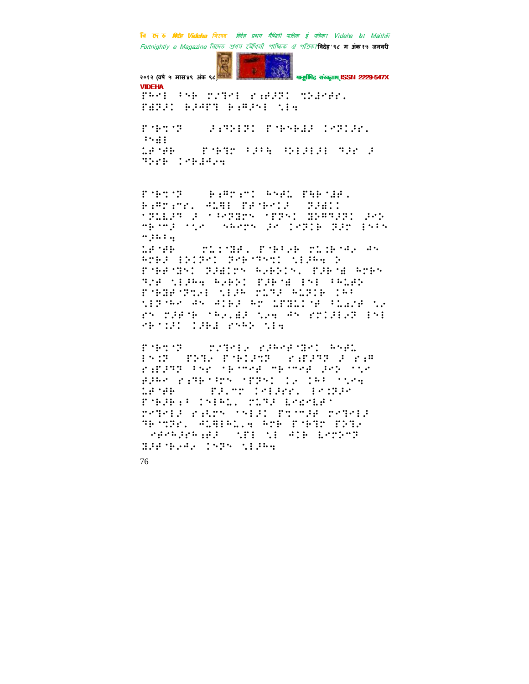**Service** 募 २०१२ (वर्ष ५ मास४९ अंक ९८) मानुबंधिह संस्कृताम् ISSN 2229-547X

**VIDEHA** PRAI PAR MUSEU PARRI MERRE. FARS: BRANT BARRY: MIR

POST C **ANDREW STREET CONTROL**  $3.441$ WHE THE CONSTRUCTS This Conden

FORTH WEIGHT WAR THEORY PAPPAREL PLAID SPANNER (SPAIL SPLEP 2 SPPRES SPPS RPPPP PR me massay so seems are crace aan disk  $\alpha$  , i.e.  $\alpha$ 

1979 - TIVAR, PAPAR TIGHAR AY<br>ATAS PALES PARTAI NEAR D Pobelman: Platon Aubild, Plboa Aobh The Sidney Robbi Pabra 151 (Philes rimainea (18 An Aonaich 19 SEPTER AN ATES EN LEBLITA FLAZA NA PRODUCTS TRAVER NAME AND POSSESS INE PROSE CHEE PARK CER

 $E = 1.12$ **STORY STORY SECTION** PSP TRE PROPE FACTOR FE ranger for chicago shown gay the BINK PATENTYN STINE IS IN STAR **TRATE DERMIT RESPONSE WEBSTART** PORTHIE INTEL TITE EMPLEY retell rathe sales from House Con HETTER HISTORIAL ATE FINIT FILL **September 1988 - STE SE STEP ESTATT BEPRAY 1575 MEPA**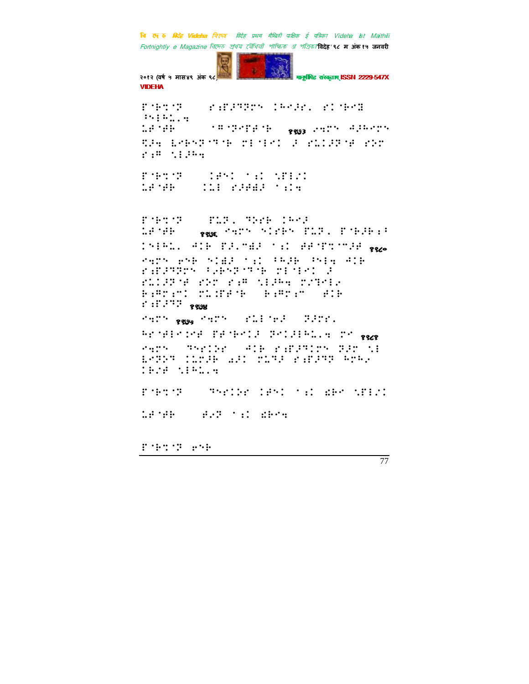२०१२ (वर्ष ५ मास४९ अंक ९८) मानुषिक संस्कृतम् ISSN 2229-547X

⣋⢼⣒!⣇⢷⢽⢹⢷!55!⢼!"⣅⢼⢽⢾!"⢵!

LENE YOUR YOUR MATCH TILE FIRE ! 5⢳⣅E!⢺⢷!2⢼E[⣞⢼!⣐!⢾⢾2⣉[⢼⢾!१९८०

 $^{\prime}$  425 (PH)  $^{\prime}$  450 (PH)  $^{\prime}$  450 (PH)  $^{\prime}$  450 (PH)  $^{\prime}$  450 (PH)  $^{\prime}$  450 (PH)  $^{\prime}$ 

Bright of Panel Canada Prints and Prince ⣒!#⢹"⢵"#!⢺⢷!"⣐2⢼⢹!⢽⢼!⣁5! ⣇⢽⢵⢹!⣅⢼⢷!⣔⢼!⣅⢹⢼!"⣐2⢼⢹⢽!⢳⢳⢴!

2⢷⣉⢽..!⢹"⢵"!⢾!⣐!⣎⢷!⣁254!

"⣐2⢼⢹⢽!A⢴⢷⢽⢹⢷!55!⢼! "⣅⢼⢽⢾!"⢵!"⣐⢻!⣁5⢼⢳⣒!4⣙5⢴!  $\overline{H}$  : #2  $\overline{H}$  : #2  $\overline{H}$  : #2  $\overline{H}$  : #2  $\overline{H}$  : #2  $\overline{H}$  : #2  $\overline{H}$  : #2  $\overline{H}$  : #2  $\overline{H}$  : #2  $\overline{H}$  : #2  $\overline{H}$  : #2  $\overline{H}$  : #2  $\overline{H}$  : #2  $\overline{H}$  : #2  $\overline{H}$  : #2  $\overline{H}$  : #

⣒-१९७५ ⣒!#"⣅5⢶⢼#!⢽⢼"E!

 $L$ # 40  $\pm$  40  $\pm$  40  $\pm$  40  $\pm$  40  $\pm$ 

2⢷⣉⢽..!"⣐2⢼⢹⢽!⢳⢼"E!"⢷⣝!

2⢷⣉⢽..!⢾!⣐!⣁254!@! ⣅⢾⢾⢷...⣅5!"⢼⢾⣞⢼!⣐⣒!

2⢷⣉⢽..!2⣅⢽⣀!⢹⢵"⢷!⢳⢼!@!

⣅⢾⢾⢷...#⢻⢽2⢾⢷#!१९७३ ⢴⣒!⢺⢼⢳!

2⢷⣉⢽!⢶⢷!@!

 $::::::::$   $_{\text{2}}$ 

⢷4⢾!⣁5⢳⣅E⣒!

VIDEHA

∷5<br>∷ere

 $f: H \to T$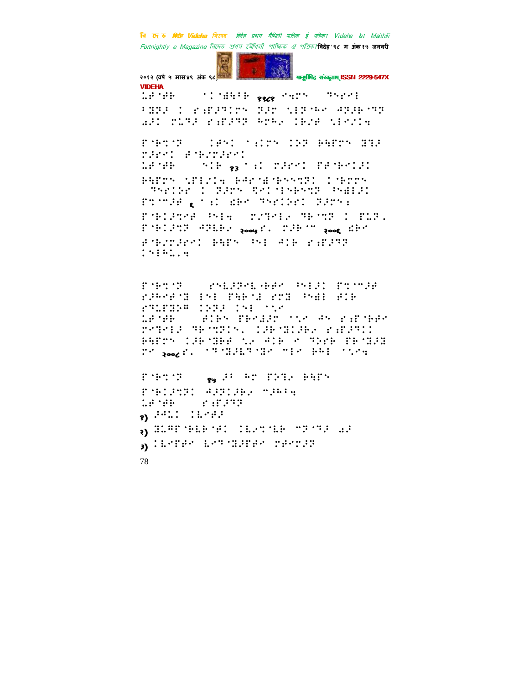**Separate** 

२०१२ (वर्ष ५ मास४९ अंक ९८) मानुबंधिह संस्कृताम् ISSN 2229-547X **VIDEHA**  $...$   $...$ **All March 1980s Party Construct** FORE I PARPIDY RED NIRMAGEREME AND TEST PARTS FOR CROB SPOON **THE STREET BRIDE SEE**  $17.144.12$ THE SCHOOL Ship <sub>93</sub> ' di subret dhe mentur tara da basa PRESS NELVIA PARTH (PSSME) I (PROS SPACED I BEN ROLMANNE PABLE Formas girls: eBr Pretter: Parry:

ramens in: PAP & rrs (nd: 200 Friedrich (1918) (1918) (1928) **WEIGHT** renda mendisk (danska baret) re <sub>Rood</sub> als christian de les selfs chem Porton Way 25 Ar Prin Barn PORTAGE ARRIGHT SPACE  $...$   $...$  $\mathcal{L}:\mathbb{R}^{n\times n}\mathbb{R}^{n}$  $_{81}$  :  $^{14}$  : : : : : : : : : : a SLAP (PEP 18) (SLAP 168) MP 172 (AP a) DESTRO EST METRO CROCER

78

SAIRS PROBREY TO AN ESPIRAN BATTY CORTHER NATION TO THE TENDER

**Sending Construction Construction Construction Construction Construction Construction**  $P \rightarrow P \rightarrow P$ 

 $1.4141...$ 

PORTHAL PHA CONTAINS TROOP I PLP. FORTUNE AFERS googly, ISBN googlike FORCERCLANDS ON SIL PAPPE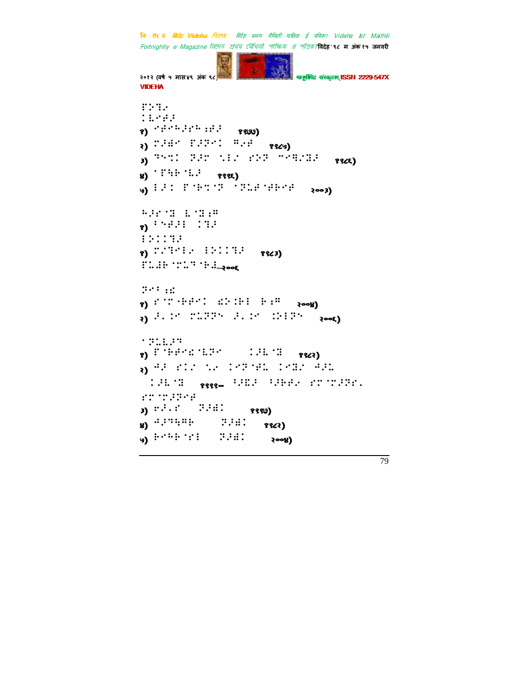```
चि एत् रू मिन्हे Videha निएन्थ विदेह प्रथम मैथिली पाक्षिक ई पत्रिका Videha Ist Maithili
 Fortnightly e Magazine বিদেত প্ৰথম মৌথিনী পাক্ষিক প্ৰ পত্ৰিকা'বিदेह'९८ म अंक१५ जनवरी
२०१२ (वर्ष ५ मास४९ अंक ९८) मानुषिक संस्कृतम् ISSN 2229-547X
VIDEHA 
 2⢵⣙⢴........!
 ⣇⢾⢼!
१) ⢾⢳⢼"⢳⣐⢾⢼!)१९७७)
२) \therefore \exists \vdots \vdots \vdots \vdots \vdots \vdots \vdots \vdots \vdots \vdots \vdots \vdots \vdots \vdots \vdots \vdots \vdots \vdots \vdots \vdots \vdots \vdots \vdots \vdots \vdots \vdots \vdots \vdots \vdots \vdots \vdots \vdots \vdots \vdots \vdots ३) ⢹⣉!⢽⢼!⣁54!"⢵⢽![⣛4⣝⢼!)१९८६)
\mathbf{g}) \mathbf{f} \mathbf{f} \mathbf{f} \mathbf{f} \mathbf{f} \mathbf{f} \mathbf{f} \mathbf{f} \mathbf{f} \mathbf{f} \mathbf{f} \mathbf{f} \mathbf{f} \mathbf{f} \mathbf{f} \mathbf{f} \mathbf{f} \mathbf{f} \mathbf{f} \mathbf{f} \mathbf{f} \mathbf{f} \mathbf{f} \mathbf५) 5⢼⣈!2⢷⣉⢽!⢽⣅⢾⢾⢷⢾!)२००३)
 ⢳⢼"⣝.⣇⣝⣐⢻......!
(3) 5.5 5.5 1.35⢵⣙⢼....!
१) 4⣙5⢴!5⢵⣙⢼!)१९८३)
 PLE PRINT PRINT
 344 + 164(3) \vdots \vdots \vdots \vdots \vdots \vdots \vdots \vdots \vdots \vdots \vdots \vdots \vdots \vdots \vdots \vdots \vdots \vdots \vdots \vdots \vdots \vdots \vdots \vdots \vdots \vdots \vdots \vdots \vdots \vdots \vdots \vdots \vdots \vdots \vdots \vdots२) ⢼E⣈!⣅⢽⢽!⢼E⣈!⣈⢵5⢽!)२००६)
 ⢽⣅⣇⢼⢹......!
१) 2⢷⢾⣎⣇⢽!)!⢼⣇⣝..१९८२)
३) मेरे बांट थेल (लिए आया) मेरेट
   )⢼⣇⣝..१९९९ -- ⢸⢼⣏⢼.⢸⢼⢷⢾⢴!"⢼⢽"E!
 "⢼⢽⢾*!
3) ::::::::::...**\overline{8}) \overline{4};\overline{1};\overline{4};\overline{1};\overline{1};\overline{1};\overline{1};\overline{1};\overline{1};\overline{1};\overline{1};\overline{1};\overline{1};\overline{1};\overline{1};\overline{1};\overline{1};\overline{1};\overline{1};\overline{1};\overline{1};\overline{1};\overline{1};\overline\mathfrak{g}) \mathfrak{f} \cdot \mathfrak{f} \cdot \mathfrak{f} \cdot \mathfrak{f} \cdot \mathfrak{f}: \mathfrak{f} \cdot \mathfrak{f} \cdot \mathfrak{f} \cdot \mathfrak{f}: \mathfrak{f} \cdot \mathfrak{f} \cdot \mathfrak{f} \cdot \mathfrak{f}: \mathfrak{f} \cdot \mathfrak{f} \cdot \mathfrak{f} \cdot \mathfrak{f}: \mathfrak{f} \cdot \mathfrak{f} \cdot \mathfrak{f} \cdot \mathfrak{f}: \mathfrak{f} \cdot \
```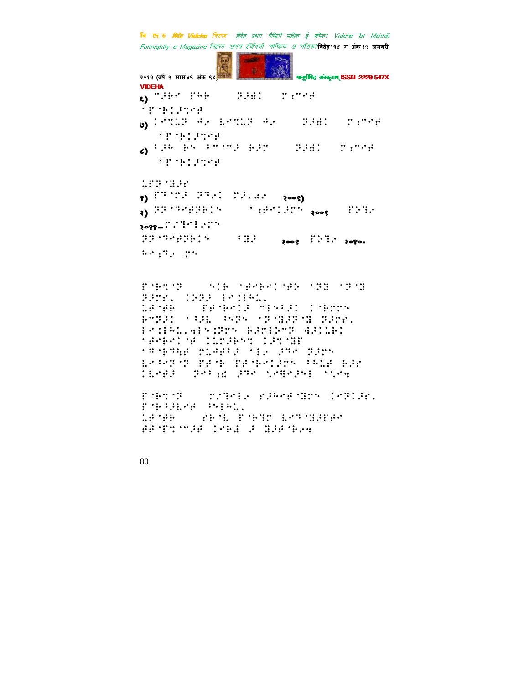```
VIDEHA
                                 11.144BEET
\epsilon) "\frac{11.1}{1.1} "\frac{11.1}{1.1}SEMPLEMENT
0) PRODUCT ARTICLE ART (1998) CONTRACT
    MEMBERSH
a time by choose bins of Bible of prob-
    SEMPLEYER
LEB MERE
(3) 22 (3092815)
                     \cdots :: \cdots :: \cdots \cdots \cdots \cdots \cdots \cdots \cdots \cdots \cdots \cdots \cdots2088 - 22222 - 2222\begin{tabular}{lllllllllll} $11.717 & 11.718 & 11.718 & 11.718 & 11.718 & 11.718 & 11.718 & 11.718 & 11.718 & 11.718 & 11.718 & 11.718 & 11.718 & 11.718 & 11.718 & 11.718 & 11.718 & 11.718 & 11.718 & 11.718 & 11.718 & 11.718 & 11.718 & 11.718 & 11.718 & 11.7181.0\pm 1.0\pm 0.05FORTH WALE CHARTOSE CHECKER
3322. 1933 (P.1151)
            TRINGS MESSAGE LIBERS
WEIGHT
Prail that her tangen ages.
ESTRALARMINTM BRYENT BRIDE
MARKINE COMPANY CANNER
TRINGE PLAKE TEA 250 PROFIN
LORST PER PERMITS PALE HAR
TERRE SPARED PROSPECIAL STRE
F^{-1}F^{-1}F^{-1}F^{-1}TITHE PERSONN ISTER.
Poblike With.
```
1979) – YROL PORTI LYTOLPEK<br>99 TOMAE (YRL 2019)

बि एक रु मिनेट Videha विएक विदेह प्रथम मैथिली पाक्षिक ई पत्रिका Videha Ist Maithili Fortnightly e Magazine রিদেত প্রথম মৌথিনী পাক্ষিক প্রা পত্রিকা**'বিदेह'९८ म अंक १५ जनवरी** 

मानुबंधिह संस्कृताम् ISSN 2229-547X

**Service** 

२०१२ (वर्ष ५ मास४९ अंक ९८)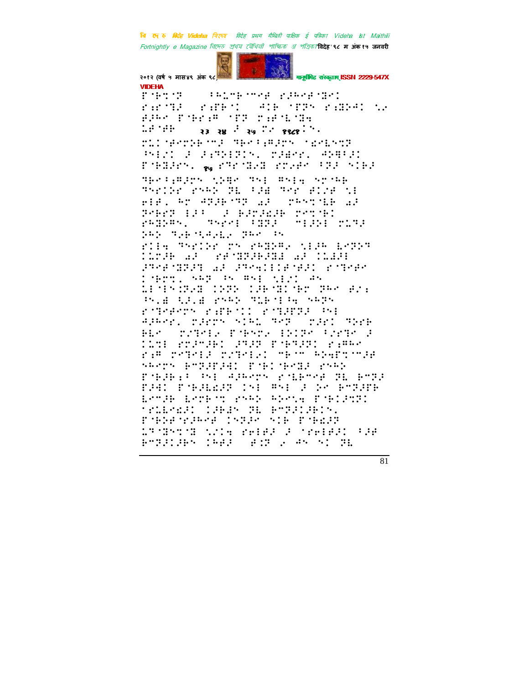

**VIDEHA** 

**STALMENTER SCARFING** 219412 randa (ramed) Alectro ramAl to BPP PORTH MP PHOLOGE  $\mathbb{R}^n$  is the set of  $\mathbb{R}^n$  $\overline{33}$   $\overline{38}$   $\overline{48}$   $\overline{5}$   $\overline{39}$   $\overline{5}$   $\overline{6}$   $\overline{28}$   $\overline{28}$   $\overline{25}$   $\overline{28}$ TIC SPTER TE TRAFFICATION CARLSTE PHIL P PRODUCT THREE AND D

POBRET, & CROSE POSES FRAMENCE TERSINGS WHE THE THE STORE Theles shap H. (28 The Alca of FIF. WE SPEED TO ALL STANSONS AP PORT DIR J PROGRE COSTO remes, sared (me) millione pap myengayey par mu rile Thribr on radial till brown **TAMB AF SPYRINGE AF MAH** 25421929 a2 25411124111 righer Diens, SAP PS ASE SEND AS MORTH CO. SECOND THE RIS

Prim think root which be sold rogeres ragedi roggia si Albert Mikro Siel Ref (Miki Ref) BLA (STIPER POBATR ERIPA FRETA)P **1191 222-31 2323 F10321 2.865** ra# redela redela: menn Ababronae SPER PTERRE PORTHOIP PSD Poble: Pel Albert Pobrer S. Boyl PART PORRER IN WHITE SA WORPH ESTER ESTRIT PARK RESERVED PORTET SPOLPHON CORDS ON PUBLICARIS. PARAMENT INTER NIE PARAT 1978793 NYE PALAJ J TPALAJ JUA Produces inde **AND AND STREET**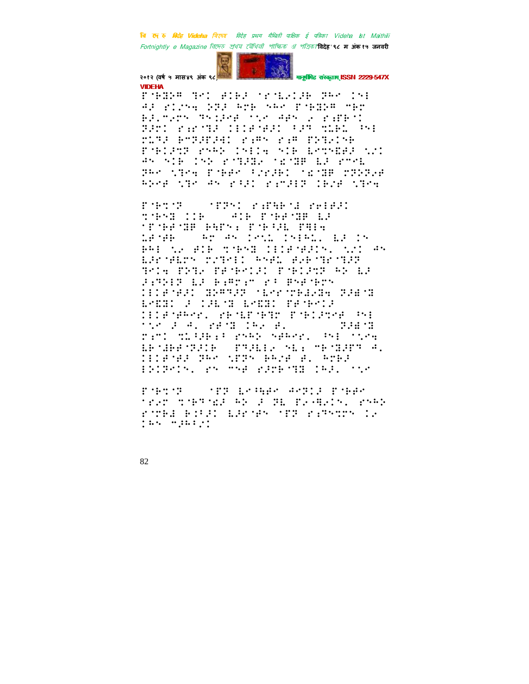

मानुबंधिह संस्कृताम् ISSN 2229-547X

**VIDEHA** PARRA TAL BIBE SPALIER THA INE AF SIMA STE AME SAM POBTA MEM BRITGEN SHIPPE TO APROVE PERT BRI KANTA ILIKMAD PASTEL PH MARE PURPERED FIRM FIR PROJECT FORDER ROGE INEIN NIE LATORAR WAT AN NIE IND STREEP TRIEP ER STAE and the poper free: conditioned ANGEL STALLAR LEGACIO E EMPIRITO DE MELLO STAR

**STORY PROPERTY SERVICE**  $1.141111$ THE HIS CONTROL CONTROL EVER THE SAFE OF THE SAFE OF THE SAFE OF THE SAFE OF THE SAFE OF THE SAFE OF THE SAFE OF THE SAFE OF THE SAFE OF THE SAFE OF THE SAFE OF THE SAFE OF THE SAFE OF THE SAFE OF THE SAFE OF THE SAFE OF T **TEMPER PRESIDENT PRIM** Lenge - Ar An Isti InfAll Ed In PRESS, PIP STRAW INIPERING SALES LAP MEDY CONVERT ANNO HAR MESSEN This PRIE PENENCI PNEIRT AN LA FIRED LE BIRTIM 23 BYF1675 <u> Titanas" meest nigeneistig osan</u> BOOK : MARINE SERVIE CEDEMARY, PROLEOBIE EORIPOR PH tic Fog, SPN 152 B.  $77.41 \, \text{°}$ rent mighter real space. The stra ARTAGORIA (PROGRAMA) METROPIKA **TECHTED BAY SEBS BATE B. ATED** EDITATAL EN MNE EJERNIK IRJ. MIR

**SAPP Leige Aerik Power**  $\mathbb{P}^{1,1}$  is the  $\mathbb{P}^{1,1}$  . **TEACH THROWS AN AURE PARENTS, PAAR** roche Bill der es des resons la  $(145 - 2344)$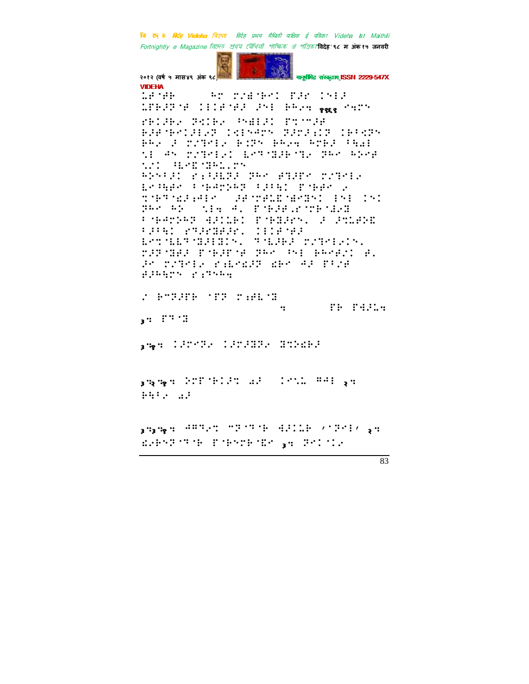

⢷⢼⢾⢷⢼5⢴⢽!⣊5⢺!⢽⢼⢼⣐⢽!⢷A⣊⢽! ⢷⢳⢴!⢼!4⣙5⢴!⢷⣈⢽!⢷⢳⢴⣒!⢳⢷⢼!A⣓⣔5! ⣁5!⢺!4⣙5⢴!⣇⢹⣝⢼⢷⣙⢴!⢽⢳!⢳⢵⢾!

⣉⢷⢹⣎⢼⣐⢺5-!⢼⢾⢾⣅⣏⣞⣝!55!!

⣇⣉⣇⣇⢹⣝⢼5⣝E!⢹⣇⢼⢷⢼!4⣙5⢴E! ⢼⢽⣝⢾⢼!2⢷⢼2⢾!⢽⢳!⢸5!⢷⢳⢾4!⢾E!  $F$  . The state  $F$  is the state  $F$  state  $F$ 

⢳⢵A⢼!"⣐⢸⢼⣇⢽⢼!⢽⢳!⢾⣙⢼2!4⣙5⢴! ⣇⢸⣓⢾!A⢷⢺⢵⢳⢽!A⢼A⣓!2⢷⢾!⢴!

⢽⢳!⢳⢵-!⣁5⣒!⢺E!2⢷⢼⢾⣀"⢷⣜⢴⣝! A⢷⢺⢵⢳⢽!⣚⢼⣅⢷!2⢷⣝⢼"E!⢼!⢼⣉⣅⢾⢵⣏!

A⢼A⣓!"⢹⢼"⣝⢾⢼"E!5⢾⢾⢼!

VIDEHA<br>..: : : :

**WEIGHT CONTROLLER** 

⢾⢼⢳⣓!"⣐⢹⢳⣒!

4!⢷[⢽⢼2⢷!2⢽!⣐⢾⣇⣝!

"⢷⢼⢷⢴!⢽⣊⢷⢴!⢸⣞5⢼!2⣉[⢼⢾!

hhbkfoesbAwjefib⣒dpn!!2⢷!2⣚⢼⣅⣒!!

**WE THE THE THIS** LEEUP YE LELENER UNE ERUP REE MATH

83

 $3: T: T: T$ 

३⣒१⣒!⢼⢽⢴!⢼⢼⣝⢽⢴.⣝⣉⢵⣎⢷⢼!

३⣒२⣒१⣒!⢵2⢷⢼⣉!⣔⢼.!⣁⣅!⢻⢺5!२⣒!  $H$   $H$   $H$   $H$   $H$   $H$   $H$   $H$ 

<sup>३</sup>⣒३⣒१⣒!⢺⢻⢹⢴⣉![⢽⢹⢷!⣚⢼⣅⢷!'⢽5' <sup>२</sup>⣒! ⣎⢴⢷⢽⢹⢷!2⢷⢷⣏!३⣒!⢽⢴!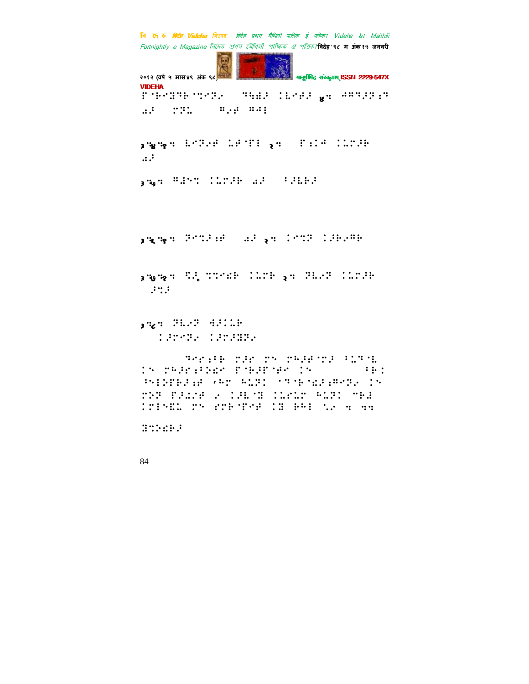२०१२ (वर्ष ५ मास४९ अंक ९८) मानुसार मानुसीले संस्कृताम् ISSN 2229-547X 2⢷⣝⢹⢷⣉⢽⢴.!⢹⣓⣞⢼!⣇⢾⢼!४⣒!⢺⢻⢹⢼⢽⣐⢹!

",, ",, ", ", ", ",

३७७७ थे अप्रैलेख अप्रैल पार्ट <sub>क</sub>म् अस्ति के अधिकारित  $\mathbf{a}$ :

३⣒५⣒!⢻⣜⣉!⣅⢼⢷!⣔⢼!#A⢼⣇⢷⢼#!

३६६७ र प्रताप्रसार कर <sub>देश</sub>ीताप्र (संस्थान)

३<u></u>ुुुुुुुुुु थे %२% थे %२% थे %२% थे %२% थे %२% थे %२% थे %२% थे %  $\therefore$ 

३⣒८⣒!⢽⣇⢴⢽!⣚⢼⣅⢷! !!⢼⢽⢴!⢼⢼⣝⢽⢴!

322.02.22 PART OF THE STATE AND ALL PART OF THE STATE AND THE STATE ALL PART OF THE STATE A !⢳⢼"⣐A⢵⣎!2⢷⢼2⢾!!3711!A⢷⣈! ⢸5⢵2⢷⢼⣐⢾!'⢳!⢳⣅⢽!⢹⢷⣎⢼⣐⢻⢽⢴!!  $T$ 5⣏⣅!!"⢷2⢾!⣝!⢷⢳5!⣁⢴!⣒!⣒⣒!!

⣝⣉⢵⣎⢷⢼!!

VIDEHA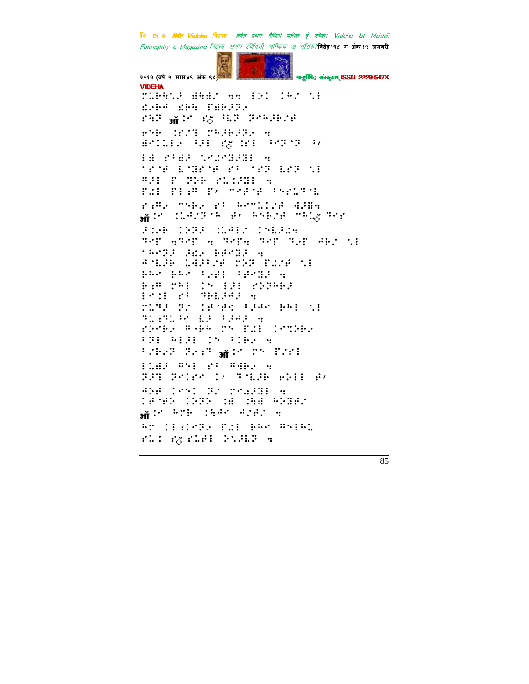

मानूबंगिह संस्कृतम् ISSN 2229-547X २०१२ (वर्ष ५ मास४९ अंक ९८) **VIDEHA** riBhu dhar ee (B) 192 ti PAR WEST BY HIR PERSENE **PMP 1227 253632 9** BOILER RH P& BEL POINT PA id rid: transail e nana bizana at naz bazind FAR TEEM BY MARINE PARTENE rame when risk-woulded Adma WEST CLAPPING BY ANEXE MALGONNE FOR 1933 MARY INESS ser and a nona nor nor get ti *TRATE SEA BRATE 4* **ANDER CHANGE TO BELLE NO** par par (2011-10-22) : **B:# 251 (5 121 2025)** 1011 21 THLAAD 4 MARA RE 18784 (1848 BRI 11 **TESTED ESTIMATE** FRANCISCO PARTIES CATALLE **POINT AND IN A POINT AND A POINT AND A POINT A PARTIES** Public Profit World Profit idd my promps . BPD Bright IV TOLER WHILEV ana (251 Propragua a)<br>1979n 1985 ua dal Rhuer **MEDUCATE CHAM ASES A** Br HeleTe Til BRO Welki rl: ng rle: Puel H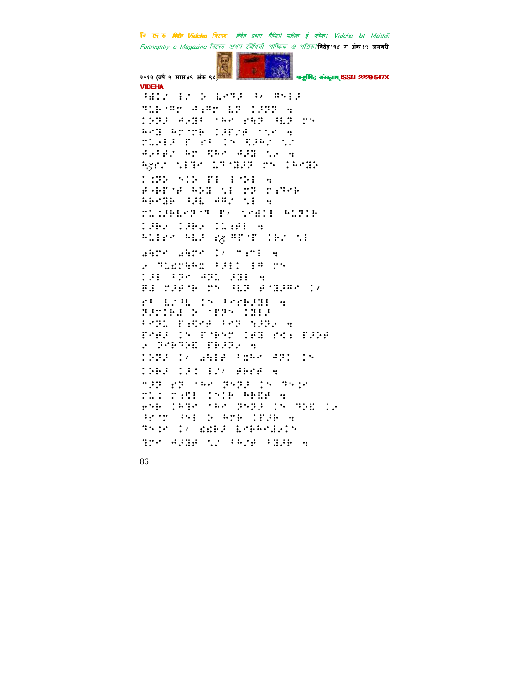

मानूबंगिह संस्कृताम् ISSN 2229-547X २०१२ (वर्ष ५ मास४९ अंक ९८) **VIDEHA** 

HELP EN DOBRER (F) #512 THE WEST WARD AND LOCAL A **THE ANNEL SAM PAR SER TS** and anonalizera con a<br>college non-collegen of Apres by Chr All to a Rger Side Lander by Tendr

**THE SID PE END 4 FOR THE SINGLE SECTION ABRIL 131 AMP 13 4** rdighers by Vell Surie 1962 1962 1698 g PLEEK PLACES PECE CENCE

SAMP SAMPLIN MINE A . **W.ATHU 1311 18 TV 191 192 491 191 4** BI THEN TY HI FULNY I FULLED IN PERSICA **BENDALL START CONSTRUCTION** PARL PARAMENT NARA A PARE IN PAPPY 183 PAI PROF 1993 17 ANIA (2008) 491 15 1983 13: 12/ #Br# + MPP 27 THE PAPP IN THIS **MITHE WILLER** : PH 1950 (90 SPEE 19 SPE 19 Robert Princip (P. 1918) A Thir I, down Englands The Albert Contact Chile 4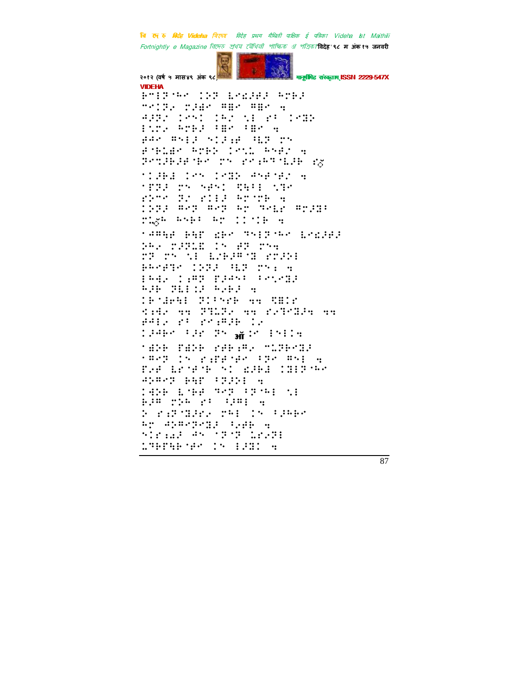

२०१२ (वर्ष ५ मास४९ अंक ९८) मानुबंधिह संस्कृतम् ISSN 2229-547X **VIDEHA** 8700 MAR 190 MARGARET AMBA **MAILL MINE AND AND A** aggy (251–152 NB 25 1308)<br>BNDV 5052 TBS TBS 4 par muja silah din re FORLAY PORT CYCL PART 4 POTERENEO TO POIETNEE PX **MIRE DES DER ASPARTA 1993 25 5851 9891 595** ring 22 rill an che 4<br>1922 Age Age an Galr Anlin The sept ar II The 4 **SARGE BET WEST THEFT AS LEWISS** 952 PARLE 15 88 254 **MARKET ENERGY STAR BRANCH 1982 BS THE WAY** 1942 LIPE PRAY Princh **BAB HILL BABB 4 CONGRESS CONTROLLER** did as PRD, as determined PALE PROPERTY IS 1946 PR P WP 1919 **MARK PARK PARKER POSSESS** tarp in riprier the and 4 rašažné v ami (mpne **ANAT BAY INSTAL** 1426 L'64 7-7 (2751 11 **BOW THE PURISHING** P rifider pal (n fjaar ar gyneredd Geb 4 STRAGE AN STREET LEATE

 $\dddot{\cdot}$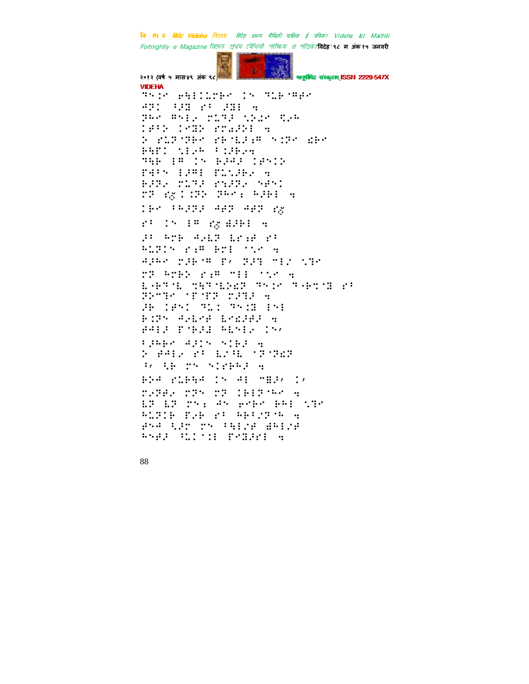

**VIDEHA** Thir earliche in Tiermer **AND CONSTRUCTS** PRO ROLE TITE MAIN REP *PARK WAS PRESS* ? S PLEMER PROLEGE SIEM BRO **BATI (1.8 Filb.6 THE INSTALL SERVICE** rans components a 832-2133 PM22-5851 TP 88:372 PROF RPH 9 THA PROBE AND AND MS PP 15 18 28 EPH 9 **BUSINE SALE LEAD OF ALBIM FIR BOI TIMES** 4258 22638 27 223 212 132 TP RTEE FAR TIE TOT A LOTE THREE TO MATHEM PROTECTIVE PRINT H WHITE THE PASS IN BOTH APLAN LANDED 4 PAIR PORT RESEARCH (3068 4315 5163 m 5 #412 #1 1211 (2022  $\mathcal{V}_t$  . In the state of the set of B14 PLBB4 15 41 MH2/ 17 T.SE. TR TE IBIR'A' 4 EP EP 25: 45 pape BA: 530 PLEIB E2B 23 PROZES 4 grad the strained gained Age Michel Polen a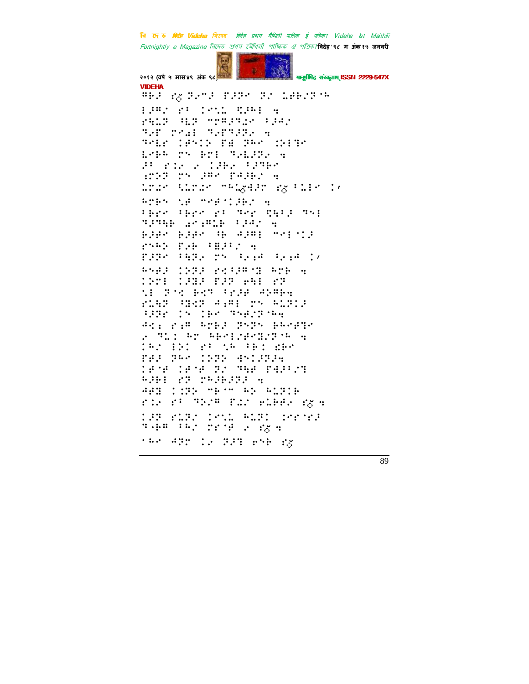

२०१२ (वर्ष ५ मास४९ अंक ९८) मानुबंधिह संस्कृतम् ISSN 2229-547X **VIDEHA** #B2 28 Ren2 F2RP R2 LBB2R 18 1982 PE 1851 SPRI 4 rang un sempris time **THE PROPERTY OF** THE CHINE TO THE STATE ESPA 25 PPI THEFR 4 *BURGERY CONSTRUCTION* Drug Alrug Sanger og tilg 19 Anbro de checider a THE THE PI TEE THIS THE SPAR and SIR SPAIN pjer pjer de ajoj sristj **PARK THE SHIPLE SE** FURTHER TO GAR GARAGE 8582 1532 2432853 828 9 **COME CONSTRUCTION OF STREET 11 STC 647 Fr38 STS64 PART CONTROL** PRODUCED SPR IN IRCANSESS 45: P.M. ATES PAPA BARBOR **A MILL AT ABMICHMICH 4** tar Briga (sa agu mac **PACK THAN 12000 REVIEWAL** STORY OF THE POPIN **A.I.I. (7 TA.I.I.I. ) 481 1022 7877 42 42218** rie ri Tech fac rabbe ra a **THE PORT ISSO BOAT TEETH** Results red a ga 1981-932 12 333 ene 28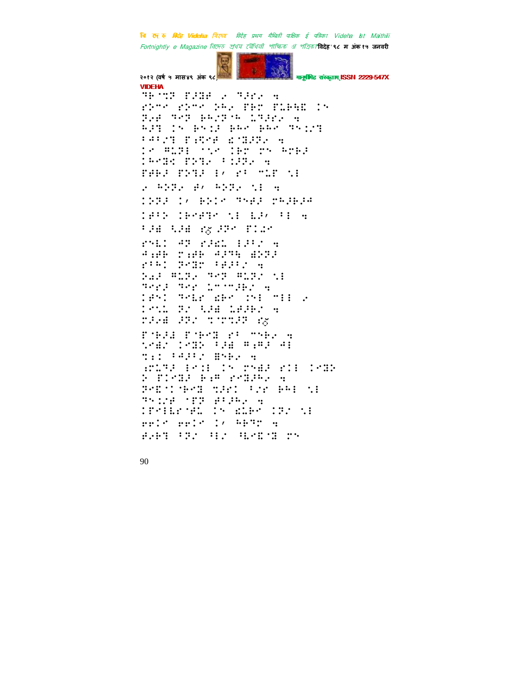

DECK TRIP FORM A THE THE E FACT TIT ME . 522. 5, 522. 11 m

1933 ( BB18 3583 253634 **CONSTRUCTION OF SALES AND SERVICE** Pad the Bought Flut

ryk: AP rank 1992 4 aan ran azu mee **SAP #122 #22 #122 11** Serve Service (Service Service) 1851 Sele are the Select **MANUEL BAR SERIE SERIES** rade and tornar ag

FORESTORE PRODUCE **1000 1000 100 8:82 4: T:: : : : : : : : : : : : : :** BMIRA ERIE IN MNAD BIE IRAB S PICH FR PONS 4 SMOOTHAN THAN PART AND MI Thing off gigan 4 IPSERSHI IN ELECTION ME mis mis 1, 4892 g BART MESS MESS MARINE 25

90

**VIDEHA**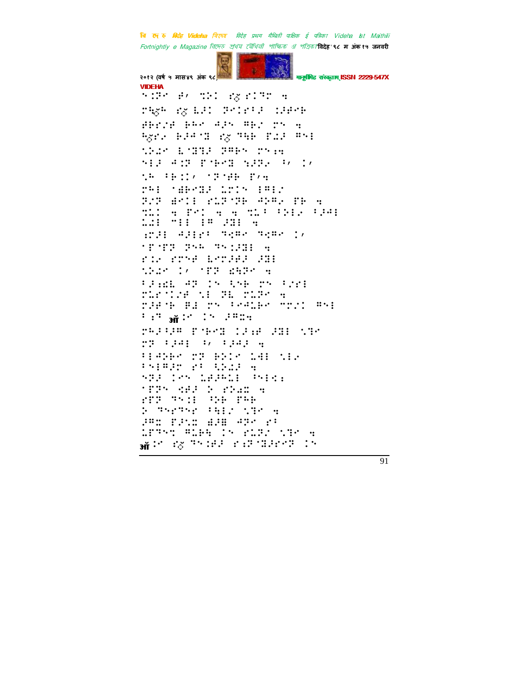**Service** 

 $\theta$ मानूबंगिह संस्कृतम् ISSN 2229-547X २०१२ (वर्ष ५ मास४९ अंक ९८) **VIDEHA** 5:25 F/ 221 fg f175 a TRA POLIC POINTS LEAR BERTH BAR ADN WET THIS Park Black by THE FILE #51 MARK ENDI SARA TAR SEP AND PORCH NEDS (8, 1) th (Pris 1919) The **THE MEMBER LTIM EMER** BYP AMIE KLPYRE ADAG TR 4 this as Policy and the Piece (1941 HTPE #PERT TERR TERR 1, fir rryf byrgel SH! this Is the days a Frank AP IS the The Frag MANICH ME BE MIP 4 raene al ro segler mroi gol i di <sub>an</sub>ggot di Saba 792328 F1940 1238 201 179 77 (201 ) (201 ) (201 ) HANDY TH BILL MAR NEW **PAIRED ST REAL 4** STE ISS LEPPLE PSEC: **TEP SEE P SPAN 9 FIR THIS THE THE** k synsk fall 195 a **PRINTED AND ANY ST** MPPH WIPE IN RICH NTM 4 WEST AS AN HER SEPARATE CO.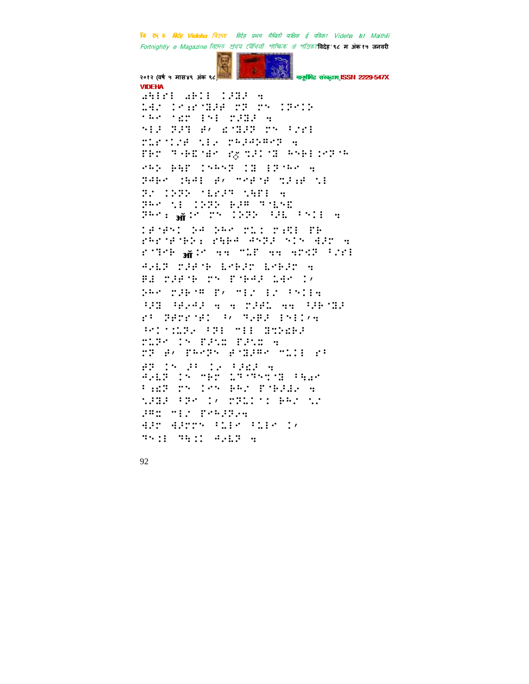

**VIDEHA** Ler Crandie di ch (2012 the thr initialized **SID BOT B, EMBDE TO PERI** rurale dis regener e FRO THROWN ON TAINS AND CONTA **845 BAT (5457 (2008) PRODUCT** 3468 1541 B/ MRETH MAGH MA SI MARA MENT NAME A 365 M 1935 BM 3525 PROF WIR TO 1972 PRESENTED 197951 24 256 211 2381 PB rendeded rees sold old eld e college and events are computed for a AND THE BARD BARD A BI MACH TH FORM LAN IN 558 P.H.M. E. MED EN PSIE 938 98243 4 4 7386 44 938783 FOURFRIED OF SHEET INTER Printing Prioril Hobels THE WEIGHT PAIN T TE B, PROPR BOBBE MILL PP APER IN MED 17 MARTIN FRAM

FAST TY LON BRO FORTH A 1988 (2011) 27 2201 11 102 12 382 MIC SPA33.0 ART ARTH SIR SIRE IN **THIS TELL SHEET :**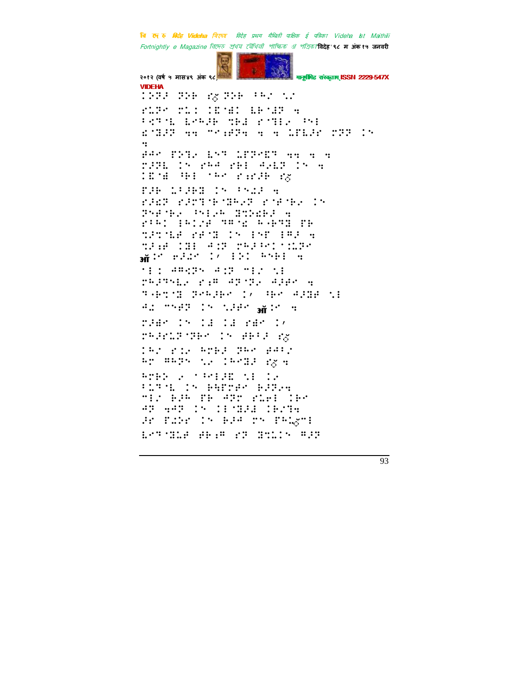

२०१२ (वर्ष ५ मास४९ अंक ९८) मानुबंधिह संस्कृतम् ISSN 2229-547X **VIDEHA THE THE RETH PRODUCT A POINT AND A PHONE AND A POINT AND A** PRODUCED THE POINT PRE rus e rasse e constanta  $\ddot{\cdot}$ 800 - 1000 - 1000 - 1000 - 1000 - 1100 - 1100 - 1100 - 1100 - 1100 - 1100 - 1100 - 1100 - 1100 - 1100 - 1100 -THE IN PROPERTY IN A IENE HE SAM PENH EX THE LIGHT IN PAIR 4 FIER FINTENHAR FORCH IS Philips Wish Bubdhi 4 **FIRE INTERNATIONAL PROPERTY** TRING FROM IN 197 182 4 taw IBI Administration WEST PROPERTY INC. AND EVER 11: 48-25 4:2 712 11 radvalk rim apopl adde 4 THRTH POGGEO (/ George S) All meets in when mich a raan in di di aan iy TREED THAT IN BEER 28 *TAY RIP AMBA BAR BARY* Ar WARS to CASHE Rg 4 Bree Scheen March PLANE IN BAPTER BJBPA "IS BAR TR ATT SINE IR" *AN ANY IN LENGTH* Britan in Basica Pagni **LOTORE HEAR OF HOLLS WAR**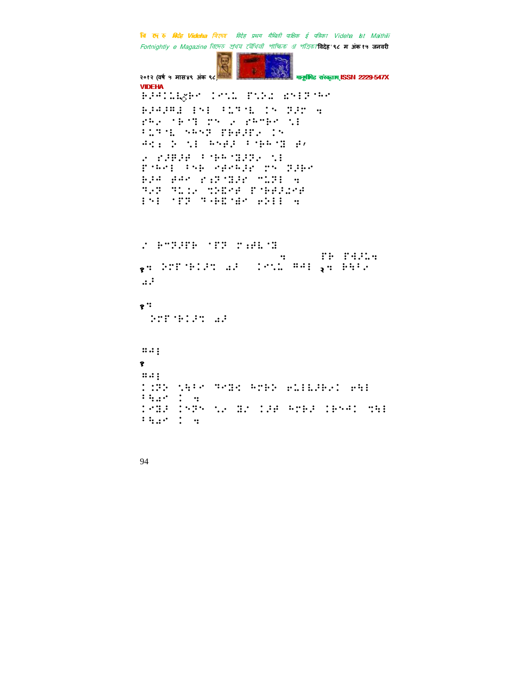

VIDEHA ⢷⢼⢺⣅⣇◌ॅ⢷!⣁⣅!2⣁⢵⣌!⣎5⢽⢳! ⢷⢼⢺⢼⢻⣜!55!A⣅⢹⣇!!⢽⢼!⣒! ", "CALL THE TELL THE TELL THE TELL THE TELL THE TELL THE TELL THE TELL THE TELL THE TELL THE TELL THE TELL TH ALTER THAN THE 2 ⢺⣊⣐!⢵!⣁5!⢳⢾⢼!A⢷⢳⣝!⢾' ⢴!"⢼⢿⢼⢾!A⢷⢳⣝⢼⢽⢴!⣁5!! Pokrije to kaokar rojaar ⢷⢼⢺!⢾⢺!"⣐⢽⣝⢼"![⣅⢽5!⣒!! ⢹⢴⢽!⢹⣅⣈⢴!⣉⢵⣏⢾!2⢷⢾⢼⣌⢾! 55!2⢽!⢹B⢷⣏⣞!⢶⢵55!⣒!

4!⢷[⢽⢼2⢷!2⢽!⣐⢾⣇⣝! hhbkfoesbAwjefible.com and the control of the PHAM of the PHAM of the PHAM of the PHAM of the PHAM of the PHAM १⣒!⢵2⢷⢼⣉!⣔⢼.!⣁⣅!⢻⢺5!२⣒!⢷⣓A⢴!  $\ddot{\cdot}$ १ " !⢵2⢷⢼⣉!⣔⢼!  $...;$ १  $::.:$ ⣈⢽⢵!⣁⣓A!⢹⣝⣊!⢳⢷⢵!⢶⣅5⣇⢼⢷⢴!⢶⣓5!  $A_{\text{in}}$ ⣝⢼!⢽!⣁⢴!⣝4!⢼⢾!⢳⢷⢼!⢷⢺!⣉⣓5! **A** Hunter of the con-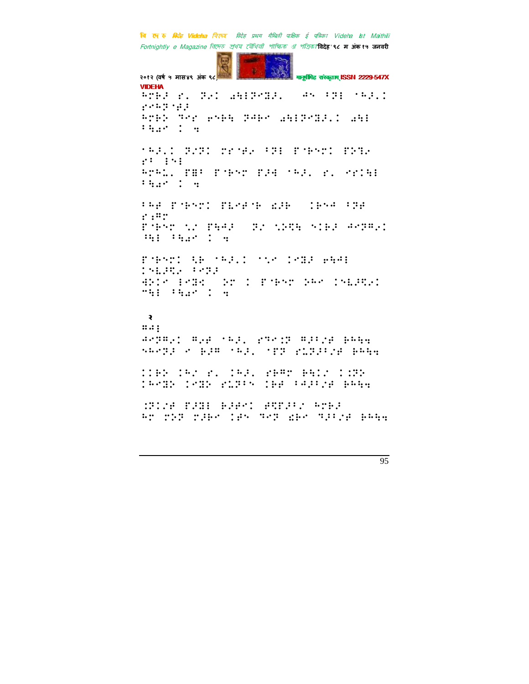**Service** ø २०१२ (वर्ष ५ मास४९ अंक ९८) मानुषिक संस्कृतम् ISSN 2229-547X VIDEHA **ATER P. BED WHIPPER, PAS FRE PAR.1** "⢳⢽⢾⢼-! ⢳⢷⢵!⢹"!⢶⢷⣓!⢽⢺⢷!⣔⣓5⢽⣝⢼E!⣔⣓5!  $A_{\text{in}}$ ⢳⢼E!⢽4⢽!"⢾⢴!A⢽5!2⢷!2⢵⣙⢴! "A!55-! ⢳⢳⣅E!2⣟A!2⢷.2⢼⣚!⢳⢼E!"E!"⣓5! **Address Contracts** AG@ Press Press Press Press Press  $f: H^{\alpha}$ 2⢷!⣁4!2⣓⢺⢼-!⢽4!⣁⢵⣋⣓!⢷⢼!⢺⢽⢻⢴! He say that I had ESPANI AP SALI SALI INDI PART ⣇⢼⣋⢴!A⢽⢼-! ⣚⢵!5⣝⣊!#⢵#!2⢷!⢵⢳!⣇⢼⣋⢴!  $\begin{bmatrix} 1 & 1 & 0 & 0 & 0 \\ 0 & 0 & 0 & 0 & 0 \\ 0 & 0 & 0 & 0 & 0 \\ 0 & 0 & 0 & 0 & 0 \\ 0 & 0 & 0 & 0 & 0 \\ 0 & 0 & 0 & 0 & 0 \\ 0 & 0 & 0 & 0 & 0 \\ 0 & 0 & 0 & 0 & 0 \\ 0 & 0 & 0 & 0 & 0 \\ 0 & 0 & 0 & 0 & 0 \\ 0 & 0 & 0 & 0 & 0 & 0 \\ 0 & 0 & 0 & 0 & 0 & 0 \\ 0 & 0 & 0 & 0 & 0 & 0 \\ 0 & 0 & 0 &$ २  $...;$ ⢺⢽⢻⢴!⢻⢴⢾!⢳⢼E!"⢹⣈⢽!⢻⢼A4⢾!⢷⢳⣓⣒! ⢳⢽⢼!!⢷⢼⢻!⢳⢼E!2⢽!"⣅⢽⢼A4⢾!⢷⢳⣓⣒! ⢷⢵!⢳4!"E!⢳⢼E!"⢷⢻!⢷⣓4!⣈⢽⢵-! ⢳⣝⢵!⣝⢵!"⣅⢽A!⢷⢾!A⢺⢼A4⢾!⢷⢳⣓⣒! ⣈⢽4⢾!2⢼⣝5!⢷⢼⢾!⢾⣋2⢼A4!⢳⢷⢼-! ⢳!⢵⢽!⢼⢷!⢾!⢹⢽!⣎⢷!⢹⢼A4⢾!⢷⢳⣓⣒!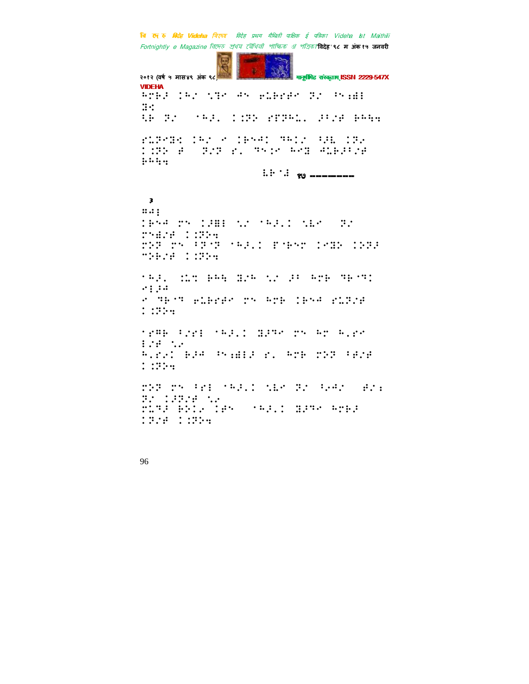**Separate**  $\mathbf{a}$ ।<br>| मानूपंगिह संस्कृताम् ISSN 2229-547X २०१२ (वर्ष ५ मास४९ अंक ९८) **VIDEHA** Aral (Ar the As elarge Br Poems  $\mathbb{R}$  : th British (1981) STRAL (Pire BRAG rinde (ar e (BSA) 9812 (SE 132 TIME # THR P. Thin And Albert  $1.1.1.1$  $\therefore$   $\frac{1}{20}$  -------- $\overline{\mathbf{3}}$ **:: .: :** IPSA PS IPHI NO SAPILI NEM (PD rnace films THE TRAFFIC SALE FORM CREEK CHE **MORTH CONFIRM** TRED CONTRACTOR SON CONTRACTOR TRINS  $\mathcal{O}(\frac{1}{2},\frac{1}{2},\frac{1}{2},\frac{1}{2})$ s des algebras no analigos ribra  $: 12.4$ trap from their death on housest Early State Right Bag (Samill g. Arb 200 (Bang  $1.1224$ MAR MA PER SPEED SEA RESPECTED BEE Britanne tr TITE BRID IBN (1981) HERR ATBR 1328 1335m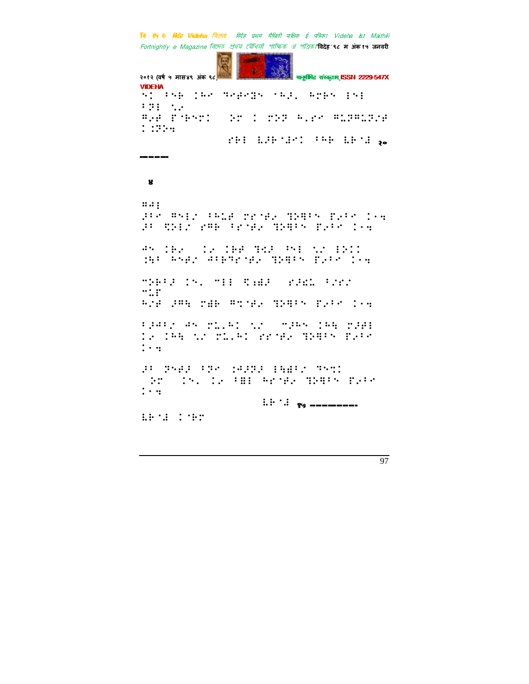**Service** 

२०१२ (वर्ष ५ मास४९ अंक ९८) मानुष्य मानुसार संस्कृताम् ISSN 2229-547X VIDEHA !A⢷!⢳!⢹⢾⣝!⢳⢼E!⢳⢷!55! AD<br>President ⢻⢴⢾!2⢷!#⢵#!⢵⢽!⢳E"!⢻⣅⢽⢻⣅⢽4⢾!  $\ddots$ .........!"⢷5!⣇⢼⢷⣜!A⢳⢷!⣇⢷⣜!२०

४

--- -- -- ---

 $...;$ ⢼A!⢻54!A⢳⣅⢾!"⢾⢴!⣙⢵⣛A!2⢴A!b⣒!  $H$  We have the second second the second second second second second second second second second second second second second second second second second second second second second second second second second second second

∃r 192 °C + 193 °C + 5.5 °C + 5.5 °C ⣈⣓A!⢳⢾4!⢺A⢷⢹"⢾⢴!⣙⢵⣛A!2⢴A!b⣒!

[⢵⢷A⢼!E![55!⣋⣐⣞⢼-!"⢼⣎⣅!A4"4!  $\cdot \cdot \cdot$ ⢳4⢾!⢼⢻⣓!⣞⢷.⢻⣉⢾⢴!⣙⢵⣛A!2⢴A!b⣒!

A⢼⢺A4!⢺!⣅E⢳!⣁4-![⢼⢳!⢳⣓!⢼⢾5-!  $L$ A IBE SA TELEN SENEGARA TARA  $\vdots$ 

 $\mathcal{P}$  . The  $\mathcal{P}$  and  $\mathcal{P}$  and  $\mathcal{P}$  and  $\mathcal{P}$ #⢵#!E!⢴!A⣟5!⢳"⢾⢴!⣙⢵⣛A!2⢴A!  $\ddots$ 

 $\therefore$   $\therefore$   $\frac{1}{2}$  --------

⣇⢷⣜!⢷!J!V!J!J!V!V!V!J!J!J!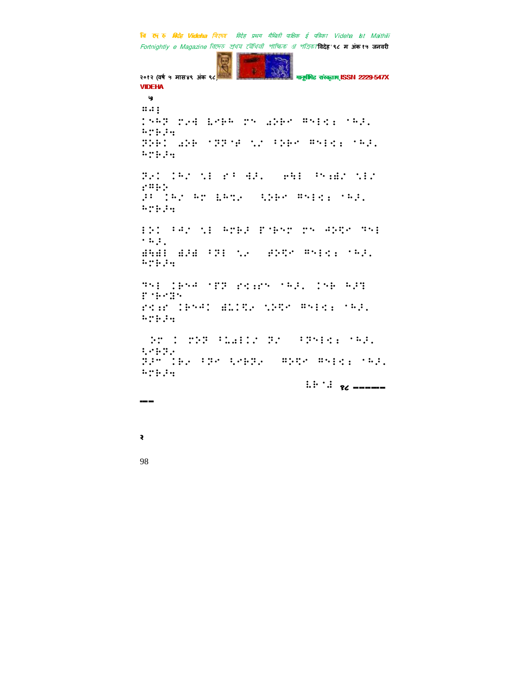**County** 

२०१२ (वर्ष ५ मास४९ अंक ९८) मानुषिक संस्कृतम् ISSN 2229-547X VIDEHA ५  $\ldots$ ⢳⢽!⢴⣚!⣇⢷⢳!!⣔⢵⢷!⢻5⣊⣐!⢳⢼E! ⢳⢷⢼⣒! ⢽⢵⢷!⣔⢵⢷!⢽⢽⢾!⣁4!A⢵⢷!⢻5⣊⣐!⢳⢼E! ⢳⢷⢼⣒! BAI IRI NE BARATA DA BERTADA DI "⢻⢷⢵-! ⢼A!⢳4!⢳!⣇⢳⣉⢴-!⣃⢵⢷!⢻5⣊⣐!⢳⢼E! ⢳⢷⢼⣒! 5⢵!A⢺4!⣁5!⢳⢷⢼!2⢷!!⢺⢵⣋!⢹5!  $\cdot$   $E_{\rm eff}$ GRAN SHE SHE SHE SHE SHE SHE ⢳⢷⢼⣒! THE IREAL TER PRINT TER, INF REE 2⢷⣝-! "⣊⣐"!⢷⢺!⣞⣅⣋⢴!⣁⢵⣋!⢻5⣊⣐!⢳⢼E! ⢳⢷⢼⣒! #⢵#!⢵⢽!A⣅⣔54!⢽4-!A⢽5⣊⣐!⢳⢼E! ⣃⢷⢽⢴-!  $^{\circ}$  All Constants and All Constants and All Constants and All Constants and All Constants and All Constants and All Constants and All Constants and All Constants and All Constants and All Constants and All Constants and ⢳⢷⢼⣒!  $\therefore$   $\frac{1}{36}$  -------- --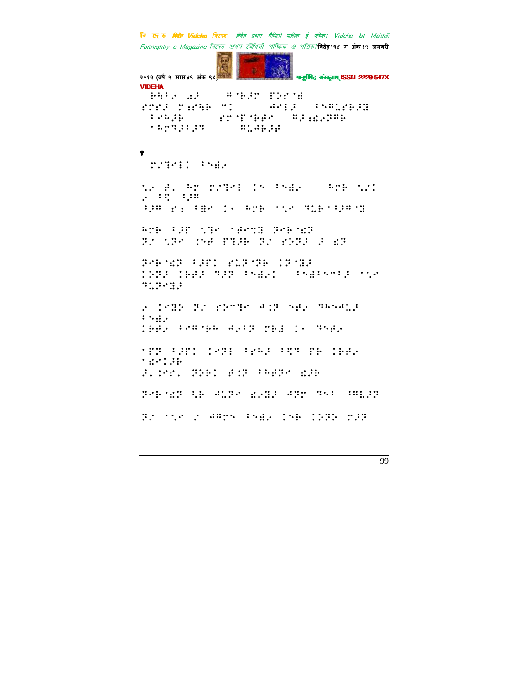**County** 

×, ।<br>| मानूपंगिह संस्कृताम् ISSN 2229-547X २०१२ (वर्ष ५ मास४९ अंक ९८) **VIDEHA Sample Start POST PAPER TI ARTIC BANGERS** ar Ther Celazer  $\mathcal{L}$  and  $\mathcal{L}$  and  $\mathcal{L}$  and  $\mathcal{L}$ **WEBSTER**  $\mathbf{r}$ TITHE PART the Bill Advicting of the Phone (Advisor)  $\frac{1}{2}$  :  $\frac{1}{2}$  :  $\frac{1}{2}$  :  $\frac{1}{2}$  :  $\frac{1}{2}$  :  $\frac{1}{2}$  :  $\frac{1}{2}$  :  $\frac{1}{2}$  :  $\frac{1}{2}$  :  $\frac{1}{2}$  :  $\frac{1}{2}$  :  $\frac{1}{2}$  :  $\frac{1}{2}$  :  $\frac{1}{2}$  :  $\frac{1}{2}$  :  $\frac{1}{2}$  :  $\frac{1}{2}$  :  $\frac{1}{2}$  :  $\frac{1$ SPROKE FRONT AND THOUGHTS THE TRANSPORT Ard (28 the therm den th Books of MH Books (200 348 MAR 1981 MAR 1982 MAR 1983 (BB3 738 PAB2) (PABPAT3 TLP **PLEPER** a 1985 Br Steffe Add Sea Sesenge  $: \cdot \cdot \cdot$ . THE PROGRAM AND THE IN THEY **TER FRED CREE FRAG FRY EN CHAV** fartish J. MY. THI #17 (687) 236 346 MB 46 4134 AND 437 MAR (881) British russer (1942-1946) 1989 - 228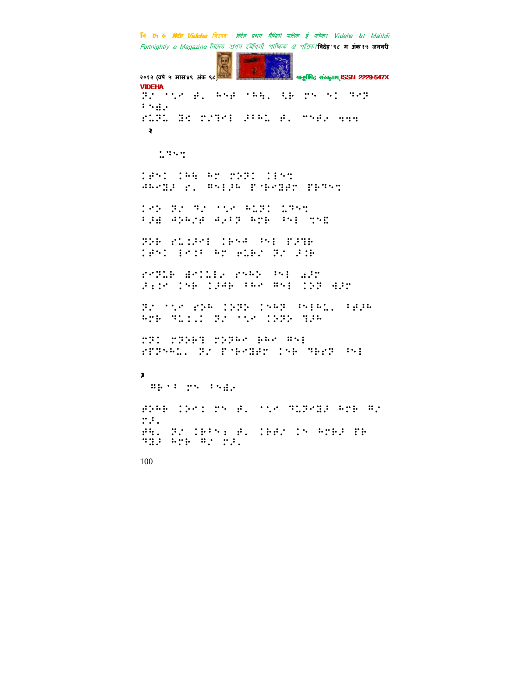बि एक रु मिनेड Videha विएक विदेह प्रथम मैथिली पाक्षिक ई पत्रिका Videha Ist Maithili Fortnightly e Magazine রিদেহ প্রথম মৌথিনী পাক্ষিক প্রাপত্রিকা**'বিदेह'९८ म अंक१५ जनवरी Separate**  $\mathbf{S}$ २०१२ (वर्ष ५ मास४९ अंक ९८) मानूबंगिह संस्कृताम् ISSN 2229-547X **VIDEHA** Brown B. And SAR, the most were  $: . . .$ rifl Br with PPL B. The Age  $\overline{\mathbf{R}}$  $1.344$ **CHAI IME AT TITI IIMT ARRIE E. ANIJA PARADE PRANO ISB RESERVIEW BLFI LTMT** tig dynyg dytp nga syf gyg THE PLOPE CENT PHOTOGE TART BRIT AT WIRE TE SIR reth activ ree even First 158 1988 (PAC RSE 158 825 BY THE PRESIDENT INFR PHENOL FRIM 828 MAIL SA TAN 1932 TAN **MI MIGHT MOTOR BOY WAY** FTPSALL BY FORCHET ISE MEFF PSE  $\mathbf{3}$ and the state BRAB CRAC TROB. THAT WEBPER ATE WE  $:::$ . PRO PACIFICAL PLOIPEACING ROBACTE 732 523 82 23.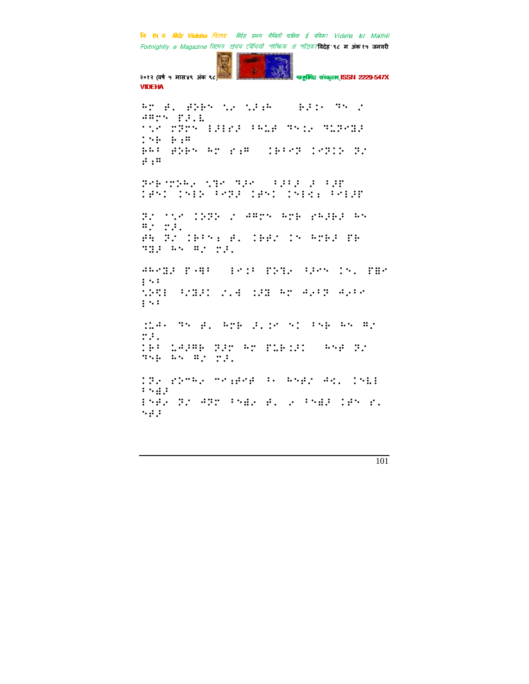

२०१२ (वर्ष ५ मास४९ अंक ९८) मानुषिक संस्कृतम् ISSN 2229-547X VIDEHA

Hr P. B. PHEN N. NEP (1988) **ABPS FALL**  $^{\prime\prime}$  . The state of the state of the state of the state of the state of the state of the state of the state of the state of the state of the state of the state of the state of the state of the state of the state of the **The Past** ⢷⢳A!⢾⢵⢷!⢳!"⣐⢻!-⢷A⢽!⢽⢵!⢽4!  $, \ldots$ 

⢽⢷⢵⢳⢴!⣁⣙!⢹⢼-!A⢼A⢼!⢼!A⢼2!-! 1951 1591 - 1592 1593 1594 1595 1595 159

⢽4!⣁!⢵⢽⢵!4!⢺⢻!⢳⢷!"⢳⢼⢷⢼!⢳! **BEEN BEEN**  $H$ H 22 1995 (A 1994 ) 20 1995 (A 1994 ) 29 WHO IS NOT THE STATE OF THE STATE OF THE STATE OF THE STATE OF THE STATE OF THE STATE OF THE STATE OF THE STATE

⢺⢳⣝⢼!2B⣛A-!5⣈A!2⢵⣙⢴!⢸⢼!E!2⣟!  $\vdots$ ⣁⢵⣋5!⢸4⣝⢼!4E⣚!⣈⢼⣝!⢳!⢺⢴A⢽!⢺⢴A!  $\frac{1}{2}$   $\cdots$   $\frac{1}{n}$ 

⣈⣅⢺b!⢹!⢾E!⢳⢷!⢼E⣈!!A⢷!⢳!⢻4!  $E.E.$ ⢷A!⣅⢺⢼⢻⢷!⢽⢼!⢳!2⣅⢷⣈⢼-!⢳⢾!⢽4! Ship and the state of the state of the state of the state of the state of the state of the state of the state

 $^{\prime}$ TE STEEP THE HEAL IS THE STEEP THAT THE STEEP THAT IS THE STEEP THAT IS THE STEEP THAT IS THE STEEP THAT IS THE STEEP THAT IS THE STEEP THAT IS THE STEEP THAT IS THE STEEP THAT IS THE STEEP THAT IS THE STEEP THAT IS  $4 + 4 + 1$ 5⢾⢴!⢽4!⢺⢽!A⣞⢴!⢾E!⢴!A⣞⢼!⢾!"E!  $\dots$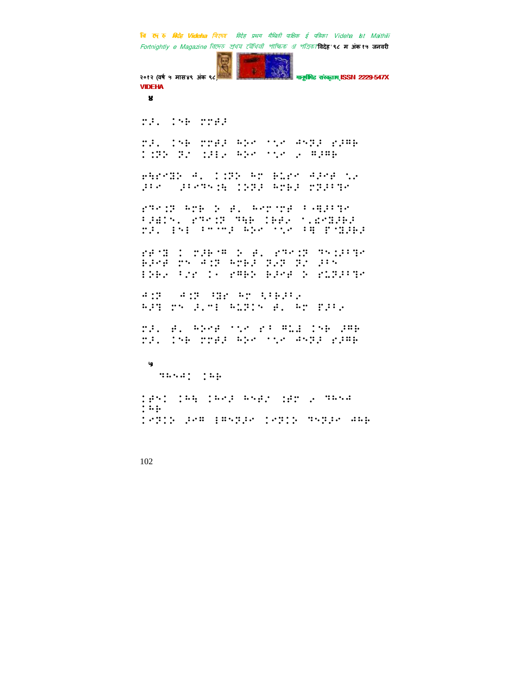**Service** ø, २०१२ (वर्ष ५ मास४९ अंक ९८) मानूबंगिह संस्कृताम् ISSN 2229-547X

**VIDEHA**  $\mathbf{g}$ 

ra. The rrea

TAL INF TTER AGE TIP ANTE FIRE THE BY HER ANY TO FAMILY

PROSE A. LIPP AT BLOC APOR to PRO PROTECTED ATES TRAPES

FRANCHE DE B. PARARE FARINGA FRAIN STRIP THE IEES TURNIER plicated companies ble capacitate

PETER COMPETE SOBLOGEN DE TESSETE BEAR TH AIR ATES TET TE SAN THE STATE OF PRESCRIPTION PERSON

**ASS ASS MR AT UPPER** APP TH PLAT ALBIM B. AT TPP.

TRINE, ROME TOM FROM INFORMA TAL INF TTAR ADM TIM ANTA PARE

يە  $\text{max}(-111)$ tant the there had the location  $: \ldots$ *lend pe* (espaciently syne amb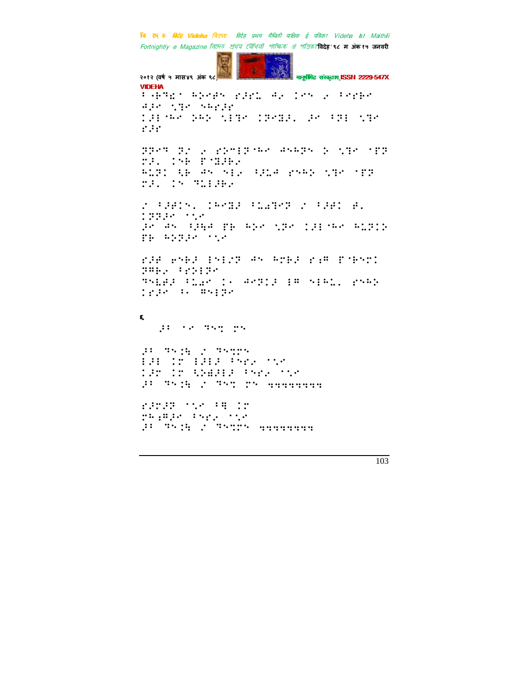**Separate** 球  $\psi$  . २०१२ (वर्ष ५ मास४९ अंक ९८) मानूबंगिह संस्कृताम् ISSN 2229-547X **VIDEHA** Popman Roods adapt Al Cos in Porter Ale the Sandr 1917-50 282 MITH (PHIP, 95 FPI MTH  $\mathbf{r}$ : PROTOCOL PROTECTIVO ANAPNO NONTO OPP **MAG THE POSSES** RITE AR AN NEW RELATIONS NEW MET **23. 25 Thish.** 2 FRENC IPPER FLATER 2 FRED B. 1333-c 38 AN PRAG TE ROS NTS 131 NRS RUTIO pp apple the rae enea frica en Area rie Boenco THE SENIES skiego (1948–1980) Anglik (p. 1961), prezy<br>1938 – Polski gr ξ. group and the group  $\begin{minipage}{.4\linewidth} \begin{tabular}{l} \bf 11 & 23.71 & 15.71 & 17.71 & 17.71 & 17.71 & 17.71 & 17.71 & 17.71 & 17.71 & 17.71 & 17.71 & 17.71 & 17.71 & 17.71 & 17.71 & 17.71 & 17.71 & 17.71 & 17.71 & 17.71 & 17.71 & 17.71 & 17.71 & 17.71 & 17.71 & 17.71 & 17.71 & 17.7$ ESP IT ESP Park the THE IN ANGELE PARK TOP **SUPPLY THE THE SERVICE** FINIT 'N' 'H IN philage they the

PORCH CONSTRUCTION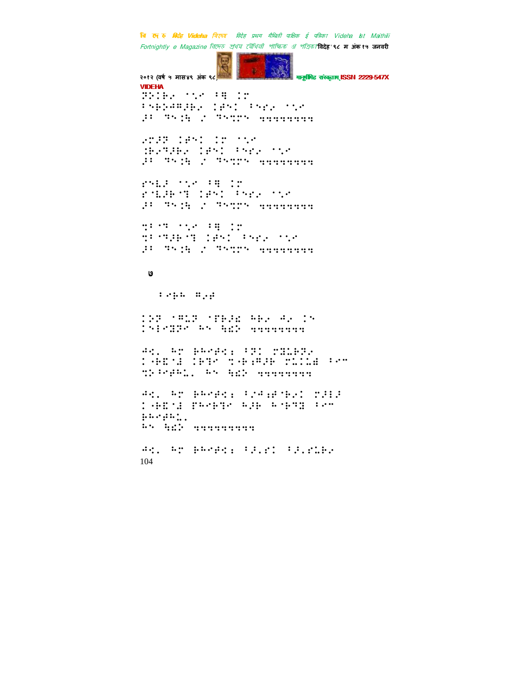**Service** ×, मानुक्रीह संस्कृतम् ISSN 2229-547X २०१२ (वर्ष ५ मास४९ अंक ९८) **WILL MADE IN** 

PAPPERDA (PAI PAPP TSP SUPPOSE & TETTE SESSENT

2020 1951 10 TV HATHE IPS TSEE TO POSSE 2 Third seconds

PALE TO BE IT PADEMENTARY TANK TO PURCH 2 Thur seconds

2127-112-18-12 troughor fast care the SUPPLE 2 TETE STRIPPE

ಀ

**VIDEHA** 

**MARK THE SERIE SERIES** 1510897 AS ARE ANNOUNCE

Ad. An EACAd: PRI MILERE **THEMS INTERFERING TELLS FET** THE WELL AN ANY STREET

Adv Ar BASAN: Crawford raid THE E PROPER AND A GAN TOO parent. **BS BEF STREETHER** 

Ag, Ar BAnder (11.21 (11.21B) 104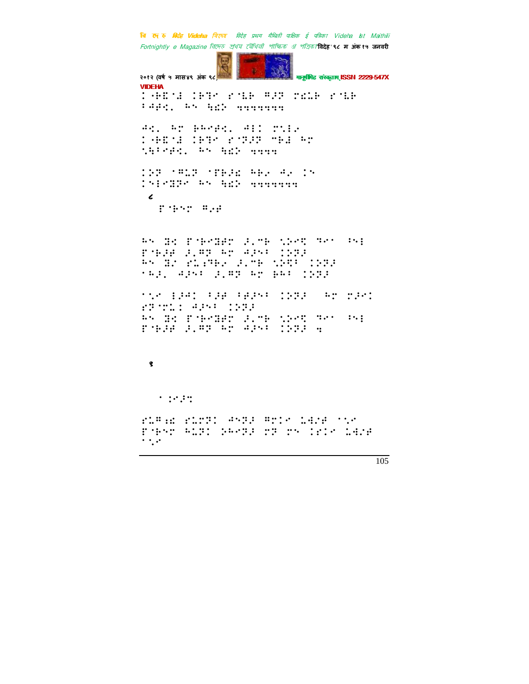**CONTRACTOR** 螺  $\psi$  . २०१२ (वर्ष ५ मास४९ अंक ९८) मानूबंगिह संस्कृताम् ISSN 2229-547X **VIDEHA THEM OFFY PARK WAR PELL PALE FARRY AN AME SHIPPIER** Ag, Ar BARAG, All rile **THEM INTE FURN THE AT** things, by Add ann 198 '952 'FE22 'PE2 '92 15 **INFORMATION ARE SERVICE**  $\epsilon$ Ther Sep RN BO ESPOBER SLOP NEOD POSSIBLE F-928 3.82 Ap 4258 1522 85 H. M.PRA F.MR (289) 1233 tag, apso gjep ar paf 1593 158 1941 194 1995 1999 (Ar ran FROM SPRINGER an de Porcher Alma (1955-1965) (1941)<br>Poral Alma ar Aan (1934-4  $\mathbf{S}$  $\gamma$  -parameters rifer ring: ASPA Anty 1428 mor

FORST ROBO SAMPA TP TR CECK ORDE

 $\cdot$  .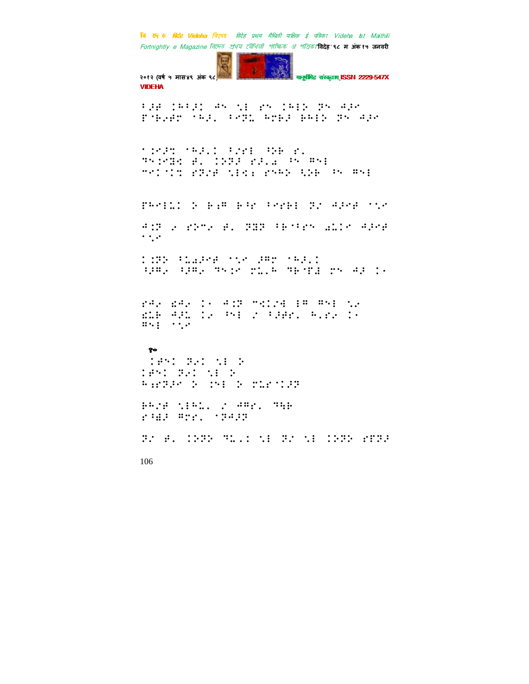

२०१२ (वर्ष ५ मास४९ अंक ९८) मानुषिक संस्कृतम् ISSN 2229-547X VIDEHA

A⢼⢾!⢳A⢼!⢺!⣁5!"!⢳5⢵!⢽!⢺⢼-! 2⢷⢴⢾!⢳⢼E!A⢽⣅!⢳⢷⢼!⢷⢳5⢵!⢽!⢺⢼!

⣈⢼⣉!⢳⢼E!A4"5!⢸⢵⢷!"E!-! WHICH IS NOT THE STRING [⣉!"⢽4⢾!⣁5⣊⣐!"⢳⢵!⣃⢵⢷!⢸!⢻5!

2⢳5⣅!⢵!⢷⣐⢻!⢷⢸"!A"⢷5!⢽4!⢺⢼⢾!⣁! ⢺⣈⢽!⢴!"⢵[⢴!⢾E!⢽⣝⢽!A⢷A"!⣔⣅!⢺⢼⢾!  $\cdot$   $\cdot$   $\cdot$ 

 $\cdot$  . The control of the control of the control of the control of the control of the control of the control of ⢸⢼⢻⢴.⢸⢼⢻⢴!⢹⣈!⣅E⢳!⢹⢷2⣜!!⢺⢼!b!

"⢺⢴!⣎⢺⢴!b!⢺⣈⢽![⣊4⣚!5⢻!⢻5!⣁⢴-! ⣎⣅⢷!⢺⢼⣅!⢴!⢸5!4!A⢼⢾"E!⢳E"⢴!b!  $55.5 \div 5.7$ 

१० !⢾!⢽⢴!⣁5!⢵!  $:=$ **₩** BERGHER (1955) 2012 11:52

**₽₽2# NIPL 2 4#2, 4#2** "⢸⣞⢼!⢻"E!⢽⢺⢼⢽-!  $F$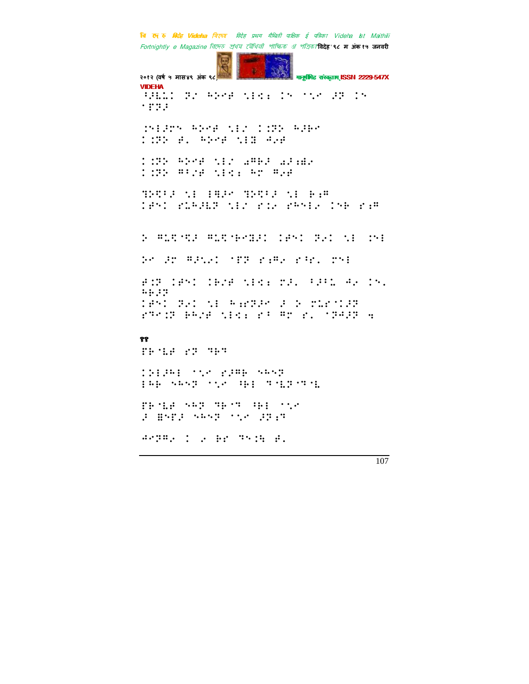**County** × मानुमिह संस्कृताम् ISSN 2229-547X २०१२ (वर्ष ५ मास४९ अंक ९८) **VIDEHA** HALL BY WHE MEAN IN THE SPOIN  $13333$ DIST REE NO DIR RSP THR AL ADAR SIN ANA **THE GREETING AREA ARABY THE WISE SEE: WE WAN** THIS AT THE THIS AT FIR TANT PLAPER NEW PICK PANEL THE PAR S WINNER WINNERING ISN BILL NE MAE Professor SEP Park Professor FOR 1951 IBMP SERVICE, FRED AR IS.  $1.1.17$ TAND RED NE REAR A DO MINIST PROTECTIVE SECTION FOR PLANT PRESS HI 88 *PRODUCE 22 2222* 191391 (156 F288 S483) PHP SPSP TOT HE THETTE TEMP SEP TEM THE MAY F HAPP SHAP TO PRINT **APPRA ( ) ( ) ()** () () () () () ()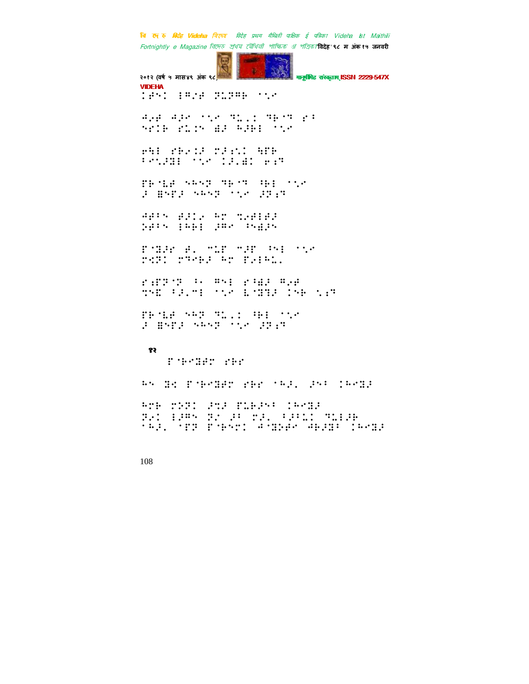

मनूर्वनिह संस्कृतम् ISSN 2229-547X २०१२ (वर्ष ५ मास४९ अंक ९८) **VIDEHA** test fare picae sis

APP APP TO TELL TEST PT SEIR PLIN AR RABE TIP

ehl shell clair him PROBLEMS DR.H. FP

TEME SEST TEM TEL MA F BATE SAST TER BERT

apro pale ar septipa<br>1985 tabl ame solar

ESBAN AL SAPOSAR (1980-1980)<br>1947: 1959-1962 An Eleague

rupe 6 mm rupe ma 54 Guerra Dina Barri

TRINK MP PLOT RESIN

## १२

Tibeder chr

RN BE PORTHER PRESS RNS (POBPBE

ara rogi gre puaga (akog)<br>Gel 1985 ge ga rel again mulga tel, the right and anguar cends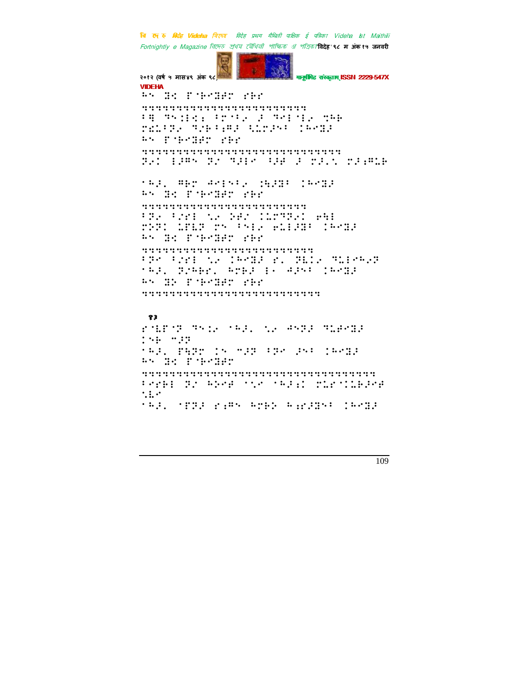**County** २०१२ (वर्ष ५ मास४९ अंक ९८) मानूबंगिह संस्कृताम् ISSN 2229-547X **VIDEHA** BS MA PORTHE SHO \*\*\*\*\*\*\*\*\*\*\*\*\*\*\*\*\*\*\*\*\*\*\*\*\*\*\*\*\* ng asiki ng nasa nan nasam<br>dinang ang nan nanang nan as policier car BAD 1986 BA MARA AWA 2 MARA MARABA tag, mpr acts: Sagno tachi When Published and \*\*\*\*\*\*\*\*\*\*\*\*\*\*\*\*\*\*\*\*\*\*\*\*\*\*\*\*\*\*\*\*\*\*\*\* FRA FORE NA DEC CLOSEAL ANE **MARY AND MARKET PROPERTY OF A 200** W BI POWBE SH \*\*\*\*\*\*\*\*\*\*\*\*\*\*\*\*\*\*\*\*\*\*\*\*\*\*\*\*\*\*\*\*\* FRA FOST NO CHAIR S. PELO PLIANCE **TRAL BIRBY, ROBA EX RANK CRABA** When His Principal Service .................................  $<sup>3</sup>$ </sup>

rare was the control of the minds 155 SI tea, pedicin mad the anticement **WAS SERVICE** Premium and the theory and the theory  $\ddots$ tal, trad rims are agreed target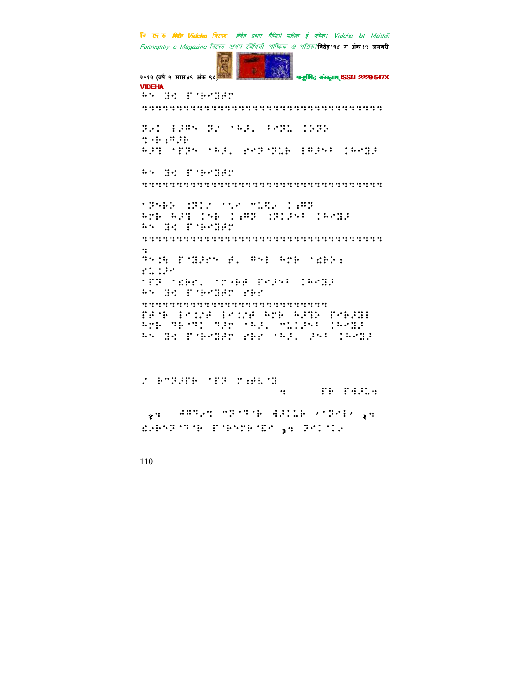```
Fortnightly e Magazine রিদেহ প্রথম মৌথিনী পাক্ষিক প্র পত্রিকা'বিदेह'९८ म अंक१५ जनवरी
२०१२ (वर्ष ५ मास४९ अंक ९८)
                       मानुबंधिह संस्कृताम् ISSN 2229-547X
VIDEHA
WAS SERVED TO A SERVED TO A PROPERTY
SAN HARRY TECHNICAL CONST
11.44 \pm 0.001RPD MERS MRE. PREMEDE ERPS CEREE
WAS SERVICE
SPAN WILL SEE MINE INF
526 529 156 1382 121258 15522
We de recept
This Police A. Thi And Sched
21.124TER TERRITORE POPE IPOSE
When Published and
*************************************
PROP BRIDE BRIDGE AND APPE POBPOR
REFUSE TRINING CREW TELESCOPE
AN BE PORTHER SAS OAR, 2ND CATER
TH PARLA
                     \dddot{\mathbf{r}}SAPPAY MESTER HELLE / SPEAKING
\ddot{\mathbf{S}} :
```
EVENTURE ENFORMED gal Philips

बि एक रु मिनेट Videha विएक विदेह प्रथम मैथिली पाक्षिक ई पत्रिका Videha Ist Maithili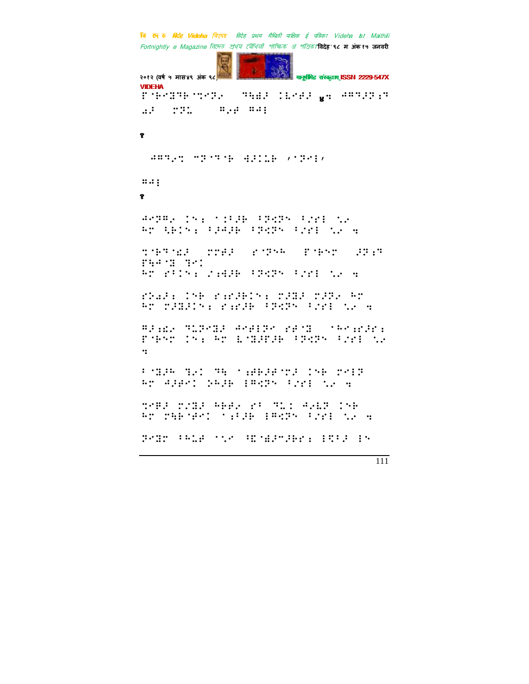बि एक रु मिनेड Videha विएक विदेह प्रथम मैथिली पाक्षिक ई पत्रिका Videha Ist Maithili Fortnightly e Magazine রিদেহ প্রথম মৌথিনী পাক্ষিক প্রাপত্রিকা**'বিदेह'९८ म अंक१५ जनवरी County** × २०१२ (वर्ष ५ मास४९ अंक ९८) मानूबंगिह संस्कृताम् ISSN 2229-547X **VIDEHA** PORTENTES THES CENES WHO ARTEST .... **.......**  $\ddotsc$  $\bullet$ **SARTER MOSTER BEELD / DEE**  $\ldots$  $\mathbf{r}$ 80282 In: 1138 32025 3201 NA AT REINE FRAGE FROM FISE NA A tikansk prek film **SORT STIP** Ph4 (2) (10) AP PICK SHAR PROSPERED SALA rhafi (ne rangelni rgag rgas er PE PARADAR PROP PASA POPULAR A BRANK SUPPRESS APPERDOMENTS ON HORIZON FORST IN: AT LONGED CROPS COOL OF  $\dddot{\cdot}$ POIR TAI THOSHERFOR INFORMIT An Albert SAlbe EAsps Frei Sie A THE TILE WHEN IN TILE WHEN IND An infrastructure (Archivers Co. 4 PART FRIE TOP REMEMBER 1973 IN 111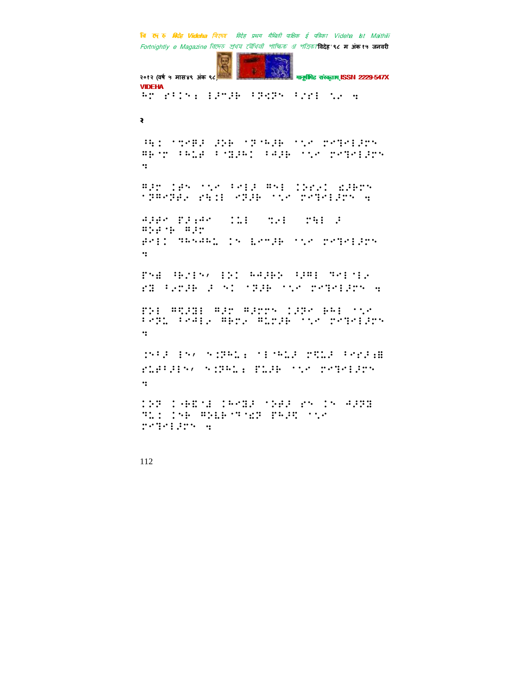Fortnightly e Magazine বিদেত প্ৰথম মৌথিনী পাক্ষিক প্ৰ পত্ৰিকা**'বিदेह'९८ म अंक१५ जनवरी Separate** २०१२ (वर्ष ५ मास४९ अंक ९८) मानुषिह संस्कृताम् ISSN 2229-547X VIDEHA  $F$  And an internal particle and a set of the set of the set of the set of the set of the set of the set of the set of the set of the set of the set of the set of the set of the set of the set of the set of the set of the २ ⢸⣓⣈!⣉⢿⢼!⢼⢵⢷!⢽⢳⢼⢷!⣁!⣙5⢼! ⢻⢷!A⢳⣅⢾!A⣝⢼⢳!A⢺⢼⢷!⣁!⣙5⢼!  $\dddot{\phantom{0}}$ BPD 195 'S CONSIN PRESS ⢽⢻⢽⢾⢴!"⣓⣈5!⢽⢼⢷!⣁!⣙5⢼!⣒! ⢺⢼⢾-2⢼⣐⢺-!⣅5-!⣉⢴5-!⣓5!⢼! ⢻⢵⢾⢷-⢻⢼!  $F$  , the set of the set of the set of the set of the set of the set of the set of the set of the set of the s  $\dddot{\bullet}$ 2⣞!⢸⢷45'!5⢵!⢳⢺⢼⢷⢵!⢸⢼⢻5!⢹55⢴! "⣝!A⢴⢼⢷!⢼!!⢽⢼⢷!⣁!⣙5⢼!⣒! 2⢵5!⢻⣋⢼⣝5!⢻⢼.⢻⢼!⢼⢽!⢷⢳5!⣁! A PRICA RAIL REPLACEMENT CONTRACTOR  $\ddot{\cdot}$ ⣈A⢼!5'!⣈⢽⢳⣅⣐!5⢳⣅⢼-⣋⣅⢼-A"⢼⣐⣟! "⣅⢾A⢼5'!⣈⢽⢳⣅⣐!2⣅⢼⢷!⣁!⣙5⢼!  $\dddot{\bullet}$ ⢵⢽!B⢷⣏⣜!⢳⣝⢼!⢵⢾⢼!"!!⢺⢼⢽⣝! ⢹⣅⣈!⢷!⢻⢵⣇⢷⢹⣎⢽!2⢳⢼⣋!⣁! pede 1991 (1995) (1995)

चि एत् रू मिन्हे Videha निएन्थ विदेह प्रथम मैथिली पाक्षिक ई पत्रिका Videha Ist Maithili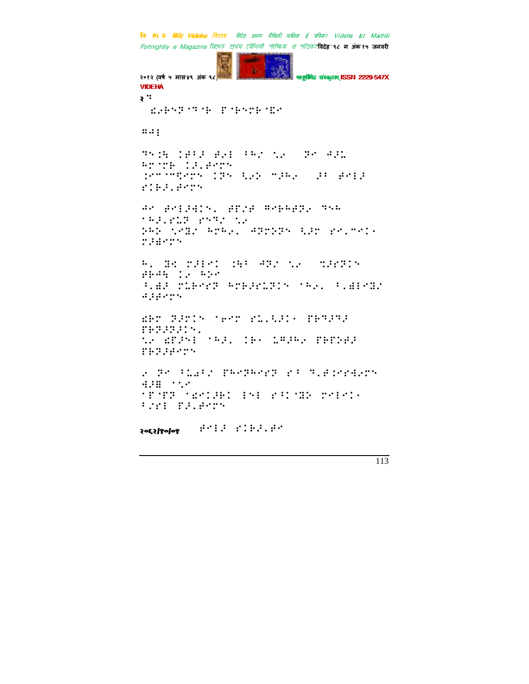```
चि एत् रू मिन्हे Videha निएन्थ विदेह प्रथम मैथिली पाक्षिक ई पत्रिका Videha Ist Maithili
Fortnightly e Magazine বিদেত প্ৰথম মৌথিনী পাক্ষিক প্ৰ পত্ৰিকা'বিदेह'९८ म अंक१५ जनवरी
                  Service
२०१२ (वर्ष ५ मास४९ अंक ९८) मानुषिक संस्कृतम् ISSN 2229-547X
VIDEHA 
२⣒!
 !⣎⢴⢷⢽⢹⢷!2⢷⢷⣏!
::.:⢹⣈⣓!⢾A⢼!⢾⢴5!A⢳4!⣁⢴-!⢽!⢺⢼⣅!
WEIGHTS
[1, 2, 3] [1, 3, 4] [1, 3, 5] [1, 3, 5] [1, 3, 5] [1, 3, 5] [1, 3, 5]"⢷⢼E⢾!
⊣r erlein erre ⊞reepe 95
'EF.ET PART A
⢵⢳⢵!⣁⣝4!⢳⢳⢴E!⢺⢽⢵⢽!⣃⢼!"E[b!
⢼⣞!
⢳E!⣝⣊!⢼5!⣈⣓A!⢺⢽4!⣁⢴-!⣉⢼"⢽!
⢾⢷⢺⣓!⢴!⢳⢵"!
^+ Edit scheef behaving the filmen
⢺⢼⢾!
⣎⢷!⢽⢼!⢶!"⣅E⣃⢼b!2⢷⢹⢼⢹⢼.
2⢷⢽⢼⢽⢼E!
⣁⢴!⣎2⢼5!⢳⢼E!⢷b!⣅⢻⢼⢳⢴!2⢷2⢵⢾⢼.
2⢷⢽⢼⢾!
\sim Probable propriet in the product.
⣚⢼⣟!⣁!
22⢽!⣎⢼⢷!55!"⢸⣝⢵!5b!
A4" FELENTS
२०६२/१०/०१-!⢾5⢼."⢷⢼E⢾!
```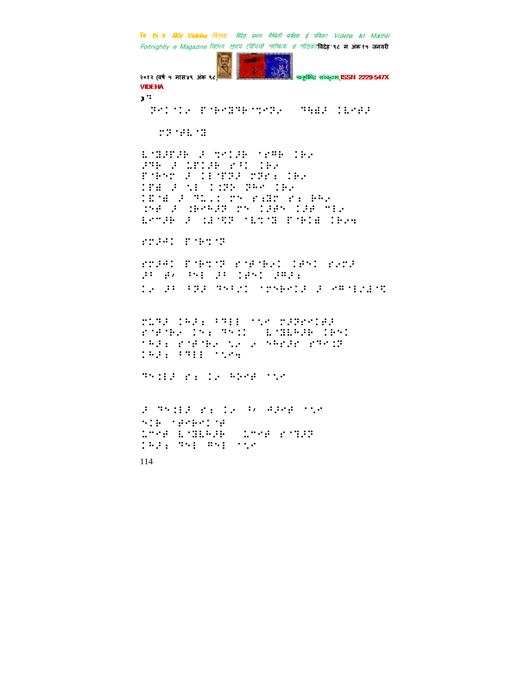```
Fortnightly e Magazine রিদেহ প্রথম মৌথিনী পাক্ষিক প্রাপত্রিকা'বিदेह'९८ म अंक१५ जनवरी
                   Service
                     ø.
२०१२ (वर्ष ५ मास४९ अंक ९८)
                             मानुबंधिह संस्कृताम् ISSN 2229-547X
VIDEHA
\overline{\mathbf{3}} :
 SECTION EMPRESHMENT COMMUNICATION
   27.96.13
EMBRE PAND YAR 18
FR FAMILY CON
bûsê Jiliyayîran (p.
ITE 2 ME LIPP PRO IB2
IESE 2 TULL DY KARD KA PRZ<br>IMPORTANCE DY 1285-128 TEZ
1890 S MARS SEAR PAIR TEAM
rnaal Pobron
PTPHI PORTS PORTRAINING PATP
30 B, 051 30 1851 3031
TA AR REPORTED TEMPORE PORTEDENT
STARP (1923) PREES TO STREP DER S<br>STARPES (1933) ROSES (1838-280) DESC
TREE PORTER NATA SPEED PROCE
143:131:132:142This recovered the
F Thill ridge to Alaper the
SIB SPORTING
the children will child
page was made the
114
```
बि एक रु मिनेड Videha विएक विदेह प्रथम मैथिली पाक्षिक ई पत्रिका Videha Ist Maithili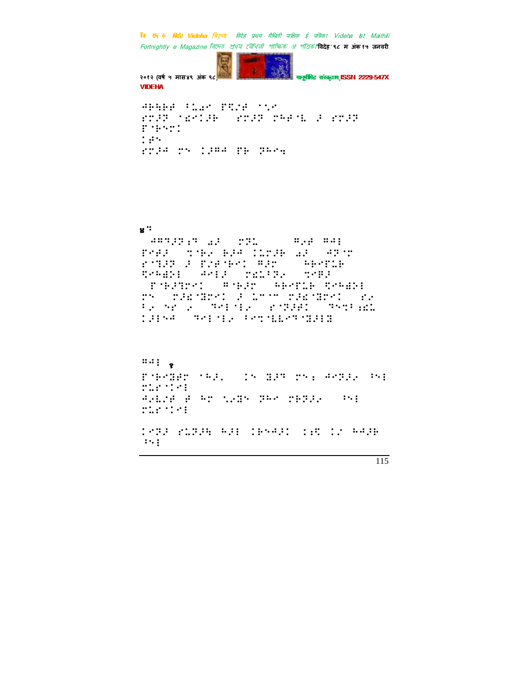> **Service** ø.

२०१२ (वर्ष ५ मास४९ अंक ९८) मानुबंधिह संस्कृताम् ISSN 2229-547X **VIDEHA** 

APARA CLAM TRIA MIN FTAR TERLAR (FTAR THETE A FTAR r (Fort  $\vdots$  :  $\vdots$ 8724 Th 1284 Th 2604

 $\mathbf{g}$   $\mathbf{B}$ 

 $\begin{array}{ccccccccc} \texttt{diff} & \texttt{diff} & \texttt{diff} & \texttt{diff} & \texttt{diff} \end{array}$  $\mathbb{R}^n$  ,  $\mathbb{R}^n$  and  $\mathbb{R}^n$ PART TORK REACTION ARE ANYON rodad a poróbol ear ("Abop)<br>Songal ("Aola" relata ("Songa  $\frac{1}{2}$  :  $\frac{1}{2}$  :  $\frac{1}{2}$  :  $\frac{1}{2}$  :  $\frac{1}{2}$  :  $\frac{1}{2}$  :  $\frac{1}{2}$  :  $\frac{1}{2}$  :  $\frac{1}{2}$  :  $\frac{1}{2}$  :  $\frac{1}{2}$  :  $\frac{1}{2}$  :  $\frac{1}{2}$  :  $\frac{1}{2}$  :  $\frac{1}{2}$  :  $\frac{1}{2}$  :  $\frac{1}{2}$  :  $\frac{1}{2}$  :  $\frac{1$ **TEST STATE ALLEY CONSTRUCT** an Savaret Flore albumit by<br>Pront rolled the actual Sharpar **THE CONSTRUCTION OF THE CONSTRUCTION** 

 $\cdots$ :

PORTHER SALE IN HIM THE AMPIRE AND  $\mathbb{P}(\mathbb{R}^d) \cong \mathbb{R}^d \cong \mathbb{R}^d$ APEND B AT NPBS PAR TERRIT SAI  $\begin{minipage}{.4\linewidth} \begin{tabular}{l} \multicolumn{2}{c}{\textbf{\textit{2}}}\\ \multicolumn{2}{c}{\textbf{\textit{2}}}\\ \multicolumn{2}{c}{\textbf{\textit{2}}}\\ \multicolumn{2}{c}{\textbf{\textit{2}}}\\ \multicolumn{2}{c}{\textbf{\textit{2}}}\\ \multicolumn{2}{c}{\textbf{\textit{3}}}\\ \multicolumn{2}{c}{\textbf{\textit{2}}}\\ \multicolumn{2}{c}{\textbf{\textit{2}}}\\ \multicolumn{2}{c}{\textbf{\textit{3}}}\\ \multicolumn{2}{c}{\textbf{\textit{4}}}\\ \multicolumn{2}{c}{\$ 1893 R1935 R31 (185831 135 12 R836

 $\cdots$ 

 $\frac{115}{115}$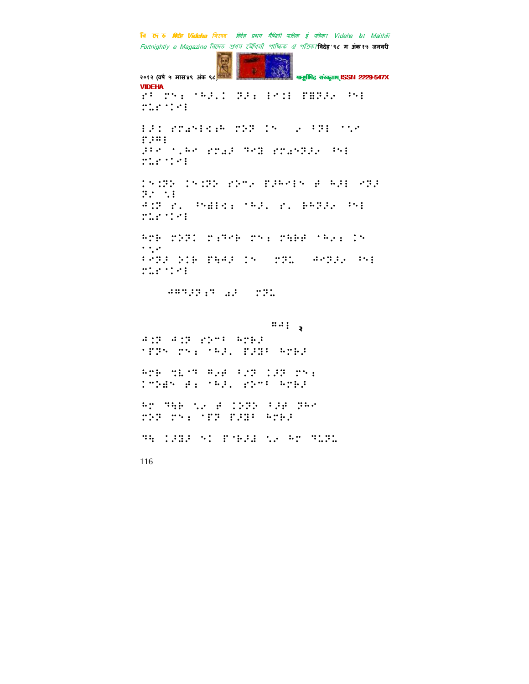**Separate**  $\mathbf{0}$ मानूबंगिह संस्कृतम् ISSN 2229-547X २०१२ (वर्ष ५ मास४९ अंक ९८) **VIDEHA** FULLER CRAIN TABLES IN THIS SEE mar tiet EFI PRAMERAM PRESING SCHEENING  $1.101$ Province Prak Polician Province mar tier INDRED INDRED BROWN BRACK BOARD ARE  $22.521$ AND PLOTEHERS TRAVEL BRAZE THE mar tiet RTE TIZZ TITE THI THE MARI IN  $\gamma$  ,  $\gamma$ FRIE NIE PART IN STRIE ARTIK PA mar tiet **ABSIS AND STATE**  $\cdots$ **ANY ANY PET ATES STORY THE SALE TIME ATES** App of C Hpd (20 128 pm) Independent of the Second Second 87 THE 12 # 1222 THE 285 THE TAIL THE HIGH WORLD WE CHAIN THE SAN WILL 116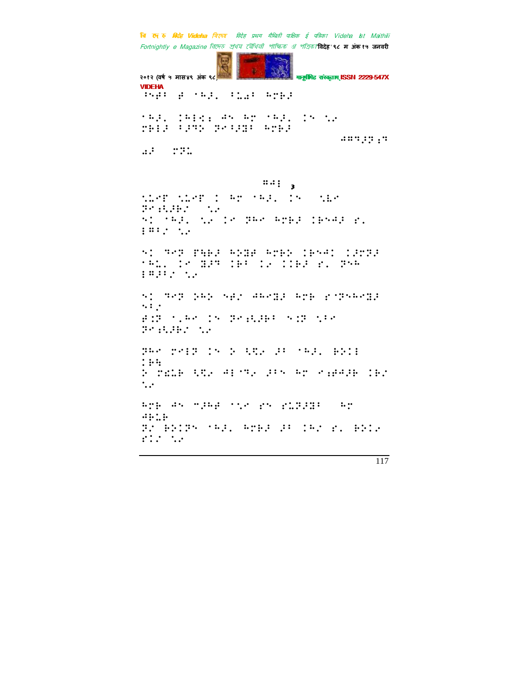**Service**  $\mathbf{0}$ मनूर्वनिह संस्कृतम् ISSN 2229-547X २०१२ (वर्ष ५ मास४९ अंक ९८) **VIDEHA** steps postup, single appl 182. IBENE AN BEVORA. IN NA<br>BEEA FARA BROADE BEEA  $489.19.19$ 

 $\mathbb{R}^2 = \mathbb{R}^2$ 

 $x_i$ 

MAP MAP I BE SEAT IN THE  $\ddotsc$ Produktion NI TRE, NA TRUPPE ROBE IBNAD B.  $1007 - 100$ SI THE PARE ANGE ANDN IDNAI IDNED tell in Ham infoile lina alogue  $\frac{1}{2}$   $\frac{1}{2}$   $\frac{1}{2}$   $\frac{1}{2}$   $\frac{1}{2}$   $\frac{1}{2}$   $\frac{1}{2}$   $\frac{1}{2}$   $\frac{1}{2}$   $\frac{1}{2}$ SI THE PAP SEA PROBLEMS FOR POPPORT  $\sim 1/\sqrt{2}$ FOR TIRE IN BEAUTH NOR NEW Probable to PHOTOGRAPH 15 NORTH PROFESSION  $: \mathbb{R}$ Pornie tra Alcha discussioned and teach  $\dddot{\phantom{0}}$ Ara An make the rn rugger (Ar  $49.16$ BY BRIBY THE AMBE SA IRV B. BRIE  $\mathcal{L}^{\text{L}}\mathcal{L}^{\text{L}}\mathcal{L}^{\text{L}}$  ,  $\mathcal{L}^{\text{L}}\mathcal{L}^{\text{L}}$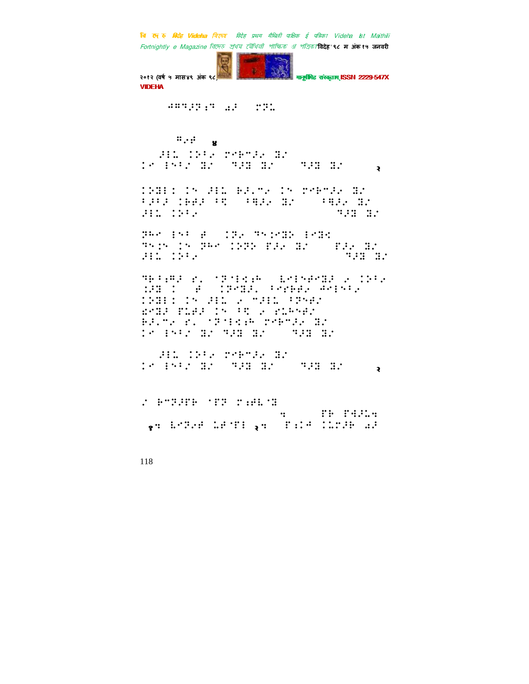मानूसीमेह संस्कृताम् ISSN 2229-547X २०१२ (वर्ष ५ मास४९ अंक ९८ **VIDEHA** 

**ABSER AS STA** 

 $\mathbb{R} \cdot \mathbb{R} = \mathbb{R}$ 

Hilliers reemed an **18 HORE THE END THE EN**  $\overline{\mathbf{z}}$ 

1988: 15 BIL BRUTA IS POPTRA BY<br>FREE IBBR FROUGHAM BY OUTBRACH  $-142.422$ 732 00 **SEL 1232** 

PRO 159 # (1P) Think Point Thin in The 1979 Fax In ( Fax In **BEL 1992** 720 02

 $\begin{array}{cccccc} \mathbf{W} \vdash \mathbf{r} \mathbf{W} & \mathbf{r} & \mathbf{r} & \mathbf{r} \mathbf{W} \vdash \mathbf{r} & \mathbf{r} & \mathbf{r} & \mathbf{r} \mathbf{W} \mathbf{W} \mathbf{W} \mathbf{W} \mathbf{P} \mathbf{P} \mathbf{P} \mathbf{P} \mathbf{P} \mathbf{P} \mathbf{P} \mathbf{P} \mathbf{P} \mathbf{P} \mathbf{P} \mathbf{P} \mathbf{P} \mathbf{P} \mathbf{P} \mathbf{P} \mathbf{P} \mathbf{P} \math$ TRHET IN HE 2 MILL FRAME BOIL TELEVIS AT SCALENCE aguna au chhaige chémag an 18 PHP BP THE BP - THE BP

**BIL CHA TERMA IN** De 1992 AN CREATE AND CREATE  $\overline{\mathbf{z}}$ 

**A MONEY CONSTRUCT TH PARL:** se brage warm se office conde ad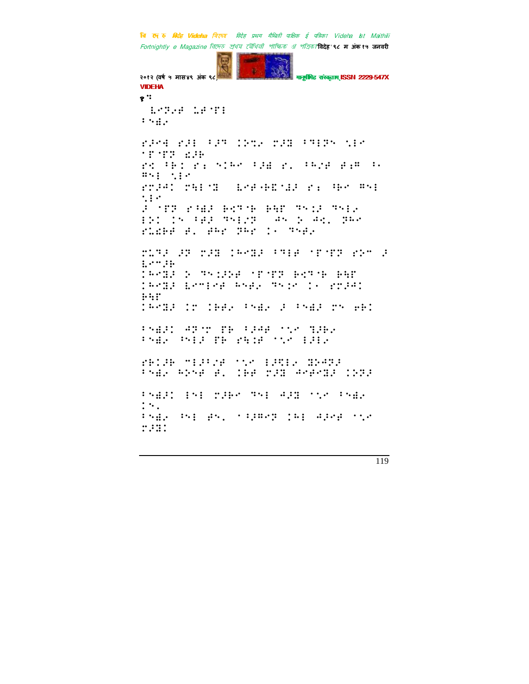```
चि एत् रू मिन्हे Videha निएन्थ विदेह प्रथम मैथिली पाक्षिक ई पत्रिका Videha Ist Maithili
Fortnightly e Magazine বিদেত প্ৰথম মৌথিনী পাক্ষিক প্ৰ পত্ৰিকা'বিदेह'९८ म अंक१५ जनवरी
                                 Service
२०१२ (वर्ष ५ मास४९ अंक ९८) मानुषिक संस्कृतम् ISSN 2229-547X
VIDEHA 
\ddot{\mathbf{S}} :
 !⣇⢽⢴⢾!⣅⢾25!
A \sim H"���"��"��! "���"���! "���"��! "���"��! "���"��! "���! "���! "���! "���! "��
22⢽!⣎⢼⢷!
"⣊!A⢷⣈!"⣐!⢳!A⢼⣞!"E!A⢳4⢾!⢾⣐⢻!⢸b!
⢻5!⣁5!
"⢼⢺!⣓5⣝0!⣇⢾B⢷⣏⣜⢼!"⣐!⢸⢷!⢻5!
\cdot.:
⢼!2⢽!"⢸⣞⢼!⢷⣊⢹⢷!⢷⣓2!⢹⣈⢼!⢹5⢴!
5 : \frac{1}{2} : \frac{1}{2} : \frac{1}{2} : \frac{1}{2} : \frac{1}{2} : \frac{1}{2} : \frac{1}{2} : \frac{1}{2} : \frac{1}{2} : \frac{1}{2} : \frac{1}{2} : \frac{1}{2} : \frac{1}{2} : \frac{1}{2} : \frac{1}{2} : \frac{1}{2} : \frac{1}{2} : \frac{1}{2} : 
"⣅⣎⢷⢾!⢾E!⢾⢳".⢽⢳"!b!⢹⢾⢴!
⣅⢹⢼!⢼⢽!⢼⣝!⢳⣝⢼!A⢹5⢾!22⢽!"⢵[!⢼!
\vdots ....
 ⢳⣝⢼!⢵!⢹⣈⢼⢵⢾!22⢽!⢷⣊⢹⢷!⢷⣓2!
[56, 76] [56, 76] [56, 76] [56, 76] [56, 76]:^{\prime} . And the state of the state of the state of the state of the state of the state of the state of the state of the state of the state of the state of the state of the state of the state of the state of the state of t
ASED ANN THE SPACE TO THE
ANG PAGE PERSONAL PRO
"⢷⢼⢷![5⢼A4⢾!⣁!5⢼⣋5⢴!⣝⢵⢺⢽⢼!
A⣞⢴!⢳⢵⢾!⢾E!⢷⢾!⢼⣝!⢺⢾⣝⢼!⢵⢽⢼!
ASER (1955) THE STATE OF STATE STATE OF STATE STATE STATE STATE STATE STATE STATE STATE STATE STATE STATE STATE STATE STATE STATE STATE STATE STATE STATE STATE STATE STATE STATE STATE STATE STATE STATE STATE STATE STATE ST
\mathbb{R}^nA⣞⢴!⢸5!⢾E!⢸⢼⢻⢽!⢳5!⢺⢼⢾!⣁!
⢼⣝!
```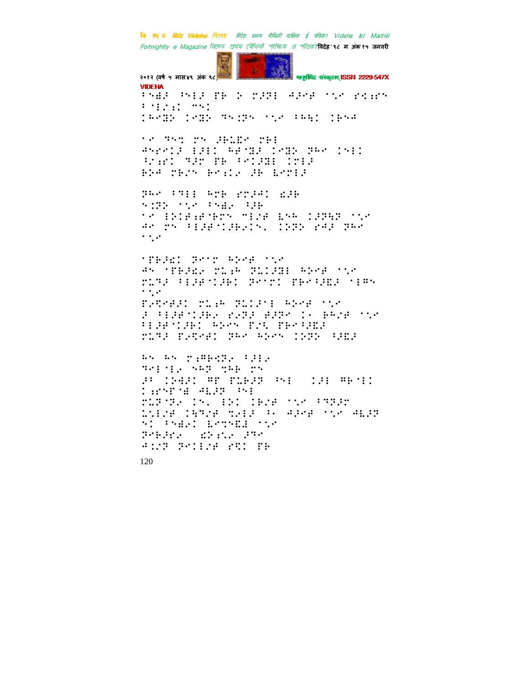

**VIDEHA** PART PHILIPS & TIPE AIRS the reach  $3.31212.7922$ TRANS TANK TRIPS TO STREET IRRA

**SP TAT TA BELEY THE** ANYMIA ESEI REMES IMBN 288 INEI Road Mar Be Polage (2013) BDA MB25 BRADA AB BRM13

gar (91) and role: 230  $5.135 \cdot 100 \cdot 154.0 \cdot 136.$ tro Balearders Mize LSA (2000 tir 48 PS FEDERICAL INFL PAR PRO  $\cdot$  ...

**MIRRE POST PROF COM** An TEACH TIGH TILLED ANNE TIM MIRE FEEDYLED BRYMI PROGRESSION  $\cdot$  .  $\cdot$ BARANG MARATING PARA TA F FIFFITED KORE BERK IN BROB TOM

HIRTIBI AND TH THOURS TITE PARTED THA HEAR INTE SHIP

an an pissipil file Service Sap gar gs. **JP INGED ME PLEAR PNE (1JE MENEI THORTH ALAR PAI** rupthe changed the the street Diaze (ST28 m213 S) Alex tir AL22 **SI PSERI ESTREE TIS** Prish, driv PP **ANT POINT PU TE**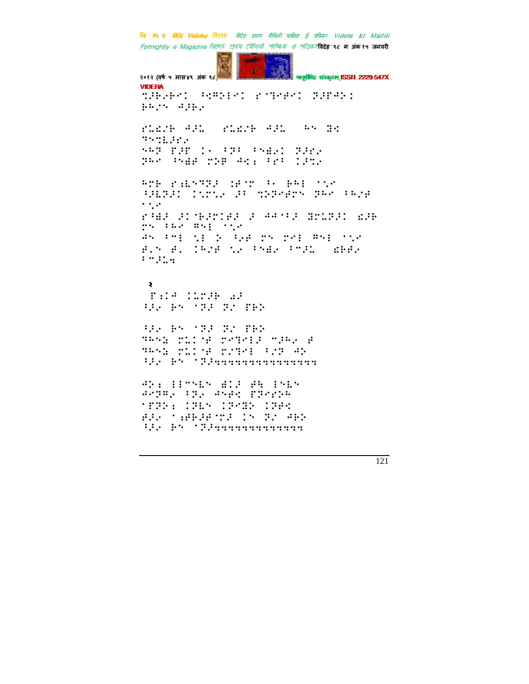**COMPANY** स्त्र ।<br>अपनी अनुमीह संस्कृतम् ISSN 2229-547X  $\mathbf{S}$ २०१२ (वर्ष ५ मास४९ अंक ९८) **VIDEHA** MARGARY PORTICE PORCHOL BAPARI parts added rinch All (rinch All An Br  $\mathcal{H}^1(\mathcal{M}) \simeq \mathcal{H}^1(\mathcal{M}) \simeq \mathcal{H}^1(\mathcal{M})$ eer rin is op oeki gers THE PAGE THE ART PER IPT. RTE PALSTIE METROPOLIS ERE TOP SHIPPI TEMPLA DA MERGAMA DAGA AASA  $\cdot$  ... rar aveante a esta druga dae graduated and competition 45 PM SE S GRE TS TRE #51 MSP E.S.E. CROB NE PABE PORL (BBEE  $5.9211$  $\ddot{\mathbf{z}}$ (Talf Close as)<br>As en 193 de Ten **BE BY THE HE HEN** HAND PLINE PATALL MIRE # TRAG PLICE PUTFI FUR AR **II. By THERMANNESSE** #P: HPMEN #DP #W INEN Agon, the Andel Morrie

**MINE CHA CREE CHA** Bis tampeter is prompt **ALL BY ANDERSTATIONS**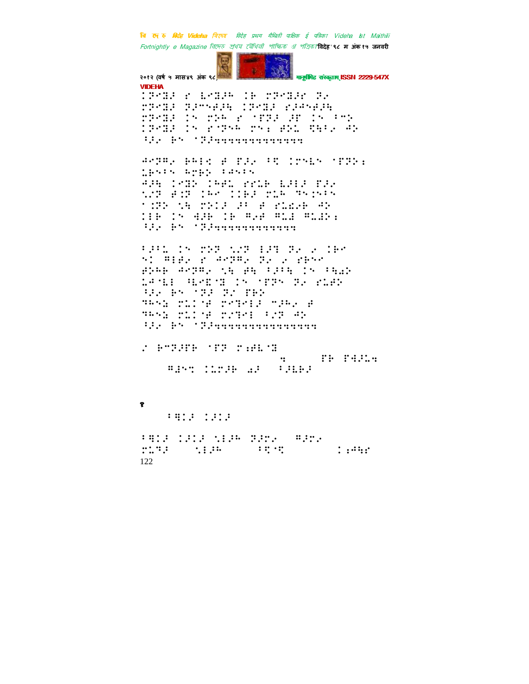

२०१२ (वर्ष ५ मास४९ अंक ९८) **VIDEHA** 

मानूबंगिह संस्कृताम् ISSN 2229-547X

TRANS POLARUM IN CRANK RA TP-BE RESERVITED FEASER ranga in remorstra ar 1899.<br>1989 in ream rhiofel amas ar **BE BY TRESSESSESSES** 

Arport Belg B Bld (S Crnbr (PB); gasts agap fasts APR TRIP TARE RELEASED FRA WE BE INTITE THE TATHE tich im chia an e righe en **CONTRACTE TO HAR HIS HIST. AND AND AND AND AND ADDRESS TO A REPORT OF A STATE OF A REPORT OF A STATE OF A REPORT OF A STATE OF A REPORT** 

FRED IN THE NAT ERE TANK INT SI ALAR PURPA DRUPANS gyap depay ng ga tita ne tauk 1976: Republic Cross P. 2195<br>PRO Brothe P. Paten HANG TILLER TRIPER MARK # BRAN PLICE PUBLICE RD AR **Will by STRAGGAGGAGGAGGAGG** 

**TH PARTS**  $\ddot{\mathbf{u}}$ With Mirik AP (Mike

 $\mathbf{S}$  $-1412 - 1212$ 

**SHOP CONSTRUCTS SHOP**  $\therefore$   $\therefore$   $\therefore$   $\therefore$   $\therefore$   $\therefore$   $\therefore$   $\therefore$   $\therefore$   $\therefore$   $\therefore$   $\therefore$   $\therefore$   $\therefore$   $\therefore$   $\therefore$   $\therefore$   $\therefore$   $\therefore$   $\therefore$   $\therefore$   $\therefore$   $\therefore$   $\therefore$   $\therefore$   $\therefore$   $\therefore$   $\therefore$   $\therefore$   $\therefore$   $\therefore$   $\therefore$   $\therefore$   $\therefore$   $\therefore$   $\therefore$   $\therefore$ 122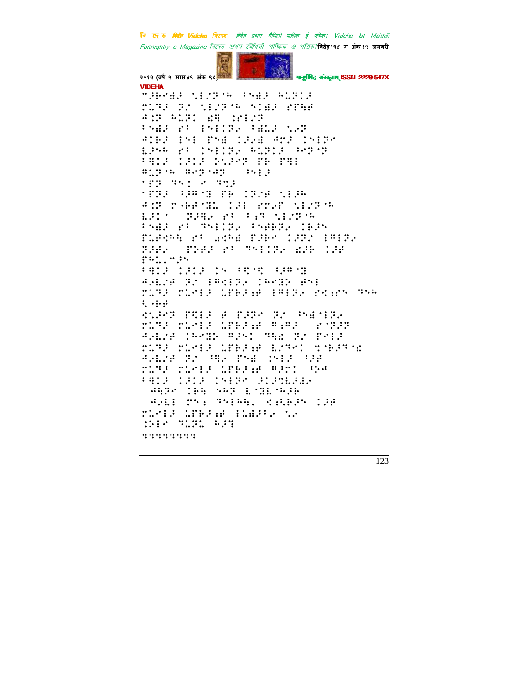

**VIDEHA** 

runa da siadhe sin anns WIP WIP: 28 SPIER PARE PROPERTY PALE NAT ATES INF PNE TSSE AMS TNIRK 1255 21 1 **MARY BIRD BERGE FRIDAY STAR START PROPERTY Big Sections**  $\cdots$  : 182 351 5 352 **TERPORTE EN 1928 SIDE** 43 reful DA Stat S1284 ERIT BREACH FERINDEN PART FOURNIER PARRE IRR PLACHE 27 ACHE PJEC 1332 18132 BHA THE PURSIER WHITE PR1.725 **FRIDAY IN SECTION CONTROL** ARENE TA IMAITA INAMA BAI MITA MISLA LEBAGA 1813. MEGUNUTNA  $\ddot{z}$  .  $\ddot{z}$  . KNAT PRIS # PARK TV PARTIE rona rona cheala mima (2000 ARENE CRASS WORLDWERE TO PAID nis nida umaw kato teasa AGUSA SI ABA SHE INTE AGA ring ridge indeed ward the FALE CELE CREPT FLEDERER **AND TH SAT LINE SAM ARD THE THEAD RIGHTS INF** roth main fails to **SEP 3131 833** ..........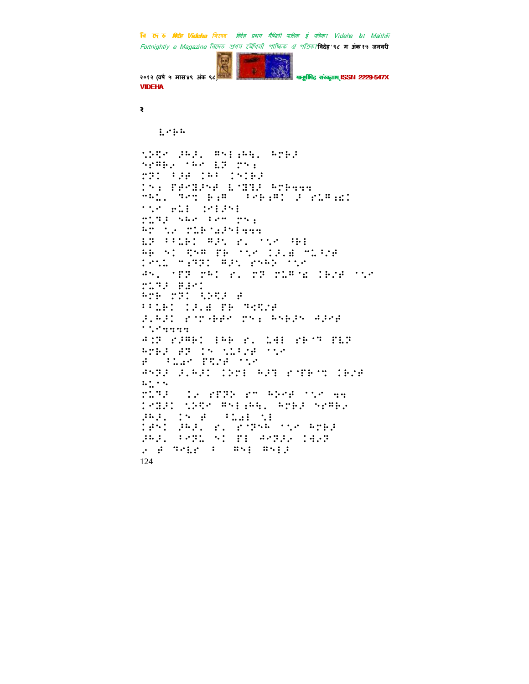

२०१२ (वर्ष ५ मास४९ अंक ९८) मानुबंधिह संस्कृताम् ISSN 2229-547X **VIDEHA** 

 $\mathbf{R}$ 

 $\mathbf{L} \cdot \mathbf{P}$ 

1988 (B), Welgham, Arad Speak the age por **PRI FRE INF INTER** In: Perlane Lolla Arbaan MALL RET BAR (PERHIT 2 SLRAND the ell person ping and company Write first articles 12 FILM MAN RUCCHA (181)<br>14 ST RSM PROTOKOLAGE MIRAR this chart was held the ANI TER PAI PL PR PLATE IBJE TUT mine Bard 878 771 1302 S **BELL CO. BELL TENNE** diad: remade pra angle ding **CONTRACTOR** AND RIPE: IPE R. 181 RETT FLP POBLE BROOK SILLER TOP # Plan Plat tin ANDER ELAET (1923) APROXIMATE MODELLA  $\mathbb{Z}^n_{\text{loc}}$  . PLAS (12 PERP PT PROF TO SA **TRIED NAMES AND DRIVE SEARCHER** ama, 18 e (film) ne.<br>1981 ama, ri romam che mpea PART FROM STORE ARTIC 1427  $\frac{1}{2}$   $\frac{1}{2}$   $\frac{1}{2}$   $\frac{1}{2}$   $\frac{1}{2}$   $\frac{1}{2}$   $\frac{1}{2}$   $\frac{1}{2}$   $\frac{1}{2}$   $\frac{1}{2}$   $\frac{1}{2}$   $\frac{1}{2}$   $\frac{1}{2}$   $\frac{1}{2}$   $\frac{1}{2}$   $\frac{1}{2}$   $\frac{1}{2}$   $\frac{1}{2}$   $\frac{1}{2}$   $\frac{1}{2}$   $\frac{1}{2}$   $\frac{1}{2}$  124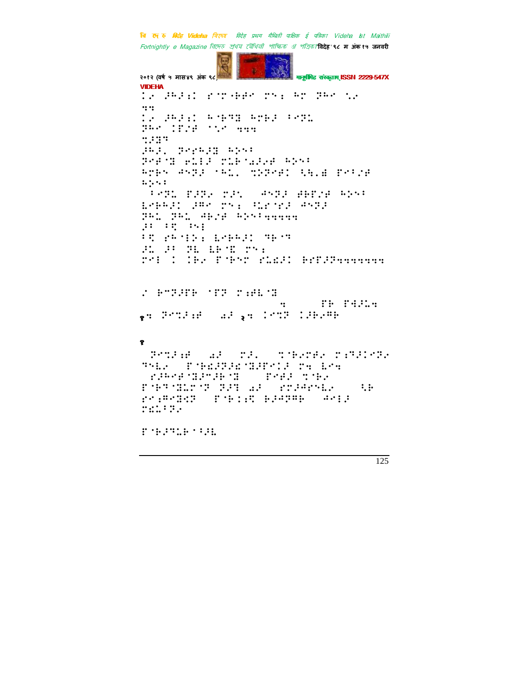**Service** 募 २०१२ (वर्ष ५ मास४९ अंक ९८) मानूबंगिह संस्कृताम् ISSN 2229-547X **VIDEHA** To PAPEL POTABA The AT PAR No  $\cdots$ **MARINE BARBARA PARA PARA PERSONA PERSONA PERSONA PERSONA PERSONA PERSONA PERSONA PERSONA PERSONA PERSONA PERSONA PER** 368 MM TV 333  $2.132$ 353. Pre538 5553 Berg all will wale by t Ares Aspr (AL, SPP-81 AR,d Price  $1.1411$ **SPECIFIED TEL SAMPLE BETTE BOAT** ESPAIL PROTOCE RESERVED 301 301 ABSE BROGHNAM  $\begin{bmatrix} 1 & 1 & 1 & 1 \\ 1 & 1 & 1 & 1 \end{bmatrix} \quad \begin{bmatrix} 1 & 1 & 1 \\ 1 & 1 & 1 \end{bmatrix}$ **PE PRODUCTIONS ENTITLES**  $\mathcal{H}_\mathrm{c}$  ,  $\mathcal{H}_\mathrm{c}$  ,  $\mathcal{H}_\mathrm{c}$  , i.e. if  $\mathcal{H}_\mathrm{c}$  ,  $\mathcal{H}_\mathrm{c}$  , rel (1) He Forest field references *POSTER 199 266 18* **TH PARL:**  $\dddot{\bullet}$ ga Pontak (af ga 1958-1969)B s. Professor al control optimized pendicipal THE PHESSENTS TO EN **MARKETHER SERVICE** FORTUNE THE SECOND SERVE SERVE reacher foring parage and mada Pak

PORTHOL: 1991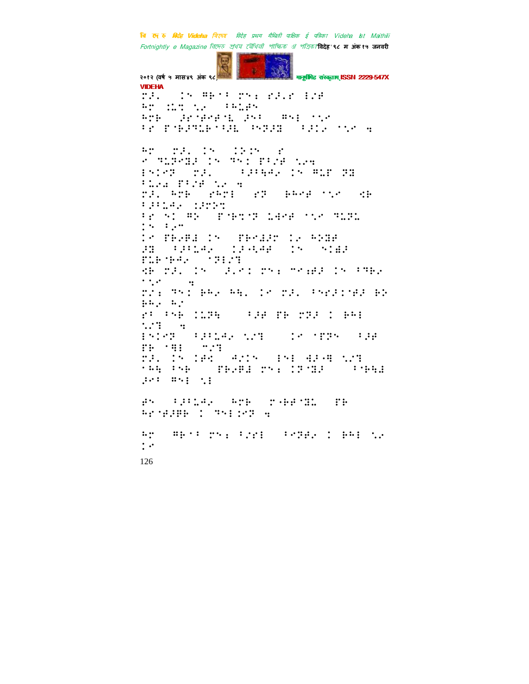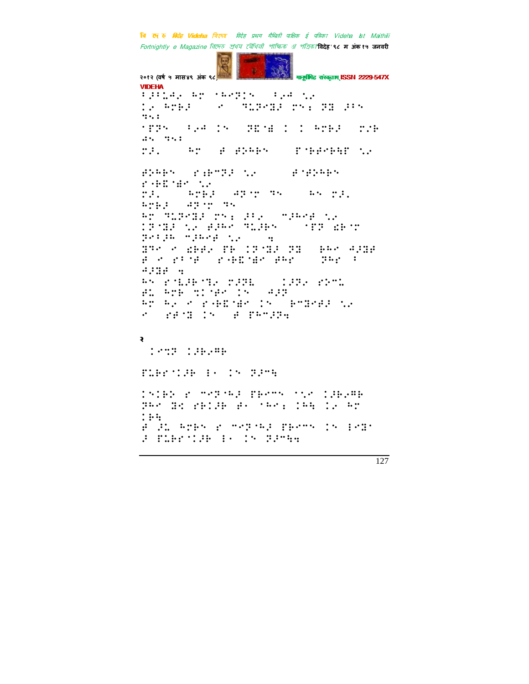**Service** 

 $\psi$ २०१२ (वर्ष ५ मास४९ अंक ९८) मानूबंगिह संस्कृताम् ISSN 2229-547X **VIDEHA** PERSONAL PROPERTY CONTROL  $1.5 - 5.7977$ **Second State Construction**  $\cdots$ : **MERK PARK IN SERVE I I REPART TIME**  $\mathbf{a} \mathbf{b} \mathbf{c} = \mathbf{b} \mathbf{b} \mathbf{c} \mathbf{c}$ ra. Ar e expert creeder to BRANCH BRANCH CH a na katika m PORTHE NA  $\mathbb{R}^{3}$ . Apple (49.99.39) RE SUPPORTUNAL PRAY COPPORTUN **IFAR A BRAINER (1978)** perpaction and the  $\dddot{\mathbf{r}}$ BTM A BEFA TE LIMBA PRO ERM ANDE Borney Parker Brand Star C  $4338 - 4$ an political plan. (1982) prod.<br>Bloade dictes in 1998 RESPONSE PORTUGALISM (POINTRIALISM) **CONSTRUCTION OF PROPERTY**  $\ddot{\mathbf{z}}$  $1.992 - 1.381998$ FLEETIGE IS IN BINE INDEX POSTER TECTS TO IRESTE PRO BO PRIPR BY TROLING IN RD  $: \mathbb{N}$ # 21 Apps r mediad frems is refr **S MIRTIAN BY THE BASE**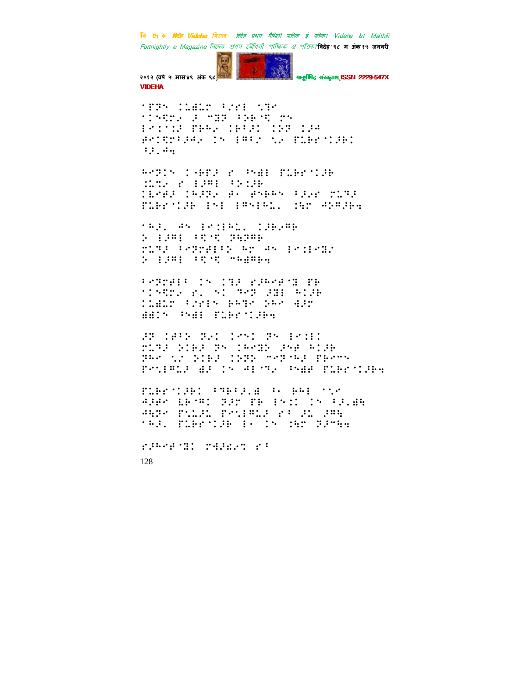

२०१२ (वर्ष ५ मास४९ अंक ९८) मानूबंगिह संस्कृताम् ISSN 2229-547X **VIDEHA** 

**SPPS CHILE FACE STR** SIMPLE A MORTANHAR PY<br>Existi PHAZ (BAA) 197-194 Belghad, 15 BAR (20 FLBrolder  $\cdot \cdot \cdot \cdot$ 

RED CHEF P PHI BURYOR **MARK # 1991 (1919)** TERRATORREA ARTAGRAR ARRA MINE FLEETISE ENE EANIALL SAM ANASHA

tel, an indied, liber 3 1281 1373 24281 ring cepreces ar as centerr **S HOWE PROTH THERE!** 

PROPERTY IN THE PARRENT TE tiver. F. S. Ter am Wile TLEDT FOSTA BRID DRA 420 AAIN PAIL PLEYTIES

ST TARR TRI IMMI TH BRIED ring SIR 35 (Bell 258 Bill PRO NO RIBR INPROVEMENT PROVS Priesta ar in Alche char pierniem

FLEETING PRESIDE BY BEE TOO APPA LEARD TOP TE ENDING SPOKER ANDRE MANAGEMENT AND ANN **TAS, PLAYTIAN EX IN TAT SPOAR** 

ribertil relard ri 128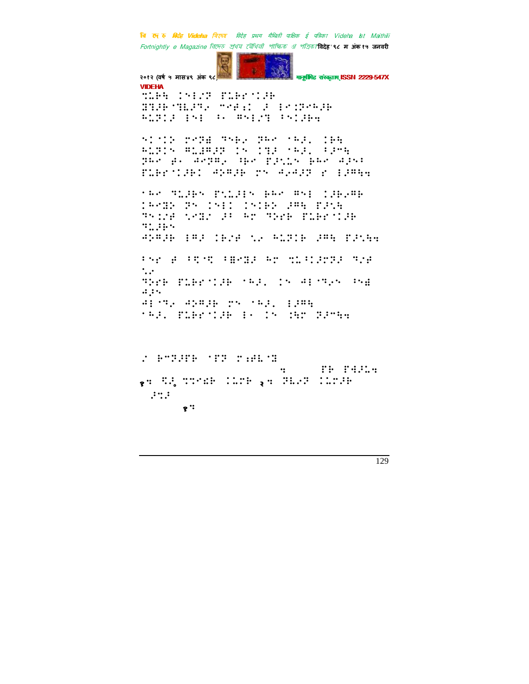

VIDEHA

⢳⣅⢽!⢻⣅⣜⢻⢼⢽!!⣙⢼!⢳⢼E!A⢼[⣓!! ⢽⢳!⢾b!⢺⢽⢻⢴!⢸⢷!2⢼⣁⣅!⢷⢳!⢺⢼A! 2⣅⢷"⢼⢷!⢺⢵⢻⢼⢷!!⢺⢴⢺⢼⢽!"!5⢼⢻⣓⣒!

⢳!⢹⣅⢼⢷!2⣁⣅⢼5!⢷⢳!⢻5!⢼⢷⢴⢻⢷! ⢳⣝⢵!⢽!5!⢷⢵!⢼⢻⣓.2⢼⣁⣓!! ⢹⣈4⢾!⣁⣝4!⢼A!⢳!⢹⢵"⢷!2⣅⢷"⢼⢷! ⢹⣅⢼⢷! ⢺⢵⢻⢼⢷!5⢻⢼!⢷4⢾!⣁⢴!⢳⣅⢽⢷!⢼⢻⣓.2⢼⣁⣓⣒!

A NY AOSIMPADIN'ILAY AMPERING AMPERIKAN ARABAN ARABAN ARABAN ARABAN ARABAN ARABAN ARABAN ARABAN ARABAN ARABAN <br>Ayan  $\dddot{\bullet}$ ... ⢹⢵"⢷!2⣅⢷"⢼⢷!⢳⢼E!!⢺5⢹⢴!⢸⣞!  $\mathbf{a}$  ,  $\mathbf{a}$ ⢺5⢹⢴!⢺⢵⢻⢼⢷!!⢳⢼E!5⢼⢻⣓!  $^+$  E. E. E. T. E. I. T. E. T. E. T. E.

```
4!⢷[⢽⢼2⢷!2⢽!⣐⢾⣇⣝!
```
hhbkfoesbAwjefib⣒dpn!2⢷!2⣚⢼⣅⣒!! १⣒!⣋⢼॰ ⣉⣉⣎⢷!⣅⢷!२⣒!⢽⣇⢴⢽!⣅⢼⢷!  $\therefore$  $\ddot{\mathbf{r}}$  :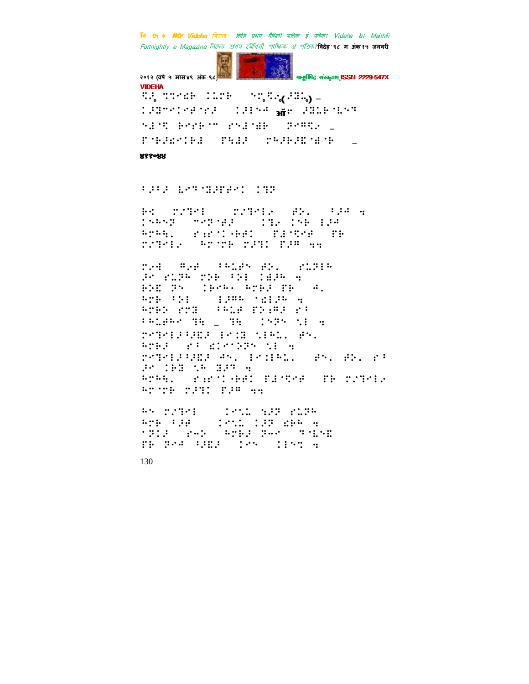**START** 

 $\mathbf{g}_i$ मानुमिह संस्कृतम् ISSN 2229-547X २०१२ (वर्ष ५ मास४९ अंक ९८, **VIDEHA** ER TTORE COTE STRENGER, -1985-1-88 YEAR OLD FROM WELL SELECTION SESTERING PSEMBOOKS L rdenced fall celescade \_ **XSSORK** 

**FRAME ROOMS AND RESIDENT** 

Bd rather rather By (194 m 15958 (2019) 342 (2019) 1995 1996  $i,j,i,j$ **CONSTRUCT**  $\frac{1}{2}$   $\frac{1}{2}$   $\frac{1}{2}$   $\frac{1}{2}$   $\frac{1}{2}$   $\frac{1}{2}$   $\frac{1}{2}$   $\frac{1}{2}$   $\frac{1}{2}$   $\frac{1}{2}$   $\frac{1}{2}$   $\frac{1}{2}$   $\frac{1}{2}$   $\frac{1}{2}$   $\frac{1}{2}$   $\frac{1}{2}$   $\frac{1}{2}$   $\frac{1}{2}$   $\frac{1}{2}$   $\frac{1}{2}$   $\frac{1}{2}$   $\frac{1}{2}$  TITLE ATTE TIL THE 44

red web this St. CITER Se ruga ria (il tasa g BRD PS (1888) AMBR PRO 4. **AND THE SECTION** WORK FOR THE PRINT FI FALBAM TA 2 TA (1929 NE 4 represent fem this sy. POBR SERVICES NEWS remembering and fediants and and an se the thousands ArAG. Profiles: Partnell PB rather **BUTH WILL HIM 44** 

 $\mathbf{h}^{\mathcal{A}}\left( \mathbf{f}^{\mathcal{A}}_{\mathbf{f}}\mathbf{f}^{\mathcal{B}}_{\mathbf{f}}\mathbf{f}^{\mathcal{B}}_{\mathbf{f}}\mathbf{f}^{\mathcal{B}}_{\mathbf{f}}\right) =0$ **CONTRACTOR** are the conduction was a<br>1912 - Per Carell Berg, Start FR Ped GREE (1880) 1187 A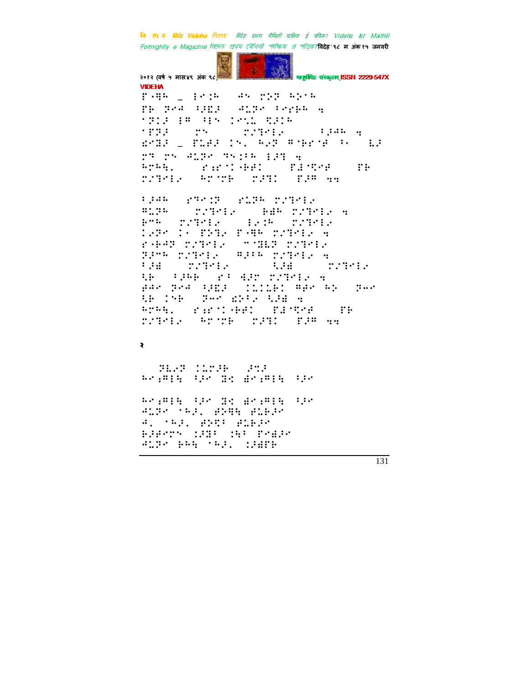

२०१२ (वर्ष ५ मास४९ अंक ९८) मानूबंगिह संस्कृताम् ISSN 2229-547X **VIDEHA**  $\mathbb{P} \cdot \mathbb{H}^{\mathbf{L}} \ \sqsubseteq \ \mathbb{P} \cdot \mathbb{P}^{\mathbf{L}} \ \ \text{and} \ \ \mathbb{P} \cdot \mathbb{P}^{\mathbf{L}} \ \ \text{for} \ \ \mathbb{P}^{\mathbf{L}}$ TE TOW GREE WEIGHT COME 4 **THE HEATH CONSTRUCT TIME** (1966) **SERRE**  $\mathbb{R}^n$ BMBF \_ PLAP IN, RAP RARAR (R) BB ra në shte aëror profesor ArAG, runcade: Manche TR TITEL ATTE THIS THE 44

Plan Profil PLP Thele  $\mathbb{R}^n$ **South State State State State State State State State State State State State** PTR STATES (1918) TATES ivas iš pšperšam praškem reel cores communicates BRTA CONFERENCEPTA CONTENT **F.H. S.P.L.** the finds of directivity of and the same concert mad by the AB 198 (200 dRP) A28 9 ArAA, ranched Plote TB rings: Arch rin: Fig. 44

 $\mathbf{z}$ 

SALES (1974) (292)<br>Argent (1975) drogramma (197

88.8114 128 18 de.8114 128 ander the span sheet 4. MAR. BOY BILLY BJBYTY 1988 1988 Prese and population and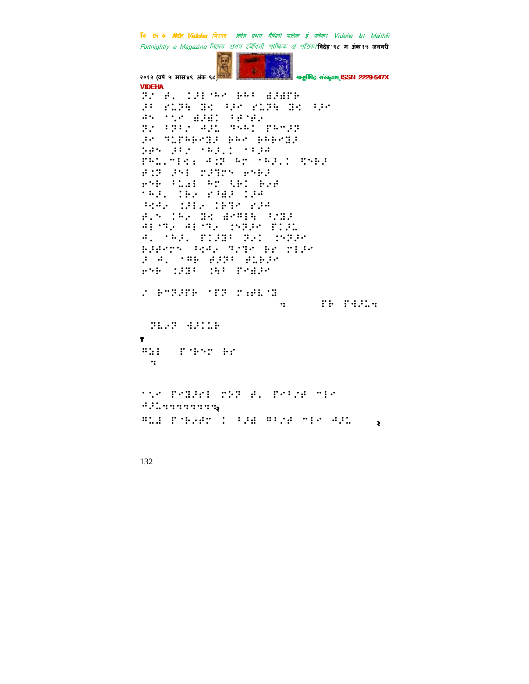**Service** २०१२ (वष ५ मास४९ अंक ९८) मानुषीिमह संकृताम्ISSN 2229-547X VIDEHA ⢽4!⢾E!⢼5⢳!⢷⢳A!⣞⢼⣞2⢷! ⢼A!"⣅⢽⣓!⣝⣊!⢸⢼!"⣅⢽⣓!⣝⣊!⢸⢼! ⢺!⣁!⣞⢼⣞!A⢾⢾⢴!  $\frac{1}{2}$  . A  $\frac{1}{2}$  . A  $\frac{1}{2}$  . A  $\frac{1}{2}$  . A  $\frac{1}{2}$  . A  $\frac{1}{2}$  . A  $\frac{1}{2}$  . A  $\frac{1}{2}$  . A  $\frac{1}{2}$ ⢼!⢹⣅2⢳⢷⣝⢼!⢷⢳!⢷⢳⢷⣝⢼! ⢵⢾!⢼A4!⢳⢼E!A⢼⢺! 2⢳⣅E[5⣊⣐!⢺⣈⢽!⢳!⢳⢼E!⣋⢷⢼! ⢾⣈⢽!⢼5!⢼⣙!⢶⢷⢼! ⢶⢷!A⣅⣔5!⢳!⣃⢷!⢷⢴⢾! ⢳⢼E!⢷⢴!"⢸⣞⢼!⢼⢺! ⢸⣊⢺⢴!⣈⢼5⢴!⢷⣙!"⢼⢺!  $E$ E :  $E$  :  $E$  :  $E$  :  $E$  :  $E$  :  $E$  :  $E$  :  $E$  :  $E$  :  $E$  :  $E$  :  $E$  :  $E$  :  $E$  :  $E$  :  $E$  :  $E$  :  $E$  :  $E$  :  $E$  :  $E$  :  $E$  :  $E$  :  $E$  :  $E$  :  $E$  :  $E$  :  $E$  :  $E$  :  $E$  :  $E$  :  $E$  :  $E$  :  $E$  :  $E$  :  $E$  : ⢺5⢹⢴.⢺5⢹⢴!⣈⢽⢼!2⢼⣅! ⢺E!⢳⢼E!2⢼⣝A!⢽⢴!⣈⢽⢼! ⢷⢼⢾!⢸⣊⢺⢴!⢹4⣙!⢷"!5⢼!  $\pm$  4.  $\pm$  4.  $\pm$  4.9.  $\pm$  4.6.  $^{\prime}$  . The set of the set of the set of the set of the set of the set of the set of the set of the set of the set of the set of the set of the set of the set of the set of the set of the set of the set of the set of the  $4$  : F-2016 (12)  $12$  . hhbkfoesbAwjefib⣒dpn!2⢷!2⣚⢼⣅⣒!! *PLAP ANDINE* १ <sup>#1</sup>: Pira  $\dddot{\mathbf{r}}$  $^{\prime}$  )2 = The state of the state of the state of the state of the state of the state of the state of the state of ⢺⢼⣅⣒⣒⣒⣒⣒⣒⣒⣒२ ⢻⣅⣜!2⢷⢴⢾!!A⢼⣞!⢻A4⢾![5!⢺⢼⣅!""२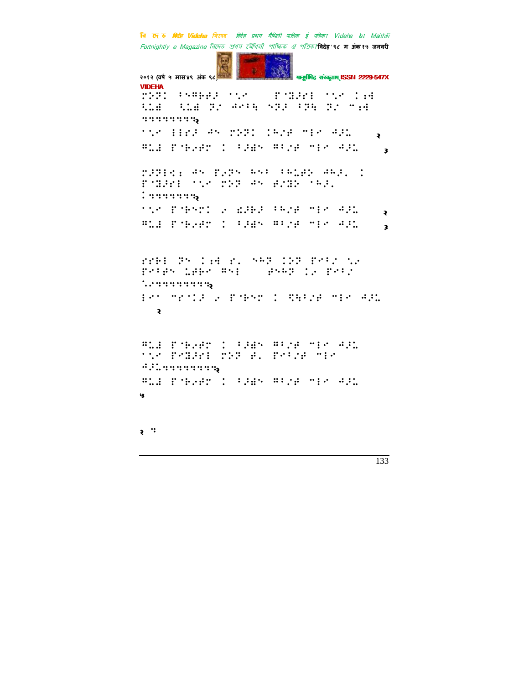**Service** 

```
२०१२ (वष ५ मास४९ अंक ९८) मानुषीिमह संकृताम्ISSN 2229-547X 
VIDEHA 
⢵⢽!A⢻⢷⢾⢼!⣁!-!2⣝⢼"5!⣁!⣐⣚!!
⣃⣅⣞.!⣃⣅⣞!⢽4!⢺A⣓!⢽⢼!A⢽⣓!⢽4![⣐⣚!
⣒⣒⣒⣒⣒⣒⣒⣒२ 
\gamman lift was the start of \gamma⢻⣅⣜!2⢷⢴⢾!!A⢼⣞!⢻A4⢾![5!⢺⢼⣅!""३ 
⢼⢽5⣊⣐!⢺!2⢴⢽!⢳A!A⢳⣅⢾⢵!⢺⢳⢼E!!!
PUBER 101 PER 25 PER
\ddots and \ddots\mathcal{L} , the state of the state of the state of the state of the state of the state of the state of the state of the
⢻⣅⣜!2⢷⢴⢾!!A⢼⣞!⢻A4⢾![5!⢺⢼⣅!""३
"" "HE " THE " IN THE TOP THAT A "
PAIRS NRP #51 - RSAP 12 PAIR
⣁⢴⣒⣒⣒⣒⣒⣒⣒⣒२ 
5 (") 7 10 11 10 11 10 11 10 11 10 11 10 11\mathbf{R}PLI Pjever I Fjer Pfje nin Afl
^{\prime} )2 = The state of the state of the state of the state of the state of the state of the state of the state of
⢺⢼⣅⣒⣒⣒⣒⣒⣒⣒⣒२ 
SQL PHONE IS READY TO A 20
५
\ddot{\mathbf{z}} :
```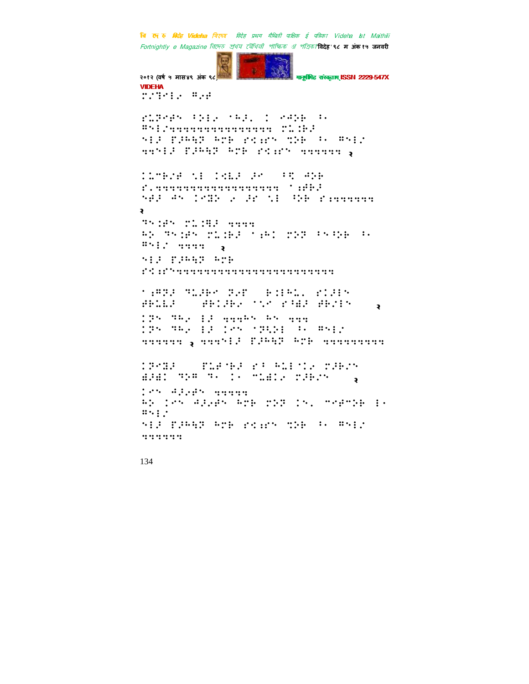Fortnightly e Magazine রিদেহ প্রথম মৌথিনী পাক্ষিক প্র পত্রিকা**'বিदेह'९८ म अंक१५ जनवरी Service** २०१२ (वर्ष ५ मास४९ अंक ९८ मानूबंगिह संस्कृताम् ISSN 2229-547X **VIDEHA** models week FIRST CHEATER I SEPECT #5:/ssecrecepterence\_2106 **NEW PRAGE AND PRENS NORTH ACTIVES** aanis Españo pre rearn aaaaaa , TEMPER OF THE SPOTTS AND SAR AS LEWE 2 AM NE ARE MINUTES This close the series BE TRIEN CLIEF COBI CERT FREE P  $\cdots$  :  $\cdots$  and  $\cdots$  $\rightarrow$ **SIP SPACE ATE THREE ROOMS AND SECTION** BRIEF (BRIBE TO PHP BRIDGE) 135 MAY 13 Angles As and 195 MAY 13 185 MBL21 OF WHILE sasan , sashif ffmil bib sasannan **TRANS STORAGE REPORTS TO PROV** BRED THE TO IS MINIC TRENT ... les Algés agang AS TRA APSAR AME MSB TAL MREMSE EX  $\mathbf{a} \cdot \mathbf{b}$ sid place are regrounded to more \*\*\*\*\*\*

बि एक रु मिनेट Videha विएक विदेह प्रथम मैथिली पाक्षिक ई पत्रिका Videha Ist Maithili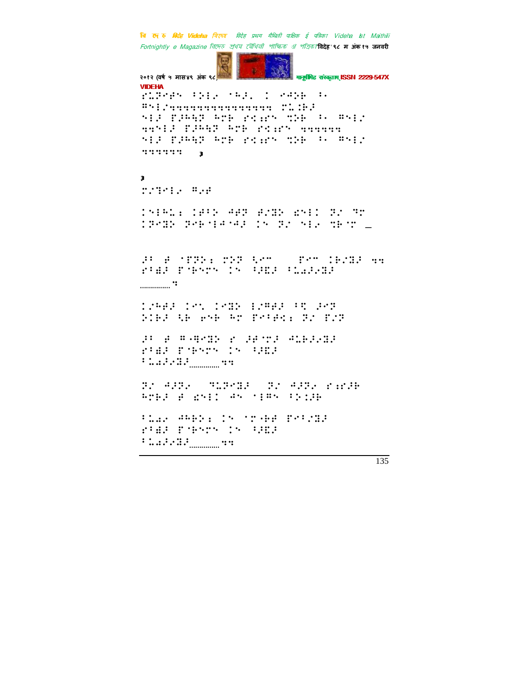मानूबंगिह संस्कृतम् ISSN 2229-547X २०१२ (वर्ष ५ मास४९ अंक ९८) **VIDEHA** PLEASE SERVING (CONSECT) #5:/gggggggggggggggg 21:02 MIP PRAGE AND PORTS THE AG ANIX aanij fjeer erk roarn aaaaan SEP PRAGE AND SCHOONED AN ASEN **HINNING** 3  $\mathbf{3}$ models week **INDEX: NATE AND AND AND SINCE** 1988) 986-1989 15-92-512 MB-T-2 an a cravi pia tem - rem 1828a AA.<br>Phia robert 16 napa nuwaara :•<br>……………… DERE DEN DER BERRIER BER DIES AR PAR AN PROPER DI PIP a postupida populariza FRANCH THEFT (TROCHER **ELERT ELECTRONIC PROPERTY** BY APPLY SEPTED BY APPLY PAMPE PORT # WHILES SIMS PRIZE **Than ARES: IN STARF PRICHE** PAR PART IN WER **TELENTE** 27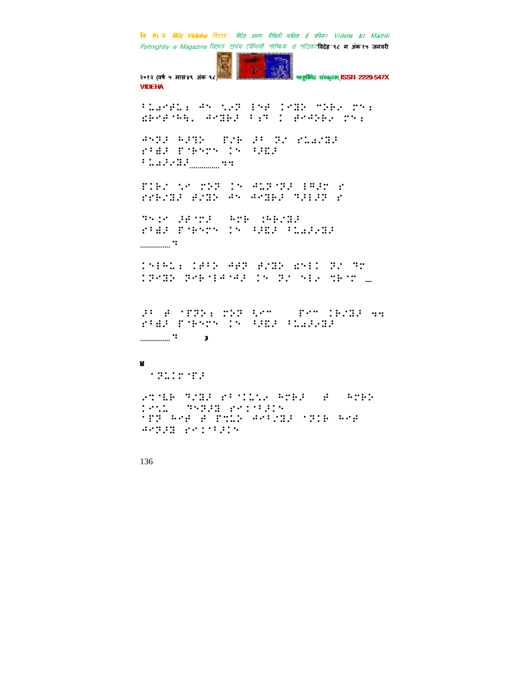बि एक स्टेड Videha विएक विदेह प्रथम मैथिली पाक्षिक ई पत्रिका Videha Ist Maithili

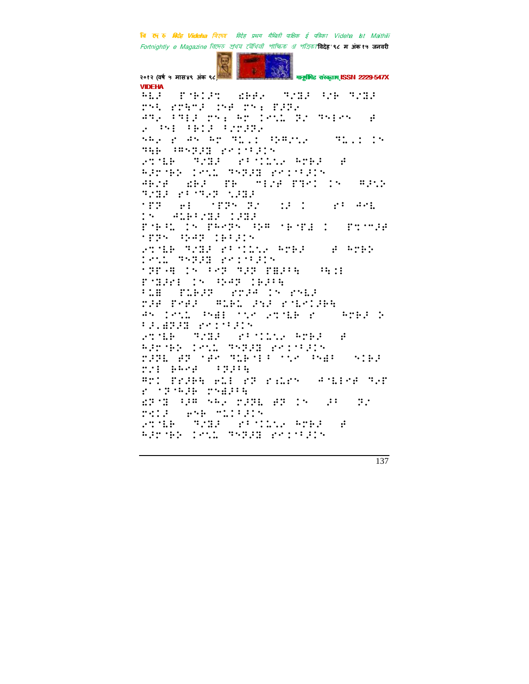

२०१२ (वर्ष ५ मास४९ अंक ९८) **VIDEHA**  $1.11$ **AND THE BUILDING ESTATISTIC** ru chra be ru fall. **ATA PTEA THE RT ISLE TA THESE P** 2009 SER STREET ARE PORT RECRUITED BRANCH  $-32.11 - 19$ THE INSTITUTION CONTINUES. **Prome Some Profession Adam**  $\ddot{\cdot}$ RATHE ISL PREAL PRINTER ARIA WAJ TR MIJA TIMI IN ARIA TABA SESTAT SABA THE STEP EN SERVICE PROPERTY  $\cdot$  : : : . *The Hillerie Content* President Perk The Series of Provie **TEP BAR IPIED** PTME TREE PROTING AMER - PROPER **MAN TARED PAINERY THE IN FER THREE CHIL** ringer is har ingen Pil Primar (Praktic Pola THE PARK WIRD PAR PARKING AN IRVE PHEETING VIOLENCE (PPER D **COMMON SECTION** FTER STREET FROM STREET  $\ddot{\cdot}$ RATTER IPTI TREAD PRIMAIN MPE BROWN SLEATE MAY PARK STEP **221 BE28 13216** And Probe will re-rains (Anima Sor r (PORP redBB) EPSE HP SAY THE BP IS (F) PI rdia (ene miliar)<br>Grima (moda) en vicos Araa (e Administration September 1915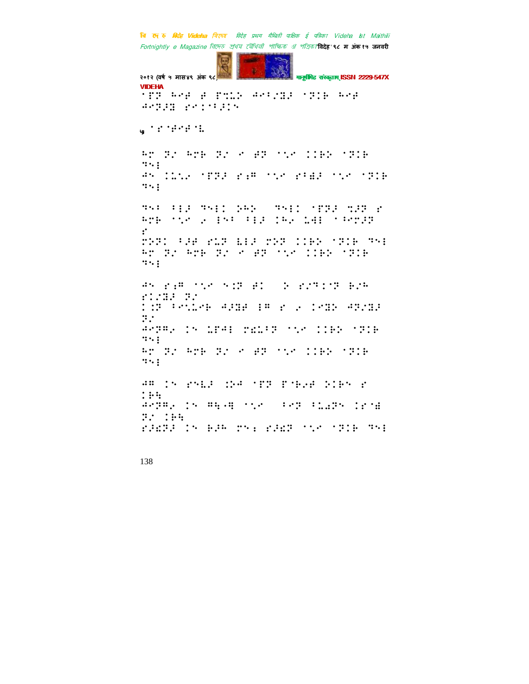**Service**  $\mathbf{0}$ २०१२ (वर्ष ५ मास४९ अंक ९८) मानूबंगिह संस्कृताम् ISSN 2229-547X **VIDEHA TER REF # POLY APPINE TRIE REF APPID PRINTIN**  $\mathbf{g}^{(1)}$  :  $\mathbf{f}^{(2)}$  :  $\mathbf{f}^{(1)}$  :  $\mathbf{f}^{(2)}$ RESERVADE BY STAR TO STORE TOOK  $\cdots$ AN INN MERPORATON PARTNING MEDA  $\cdots$ THE FEATHER SHALL THE TERRITOR RPROSECUTIVE PRODUCTS, INFORMATION MARI PAR YEAR BEAUMAR CORPUTATE MAE An Briene Briene Briene (1965) 1916  $\cdots$ **AN PAR MARKET BILL & PATIME BAR** rt.:# #: **THE PROPERTIES IN REAL CONSTRUCTION**  $\dddot{c}$ ARTES IN LEAD MELFR THAT IDEA TRIE  $\cdots$ RESERVANCE BESCHRIJVEN IN 1980  $\cdots$ AR IN PNES IN THE PORT NIEN P  $: \mathbb{H}$ separate and species are industrially  $32.14$ FREED IN BEAUTHE FREED TO STEED THE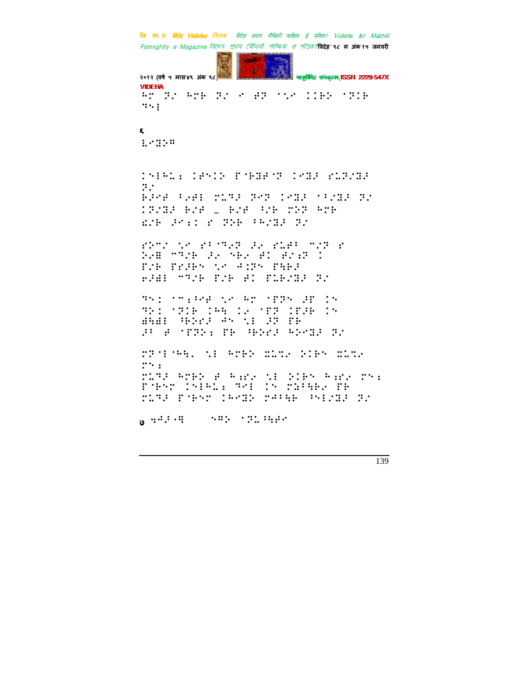**Service** 粤 २०१२ (वर्ष ५ मास४९ अंक ९८) मानूबंगिह संस्कृताम् ISSN 2229-547X **VIDEHA** Ar Br Ank Br & BB tie (1165 tB16  $\cdots$ ξ.  $1.41141$ INFALE TENIN POBBEOR INSE FLATES  $\mathbb{R}^{\infty}$ BARB FABI MITA TRI CRIA MEMIA TA **COMOUNT LEAR ONE MAP RMA** ESP Price Schoolships Tr rend to restat an ruse not r BAN MARK SE MER BI BIGA TH THE SAME WAS TELL This induced the Architecture in sti vale leĝ 12 val 1896 lig<br>Geografio estas la parae **BURGERS: THE HERR PEGGA RE** radina. Ma arek mini kien mini  $\cdots$ : MIRA ROBA E RAMA NE ATBA RAMA DAA Phar 19161, Well In right, Th MISS PORT IREN MARGE PAINE SY  $\frac{1}{19}$  4:42:48 - 1:42:52:44:52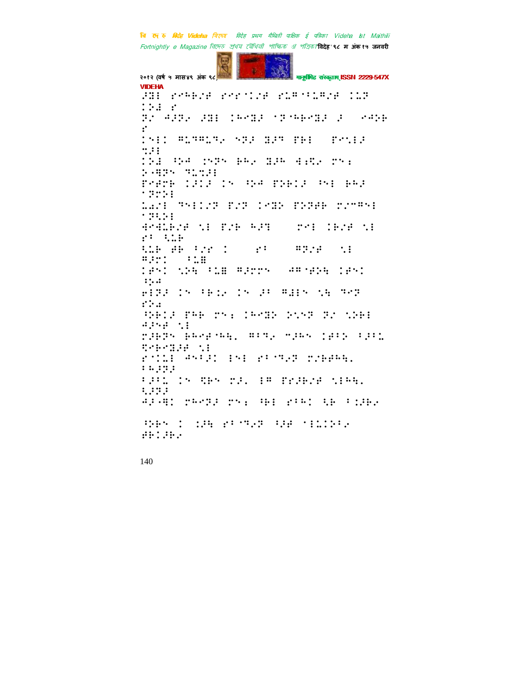

२०१२ (वर्ष ५ मास४९ अंक ९८) मानुबंधिह संस्कृताम् ISSN 2229-547X **VIDEHA** 300 realed reroter russings tip 104 P Trust Hill Centrum Teacher (1984)  $\mathbf{r}$ 1511 WINNER SEP HAN THE TRYER  $\ddots$ : 131 994 1975 842 834 4352 253 2-825 31321 Premi (2008) (n. 354) PSB(2) (n. 364) 13251 Lard Therry Pry 1888 PSTAR Showne  $+34.54$ 4-ALBIA MI CIA APR THE CENT OF  $f^{\pm}$  (1.1) When HP (122) 1  $\mathbf{r}$  . The set of  $\mathbf{r}$ ager  $\ddots$  $n_{\text{H}}$  $\cdots$ **TANT AND PERSONAL BEACH**  $40.9999 \pm 0.001$  $\mathbf{1}$   $\mathbf{1}$   $\mathbf{1}$ BIRE IN FRIE IN 25 BEEN NR BAR  $\mathbf{r}$  is a set of  $\mathbf{r}$ SPECIFIED THE CHAIN STAR TO SPEE  $\begin{array}{ccc}\n\mathbf{1} & \mathbf{1} & \mathbf{1} & \mathbf{1} & \mathbf{1} \\
\mathbf{1} & \mathbf{1} & \mathbf{1} & \mathbf{1} & \mathbf{1} \\
\mathbf{1} & \mathbf{1} & \mathbf{1} & \mathbf{1} & \mathbf{1}\n\end{array}$ rangs nashsang wing sains philosoping SPP-128 NE roll established an electronic  $1.4333$ FRED IN THN TR. IP PERPENENTAL  $1.3333$ APART TRATE THE HE FIRE REPORT SPER I MAR PROTECT SAR MILITARY **SECTION**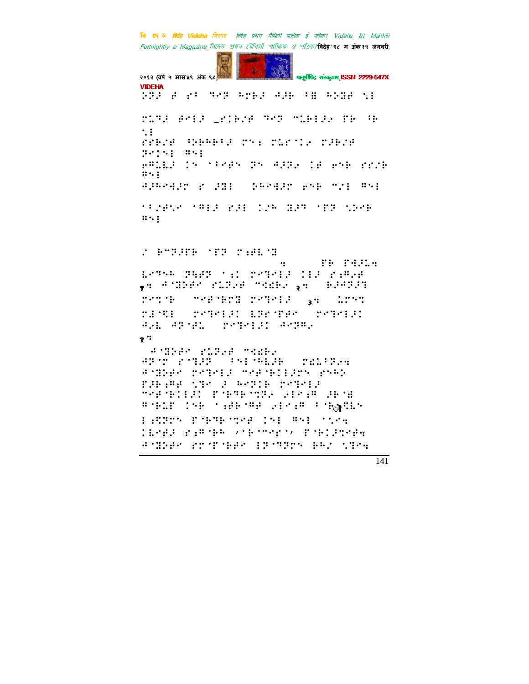**Service** × २०१२ (वर्ष ५ मास४९ अंक ९८) मानुबंधिह संस्कृताम् ISSN 2229-547X **VIDEHA** 533 # 2: 303 Appl Agp (8 A538 5) MISS RAID LAIRNE SAN MIRION NR (R  $\cdot$ : rrbof Sheets ry: rirdle rater  $30191 - 091$ PALES IN MARK BN ASBA IR PNP PROP  $:: \cdot :$ Adamade e dif (bangde esk mof #sf *SPIERS SALE FALLINA BAR STR SPOR*  $:: \cdot :$ **MARKET SERVICE TH PARL:**  $\dddot{\bullet}$ ESTAR PART (SI PSTSIP II) PARAR <sub>e</sub>g Ajlber rilse model <sub>a</sub>g (PJAlli  $\frac{1}{2}$  , which is the set of  $\frac{1}{2}$  ,  $\frac{1}{2}$  ,  $\frac{1}{2}$  ,  $\frac{1}{2}$  ,  $\frac{1}{2}$  ,  $\frac{1}{2}$  ,  $\frac{1}{2}$  ,  $\frac{1}{2}$  ,  $\frac{1}{2}$  ,  $\frac{1}{2}$  ,  $\frac{1}{2}$  ,  $\frac{1}{2}$  ,  $\frac{1}{2}$  ,  $\frac{1}{2}$  ,  $\frac{1}{2}$  ,  $\frac{1}{2}$  $\frac{1}{2} \left( \frac{1}{2} + \frac{1}{2} \right) \left( \frac{1}{2} + \frac{1}{2} \right)$ TEMPE TRIPER ERRIFY TRIPER ARE AN YAN SEMANJI ARNA  $\ddot{\mathbf{r}}$ **ANDRE MIDAE MANDA APACKATER PREMIER** ANIMARY PRIMILE MARINEI EDN (PNAM FJEIRE NTA JOHANNIE MATAIJ menticial primeral alem der BOELF INFORMATION SECOND PORTEN E HIPPS I METERMAN ISE (#51) MARS TERBE PARTER VIETNAMY PIETENSA ANDREY BONDHAM ERNTROM BROOKTER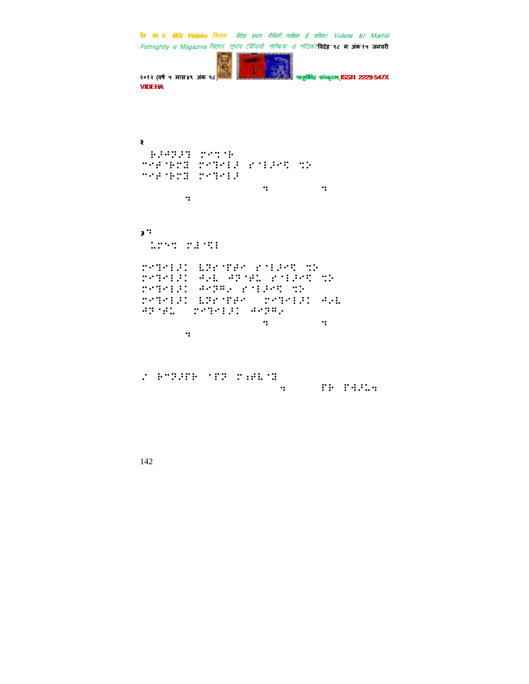

२०१२ (वर्ष ५ मास४९ अंक ९८) मानुष्य कर्णाटक संकृतम् ISSN 2229-547X VIDEHA

२ !⢷⢼⢺⢽⢼⣙!⣉⢷!  $\mathcal{T}$   $\mathcal{T}$   $\mathcal{T}$   $\mathcal{T}$   $\mathcal{T}$   $\mathcal{T}$   $\mathcal{T}$   $\mathcal{T}$   $\mathcal{T}$   $\mathcal{T}$   $\mathcal{T}$   $\mathcal{T}$   $\mathcal{T}$   $\mathcal{T}$   $\mathcal{T}$   $\mathcal{T}$   $\mathcal{T}$   $\mathcal{T}$   $\mathcal{T}$   $\mathcal{T}$   $\mathcal{T}$   $\mathcal{T}$   $\mathcal{T}$   $\mathcal{T}$   $\mathcal{T}$   $\mathcal{T}$   $\mathcal{T}$   $\mathcal{T}$ [⢾⢷⣝!⣙5⢼! )iuuqt;00tjuft⣒hpphmf⣒dpn0b0w jefib.dpn0wjefib.qbjoujoht.com  $3$   $"$  $\frac{1}{2}$  . The set of the set of the set of the  $\mathcal{D}^{\mathcal{A}}$  , and the set of  $\mathcal{D}^{\mathcal{A}}$  $5$  ,  $5$  ,  $5$  ,  $5$  ,  $5$  ,  $5$  ,  $5$  ,  $5$  ,  $5$  ,  $5$  ,  $5$  ,  $5$  ,  $5$  ,  $5$  ,  $5$  ,  $5$  ,  $5$  ,  $5$  ,  $5$  ,  $5$  ,  $5$  ,  $5$  ,  $5$  ,  $5$  ,  $5$  ,  $5$  ,  $5$  ,  $5$  ,  $5$  ,  $5$  ,  $5$  ,  $5$  ,  $5$  ,  $5$  ,  $5$  ,  $5$  ,  $5$  ,  $5$  ,  $5$  ,  $5$  ,  $5$  ,  $5$  ,  $5$  ,  $5$  ,  $5$  ,  $5$  ,  $5$  ,  $5$  ,  $5$  ,  $5$  ,  $5$  ,  $5$  ,  $5$  ,  $5$  ,  $5$  ,  $5$  ,  $5$  ,  $5$  ,  $5$  ,  $5$  ,  $5$  ,  $5$  ,  $5$  ,  $5$  ,  $5$  ,  $5$  ,  $5$  ,  $5$  ,  $5$  ,  $5$  ,  $5$  ,  $5$  ,  $5$  ,  $5$  ,  $\mathbb{P}(\mathbb{P}(\mathbb{P}(\mathbb{P}(\mathbb{P}(\mathbb{P}(\mathbb{P}(\mathbb{P}(\mathbb{P}(\mathbb{P}(\mathbb{P}(\mathbb{P}(\mathbb{P}(\mathbb{P}(\mathbb{P}(\mathbb{P}(\mathbb{P}(\mathbb{P}(\mathbb{P}(\mathbb{P}(\mathbb{P}(\mathbb{P}(\mathbb{P}(\mathbb{P}(\mathbb{P}(\mathbb{P}(\mathbb{P}(\mathbb{P}(\mathbb{P}(\mathbb{P}(\mathbb{P}(\mathbb{P}(\mathbb{P}(\mathbb{P}(\mathbb{P}(\mathbb{P}(\mathbb{P$ ⢺⢽⢾⣅0!⣙5⢼!⢺⢽⢻⢴!! )iuuqt;00tjuftigta dhpphmfdpn0b0w jefib.dpn0wjefib.qbjoujoht.com 4!⢷[⢽⢼2⢷!2⢽!⣐⢾⣇⣝! he does been die die die die volgens die volgens die volgens die volgens die volgens die volgens die volgens d<br>Die volgens die volgens die volgens die volgens die volgens die volgens die volgens die volgens die volgens di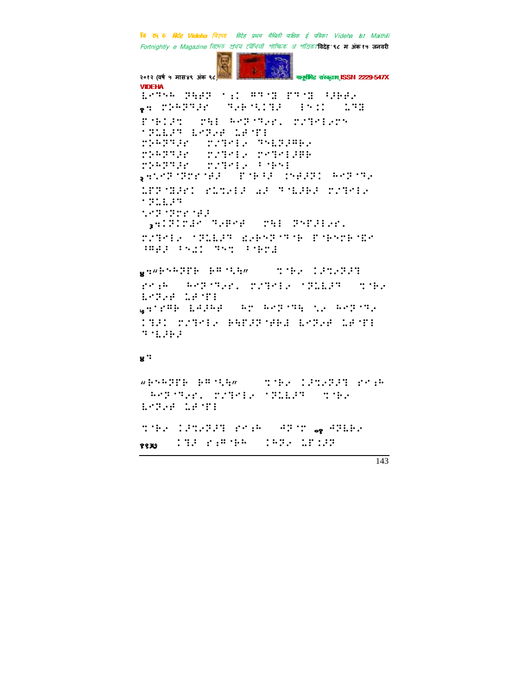

**SAPE PAIL THE PERI** 

gashingsh handhwy with 1952993 reak Aerenan problem black probl LOTER LEATH Genes Laphe (Ag Ang Sa Shing Shi **THE RING BRIDGE BOYER LETT**  $3.913143$ 

## $\boldsymbol{\mathsf{x}}$  :

WESTER BRSEN - THE CONCRET POSE **APPEAR THEF STARF TER** LOBAR LEOTI

the Cherr response where **CONFIDENTIAL CONSTRUCTION** 2239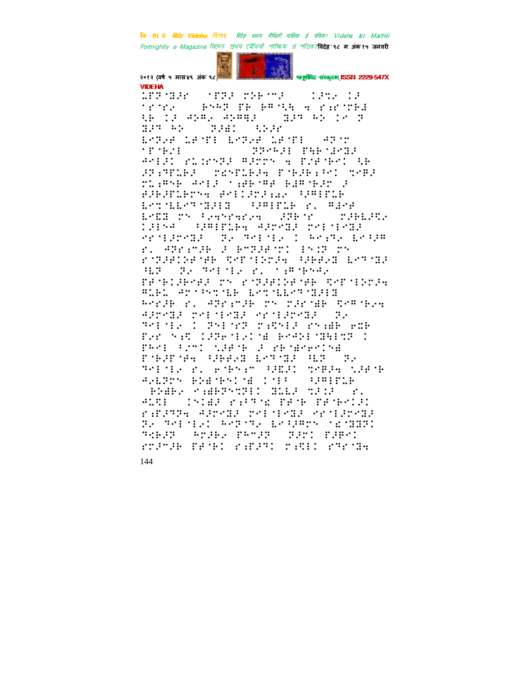

२०१२ (वर्ष ५ मास४९ अंक ९८) **VIDEHA** 

मानूबंगिह संस्कृताम् ISSN 2229-547X

STRATES ATTEMPTED STATES trus, PSP H PRSP 4 record SE 13 ANN, ANNER (1829 AN 1819 **HANDREY 2200 1220** ESTAR LESTE ESTAR LESTE ( ATST **SPORTS** 33491 SW:3433 AMISI KINSAS ASTTA A PIANANI AR SPAREDA (PENEDAN PORSEAN) MARS righth and conducting himships BUBURING BELISIAN UMITIB ESTALPAMENT (PRIELE P. PISE EMER TH Pennsylva (SBP) (TSBESC 19154 (GREELEA APPARA PALIEARA **THE MANIFEST OF REPORTS PERMITTED** E. AREIMAN A BMPARTIC ENTROPY rizacene sindera daga kita HER THE TRIPLE IN STRIPPER PANELSHARD THE PUSHING MAN SAPURDING BLEL APPROVED ESTILLSTOREER Republic, Additional proportion temploy APPARE THE MARK PENEPHREE (PP Prints I Princh rathle chair emb Far Sat 1996-121-4 Begal Maling 1 PROFILED WARTH & PHOBODONE rosnog uman boron un c THE MEAN POST PROPERTY WARRANTEED AVENUS BRENDVINE INTE CONFIDER BRAHA PARPRONIC HILL SPICE (F. ALC: (MIA FITTE PATH PATHOL) ranges agrent reportent eropreng B. Septier aspect helder chines **Serger PROSE START PRODUCT NANDER** rrange pened rupand ruppi renne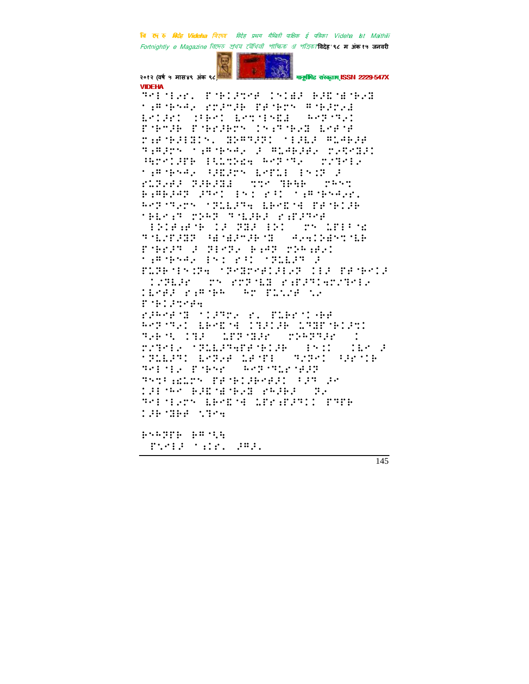

२०१२ (वर्ष ५ मास४९ अंक ९८) **VIDEHA** 

मानुबंधिह संस्कृताम् ISSN 2229-547X

THE MAN STANDARD INTERFERING tifinese roche provincenten ESTRED CHEST ESTMERED ASPERD Pobol Poboles (SaPezz Lopie rathans, menant thus evera TARITY SARSHAR I RIABING TARSIK HERIATE ENDING REPORT TIMES **TEMPAR REPRISEDENTS** rtree repeat our member 2000 BARBAR STAT ENT PAT SARSBNADE. PARTNER TRIERS EPARTN PROFIN **THE ST TEET TAGES PARING** INDEPENDENTED IN THEFT **TANKS RESPRIES RESIDENT** rner a men ker cheer **SARDERS INDUCED SPLERE F** PLOB MENOPH (MORTER-PILES IS DE MENOR **TERM IN STAR FRAME STATE** MARI KAPAN AT PINAP NA Policiental raker's flagred r. Piprotope 800001 10000 10000 10000000 **SARA IN ATTACK TEETS I** rethis following the control  $\therefore$   $\therefore$   $\therefore$ (RIDA) Legge Legge (Syger Garrie THE RESERVE CONTROLLER This Anne Pennsylves (2001) **THE SAME AND STATES AND SERVICE SERVICE** THE MEAN ABAND MAN AND HIMPER STREET **CONSTRUCTION** policie production

STORE TERM 282.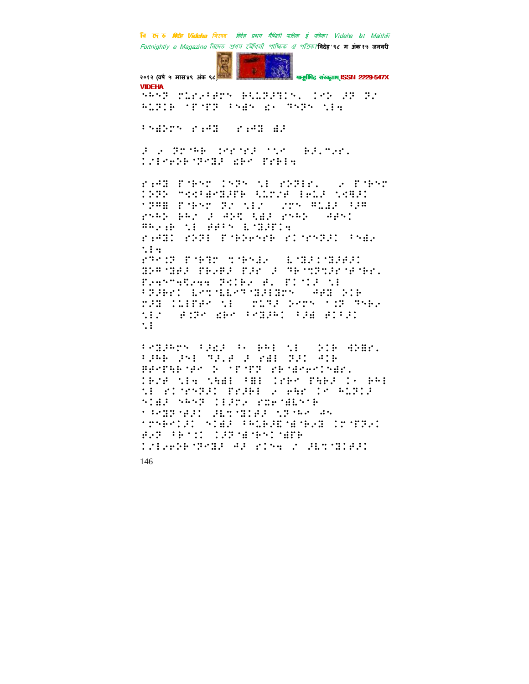

२०१२ (वर्ष ५ मास४९ अंक ९८) **VIDEHA** 

SPSP MINSTERS BRIEFING CON ST RN RUBIE SPORT PARK RECOVERED

**PARTS FINE FINE AT** 

For Prome corner that BELTER. **CONSECRATE ART PARTS** 

rea rest 1525 th reals. **Second Property** 1995 - MARTARARE (RIDIA (BAIA) NAMAI **TRAB PORTS RESIDENT PROPERTY ARE** grap pag p apg the grap (apr) med the man comp rago regi presente rinnggi (nas  $\ddots$  : FROM PORT TORGET ENERGIES. BEFORE PEARS FAR 2 METERS of the. Eventativas Bolki A. Plota ni **FRANCISCO MARINE STATES AND STATES** MAR CLIPPY ME STARR POTT TO REPORT Sendo ne condo con ele  $\ddots$  $\cdot$ :

FIR APHR. Production (Page 16) page of the FJAR 251 72.8 2 281 721 418 BEFFAR YAN IN SESERI YASHERINGIN. TEMP NEW MAND FOR TWO PAPE IN BRE ti rinnadi prdel 2 ver la etda STAR SPSP IBRE FOR MESTE **SPORTHER SETTER STORY AN** STREPLED SOME FROM HOW HOW COSTERO BOT FROM MUSIC HOLDER **CONSERVATE AF SING 2 HETMINI**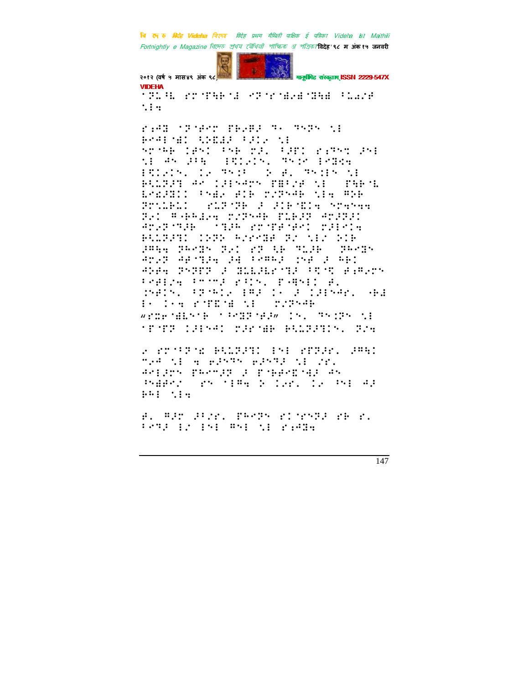

मानुबंधिह संस्कृताम् ISSN 2229-547X

**VIDEHA TRIAL POSTABIOL PROPORTED REACH**  $\ddots$ 

right (Poet Press 3) 3525 (S Profess Conditions STORE CEST PSE TRI PRET PIPST RSP ME AN PRESIDENT THIN PARA PROVINCIO PROFINCE ANNO 1983 AB.<br>BALGAR HA COBARDA PERSENGEN PABNE BREED PAR ATE MOPAR NEW WAR Price, SCP P P PRIP STRIP Bal Agendam razhone poezh grazat AMARYRA (1986) EMIRINAI MALKIA BULFAND COND REPENS TE MIC OIR PARK PROBA BYL 28 RE SLEET BROBA arla argania Gado Selo Ar REAL PROOF & BILLEY TO FURN BARATY Preside Proma Basin, Passes e. selvi (pelvide) (1 d 1964), ed En line portfield also purpose wrme manner of Pragueses (1900 de 1990) is **TEMPS CHINAL THROWN BULBARING BIN** 

a protromate.craterial.crate.crate making a administration of the arpprogramspoliceraryge an  $3.4449$ **SPACE PRODUCTS IN THE AP**  $1.41 - 1.14$ 

B. ART RATE TAMPS FLOTSER TE T. PROFILE PRODUCT STORES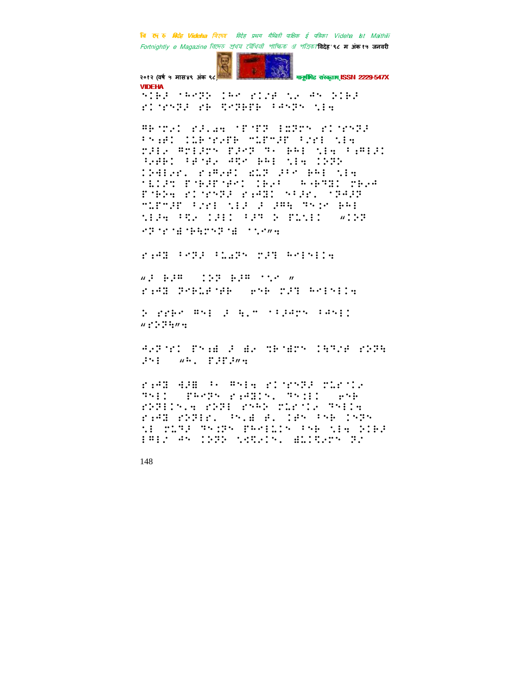

२०१२ (वर्ष ५ मास४९ अंक ९८) **VIDEHA** 

STEP SERPENDER FIRE NO AN DIEP FINDS OF SPEED PROPS OF

PRODUCT STAR OF THE BORDS SIDESE President and many state the rale Artary Bakg A. BAI Mig F.Ala 12001 10102 455 000 100 1002 ISHER, PARAK WIR DER BREICH **MILLEY PORTER CONFIDENT**  $\sim 4.4221$   $\sim 21.4$ PORT PIOPORT PARK STREET SPAR MINER FORE NEEDED PROVINGE the started service model with

**REMOVEMENT CONTROL** 

rad (201 (1225 r.E. 52151),

 $\mathbf{w}$ :  $\mathbf{p}$ :  $\mathbf{m}$   $\mathbf{r}$   $\mathbf{r}$   $\mathbf{r}$   $\mathbf{r}$   $\mathbf{r}$   $\mathbf{r}$   $\mathbf{r}$ righ Prelever (end run bringin

je priko Hui je nje stjaru taurj  $w: Y: Y: y \mapsto$ 

APP YOU PREEL FUEL TRIMETRO CARDE STOR  $P: \mathbb{R}^n \times \mathbb{R}^n \times \mathbb{R}^n$ 

rag est a male rights clricia  $3.421$ **TRAPH PEARTS, PRINT** regional registrate portio galle rag rolls. Will e. 185 (55 1595) ME PLAS ANDEN PROBLEM AND MED DIES FAIR AN INTE NETWORK BEITERN TR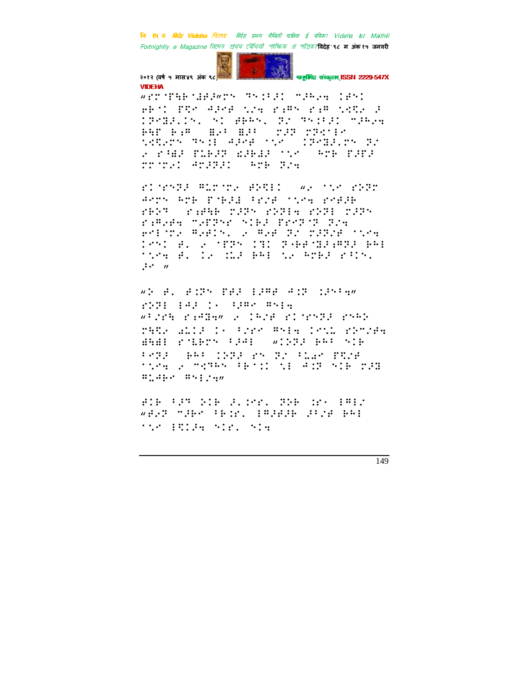

२०१२ (वर्ष ५ मास४९ अंक ९८) **VIDEHA** 

मानूबंगिह संस्कृताम् ISSN 2229-547X

wrr The Malayrs Tsill ("Personias" HEAT TRACHING NOW YOUR YOUR NORWAY IPABLIN, NI APPN, PI THIRI MARGA BAT B.M. M.P. MAR (1918-1981) When this approach creater re F PART CORPORATION AND CHE rring Arabay Arb Bre

rinne surre special as the che Anny Are Poels Fried over regge 8927 - 83298 8225 82219 8221 8225 raman marrer electronic can RAINS RAPING & RAP RO CAROB SOME 1951 a.C. (185 191 294-91)Aprilée the B. Is his BAT to BrBS rain.  $\ddot{\cdot} \ddot{\cdot}$   $\cdots$ 

 $\sqrt{2}$  ,  $\frac{1}{2}$  ,  $\frac{1}{2}$  ,  $\frac{1}{2}$  ,  $\frac{1}{2}$  ,  $\frac{1}{2}$  ,  $\frac{1}{2}$  ,  $\frac{1}{2}$  ,  $\frac{1}{2}$  ,  $\frac{1}{2}$  ,  $\frac{1}{2}$  ,  $\frac{1}{2}$  ,  $\frac{1}{2}$  ,  $\frac{1}{2}$  ,  $\frac{1}{2}$  ,  $\frac{1}{2}$  ,  $\frac{1}{2}$  ,  $\frac{1}{2}$  ,  $\frac{1}{2$ gyn: par j. (188 8514) widdh radhaw a ledd rinnydd rheb rate alle le tres ania lett d'etre BRAIN POLECY FRAME WIDDEN BRANCHE 1992 - BRI 1992 EN 92 FILAN ERZE<br>1994 - MARRY FETI VI AIR NIE DZE  $\mathbf{u}_1, \mathbf{u}_2, \cdots, \mathbf{u}_M$ 

FIR PAR DIR ALOMA TOR GENERAL WHAT MIRM TEST (BRIER STAR RAD the BELG Side Side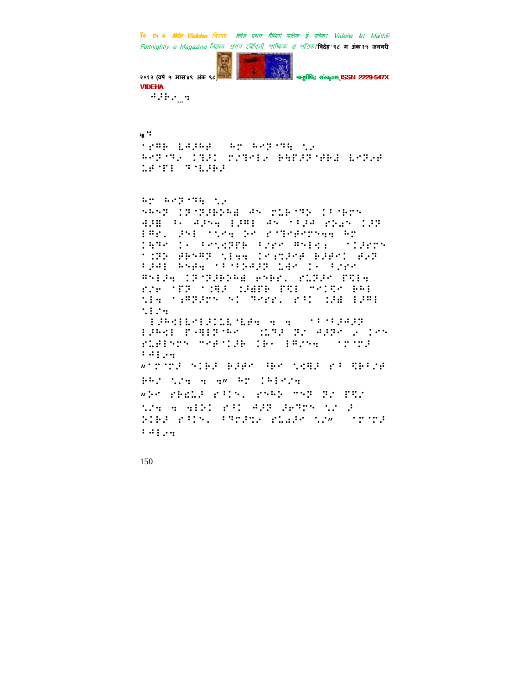**County** २०१२ (वर्ष ५ मास४९ अंक ९८) मानुबंधिह संस्कृताम् ISSN 2229-547X **VIDEHA** 

 $\frac{1}{2}$  .  $\frac{1}{2}$  .  $\frac{1}{2}$  .  $\frac{1}{2}$  .

 $\ddot{ }$ **SPAR LAGAR SAM ARTISH NA** RAPORA (1921) DATALA PREZPORBI EAPAR  $1.4$   $1.1$   $1.1$   $1.1$   $1.1$ 

ago akdroma (19 SASP (PORPHAME AS PLETTS IFTHES 438 (6 4354 1381 45 5134 2225 133 PRI PAL TOM DE PORCHONNE PD IRTA IK PANGEER PINA PNEKE (11800) tich Absort the Chaire Blast Ave tja: bydg sterpajd har jo tjer #5134 IPSPARDAM PSPEL PLP25 FRIA rze (FP 1983) WARR PRE MYLRY RAE the temperature manager (per 1981  $\mathcal{L}$ :  $\mathcal{L}$ - Partikalisti ale a a cononalisti<br>Particalisti ale a e cononalis rights weiche ies Bergen archit  $1.41...$ 

WITTE SIEP BRPS HPS NORP PROTECT BRY 529 9 900 RP 191019

with reduct rather role models: PRI When AINI PROGRESS ARTS WORK BIBS PAIN. ANDSOL PLASH NIW (1878)  $1.41...$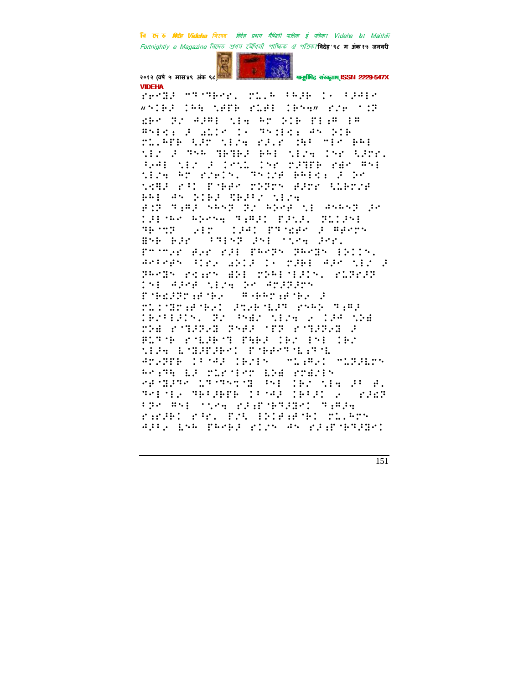

मानुबंधिह संस्कृताम् ISSN 2229-547X

**VIDEHA** redia standard pile ange is agers which induction field integrate tip de 22 APR die An die Ple in d Bridge Foamle in Bridge Ar Sie rd.APR APP MEDA PPLP (RF MEM RAE NEZ 2 TSA TETEZ ERE NEZA 158 SZOB. AGE ALOUE CONDUCTS TURNED PAR AND three Architects, Sandre AAldie John temporar ramar robra aprrodumente BRI AN DIBR SBRF2 NE24 ad taa sestin base of ases o 1917A/ Alche Mims: Pang, Blian: BETH WHIT COMP PROBE A BASTA Bre electricianism and three draw Promar Bar rJE PROPH PROBH ENCIN. Anings fire abid is pdet Adm tir d PROBRETO AL ENEUTRAL PERSONAL PORTAP 15: APPE Side ProAndring POSITY:PORT #4PT:PORT TECHNOLOGY PER STARTED TO THE TEAM CEZFEJIN, JZ PNEZ NEZW 2 134 NDE THE PUBBLE PARK OFF PUBBLE & BLIME POLIFON PHE IEN IN 191 IEN MIRE EMBRIEM COMPRESSOR AMARIE CESAR CENES (MIGRAL MIRREM Arang as runder and spaces Reform official be decide and. THE RESERVE CONFIDENT & STREET FRA RSI TORE PREPRESENT TERRE randel rin, fill dichartel rusers APPLE END PREPERTING AN INFIRMATION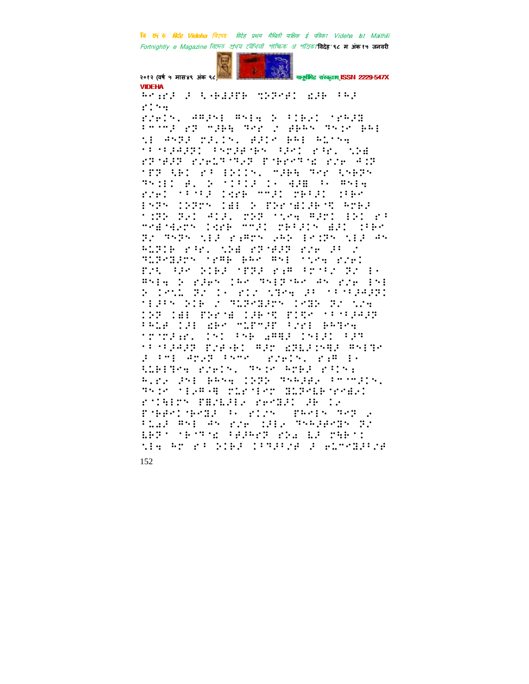

२०१२ (वर्ष ५ मास४९ अंक ९८) **VIDEHA** 

मानुबंधिह संस्कृताम् ISSN 2229-547X

Read FAGHER SPPAL ER PR  $\mathbf{r}$  :  $\mathbf{r}$ 

rzels, Amasi Msię & Fibel Srbad From 201 - 1984 (The Colleges Third Bee th ANGEL MALIN, ANIC BALLADING SPORTHURS PATTESMENT PROVIDED WAR KRIMAR KAWARITAR PINGKING KAWA AJP MER ARI PA ERIIN, MARA THE ANREN SANTA DE MILITERRADO A AGA rzel (Pod lerk mal redal dek 1595 (15955 181 ) Professor Addy \* 195 (921) #196 (159 (159 (991) 151 (19 mediates lark mmal resalts dal (See BY PARA MER PARTY ARE ESTRA MER AN PLETE PART AND PEART PARTIES. SLPCHERS (PROPORT ONE CONSTRUCT) ESU HAN SIER MERR RAM FRONT RECEN #514 2 Plas (#2 #512:42 #5 Plas 151 r lêzh Brîcelezr zaem as sseagan MERS NIE Z MIRMERS IMEN FLOLIN 198 188 Prons 19675 Pitch (Friedri PALE ISE WHO MITMED PINE BATCH **TESTARY INC. PHP 2882 INER PART** ''''''''''' The South Search Constant a fri Arad from Szelr, ram ik KLEITER KORIN, TNOR AMER KAINE Rick Pri BRNA (1931 Sheppi Princing Then the FR car the dates for a rolary facility regard at th Pohencohnes (6) rich (Panis Ser ) Plat Well An Ele (1812 Meagerde Si LEGAL SEAGLE FRAME POR LE CHEAT the Ar el Sibl Cliffied J elmonice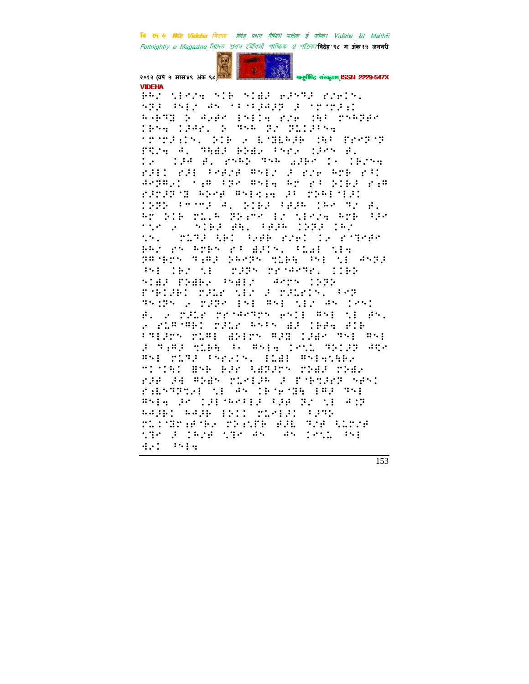

२०१२ (वर्ष ५ मास४९ अंक ९८) **VIDEHA** 

मानुबंधिह संस्कृताम् ISSN 2229-547X

PRO SERON SIR SIMP RESTRICTED. SPECIFIC AS SISTERED E STORED RAPT 2 RAPS INTERNATION SUPPORT 1854 1842. 2 TSA SI SWIPSA **TETERS NIE ALDERE DE BROET** PRIN A. MARE BIGHT THIS IPPN B. 194 B. Pres Tre aden 18 16256  $\ddot{\phantom{0}}$  .  $\ddot{\phantom{0}}$ PAIL PAI PRESE ANIS A PSE AMB PAI Arguer tem throughly broad bible rem ranary personal serious and new radi 1989 Front A. Sief Felm 168 M. B. RE SIE PLIR PRAMA EN NEANA REFORMA tirli tikk ek kelk 1920'ter th. Tring ABI Ageb Prel la Pomper BROOKS REPSORT BROS. FILM SIR people sing pack single billioned PH CROSS STREET TESTARTE, ICEN **STAR THAN PARTY WATER INTER** PORTHE THE SET FORMING POP **Product of Public Energy Address (2002)** B. S TRE TEMPTER ENIE PNE NE BN. a rumsmed rade mese da degga ade PRESS SIME ANISS MED CHAR TSE MSE a mama ming se mega leni melam Ame #51 TLFF PSERIS, ILMI #51918ER CAI BYB BJP RAZJEN 2043 2046  $\cdot$  :  $\cdot$  : rde de Arar ricida d'Espring ren: ranggir (Bandrogen) (1989) Brig an ISENHIE FER BY NE RIB BARD BARD BILL TEMPER TETT CLOSED HORN OF BIRE ARE THE SLOVE 상점에 그만 성화상품이 상점에 따라 안 없다. 정치성을 이용할  $\cdots$  $4.1$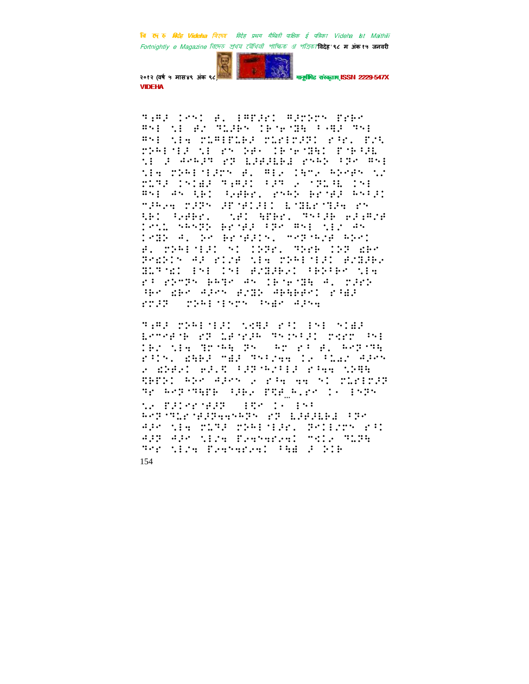

२०१२ (वर्ष ५ मास४९ अंक ९८) मानुबंधिह संस्कृताम् ISSN 2229-547X **VIDEHA** 

THE INT A. IMPAC MICEN TOPS #51 MI AN MIRRO IPSEMIN FORESMA #SE SER MI#EFIER MIREMARI RAN, FM THE SEAT OF THE CHANNEL PAPER. ti a esta propagagana pser (pso ms) nia positizm el sigliamo socercho<br>plaz (rieg ageg) fga o calebrosi #51 45 UED GABEL PSPE BESED RSON MARKET MARK CAP MOVALD CEMERATING ON ART ANDRE SAT ANDRE MAARD BERKE Cril SASTE Brogl (TR) ASE SENSOR ledh a. De Broglin, meropras mper #. THE MIC AL CORE. THE COR WHO Proble al biza dia creitia : #JIJPJ HITTED INFORMED FRIEND FENERY MEA ra roman especien leinenae el raro 'gelak del ayr 'gegel ba rn37 - Makingana (Sea Albe

THE THINGS NOTE FILENT NO. Ennedok az Leonie Skopkis nam Pri TES MEN TO SAN TROOPER FOR APPROX rick, dael mal Thirae (2001) also also 2 didni elit tatchitis rime with SHIND AND AGON IN RAW AN NI TERRITR TE REPORTED THE FIRE RIPS IN 1575 the Paler Magnese (1980) 1981 Reported Banger Profile East Canada Spe APP NEW TORP TRAETERS, PRIETTY FRI APP APP SEEM Protocol MCC TER The Side Premarkel (Red 3 Dib 154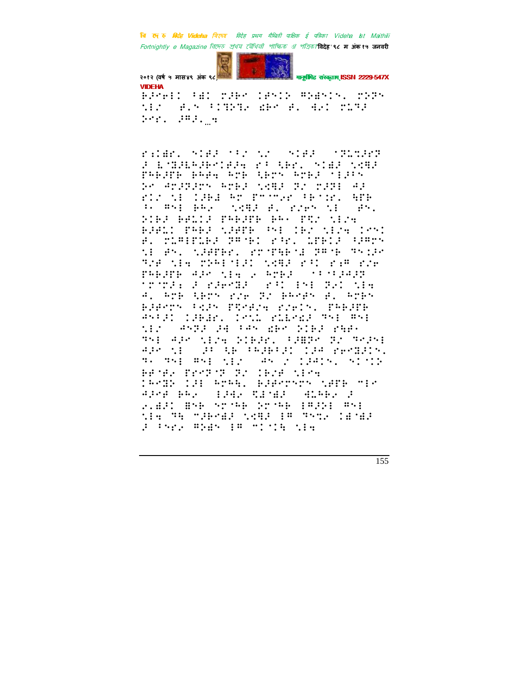

२०१२ (वर्ष ५ मास४९ अंक ९८) **VIDEHA** 

मानुबंधिह संस्कृताम् ISSN 2229-547X

BIGHT FAILTHER CENTR WRANTN, TRON the Birlings are Blues with 2021 2831 A

rian support the support of the a byzananiaa rijne. Sida 200 PHESTE BRAG RTB GETS RTB3 '1315 Se Arabare Area neba bi raba Aa FIS NE CARE AT POSSES FROM APP POST PROVIDED BY POPS NEWST NIEJ BELIJ PABJEB BA) PRZ NEZA BARLI PARA SARPE PAI IBN SING 1951 B. MIRIDIAN BROAD FOR INDIA SURMS ME PRO NAPIDEL POSTBESE PROF TRIAS 328 NEW MARETERS NYBE 231 238 228 PRESPECTED VIRGIN ROBERT OF STEARING trunk a raeda (rai an dai die 4. And three compositions of ander BJBYTY FRIS PRYBIN PINTS, PREJER WHAT TABLET TRIL FILMER WHO WAS (4523 24 145 dBr 2162 dBF)  $\mathcal{L}$ : 351 APP MICH DIEBRO FREED BY 30251 age of the CAR (Against 1947) Perdaity.<br>The Third Andrew Anti-Times of the HEAR PROPORTING SENE SECH CARIN (SE ArAG) BJERNYN NETE MER APA BRA (1912-1191) Albert F.A.T. BYE STORE 220RE IP.221 PYI Ma TA SJERED NARD ER TYNK IENED a they whan im minim nim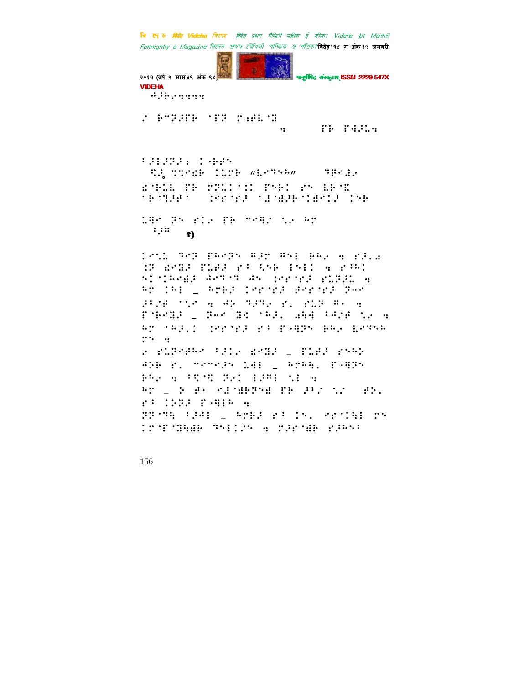Fortnightly e Magazine রিদেহ প্রথম মৌথিনী পাক্ষিক প্র পত্রিকা**'বিदेह'९८ म अंक१५ जनवरी** मानूसीमेह संस्कृताम् ISSN 2229-547X २०१२ (वर्ष ५ मास४९ अंक ९८ **VIDEHA MARK START**  $\dddot{\mathbf{z}}$ **FILING CONFIDENT** Signeer Clark with the  $\mathcal{L}^{\text{max}}$ EMAL TE MALINI TYEL PY LEND **MEMBER COMPOSE MEMBERIENIE INE** 188 Br els FR SeBr to Rr  $\therefore$   $\cdots$  3) Tend Ref Paers Ran Rai Bal & Ella SP ROBE PLAT PROVING INTO A PORT STOTAGE AGROB AN ISSUED FLEED A RD IRE \_ RDBJ ISBND BSPNDI BAS PER TROW HOUSE TRIANS STANDARD HOUSE PORTH \_ Per Brookly whenever the ar tag, porner right page and genea  $\mathbf{r}$  .  $\mathbf{r}$ F CIP-BR FRIE ROBE \_ TLAP PARK ANE PLOTETER LAF \_ AMARI PARRY BAS A FROM BSI 1381 MI A An I base official that of all ab. **FI 1933 F-918 9** PRITE FRAME \_ ROBR RANING METCHE ON ITTEMBURSELY SCHOOL CARS

बि एक रु मिनेड Videha विएक विदेह प्रथम मैथिली पाक्षिक ई पत्रिका Videha Ist Maithili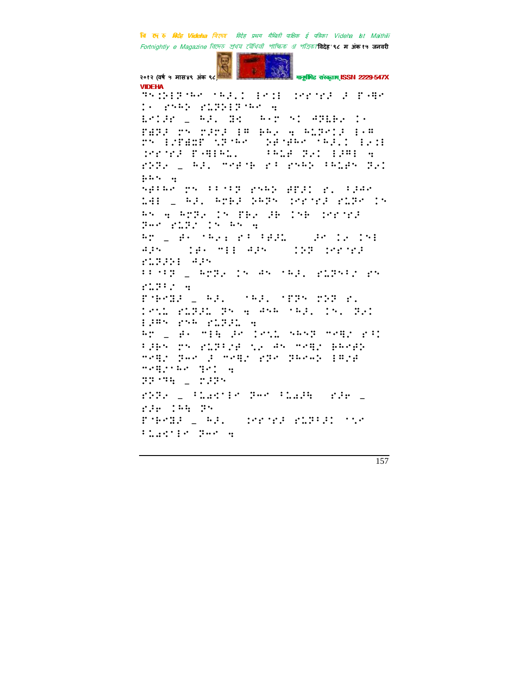

```
RESULTED MEASURE CONSUMPARE MORE STAT
FIRE THE PLEFTE NE AN TRED BARBE
medic deep a medic roc deeer (Berg
evarian and 4
22.7% _ 2.225
rth _ Highle Ber High (rde _
```

```
rde 194 Pr
POPULA 2 RAVING MOVE PLANES COM
Placed Section
```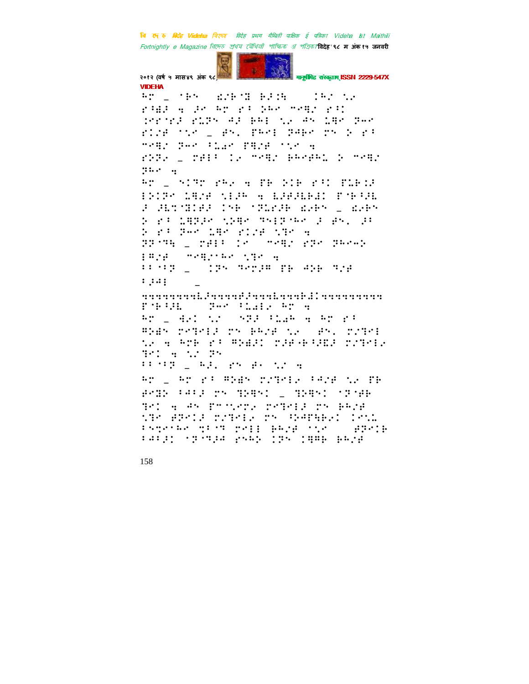२०१२ (वर्ष ५ मास४९ अंक ९८) मानूबंगिह संस्कृताम् ISSN 2229-547X **VIDEHA** Ar \_ (Pr) and H did \_ (Ar th rad a de Ar ra dae membrad 101113 2135 43 BH: 12 45 180 360 EDGE TOOK IN BALL PACE TABLE TO DURCH medic deep that fund the a PREAL DEPARTMENT PROPERTY STORES  $10.0 - 0.0$ RM 2 SIMM PRESS TRONGE PARTIES BOOK WENT SEPARA EPPEER TYPIC F HATHIER INFOTENTIEN LOOK LOOP S PROGRESS NORTH THERMAN ROBERT RE Port Personal rice through 33.7% \_ 2310 (28) 2003 230 34000 PROF SPRINGE STATE **FEAR 2 125 FAMP TH 456 FMF**  $\mathbf{1}$   $\mathbf{1}$   $\mathbf{3}$   $\mathbf{4}$ rusum (Sections are Ar \_ HAI NA | NEW PLAN H Ar an #NES MATALL MS BROW NO SPS. MOTAL trong Are ri Alasi rieneisse rrain **Bri e tri Ph** FEST 2002, PROFILED TO 8 RE \_ RE PROPERTY TITLE SAMPLE TR POR PRESS TO THESE I THESE STATE Teles de Provers releis recepts the APPLE provide by Spangell (Pol Propertie of the pell BROB communication FAR21 (197924 PSA) 195 1986 BA28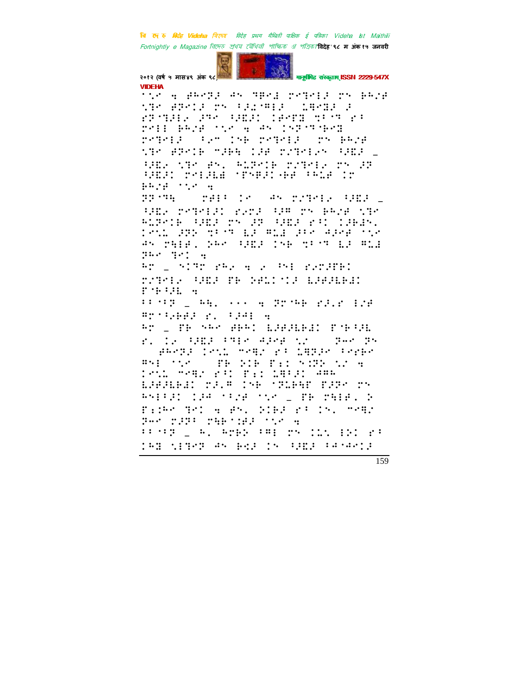

२०१२ (वर्ष ५ मास४९ अंक ९८) **VIDEHA** 

मानूबंगिह संस्कृताम् ISSN 2229-547X

the 4 Barga an Spraggester Property the Breis by Caronia (1968) a FROM PROGRESS DEFINITION FO PAIL BROW TOO A AN INFORMAT redell for the redell on BROB MP BROW MBR CBB MORIAN BRA L SHER NEW BY, BLEWIE TITMER TY UP BEEN PRIBE SPARE AND PALE IT page the a THIS IS AN TITLE SHIP.  $11.1111$ BEE TERRIF PATE BE TO BRIE MET RIPAIR HARD TO AN HARD FAILING SAN GER AR AR EG AND DRA GORD TO AN THEF. PAR SPEED INFORMATION WILE 288, 381  $\dddot{\mathbf{r}}$ RE \_ SITE PRE A 2008 PRESENTED renda don o social condi  $\Gamma$  <br> : <br> : <br> : <br> : <br> : FEST \_ WELL-COUNTRIGHT FREE END **#right r. 1341 +** RE \_ PR SRM RRRI LARALRII PORTAL r. 12 HHR PHP APPEND ( PAR PR **BRATE CAND MARY PROGRESS PAPEA**  $\mathbb{E}[\mathbf{v}_1] = \mathbf{v}_1 \mathbf{v}_2 \mathbf{v}_3$ **STERN STREET STREET STREET STREET STREET STREET STREET STREET STREET STREET STREET STREET STREET STREET** religeer at Fardward am LAGUES TALE INF TELES TATE TH PAIRE CHAINER SAM \_ TRITHER & Fight Role Rol Sied rich, mode Ter part parties the a FROM 2 H. HTPP FAI TO ILL IPI FF IRB NEBAR AN BAR IN SHER SAMANI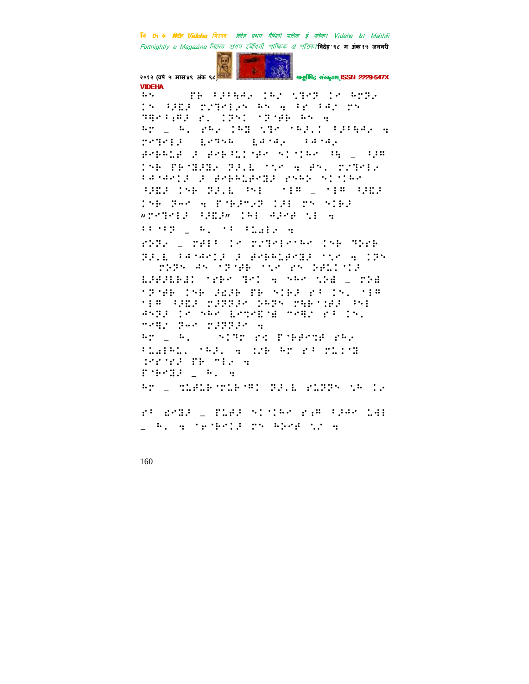

```
२०१२ (वर्ष ५ मास४९ अंक ९८)
VIDEHA
```
TH FREED IN STAT IN HOTE  $\mathbf{L}$  . TA SPER PRESENCIAL ACTIVITY PA **MACHANA PL IPSI SPORT AS A**  $\mathcal{H}_{1}^{1}=\left\{ \begin{array}{ll} \mathcal{H}_{1}^{1}=\left\{ \begin{array}{ll} \mathcal{H}_{2}^{1}=\left\{ \begin{array}{ll} \mathcal{H}_{1}^{1}=\left\{ \begin{array}{ll} \mathcal{H}_{2}^{1}=\left\{ \begin{array}{ll} \mathcal{H}_{1}^{1}=\left\{ \begin{array}{ll} \mathcal{H}_{2}^{1}=\left\{ \begin{array}{ll} \mathcal{H}_{1}^{1}=\left\{ \begin{array}{ll} \mathcal{H}_{2}^{1}=\left\{ \begin{array}{ll} \mathcal{H}_{2}^{1}=\left\{ \begin{array}{ll}$ reder result and capture Beanger and and the string of the same state of the state of the state of the state of the state of the state 158 PROBREY RELEASED AND STORED PASASI P PSPEDENIE PSP STIPS HARD INFORMAL PHOTOGROUP (18 GRA) THE BAR A BIBERLE THE MAILE wrethin Wille (A) Alex ii a FREE \_ THIS IN TURNINGS INFORME BRIE FARANCH I ARBANARE MORTA CBR TRES AN INFINE THE PN DELIVIE LOCALES TERM NATURE NAME WAS LUCKED **SPEED INFORMED TECNIFICAL INCONSTRU** ti# WEB rJPDA SAPH rAFtdal PH ANDER THOMAS ESTERN WORLD FROM THE medic des cidades e  $4.2 \pm 0.1$ **SYSTEM POSSESSION** Plaint, that a the most click SMOTH THAT HALL TO THE STATE result by a Ar \_ midia wile will sill side that is rt ende gonzee niche ramoten web \_ A, q neded; problem the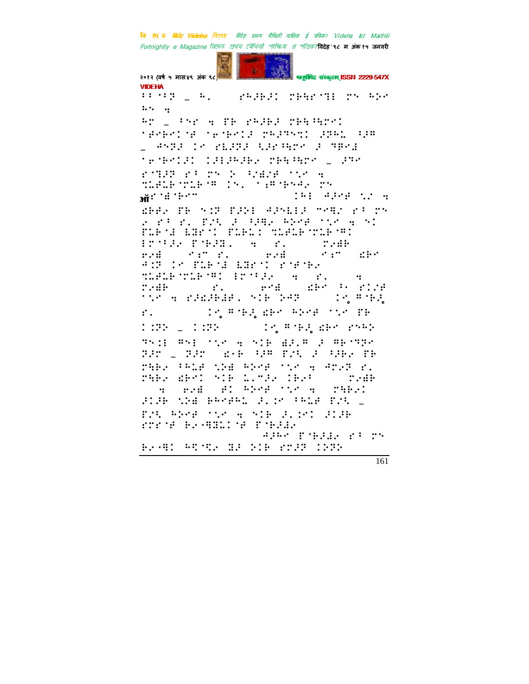

**VIDEHA** FROM 2 R. Schabel Sharoll Stocked  $1.36\pm0.12$ Ar \_ Par & TR PAGRA TRAGGEC SPEED SECTIONS IN PRINCIPLE SUPPORT  $\_$  4593 (2 gm303 throught 3 9853  $\_$ tedenar carage, pergencia age roll rich i barrente e mannerne (S. Sambya, py  $m: 1: 1: 2: 3$  $: \cdot :$ i Alanga (na ma BREATH SOF FARE ARSER MARY PATTER a ri r. Ezk a Agea Aber (ne a ni ris a Garbi risilibilikle bishq ETTER PORT. SALTA **Tail**  $\mathcal{F}:\mathcal{C}\rightarrow\mathcal{C}$  .  $\mathcal{L}^{\text{max}} = \text{dist}$ **....**  $\cdots$ AND IS TORON WEST FOR THE statakortakoet Erofako Aloareko (h. 1872)<br>Irailaren 18a - Johann Albert, fizagi the accompancy will be a company with the second second second second second second second second second second second second second second second second second second second second second second second second second secon ing Ander Werker and Th  $\mathbf{f}$ . 1938 L 1938 **Commanded State** This Reported Alberta Paraguay rang (bang nya bigga nya a drif si PRES BEST SIE LUMPS IEST. **Track A PART BOOK TO BE THE** BIB SH PROPE BIR PER TAL

Fri Roma the Albert Scotl Side Frida Romanica Parak Adam predig et pr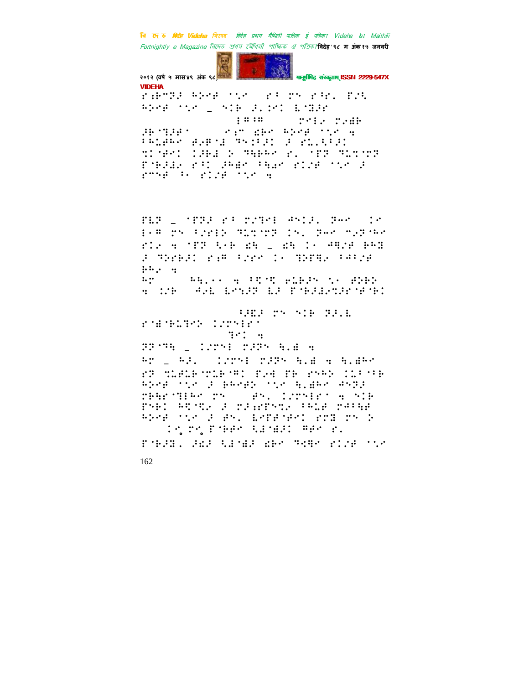

मनुषमिह संस्कृतम् ISSN 2229-547X

**VIDEHA** raFTE RESERVE SERVER PROTECT REMARKSHIP (PORT 2008) EMBRE  $\frac{1}{2}$  : : : : **Service ready**  $34.33433$ **Service Speaking** PALERY BREAK TRIED I BLOCKED MINEST CHAIN THEFT IN THE TATITE Poblar rat degraded rice over a rome in rice the a

FLF \_ 'FFF r: rifri 451F. Fer () PAR TROPING RETURN IN THE MARGHA ris a MPP top de 2 de lo Aque pad F THEFT FIR TIME IS THEE TATIF  $\mathbf{P}^{1,1},\ldots$ **ARIOGRAPHY STAR START AREA**  $\mathbf{a}$ 

a che aglierdo la paddedirato

WHERE THE SIDE TRIED ristrates creates 33 79: 2 12251 2335 9.8 9 Ar \_ AR. (1255) TRPS A.B & A.BAC FROM HELP MOLECULO FINE THO FARM CONCAR Aber the P BAerly the Aldae Andr rearing an resource, from Eric and the Pred Atrus d'Ederbre, Paig 24156 REAR TO STATE EVERYBOOK PRESS EN TRING PORPORATED RESOUR

PARE, RESERVED MAN THRO FILM TIP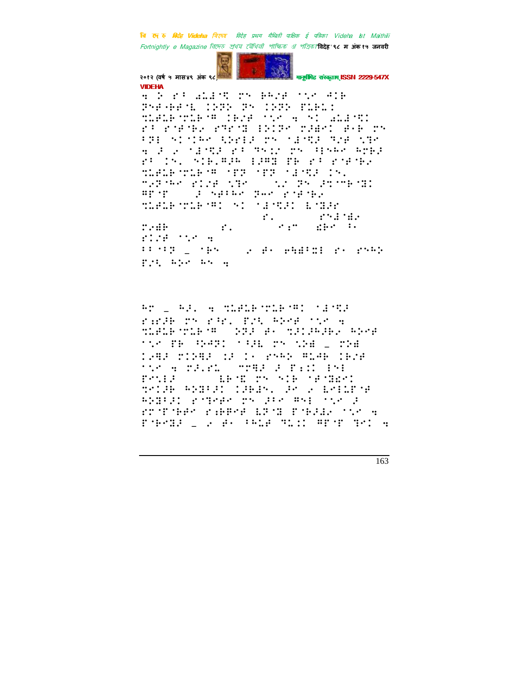

२०१२ (वर्ष ५ मास४९ अंक ९८) **VIDEHA** 

मानुबंधिह संस्कृताम् ISSN 2229-547X

a bar alist my BATE to ATB Present CHO Process field mights wile described a compact signal disri rufuk randa ibian mari ele m FREE SIMING ANGER TO MESTER THE NEW a distribution and the model of the PROTS, SIELARA 12AB PROPERTYPE MALE MILE SE STROSTER SAME IN 522565 E128 SB50 **Allen de la calendaria de la calendaria de la calendaria de la calendaria de la calendaria de la calendaria d** BESE : L'ABINA BAR PABARA **MAGE TOE TO STATE STORE STORE** arthur ann an Aonaichte ann an Aonaich an Aonaich an Aonaich an Aonaich an Aonaich an Aonaich an Aonaich an Ao  $\mathcal{L}$ **Tedir**  $\mathbf{r}$  ,  $\mathbf{r}$  $\mathbb{R}^{n+1}$  .  $\mathbf{f}$ . rice the a  $\begin{array}{r@{\hspace{1em}}l} \hline \mbox{\hspace{1em}}{\mathbf{1}} & \mbox{\hspace{1em}}{\mathbf{1}} & \mbox{\hspace{1em}}{\mathbf{2}} & \mbox{\hspace{1em}}{\mathbf{2}} & \mbox{\hspace{1em}}{\mathbf{1}} & \mbox{\hspace{1em}}{\mathbf{3}} \\ \hline \mbox{\hspace{1em}}{\mathbf{2}} & \mbox{\hspace{1em}}{\mathbf{3}} & \mbox{\hspace{1em}}{\mathbf{4}} & \mbox{\hspace{1em}}{\mathbf{3}} & \mbox{\hspace{1em}}{\mathbf{4}} & \mbox{\hspace{1em}}{\$ **September 2007** Primark and an

RESERVE THE THE TERM OF STRE range by reno fig. When the a tifik tik'# (232 f) tilihik Abde the BB (RABI tour resolution) and 1983 MINRA 13 IS PARK ROAD IB28 the a relation when enthanced Pendan ARTE TY MIR SPORT TAINE PROFIL INFORMATION AND ON TH PRESS POTER TO PROPER SAMPLE roffer rathed by Bonday to a FARSE IS A PROPERTY WITH THE S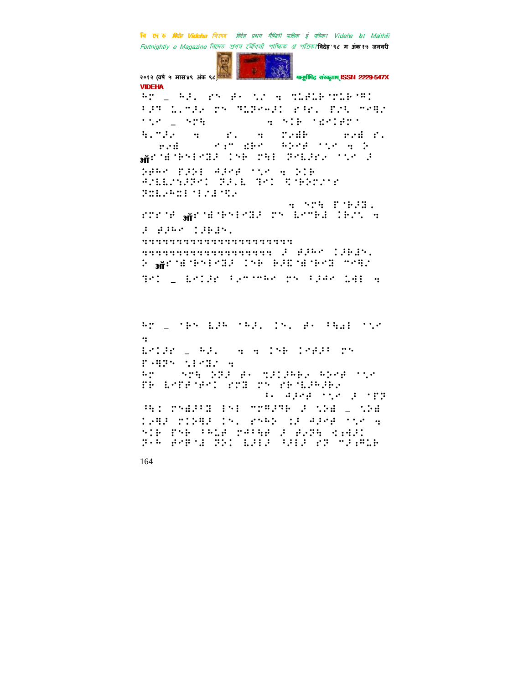Ar \_ AR, rr A, th the middle wile (#) FRANCOUR THOMAS PERSONAL PROPERTY **A SIR MESSER**  $\mathcal{V}(\mathcal{P}) \subseteq \mathcal{P}(\mathcal{P})$ Binder and Professional PedFo aran di Sal Source des Changes the Second  $\cdots$ Which the Political Control of the Control of Ca 5868 FSS: 8388 MM & SIB AMERYLAGAN GELE GAN SYEPHING Followed States **A STR FILLE** control and tachers of all control casts of F. BINK (PRIN. ........................... Dealer to the End Police Changed to the annual medic This I bridge the company that well a Apolites EPA tag, Inc. And Page the  $\dddot{\mathbf{r}}$ ESTAR L'AAVOUR AUGUST TRAGE DR **POSSES** 1999 SMPR PRESENTIFIER PROFINSO  $\mathbf{a}$ TE LATEARAT VAN TA VEALIGER at apresente party Bi reduce bi studen a web 2010 nik pre sela pasaa jelapa kadi.<br>Per arbol pri bala sala promaamle

बि एक रु मिनेट Videha विएक विदेह प्रथम मैथिली पाक्षिक ई पत्रिका Videha Ist Maithili Fortnightly e Magazine রিদেহ প্রথম মৌথিনী পাক্ষিক প্র পত্রিকা**'বিदेह'९८ म अंक१५ जनवरी** 

मानूबंगिह संस्कृताम् ISSN 2229-547X

२०१२ (वर्ष ५ मास४९ अंक ९८)

**VIDEHA**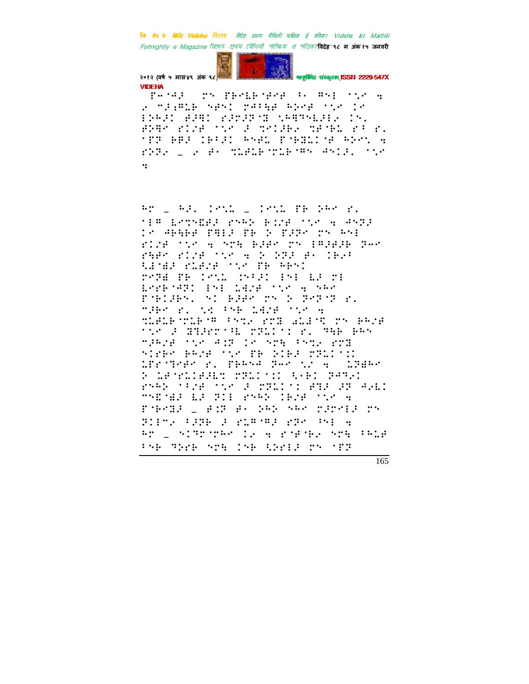

२०१२ (वर्ष ५ मास४९ अंक ९८) **VIDEHA** 

मानुबंधिह संस्कृताम् ISSN 2229-547X

(Paral of Phoberal Deal Deal) the a 2003-BLB NBND MATHE RDAR TON DA HARD BAND SAMARYN SANTSLALE CS. BRAY PICE TON A MYLERY METER PROP. **TER BES CRISS ANEL EMBELON ADMINIS** PRES 2 3 BR MIBLE MILE MAY ANDEL SOM  $\dddot{\bullet}$ 

RM 2 RP. ISMN 2 ISMN PROPRESE ti# LondEal robb Bina the 4 4572 e graph fail ne d'hure pe bel risk tir 4 yng blek ny 181816 246 rako rize dio aldean 1940eko 1949<br>Aldel rieze dio fel 9951 PARE PRODUCED INFORMATION ESTIMATOR ESPECARD INFORMATION & NAS POBLEM, NO BERNOM DOPENE P. make all the the days one a MIRIN MINUTES PARK STREAMING TO BROA **MAY A HIGHT ME THAT TO THE BAY** making the Add in Spa Ashi roll STREET BROW TO THE STREET WILL TO LES TRAR S. PARRA BAR NO 4 (1988) S MARINAN THROW BAR THR. rnes fire the 2 router edg 20 Ave. THE WE EASTLE PHR CENT TO A PORTH \_ FOR FOUNDATION TENTER TO FIRMS FREE POSTER STATES OF RESULTATED OFFICIAL ACTEMBATIONS CREAT PAR THE STRONG REPORT TO TER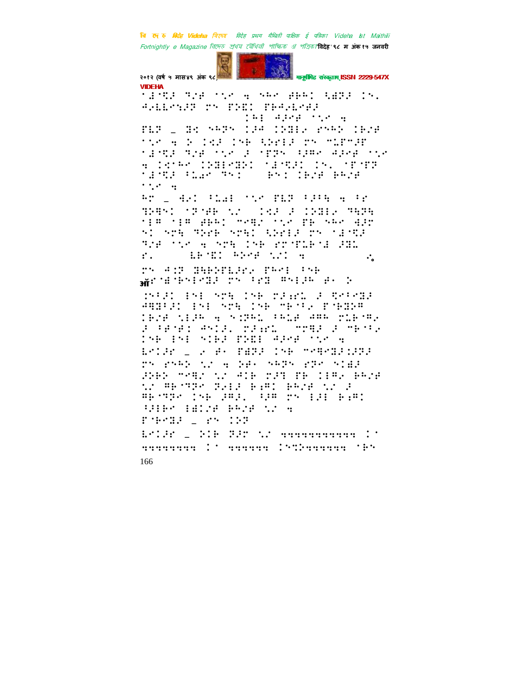

२०१२ (वर्ष ५ मास४९ अंक ९८ स **VIDEHA** 

मानुबंधिह संस्कृताम् ISSN 2229-547X

**MERGE RIF MARCH SPACEFFIC REPACTS.** ARLENED TY THIS HARRIER 

FLF \_ He safe that their raab term the a boids information minut nanga graminyo a nggol gawo aana nin Ster (Software Software Co. 18198  $\ddot{\mathbf{r}}$ **MIRROR RESORTED BY DORPH BROW**  $\gamma$  ,  $\gamma$  ,  $\gamma$ 

Ar \_ 421 (Lai just flr (204 4 () TRANS CROAN NO. 1917-2-19312 7929 tim tim gas: member the mac gir ni ngà giáp ngài tháis go clock The throughted Indian Strike All HOME WHEN WAS  $\mathbf{f}$ .  $\bullet$  $\ddot{\cdot}$ 

rs AG BESTLAN TEM TSE WESTERFORM TO SEE THE FOUR ST

DRAFT ENE NOR THE OFFICE A APPROX **ABBASI ENE NOR INFORMACEMENT** TEZA SIRA A SIRGO PALA ARA MIESRA a tener ancal pagbo Thoma a Tenta 158 ESE SIBJ PDEE APPROVIS A EMIRY \_ S #+ PARA INF MARKERIAN The Philip National Development Part (STEP) PRES MARY NY AIR MPT TR ITAN BAYB tromported the paint perspectively mponde (spling, lin esligi plus WHAT HIS REAL STOR FORCH LANGING 8000 - 000 000 00 0000000000 0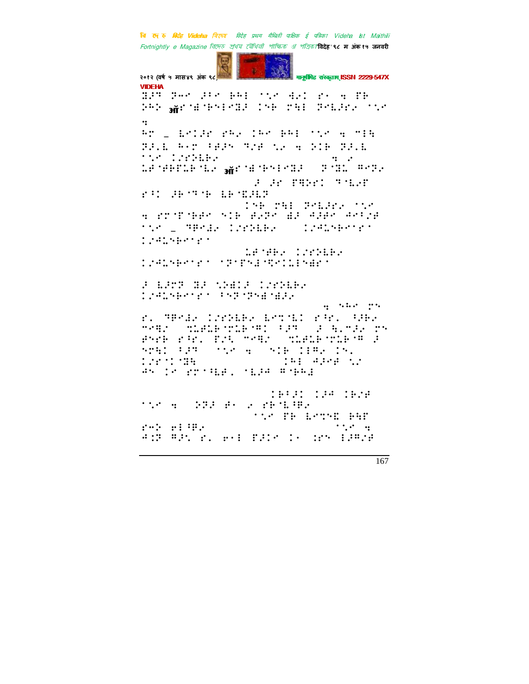**Separate** २०१२ (वष ५ मास४९ अंक ९८) मानुषीिमह संकृताम्ISSN 2229-547X VIDEHA ⣝⢼⢹!⢽⢲!⢼A!⢷⢳5!⣁!⣚⢴!"b!⣒!2⢷! SAN WARTER CONFIDENTIAL CONTINUES  $\dddot{\bullet}$ ⢳!–!⣇⢼"!"⢳⢴!⢳!⢷⢳5!⣁!⣒![5⣓! B.E.E. A.P. FEB. A.P. A.P. E.E.<br>The Cliffe  $\mathcal{M}$  ) distribution of the contract of the contract of the contract of the contract of the contract of the contract of the contract of the contract of the contract of the contract of the contract of the contract of the WE NEEL EN SAME NEEL ER DE SAME DE SAME DE SAME DE SAME DE SAME DE SAME DE SAME DE SAME DE SAME DE SAME DE SAME<br>DE SAME DE SAME DE SAME DE SAME DE SAME DE SAME DE SAME DE SAME DE SAME DE SAME DE SAME DE SAME DE SAME DE SA ) Of Physical State  $'$  :  $'$  :  $'$  :  $''$  :  $''$  :  $''$  :  $''$  :  $''$  :  $''$  :  $''$  :  $''$  :  $''$  :  $''$  :  $''$  :  $''$  :  $''$  :  $''$  :  $''$  :  $''$  :  $''$  :  $''$  :  $''$  :  $''$  :  $''$  :  $''$  :  $''$  :  $''$  :  $''$  :  $''$  :  $''$  :  $''$  :  $''$  :  $''$  :  $''$  :  $''$  :  $''$  :  $''$  : Sbiography (Sb) ⣒!"2⢷⢾!⢷!⢾⢴⢽!⣞⢼!⢺⢼⢾!⢺A4⢾!  $^{\prime}$  ) – The construction of the construction of the construction of the construction of the construction of the construction of the construction of the construction of the construction of the construction of the constru 4⢺⣅⢷"!)Dbtvbsjvt! deter the state 4⢺⣅⢷"!⢽2⣜⣋⣅5⣞"! ⢼!⣇⢼⢽!⣝⢼!⣁⢵⣞⢼!4"⢵⣇⢷⢴!0! 4⢺⣅⢷"!A⢽⢽⣞⣞⢼⢴!  $\alpha_1$  ) which  $\alpha_2$  is the  $^{\prime}$  . There is the state of the state  $^{\prime}$  $^{\prime}$  were considered the consideration of the state of the state of the state of the state of the state of the state of the state of the state of the state of the state of the state of the state of the state of the state ∄NYE YE. TYL "PREN" TEEN TEEN TO STAI FIT (152 a − 518 1182 15.<br>IVENTUA  $\frac{1}{2}$   $\frac{1}{2}$   $\frac{1}{2}$   $\frac{1}{2}$   $\frac{1}{2}$   $\frac{1}{2}$   $\frac{1}{2}$   $\frac{1}{2}$   $\frac{1}{2}$   $\frac{1}{2}$   $\frac{1}{2}$   $\frac{1}{2}$   $\frac{1}{2}$   $\frac{1}{2}$   $\frac{1}{2}$   $\frac{1}{2}$   $\frac{1}{2}$   $\frac{1}{2}$   $\frac{1}{2}$   $\frac{1}{2}$   $\frac{1}{2}$   $\frac{1}{2}$  ⢺!!"⢸⣇⢾⣀!⣇⢼⢺!⢻⢷⢳⣜!)tpvoe! dpnnvojdbu tema  $^{\prime}$  where  $^{\prime}$  is the set of the set of the set of the set of the set of the set of the set of the set of )Pnojwpspvt\*!⣁!2⢷!⣇⣉⣏!⢷⣓2!! "Contract the contract of the contract of the contract of the contract of the contract of the contract of the contract of the contract of the contract of the contract of the contract of the contract of the contract of the ⢺⣈⢽!⢻⢼⣁!"E!⢶b5!2⢼!b!⣈"!5⢼⢻4⢾!

चि एत् रू मिन्हे Videha निएन्थ विदेह प्रथम मैथिली पाक्षिक ई पत्रिका Videha Ist Maithili Fortnightly e Magazine বিদেত প্ৰথম মৌথিনী পাক্ষিক প্ৰ পত্ৰিকা**'বিदेह'९८ म अंक१५ जनवरी**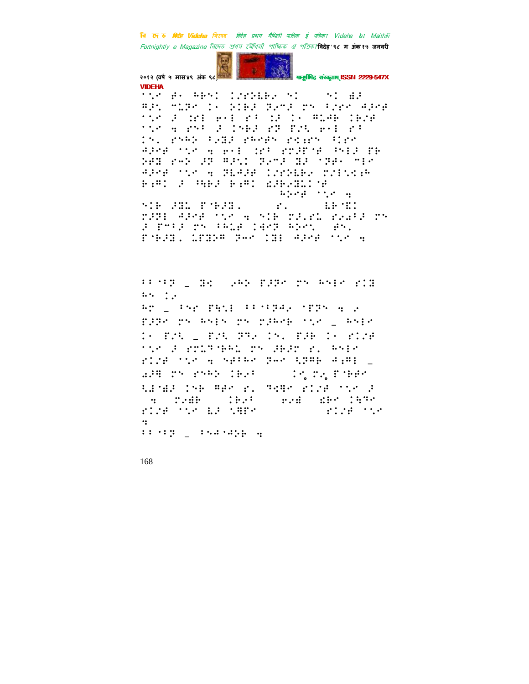

२०१२ (वर्ष ५ मास४९ अंक ९८) **VIDEHA** 

मानूबंगिह संस्कृतम् ISSN 2229-547X

the Browner Christmas of Contract Ban Miles is bied Bana professor Adee the Point export in 16 might 1628 the august 2 1582 gr E25 and gr In, robb bell recentrate blro APPENDANCE EST OFFICIATION INTENTE 581 PAS 32 RESI DAMI 18 MPH - MEM APPE TRE A PEAPE COOPERS TOING P  $\mathbf{a}_1^T \mathbf{a}_2^T \mathbf{a}_3^T \mathbf{a}_1^T \mathbf{a}_2^T \mathbf{a}_3^T \mathbf{a}_4^T \mathbf{a}_5^T \mathbf{a}_6^T \mathbf{a}_7^T \mathbf{a}_8^T \mathbf{a}_9^T \mathbf{a}_9^T \mathbf{a}_9^T \mathbf{a}_9^T \mathbf{a}_9^T \mathbf{a}_9^T \mathbf{a}_9^T \mathbf{a}_9^T \mathbf{a}_9^T \mathbf{a}_9^T \mathbf{a}_9^T \mathbf{a}_9^T \mathbf{a}_9^T \mathbf{$ 

 $\mathbf{r}$ ,  $\mathbf{r}$ ,  $\mathbf{r}$ ,  $\mathbf{r}$ ,  $\mathbf{r}$ THE APPENDED AIR TRIED TOGET TO Fred recently the second sec PORT CHINE PAR IN APPROVE A

PROPE \_ BRO GAR PARK THOMAGE FIB  $\mathbf{h} \mathbf{w} = \frac{1}{2} \mathbf{w}$ RESULTED PROFITED REPORTS TO A FRRS TO ROLL TO TRACK TIME I ROLL In The Lother Standard The Industrie the Permanent research and and ride the 4 method BAR ASAB A.A. \_ and the phone chat and the state of the state of the state of the state of the state of the state of the state of the state of th REMER INFORM BY TREM BIDE TOMOR  $\sim 100^4$  ,  $\sim 0.01$  ,  $\rm{dpc}$  ,  $\rm{100}$ n Chib FIDE TOP ER NEED  $\mathcal{L}^{\text{int}}_{\mathcal{L}^{\text{int}}} \mathcal{L}^{\text{int}}_{\mathcal{L}^{\text{int}}} = \mathcal{L}^{\text{int}}_{\mathcal{L}^{\text{int}}}$  $\bullet$ .

first for the state of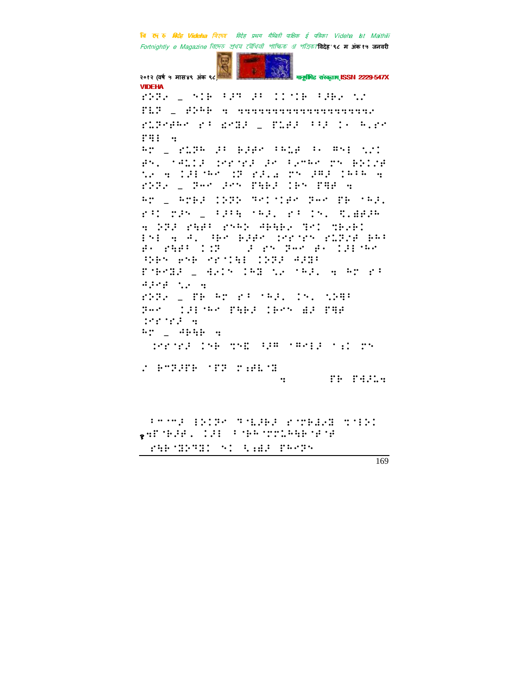

**VIDEHA** PRES 2 MIR FRAGH INSTITUTE FRAGGI ringered ra reduced first and to dere **FHI +** RE \_ PLPR IN BIRK (RLP ) R RRE LE Br. (ALIA SPECIAL PROPERTY BYIS the Audio Manuscher Schule (1988) And Audio Article fST. \_ Ter Pro THE TEN THE 4 RE \_ RERA INTN TRINIPP THR TRACK FROM POST CONTROL PROVIDED AND THE PROGRAM a STJ raft roof Ababy Tri Mbybi Information and Baar operator rugge and Bright 118 (18 gradual Bright Ar PHP end or CAI 1222 9233 FORMER 2 HEADY CREATED ARE A RESERVE agest the se PRES 2 FROM POST THE CITY WREP Ter (1917kr Pak) Chry Al PAP  $5.2\pm 0.0000$ THE REAL THE CONFIDENTIAL CONTINUES. **TAPARE MEDICAL T**  $\ddot{\cdot}$ From Bile Think roman tong **SAP NEWS ISSUE OF THE MONEYA NEWS SAPARTE STREETHER**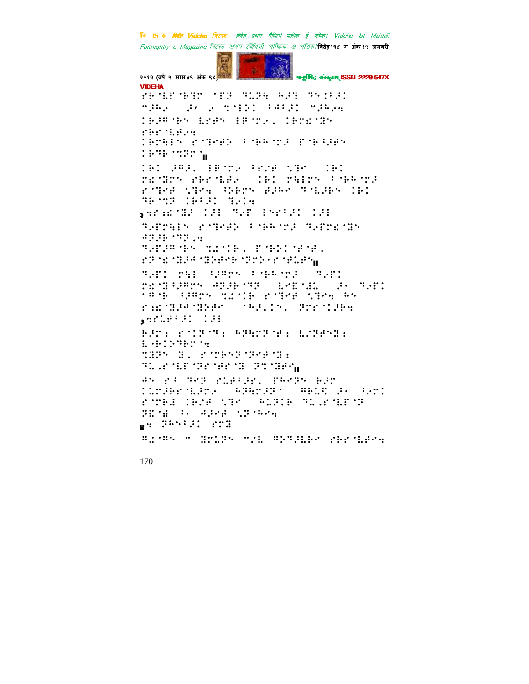

IBI PRAY IBONY RENE NTE (IBI rendry fermer (181 rainy figure) ritre three Germ each minage (b) 96.02.16921  $\dddot{\mathbf{z}}$ . **SAPER CHORE INFORMATION** 

SAPPAIN RINARD FIREIDS SAPPRING **AP28 192.6 SAMPROPS MICHAEL PORTIONS.** 

ar na nasa nabana musika nawan<sub>in</sub>

THIS THE SPACE SCHEDULE THIS rendigares addentic become la fact teg logre mode roman vma se rangement (Aller Britan  $3447.4447777744$ 

FROM POINTS PRESENT EXTENS.  $1.44174974$ 

**MIPS IL POPPETERIE: PLOYME MEMBERS PROBEST** 

An el med eletje. Paedn Bjr **TIMARY RANGE CAPAMARY COMPLETED REST** roma (Bre Str. Augub gulerung SENE POSPER SPORTS ge FRAME: 223

Riche w Stiff will Richer Services

170

**VIDEHA**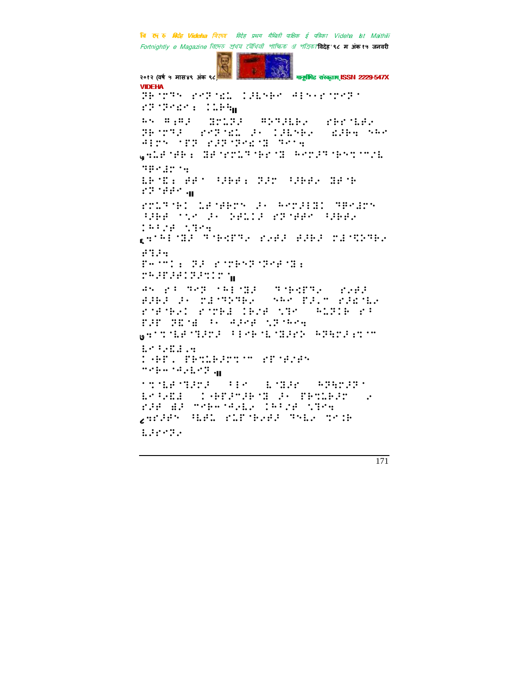**Service** × २०१२ (वर्ष ५ मास४९ अंक ९८) मानूबंगिह संस्कृताम् ISSN 2229-547X **VIDEHA** BECOME PRECEDIBLY APSECTORY rd der i Cara<sub>n</sub> as minis detti: *ALLA* **ALLA** *PHILIPS* PROTRE POTOS POSSERVERS and the state Alps (FD 1977-2013) Rena QHISTEE: BETEND THETB PONSTTENT TOOL **NBRIDGE** APROVISED THE SHIP AND STRIP  $\mathcal{L} \mathcal{P} \cong \mathcal{P} \mathcal{P} \cong \mathcal{P} \mathcal{P}$ POLTARI LEABRON PO PODPIBI TEMBOS SHE TO BE SELLE STYRE SHEET 19928 1384 performa diedro veda daba varone.  $f:1.14$ Permia da Propresorenda **PRAPARTAMIC W** 45 PROTECT THE TEACHER STATES OF PART **SAMPLE PROPERTY** BORD DO MINIMUM  $\frac{1}{2}$   $\frac{1}{2}$   $\frac{1}{2}$   $\frac{1}{2}$   $\frac{1}{2}$   $\frac{1}{2}$   $\frac{1}{2}$   $\frac{1}{2}$   $\frac{1}{2}$   $\frac{1}{2}$   $\frac{1}{2}$ rnenes roma lese tho THE PEAR BY APAR SPARE **WHITE THIS PERMITS AND LITTLE** ESP PARTE LA D'APD', PRINGERIN IN 1970 media rapided an **TOMAGES IN LONG ASSESS LOGICAL CONSTRUCTION CONSTRUCT**  $\mathbb{R}^n$ PARTNER SPARAGE CHICA (1984) garden (Bell rif Goed Shee Show Edentis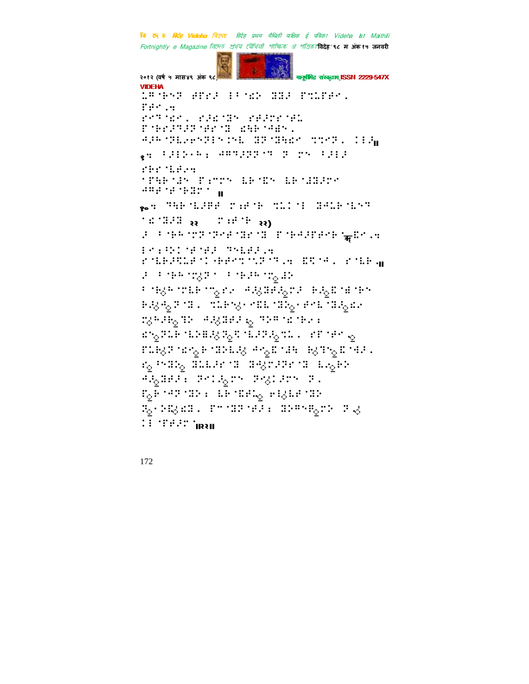२०१२ (वर्ष ५ मास४९ अंक ९८) मानुबंधिह संस्कृतम् ISSN 2229-547X **VIDEHA** LENHY HILL IS NO HILL PRING. ren e POTABOL PREATH PRREPAIR PARTIESEN SERVER. APP TERRATISTS, IT THE STATE (11)  $_{2}$  : :::  $\cdot$  :  $\cdot$  :  $\cdot$  :  $\cdot$  :::::  $\cdot$  :  $\cdot$  :  $\cdot$  :::: che difer **TERRIT FROM BRIDGE BRIDGE**  $\frac{1}{2}$  and  $\frac{1}{2}$  and  $\frac{1}{2}$  and  $\frac{1}{2}$  and  $\frac{1}{2}$ **Research Service Service Construction** a componentar di presenere genera Principale Start. POLEZELEO CHEMPOLEON (ESORG) POLEN  $\mathcal{F} \stackrel{\text{def}}{=} \mathcal{F} \oplus \mathcal{F} \oplus \mathcal{F} \oplus \mathcal{F} \oplus \mathcal{F} \oplus \mathcal{F} \oplus \mathcal{F} \oplus \mathcal{F} \oplus \mathcal{F} \oplus \mathcal{F} \oplus \mathcal{F} \oplus \mathcal{F} \oplus \mathcal{F} \oplus \mathcal{F} \oplus \mathcal{F} \oplus \mathcal{F} \oplus \mathcal{F} \oplus \mathcal{F} \oplus \mathcal{F} \oplus \mathcal{F} \oplus \mathcal{F} \oplus \mathcal{F} \oplus \mathcal{F}$ Finede museum and all advance search new PROSPICE CORPORATE CROSSES CROSS DOMESTIC HEADING THE SCORE बाह्यप्रक्रियात्मान्तुं शहर योजपन्तुयो २०४४ वस्तु । FLEST MAGE MEELES HAS ME HE ESTAGE MET  $r_0$ Pring inlate the impresentation of PROBERT POLECY POLECY P.  $r_{\rm o}$ P 140 180 s. ab 1640 $_{\rm o}$  is gale 180 Roterada Production destablished  $\mathbb{R}^n$  :  $\mathbb{R}^n$  :  $\mathbb{R}^n$  in  $\mathbb{R}^n$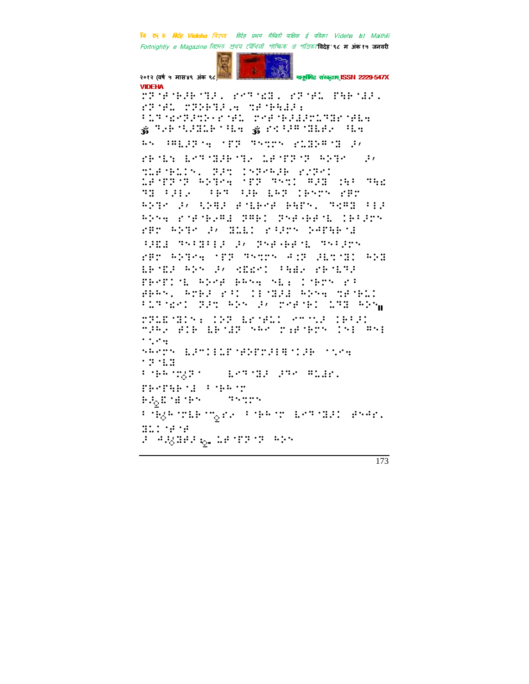

**VIDEHA** TEMPER TEL PARTER FEMALER TELL STOR TRANSFER TROBALL FOR MORPHOLOGIC COPENEDATIONS MEA & Telentering & Pontential Communist as degree off service rings in PROBA LONGIBUSE LEGISCO RETURNADO THE TALL RETURNER STATE LENTRY PITCH NTP TOT FROM HE THE THE FILE OF THE SIDE LATE CHATA STR PETE 27 APRIL FOLECE ENTS, TORE FIR RESA PORTBERG PRES PSEARCH IRRES FRY ANDR S. HEET FARMY NAPARYE SPEE THIRD AN INFORMED THERE FRO RETAR TER TACCA ALT SECTIONED EPSER APM 3, SERMI PARK PRSERP PROPINE ROOF RROW NEEDINGS PP ARAN, AMBA 231 11/11/12 ADNA MEMBIJ FLANDED BET REN EV THENED LAB REN roman di serie della condita di serie della make alb bendrokke raforen (nichni  $\cdots$ SPECIAL LIMITIES SENSITIES TO ALL STAND  $2.321$ Fire regard a de la construcción de la construcción de la construcción de la construcción de la construcción de la constru **THOTAGO COMMON FASE NEMPLA**  $\mathbb{R}^{n}$  is given Firege mae model is deem i and data liened. Hill te te 2008/BEFALL DESERTED BRY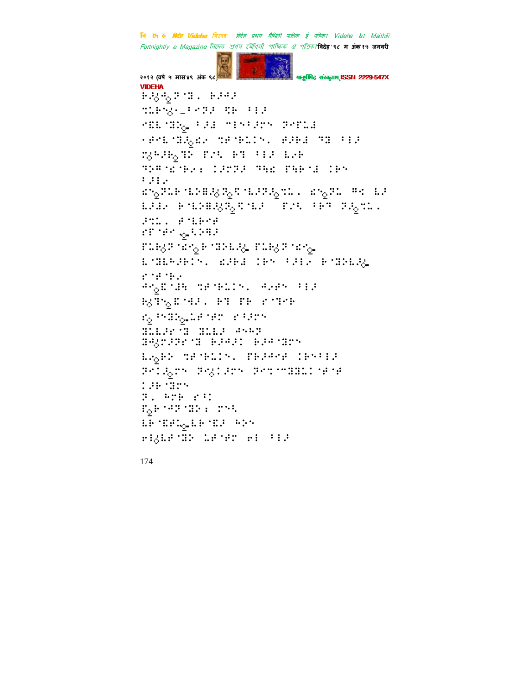२०१२ (वर्ष ५ मास४९ अंक ९८) मानुबंधिह संस्कृतम् ISSN 2229-547X **VIDEHA** FR6771, FPP THE WORLD THAT THE TELE PEESENG FALL SEMPRON PRELA Herboar<sub>g</sub>er de relich. Great dat Far MARE TO PE PIP LA THROUGH INTERNATIONAL IP  $: 1: 1$ ang PLE di Siliya ng Palisang di Loang PLO PRO La LEAD FOLDERS WORLD FIRE FROM PROVIDE Pris Police STORY & LEBP inaya renga rasa ay inaya reng EMERGETS, EGEL TES FRIE FMIELR  $\mathcal{C}^{(1)}\mathcal{C}^{(1)}$  in the  $\mathcal{C}$ Program de relativa (Poem 119 BOTH SECRET FROM THE ROOM BY  $\tau_0$  the space of the control **HILL: H HILL: 8562** BQCBPCB BPART BPPCBP EAGEN METERING TEAPPE IENFIA Philagen (Physicare) Photonaalist neine  $1.34 - 3.94$  $P_+$  (Fig. )  $P_+$ EgB 147 122 : 214 LE TERLOLETER (RDS) **FIARE WE WE SEE THE**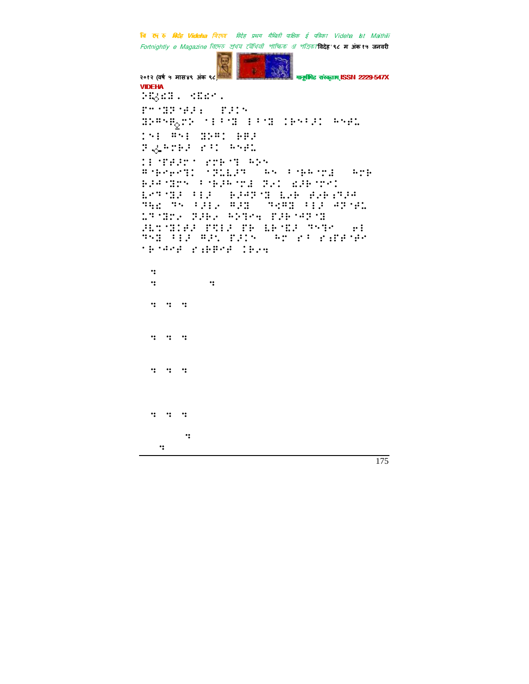२०१२ (वर्ष ५ मास४९ अंक ९८) मानुषिक संस्कृतम् ISSN 2229-547X VIDEHA CEG#H. <HP. 2[⣝⢽⢾⢼⣐.!2⢼! ⣝⢵⢻⢿◌॒⢵.5⢸⣝!5⢸⣝!⢷A⢼!⢳⢾⣅! 5!⢻5!⣝⢵⢻!⢷⢿⢼! J. 52⢾⢼."⢷⣙!⢳⢵! B NHPHPI (TRILPP) AN PINATRI (AME ⢷⢼⢺⣝!A⢷⢼⢳⣜!⢽⢴!⣎⢼⢷! ⣇⢹⣝⢼!A5⢼-!⢷⢼⢺⢽⣝.⣇⢴⢷-⢾⢴⢷⣐⢹⢼⢺-! HE 1950 ISBN 97-510-07-510-07-510-07-510-07-510-07-510-07-510-07-510-07-510-07-510 ⣅⢹⣝⢴!⢽⢼⢷⢴!⢳⢵⣙⣒!2⢼⢷⢺⢽⣝! ⢼⣇⣉⣝⢾⢼!2⣋5⢼!2⢷!⣇⢷⣏⢼!⢹⣙-!⢶5! ⢹⣝!A5⢼!⢻⢼⣁!2⢼-!⢳!"⢸!"⣐2⢾⢾! ⢷⢺⢾0"⣐⢷⢿⢾!⢷⢴⣒! 9. WJEFIBIBI GEOGRAFIE 9⣒2!up!9⣒4!NBJUIJMJ!  $9:2:2:2$  $\cdot$   $\cdot$   $\cdot$   $\cdot$   $\cdot$  $9 - 2 - 2$  $9:2:2:2$ cz! Esperant March 2000 (Sbkiw!) Daniel March 2000 (Sbkiw!)  $\mathbb{R}^n$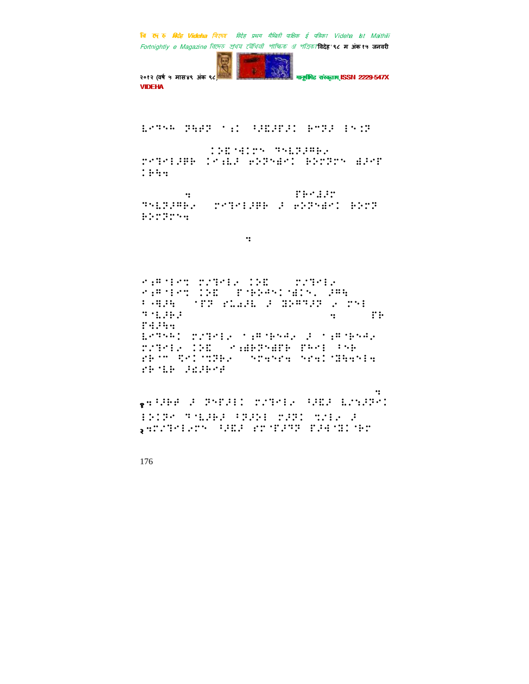

२०१२ (वर्ष ५ मास४९ अंक ९८) मानुषिक संस्कृतम् ISSN 2229-547X VIDEHA

⣇⢹⢳!⢽⣓⢾⢽!⣐!⢸⢼⣏⢼2⢼!⢷[⢽⢼.5⣈⢽!!!

Joqvu;!)⢵⣏⣚!⢹⣇⢽⢼⢻⢷⢴-! ⣙5⢼⢿⢷!⣐⣇⢼!⢶⢵⢽⣞.⢷⢵⢽!⣞⢼2!  $:$  $:$  $:$  $:$ 

 $\frac{1}{2}$ ⢹⣇⢽⢼⢻⢷⢴-!⣙5⢼⢿⢷!⢼!⢶⢵⢽⣞.⢷⢵⢽0! ⢷⢵⢽⣒!Sftvmu!jo!Efwbobhbsj-!

Spield (Spield Spield Spield)

⣐⢻5⣉.4⣙5⢴.⢵⣏!0!4⣙5⢴.  $\sim$  15  $\sim$  15  $\sim$  15  $\sim$  15  $\sim$  15  $\sim$  15  $\sim$  15  $\sim$ AABS - 1999 - 1999 - 1999 - 1999 - 1999 - 1999 - 1999 - 1999 - 1999 - 1999 - 1999 - 1999 - 1999 - 1999 - 1999 ⢹⣇⢼⢷⢼!hhbkfoesbAwjefib⣒dpn!2⢷! 2⣚⢼⣓⣒! ⣇⢹⢳!4⣙5⢴.⣐⢻⢷⢺⢴!⢼!⣐⢻⢷⢺⢴! 4⣙5⢴!⢵⣏!)⣐⣞⢷⢽⣞2⢷!2⢳5!A⢷!  $^{\prime}$  (Fig. )  $^{\prime}$  (Fig. )  $^{\prime}$  (Fig. )  $^{\prime}$  (Fig. )  $^{\prime}$  (Fig. )  $^{\prime}$ "⢷⣇⢷!⢼⣎⢼⢷⢾!.Cbtfe!po!nt.trm!

Fohmjti.Nbjuijmj!Ejdujpobsz⣒! १⣒⢸⢼⢷⢾!⢼!⢽2⢼5!4⣙5⢴!⢸⢼⣏⢼.⣇4⣑⢼⢽! 5⢵⢽!⢹⣇⢼⢷⢼!A⢽⢼⢵5!⢼⢽!⣉45⢴!⢼! २⣒4⣙5⢴!⢸⢼⣏⢼!"2⢼⢹⢽!2⢼⣚⣝⢷!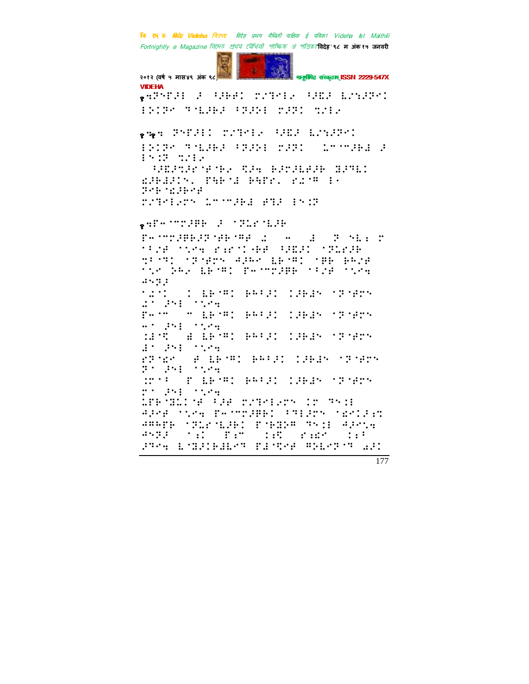

**VIDEHA** ,APSPER F HARD TOTALS HER ESSERCI **BOOK THERE FREE MEDICALLY** gage Porchi contributore acaccon **1913- THES PRESS MED. AT THE P** 1913 0212

dibility funcionally different September TITERTY LTOTALE BIR INCR

**QUER MOVED OF STARTING** 

**PAINTERS SERVICE** . . . . . . . . **SPAR TORY PART ARE REED TELER** dist. Spoken Adam Eboat of Benedi the bay metal recorder time they  $45.334$  $\cdot$  .:  $\cdot$  : I LETAI PASJI IJEJN TIMOM  $25.391.529$ Permit in EBSAL BAF21 (1862) 13:905  $\alpha \leq \beta \leq \beta \leq \gamma \leq \alpha$  . MST # MPT PROFILER TREP  $B = 354 + 1254$ rdiner (d. 1878) ekspoliserer (d. 1880)<br>die die Stern mark of Eeser Berg: 19638 Spreek progression the sea WHOMAS CHOONERS IN THI APAR TYPE PHOTORBED FREEDY TEMPER WHATE TELEVISE: PORTER THIS WAY,  $\mathcal{A} \sim \mathcal{B} \mathcal{A} \qquad \mathcal{C} \geq \mathcal{C} \qquad \mathcal{B} \geq \mathcal{C} \qquad$  $\mathbf{1}$  :  $\mathbf{1}$  $\mathcal{L}$  and  $\mathcal{L}$  and  $\mathcal{L}$  and  $\mathcal{L}$  and  $\mathcal{L}$  are  $\mathcal{L}$  and  $\mathcal{L}$  and  $\mathcal{L}$ Pro Londelbor flore shero an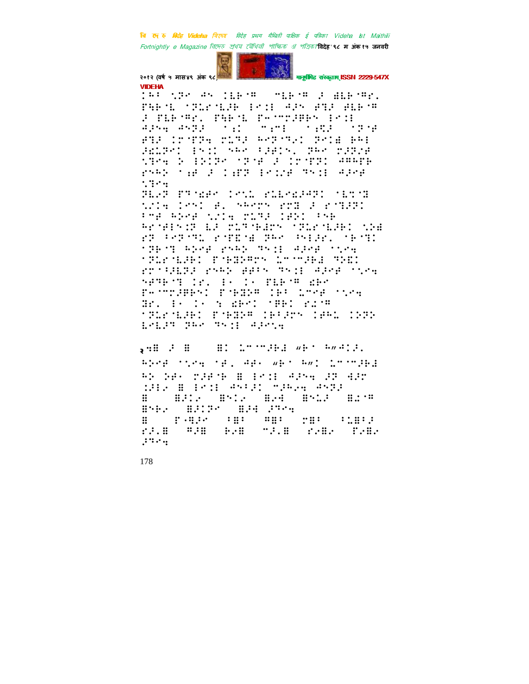

२०१२ (वर्ष ५ मास४९ अंक ९८) **VIDEHA** 

मानुबंधिह संस्कृताम् ISSN 2229-547X

par greate parts wares ranged and PHPA TRETER PTD 425 PRP BLFT F PERMAN, PHRME PHONOPHS PRIP **Alba ANTI (1) MANE CONSTRUCTS** FOR INTERNATIONAL APPORATORIOGO ARE BELGAL ENTI NAM FREIN, GAM MEGIN STAR D'EDITA (PRAP 2 ISSET) APARA PARK THE FOILER ESTATE RATE ARME  $1.344$ 

H.S Pres IVI MINEST MATH wie land e. naarn wom 2 gamen Phe Aber wile mind 1851 Per REMENSE LE PLANERY MARCHIEL VOL FROM FRONT POSTED HER PRODUCTS IN THE MEL 19619 ASAR PAAS 7531 ASAR 1546 **MARKET PROPERTY LOCATED AND** rothers real each service and the SPRESS IN BUILDING TELESCOPE Fermannes Premie (B) Lord Stre Br. E. D. S. BEND (BB) MICH **TRACHED PORTH IPSPY IPS IPS** ESERT THAN THIS WEST

pad 2 de la del Converte Sen Agaill.

REMB STREETED ABROWER RAD LOOMBER AS SAR TARYA B ERIE AANA AR AAT 1912 B 1811 ANTON MORAL ANDE  $\mathbf{H}$  $\cdots$   $\cdots$   $\cdots$   $\cdots$ 8562 82135 824 3556  $\mathbf{H} = \mathbf{F} \cdot \mathbf{H} \mathbf{F} \cdot \mathbf{H} \cdot \mathbf{H} \cdot \mathbf{H}$ **AND AND AND AND AND AND AND AND ADD**  $\blacksquare$ 83.8 AMB 6.8 MAIN 8.8. TWO  $19.94$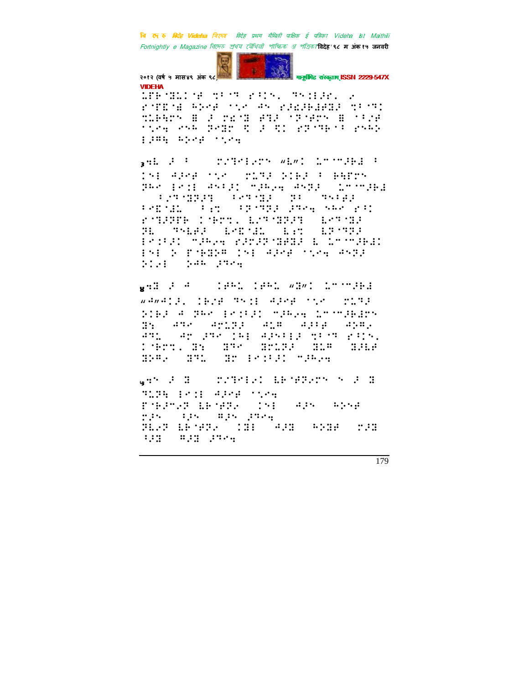

२०१२ (वर्ष ५ मास४९ अंक ९८) **VIDEHA** 

मानूबंगिह संस्कृताम् ISSN 2229-547X

MPP MAINE MESS PRINT SERVICE roprogrammer over an industrialist of opt stakers of government compared board tics can pedro popular create to can pung nyag siya.

 $_3$ Hi J F ( ) TITHENDY WEWN LOODSHEET THE APPENDIX SINGLE POINT A BATTLE PRO ESTE ANGEL MIRIN ANTE CIMOMIRE **SPREDUCE SERVICE DESCRIPTIONS** tering Time trends day and pu FOREST CORPORATION AND MA H. THE BEND EN BYTH ESTER SPEAK PROFESER E LOSTER 151 2 FORDB 151 APAR Side ASPA  $\sim$  100  $\sim$  100  $\sim$  $51.41 -$ 

<sub>⊌</sub>Al 2 4 | 1951 1951 x16. 1871 1559 BIEF A TAK EKSERI MERGE LMOMERTY  $\mathbb{B}^2$  and around almost  $\mathbb{B}^2$  and  $\mathbb{B}^2$ ang lap pre jap apsigo prendering <u> : Brillan and artis at</u>  $3.31.9$ BOY BY BY PAIR THEY

QHR 3 B - SIMPLE LENFRITRY ROLE B SLEE ERIE APPE TIPE ESBANAR (1894-1992) (1993) (1994-1999)<br>1995 - Greco Arabi, amery BLAR LEMARA (1918) (428 (4596) 228 **AND STATE STATE**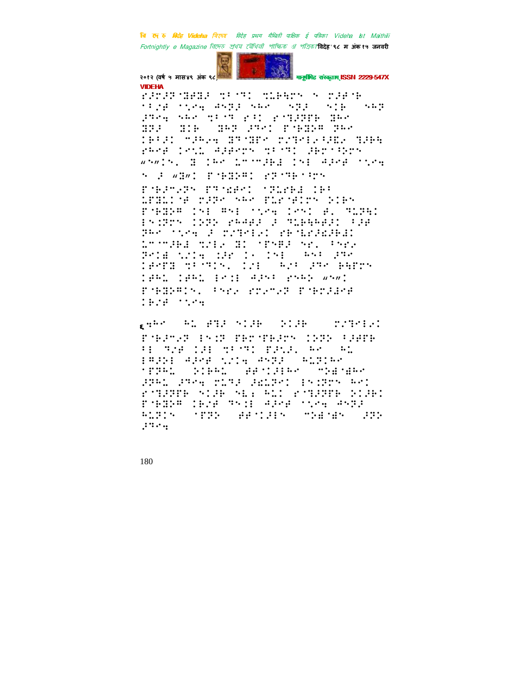

२०१२ (वर्ष ५ मास४९ अंक ९८ स **VIDEHA** 

मानूबंगिह संस्कृताम् ISSN 2229-547X

FINITEERS TO THE TEETH A TEETH 13.18 11.04 4592 580 - 593 - 518 - 589 President profiles and property den 893 816 893 891 F1989 892 TEACH SPACE BROBES STREETHER SPACE PROF LOND APPROVATORE PROSPERS whath, Bolan Loomaki 15: Adri other

**SOURCE SERVICE SECTION** 

FORMARY PROBAT CREAR IPP brabine cape saw preneros bies FORDER (SI ASI Steel (SS) A. MIDE! ESIPPS INPN PRABL 2 MIRRARI F.H 968 Steams Mondal Selections Loomaal drie die Spraag nad (1922 Pola wite de la 1940 and 200 TAMPE MESTING INE (AND JPM AAPPN TARD TARD ERIE AGST PSPE WSWI POBRATO COMA MARAT PORTAGO TECH STORE

part and any sign (sign ) consist FORFOR ENCY TROOPRISM (1971-1987) FE THE CHE TESTI FROM THE THI 18221 A224 N214 ANS3 (ANS)A2 **MITRO SIBRO BEMORRA MOBMBRA** PRAL PROVINCE PELPOL ENTRY AOD ricore significati ricordonati Poble (P.P. 351) Aler Steamers ALPIN (TPD) ARTISTS TORTHS 2PD  $\mathcal{L}^{(1)}$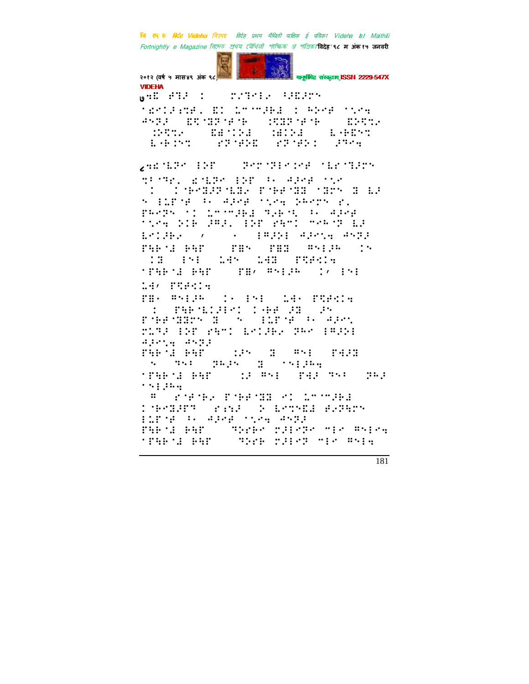

मानुबंधिह संस्कृताम् ISSN 2229-547X

**VIDEHA GAR PIP : TEMPLE BRIEF** terland. El Lougha (1956-1564) **SAND BENDING CONSTRAIN CONSTRUCT MAGNET AREA** 

**SERVICE STRIPS STAR**  $1.44121$  $294.3479 - 1047$ **SPECTED MEDICINES** TESTEL ROLPH INT IN APARTMENT

**TO IMPOUR MAKE PORTHER MARY A LA** S PLEAR IN ADAPTACA CAPES PL PROPRIAT COMMUNICATION (PROPRIATOR) ting bie des The West who's La **Second State Service Service Service**  $\mathbf{i} \cdot \mathbf{j} \cdot \mathbf{k} \cdot \mathbf{k}$ restared the role means to **CB PM GB GHB PRESCH SPARE SERVICE**  $\frac{1}{2}$   $\frac{1}{2}$   $\frac{1}{2}$   $\frac{1}{2}$   $\frac{1}{2}$   $\frac{1}{2}$   $\frac{1}{2}$   $\frac{1}{2}$   $\frac{1}{2}$   $\frac{1}{2}$   $\frac{1}{2}$   $\frac{1}{2}$   $\frac{1}{2}$   $\frac{1}{2}$   $\frac{1}{2}$   $\frac{1}{2}$   $\frac{1}{2}$   $\frac{1}{2}$   $\frac{1}{2}$   $\frac{1}{2}$   $\frac{1}{2}$   $\frac{1}{2}$ 

14, Philip

FB: #512# (1) 151 (14) FRACH CO PHENDRED CHARGE 25<br>Portugales do so correlato ages MIRE EST PAMI LRIEN PAR EARSE  $\mathcal{A}(\mathcal{I},\mathcal{C}^{\ast}_{\mathcal{A}},\mathcal{C}^{\ast}_{\mathcal{A}}) = \mathcal{A}^{\ast} \mathcal{C}(\mathcal{I},\mathcal{C}^{\ast}_{\mathcal{A}})$ 

 $\mathbb{R}^{n}$  ,  $\mathbb{R}^{n}$  ,  $\mathbb{R}^{n}$  ,  $\mathbb{R}^{n}$  ,  $\mathbb{R}^{n}$  ,  $\mathbb{R}^{n}$  ,  $\mathbb{R}^{n}$  ,  $\mathbb{R}^{n}$ **THE LEADER A SAC PART BULLER** TEACH PAP (12) #51 (PAP 95) (PAP  $\cdots$  :  $\cdots$ 

**A PARTIE PREMIERT COMMENT** D'Esgurs (panul d'Escrito Auror) PLP SPORT ADAPT STAY ASPP **There wilers wis Relea PARTIC RESIDENT TERRIBER STREETHER TEACHER**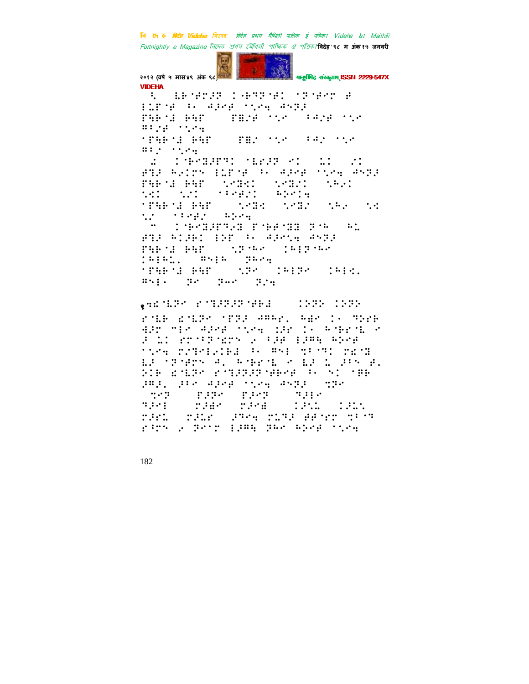

मानुबंधिह संस्कृताम् ISSN 2229-547X

**VIDEHA A LENTR LATTNI STATE** POP SA APARTSAS ANDE PARTE RAP ( PHINE TOP) FAINE TOP  $0.129 - 0.004$ **TERRIBE TENTS FAN THE**  $\mathbf{H}(\mathbf{r}_1, \mathbf{r}_2, \mathbf{r}_3, \mathbf{r}_4)$ d Chemann (Brazen College)  $\cdot$  : : PTP Relow first Concept side and **THE REAL PROPERTY**  $1.73331$  $\mathcal{L}$  :  $\mathcal{L}$  $\cdots$  $\begin{array}{ccc} \bullet & \bullet & \bullet & \bullet & \bullet & \bullet \\ \bullet & \bullet & \bullet & \bullet & \bullet & \bullet \\ \bullet & \bullet & \bullet & \bullet & \bullet & \bullet \end{array}$ trakta kar (1998) Szák (1998) sz <u> : Hap</u> Woo (<sup>11</sup>6) (196<sup>2</sup>1919) 1 (1961) 111 (1961) 111<br>292 (1961) 112 (1961) 122 (1961) 123 TARSA RADO (1976) (1919-60)<br>1919: Terrie Tarsa **TERPE RAT CONFIDENTIAL**  $\text{max}(\mathbf{r}) = \text{max}(\mathbf{r}) = \text{max}(\mathbf{r})$ 

**QHEMEDY SYTEPHP MEET (1999) 1999** role roller officialer, age is more APP MES APPROXIMA (PROCESSING S F 11 ronghern (1986-1986 AGNA) ting problems as well provided or EP SPORTS AL ACERCE ROLE LOPPOR. NIE KOLZY KOTZZZZONEPH (+ 5) OZE 383. 358 4388 1189 4593 - 138 o papel paed (1944)<br>19 papel paed (1951) 1915  $\mathbb{R}^n$  $\mathcal{L}$  :  $\mathcal{L}$ rard (radr) ages roga agerr nach rans o Petr (285 PRe Aler ties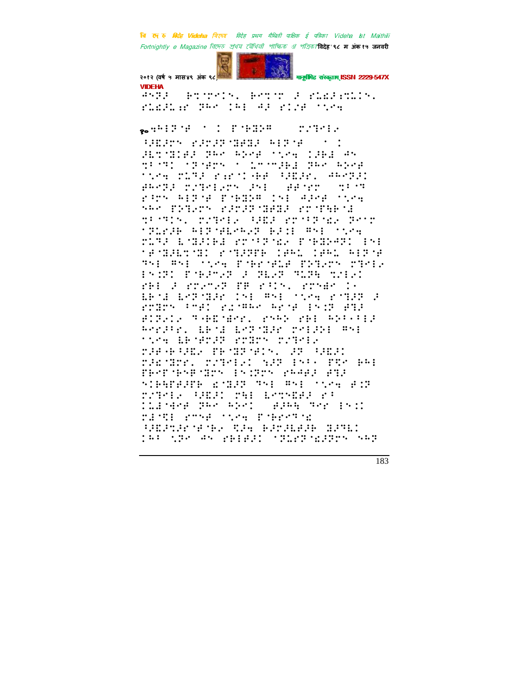

मानुबंधिह संस्कृताम् ISSN 2229-547X

**VIDEHA**  $45.331$ **SECTION FOUT PREPRIET.** runding Personal Ad rich stre

 $\mathbb{R}^n$ 

**BOOK PRINTING BOOK** HrtBIE BROGHAM (1819) the the street of construction and a ting ping rartige Gube, gener PROF DORMEON PHOTOGRAPHS rans Albert Poboam (si Alexa Sieg SAS PRINTS PROFESING POTENCE transformation of the second the second second second second second second second second second second second **TRACH REPORTER BEST RAILTING** MIRA L'ARIBI KO'PR'NG P'BAGARI (MI **MARKET WAS STARTED SERIES SERIES ARTISTS** THE PHE SAME PORTHER PRIETS TIME isht farrët përforme the PHO F PTPTPF TROPING PTMAC IS ERSE EXPORTED INFORMATION ESTERNO rodos (med rismas arse psop edi BIRATA MARETHAL (PART PRE ANGGER Annier den bronze redibe Ane **TIME LETERIS ERSPY RASHIP** THERE TEMPNIN, HERE rarder, repeat as ago pro par FRANCHABORY ENCRY PRABE BRE SIPHERED RIBR TSE TSE TIME FIR rately tame: rel lengered at TLENHAM BRA READ **Saint Sep In:** ring: real time reports **BOOKS TO BE SERVED THE** :A: 196 AS PRIBIC 19129-1239-548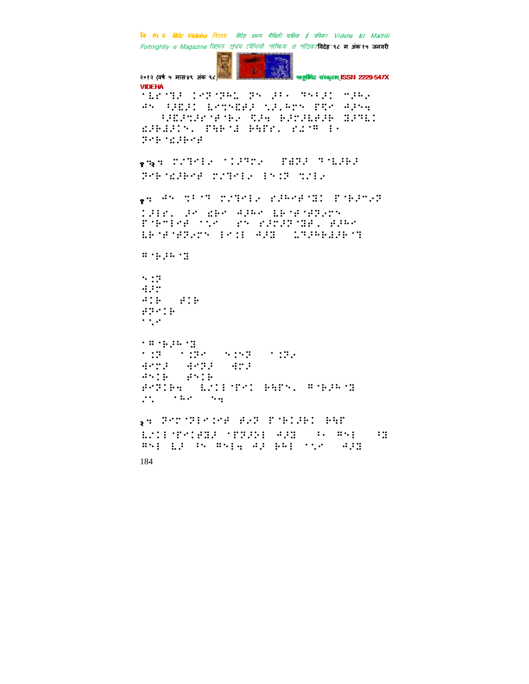**Service**  $\mathbf{a}$ २०१२ (वर्ष ५ मास४९ अंक ९८) मानूबंगिह संस्कृताम् ISSN 2229-547X **VIDEHA** SEPTED DEPTRE PROPERTIES THE POINT AN UEDI ESTNEDE NO.ATN FRA APNA **BOOKS TO BUILD BELLE** EPHILY, PHEM PHT: P278 IP die Bergerationen gas comerciales recommendation Persone press industria <sub>e</sub>g as dist province rameros poparer 1918. Bridger Admost brighters Pipiler (V) an albumar, publ Brander Pol AM Stabler  $\ddots$  : : HAME.  $414 - 414$  $P2211P$  $\cdot$  , , ,  $\begin{picture}(15,10) \put(0,0){\vector(1,0){10}} \put(10,0){\vector(1,0){10}} \put(10,0){\vector(1,0){10}} \put(10,0){\vector(1,0){10}} \put(10,0){\vector(1,0){10}} \put(10,0){\vector(1,0){10}} \put(10,0){\vector(1,0){10}} \put(10,0){\vector(1,0){10}} \put(10,0){\vector(1,0){10}} \put(10,0){\vector(1,0){10}} \put(10,0){\vector(1,0){10}} \put(10,0){\vector(1$ 402: 403: 422  $4518 - 4518$ POTEN (EMISTED PHP) POPPO  $\mathcal{L}$  and  $\mathcal{L}$  and  $\mathcal{L}$  and  $\mathcal{L}$  and  $\mathcal{L}$  and  $\mathcal{L}$  and  $\mathcal{L}$  and  $\mathcal{L}$  and  $\mathcal{L}$  and  $\mathcal{L}$  and  $\mathcal{L}$  and  $\mathcal{L}$  and  $\mathcal{L}$  and  $\mathcal{L}$  and  $\mathcal{L}$  and  $\mathcal{L}$  and  $\mathcal{L}$  and . POSTED DE BAR PORTAEL PAR

EMINEMENT MERPIE ARE CONCAMING HE

851 LF PC 8514 AP PRI 1550 APR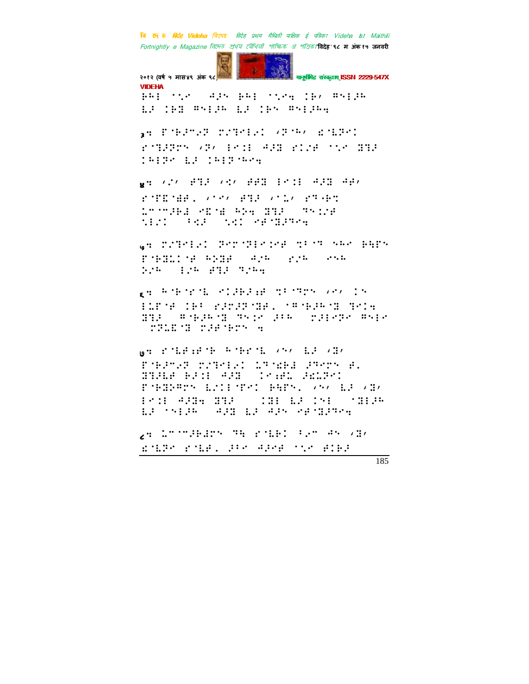

**VIDEHA** PRESSURE REPORTED STORY CENTRALIES ES THE WAISH ES THA WAISHA

BROEPERSE PUBLICATES EMERG FOREST ARABIAN AND FILE ONE BUS *TRIPE AS TRIP-Reg* 

ge siz fil sez ffil bri All Ad.

FUELAS VO SE VI PRO **MOVING PEOPLE HIS CONSTRUCT** MENT PRESSURE SEMIFICA

ge provincial der vire ne so se sen egne rencessing and schoons 525 (125 AND 7254)

같이 유스터스에서도 어디오터오 BBC 정치 17번째 (KP) - 1개 ELEMENTER VANARINE, SAMELARIN NOVA die Afrikaanse volgen van die Speel van die So **TILL'I THIRT :** 

ga chiadadh a thoir she ald sav PORPOR TOTALLO LINERA PROTECT. \*\*\*\*\*\*\*\*\*\*\*\*\*\*\*\*\*\*\*\*\*\*\*\*\*\*\*\* **Communication** ESPERENCE/LIPPIC PHENICSNO LE SEA **POST ANN NHA (AND LEADS)** (HIGH EP (SPER ) 423 EP 425 SPERSON

ge informations the position and saving EMERGEMENT PROGRESS PROGRES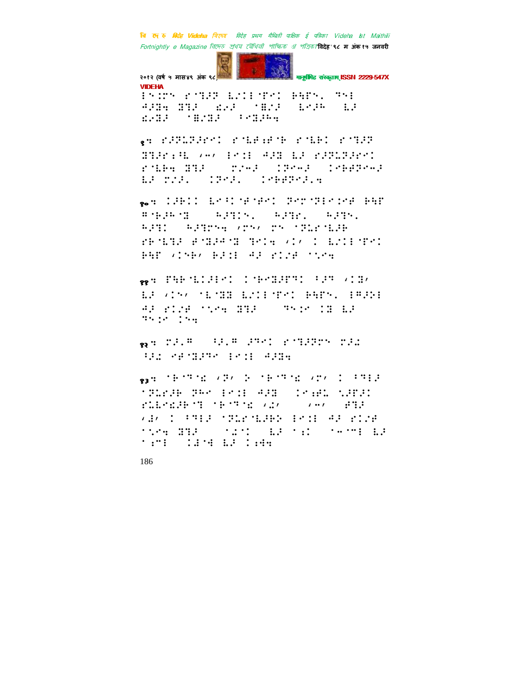

मानूबंगिह संस्कृताम् ISSN 2229-547X

**VIDEHA** ENDER FORESTIEFEN BERNE THE ann ni de 'Bil bro bl **AND TEND PRODUCT** 

en KARLBARYI KOLEHEN KOLEI KOTAR HARRY WORLD FOR THE RESERVE rike Bil (rred (pred created) EP MARK (TRIC CONFERENCE

**SAN ISBN 1888-1987-1988-1988-1988** # GARANT ( APTIN, APTIN, APTN, **APROVE ATMACT STREET**  $4.332$ FROM PORT TO SAID LOCATION PRESSING PROFILE PICE STORY

 $\frac{1}{22}$  . The MILERAL INTERPRETENT AIR (13) AF ADAM MANH ANIMAN BERG IRES AF PICA SNAW HIP (1960) IN 12 12  $25.16 \pm 0.001$ 

as nach and and remains nac **BE SENER ROLL SER** 

 $\frac{1}{32}$  and the theory is a sequence of the second control of the second control of the second second second second second second second second second second second second second second second second second second seco **TREE BROOKS AND STANDARD** FILMENT SPORTS VAL  $\mathbf{u} \cdot \mathbf{v} = \mathbf{u} \cdot \mathbf{v}$ **VALUE PREPARED BASE PREPARED AT STAR**  $11.24 \pm 33.3$ **AND STATES OF A STATES AND STATES AND STATES** time (1994) Alf Time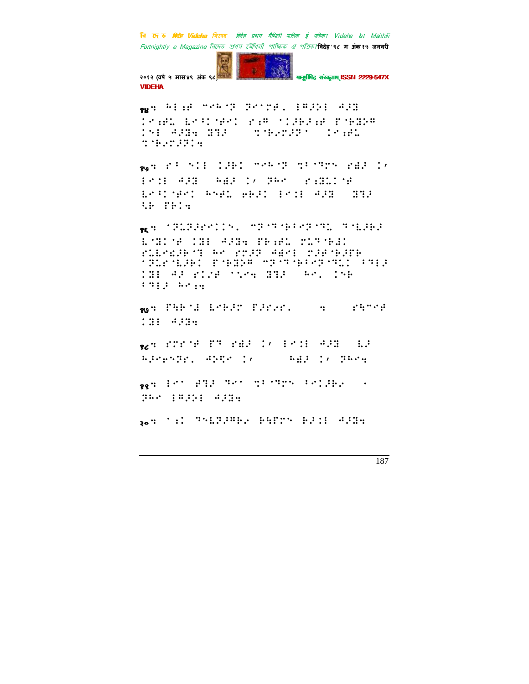

२०१२ (वर्ष ५ मास४९ अंक ९८) मानूबंगिह संस्कृताम् ISSN 2229-547X **VIDEHA** 

we Himschop Porch, 18221-823 Drah brojan ra njava pasa INE APRA REPORT TORONTY (PORC **TORONTON** 

ega and note their measure address and the **IMID AND SALE (2) HAM SENIORE** ESTIMAT ANAL ARCI ESTE ACE (200 the file

**REAL TRUPANNICS, STRATHERSHIPS TALABA** EMINE COMPARED FRANK MUSICAL FLEMENT AM FRED ABME REFERE **TELEN PRES TRANSVILLAGE** 138 AP RICH STRA 338 AP. 198  $1.3111 - 0.0111$ 

<sub>20</sub>9 PHP W LOFFE FRENC. The Control 131 4334

gen strong and search and all all all Alterate, Abbrill, Challed C. Barry

gen for and her normal bought of **PRA ENGLE 43B:** 

pos (d) Thereman Parry Radi Adda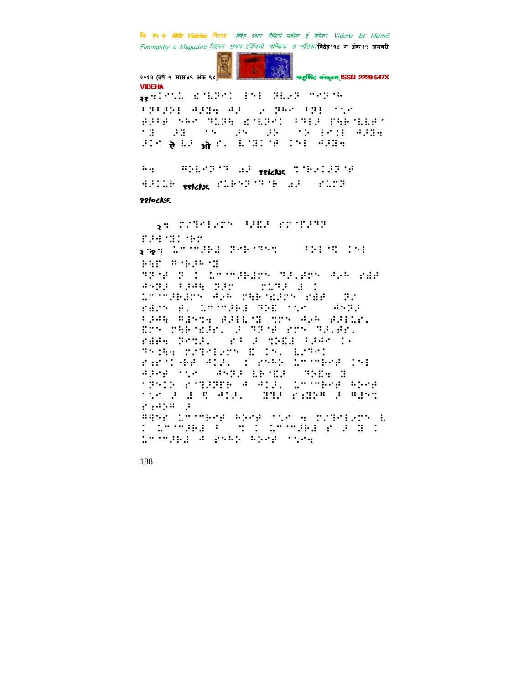gaga dinamaka dekarakti (1999-1991) **BAP #983893 APART : Committee Alvers A.A. Yea** asgu (1946–2018) – rozu (1938–1948)<br>Orindedos (406–1966–1918) – roz rack all thought map the company PARE RESTA BAILER TOS RAR BAILE. ETA TARAGEK 2 MENE KTA MELEK. rake Poul, and Popel new 16 This rither E in Arth rantee All, rank Loomers (ni APPE TO AND BENCE THE I **MPRIE ROBERTH A ALE. LOOPERBOARDE** the F E R ANG, "BBF FEBA" F ABAT  $f: P: B \to P$ BAR LEOPARA RESEARCH CONFIDERAL Shore and the state of the state of the state of the state of the state of the state of the state of the state  $\ddot{\cdot}$ intribi e prep epop tion

## 38/06/195

188

FAR 111 1911

 $\mathbf{L}_{\mathbf{H}}$ **PERMIT AP SENDE THATPET** HALLE READE PLENG THAT WAS STATED

, STORY SERVICES

२०१२ (वर्ष ५ मास४९ अंक ९८) मानूबंगिह संस्कृताम् ISSN 2229-547X **VIDEHA** pendant dimensional PESP aspect **FREED ANNA AP 2008-000 PM** BREAGAN MICH RICHARD FMB THEMILES facea components and all again 四十五年 雅兰 中国中国中国中国



बि एक रु मिनेट Videha विएक विदेह प्रथम मैथिली पाक्षिक ई पत्रिका Videha Ist Maithili Fortnightly e Magazine রিদেহ প্রথম মৌথিনী পাক্ষিক প্র পত্রিকা**'বিदेह'९८ म अंक१५ जनवरी**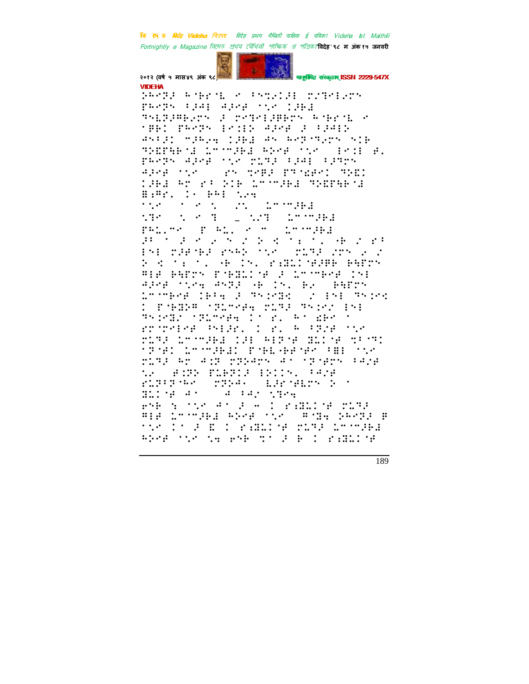

२०१२ (वर्ष ५ मास४९ अंक ९८) **VIDEHA** 

मानुबंधिह संस्कृताम् ISSN 2229-547X

PROFINSIPAL OS PANILLE MITOLICS parps the shreeter like THERPHONE FONDERHOW ROBERT C **THE PROPE ESTER APPE 2 FRAIR** asian manggorang as neperges sin SPEPHENE LOOMFEE REMENSION FOIL F. PROPRIADOR STRAINTE PORT PORT aper sin " en 1982 première" fact<br>1964 en et 216 locuité d'Ombres  $H: H: X \to H: H: X \to H$ **Source Street, Secretary**  $\mathcal{L}(\mathcal{L}^{\text{max}})$ MP CACK TO LOWED AT THE PRICHA E RIC A MOST DEMORI de Trade Allys Trade All Company and<br>Energie de All Anne All Company and All S K M P P P P DAY PARITHER PAPPY FIR PATTY POPELION 2 LTOTAGE (  $: \cdot :$ Alexandre Andla Andre Bennemark insnede (eta ) de digita () del depois<br>1 degene solnoga pico depoista Things (2007) He control and service stran (d. 1918)<br>Storiel Pelan, 1 S. A. 1928 (d. nite in make cap Appre diche morto **SPORT COMPLETE PORTHERN FRESCO** MIRA AM ANT MINAMA AN NINAMA PANA tu (admi poemi incorre inte<br>administrativa incorrection)<br>modellare (administrativa) PRESS STAR AS 2000 DOMESTIC PLAN FIR LOOPER REAR OUR CROBE ERSE F **MARK AND PERSONAL PROPERTY AND PEAK** REAR TO SAUGHE TO PER PORTRETT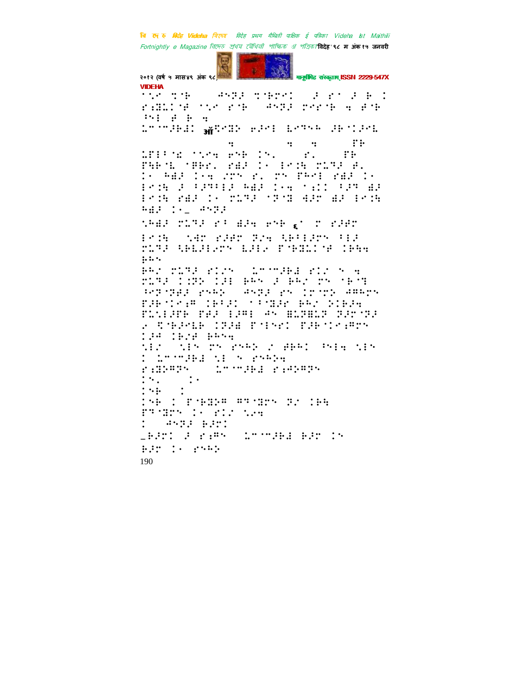

**VIDEHA**  $\frac{1}{2}$   $\frac{1}{2}$   $\frac{1}{2}$   $\frac{1}{2}$   $\frac{1}{2}$   $\frac{1}{2}$   $\frac{1}{2}$   $\frac{1}{2}$   $\frac{1}{2}$   $\frac{1}{2}$   $\frac{1}{2}$   $\frac{1}{2}$   $\frac{1}{2}$   $\frac{1}{2}$  $\mathcal{L}(\mathcal{L},\mathcal{L})$  ,  $\mathcal{L}(\mathcal{L},\mathcal{L})$ raming the resource restaurance  $\{ \gamma \}$  ,  $\beta$  ,  $\beta$  ,  $\alpha$ DO STARLE WESTER WAS ENTERED AROUNDED ः∷  $\mathbf{u} = \mathbf{u}$  $\dddot{\mathbf{r}}$ MIPS E STAR PHOTO  $:::$  $\mathbf{r}$ PARTE TERRI REFORM ETH PLAY A. Contae com com si om ferf sae ( Problem Performance and Service and POR PAR IN TITE STOR ART AR POS **Add (+ 453)** thes class of est end give oser Problem with the SPHIRT SIR **MINE ABLACK LACK FORECOM CHA**  $\ddot{p}$  :  $\ddot{p}$ BRO MIRA WICH ( IM MARA WIC S A MARA CONS CAL BRA A BRA MA MB M PORTREE 2002 - PORTRE 2002 22022 PROPO FAR MANH (BRAD) (PRINCIPAL DIBAN FLAIRE THE 1991 AN BLABLA SEMARE a teach Indiana faith and **THE TRIP RESE**  $\mathcal{L}$ Sir no note a group of the Sir **COMMEDIATION PRESS** 15 SPHE PARTS  $\mathbf{r}$  :  $\mathbf{u}$  :  $\mathbf{u}$  :  $\mathbf{u}$  :  $\mathbf{u}$  $\mathbb{R}^n$ ,  $\mathbb{R}^n$  $\frac{1}{2}$  ,  $\frac{1}{2}$  ,  $\frac{1}{2}$ INF I FORDE ENGINE IN IPE Primer to the new : 4532 BRT \_BATI A ra#5 (1505ABI BAT IS Bar le reel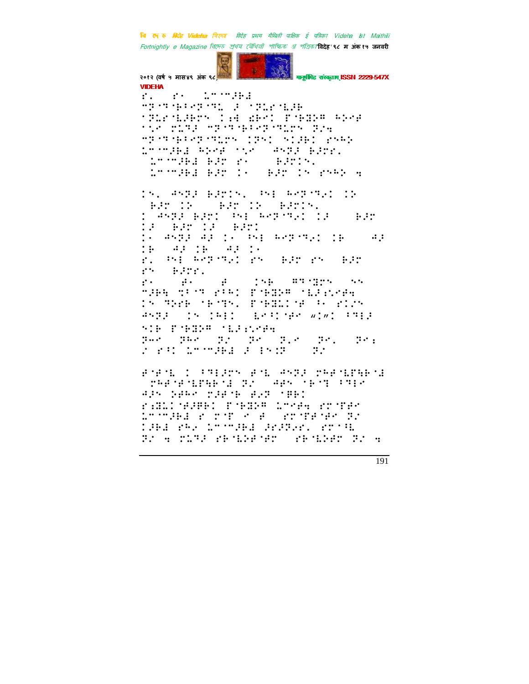**Security** 

 $\mathbf{g}_i$ २०१२ (वर्ष ५ मास४९ अंक ९८) मानुबंधिह संस्कृतम् ISSN 2229-547X **VIDEHA** de de l'angles **MESTABIAR MESS CREEKS TRACKING CHEADY FORD BOOK MACHINE SPORTSHERS TO BE** mp or great of the libert start and b Loomaka Roma (120 - Anga Karr) Domaina Barter and in the second second to the second second to the second second to the second second to the second second t LTOTABA BAT IK (BAT IN 2582 9 In Sanga Barin, Sni Repersions **BEN 12 | BEN 12**  $\mathbb{R}^2$  :  $\mathbb{R}^2$  :  $\mathbb{R}^2$  : 1 ANDER BEDI (PNE) ARBITERI (18)  $\mathbb{R}^2$ 13 BRT 13 BRT1 1. Angl 43 1. He weekel is a 43 18 42 18 42 18 stel beginnet an searchan ear  $\mathbf{f}$ . ch bicc.  $\mathbf{r}$  .  $\mathbf{P}$   $\mathbf{P}$  $\mathbf{r}$ Raka diya yiki fukasa yalkoya. IN THE MEMPA POBBINE BY KINN  $4533 - 15 - 1411$ the property of the state of the state of the state of the state of the state of the state of the state of the **SIE FORDE OLIGVAR**  $\cdots$ FOR NO CONTRACTO FOR ANCE CAPACIERE NE **THE MOMENT SERVICE Sagnon Sport Strip** APS NAME THAN AND THE radioeder roede innes roofen<br>1878 deur room na versprens di

1961 PRA LOOMBE SKARAK, KOOR From the spoke with the spoke from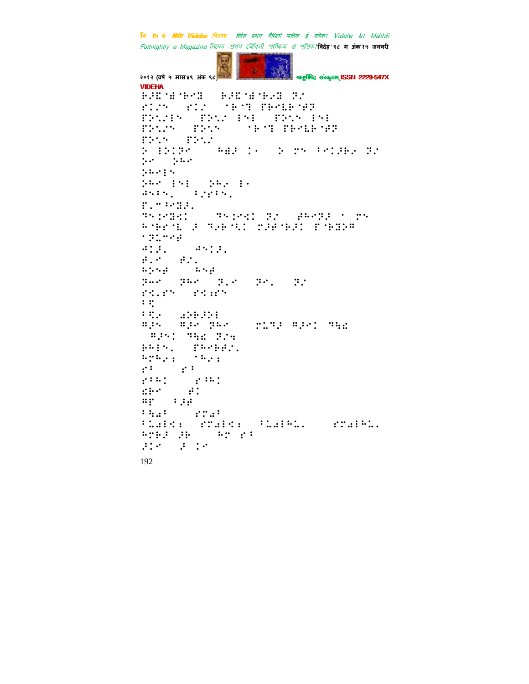

VIDEHA 192 ⢷⢼⣏⣞⢷⣝!)⢷⢼⣏⣞⢷⢴⣝!⢽4\*!  $\#1.15 \pm 1.17$  (10.11.12.12)  $\#2$ 20.150 PM 200 PM 200 PM 200 PM 200 PM 200 PM 200 PM 200 PM 200 PM 200 PM 200 PM 200 PM 200 PM 200 PM 200 PM 20 2⢵⣁40!2⢵⣁0!)⢷⣙!2⢷⣇⢷⢾⢽\*! 2012 2012 } 15196 ( Add 16 ) 2005 (01964 92 ⢵0!⢵⢳!  $\mathcal{G}$  . The set of  $\mathcal{G}$  $550$  :  $551$  :  $550$  :  $55$ AGO, AFRICA EUMER.<br>Propinsi ⢹⣈⣝⣊0!)⢹⣈⣊!⢽4.!⢾⢳⢽⢼!!! ⢳⢷"⣇!⢼!⢹⢴⢷⣃!⢼⢾⢷⢼!2⢷⣝⢵⢻!  $^{\circ}$  (21,888)  $E = 45.124$  $H^2$ .  $H^2$  $b$  ${}^{\circ}$  PHP (F.F. PH) (F.  $\left[ \begin{array}{cc} \frac{1}{2} & \frac{1}{2} & \frac{1}{2} & \frac{1}{2} & \frac{1}{2} & \frac{1}{2} & \frac{1}{2} & \frac{1}{2} & \frac{1}{2} & \frac{1}{2} & \frac{1}{2} & \frac{1}{2} & \frac{1}{2} & \frac{1}{2} & \frac{1}{2} & \frac{1}{2} & \frac{1}{2} & \frac{1}{2} & \frac{1}{2} & \frac{1}{2} & \frac{1}{2} & \frac{1}{2} & \frac{1}{2} & \frac{1}{2} & \frac{1}{2} & \frac{1}{2} & \frac{$  $\mathbf{H}$  $\ddotsc$   $\ddotsc$   $\ddotsc$ BJN | BJK 2BK | 262 | 262 | 262 | )⢻⢼!⢹⣓⣎!⢽4⣒\*! ⢷⢳5E0!2⢳⢷⢾4E!  $\frac{1}{2}$  $\mathcal{O}(\mathbb{R}^4) \subset \mathcal{O}(\mathbb{R}^4)$ "A⢳!.!"⢸⢳!! ⣎⢷!.!⢾!  $\frac{1}{2}$  :  $\frac{1}{2}$ A ... Aŭsis: Prais: Aŭsimul (praimul HTP: HP 21 注: ● 1 → 1 → 1 →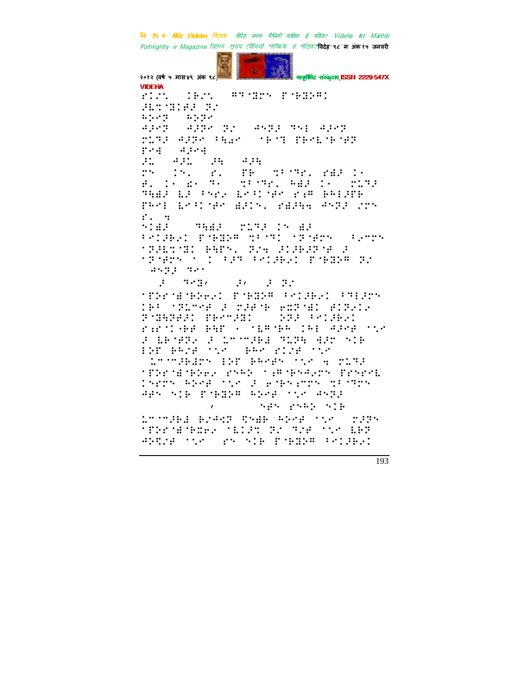$ro<sub>0</sub>$ **CONTRACTOR** 螺  $\mathcal{L}_{\mathcal{A}}$ २०१२ (वर्ष ५ मास४९ अंक ९८) मानुबंधिह संस्कृतम् ISSN 2229-547X **VIDEHA**  $f(x)$ **CONSTRUCTION CONSTRUCTS SECTION BY**  $\mathbb{E}\left\{ \mathcal{P}\left(t\right) \right\} = \mathbb{E}\left\{ \mathcal{P}\left(t\right) \right\}$  $\mathcal{U}^{\mathcal{A}}_{\mathcal{A}}\mathcal{U}^{\mathcal{B}}_{\mathcal{A}}$ **SAPP BY SAPP THE APPE** MITA APPROVEMENT CENT PERMITERE Press Aden  $\mathbb{R}^n = \mathbb{R}^n \cup \mathbb{R}^n$  $\mathbf{a}$   $\mathbf{a}$   $\mathbf{b}$   $\mathbf{c}$ rn (151) e.<br>Biologo <sup>gi</sup>co THE TUTTLE SHE IN **MISSED REPORT WORKS** Had al cyre architectum ancora PROF ESTIMATENTS, PERMIT AND CON  $\mathbf{f}$ ,  $\mathbf{f}$ **THE PIPE IN HIS**  $\ddots$  : : : : PRIJERT POBOVA SPOSTO ODGANO  $\mathbf{r}$  ,  $\mathbf{r}$  ,  $\mathbf{r}$  ,  $\mathbf{r}$  ,  $\mathbf{r}$ 1996,1191 ANDS, P24 91969918 9<br>1918,111 1-991 911962 program 92  $\arg\max$  $\mathcal{L}$  $\mathbb{R}^n \mathbb{R}^n$ こまん こまじまい **TERM NERVO EMPRESENTATORIAM** THE STARRE FOR HER WATER BITTER Graegel Persik (1991–1919)<br>Karl Af Ber (1918–1919) 1919 d leagus d'imaged aide gun Sie.<br>Evropede avec pes ride avec Communication (1980) BARBA (1961) A COLTA

**TENCHINGS CORPORATION CONTROL** there were the lower error roller APS SIE POEZE ANSE SNO ASTA Springship Sip  $\mathbf{r}$ 

Loomaal Brake Chap Abra otro (1995 **TERPHING TELPS BY THE TIP LEF** ANDRE STAR (25 SIE POBBER FALLER)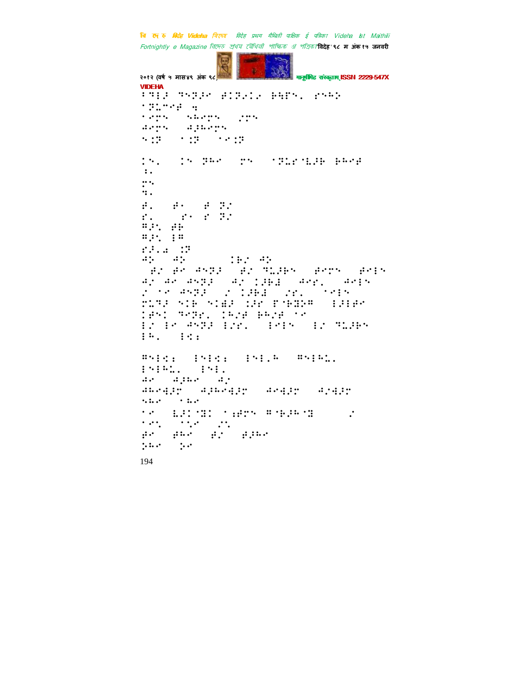```
चि एत् रू मिन्हे Videha निएन्थ विदेह प्रथम मैथिली पाक्षिक ई पत्रिका Videha Ist Maithili
Fortnightly e Magazine বিদেত প্ৰথম মৌথিনী পাক্ষিক প্ৰ পত্ৰিকা'বিदेह'९८ म अंक१५ जनवरी
                  \bigcirc\mathcal{P}^{\text{ex}}_{\text{ex}}CONTRACTOR
२०१२ (वर्ष ५ मास४९ अंक ९८) मानुसार मानुसार संस्कृताम् ISSN 2229-547X
VIDEHA 
A⢹5⢼!⢹⢽⢼!⢾⢽⢴⢴!⢷⣓2E!"⢳⢵!
⢽⣅[⢾*⣒!
-!⢳0!4!
deps djierps
\sim 0 \sim 0 \sim 0.000
EN. (18 PH) IN (1826)ERP BRAB
\ddot{\phantom{0}}\cdots\ddot{\mathbf{B}}√e: e e e e
E = E + E + E + E + E + E + E + E + E + E + E + E + E + E + E + E + E + E + E + E + E + E + E + E + E + E + E + E + E + E + E + E + E + E + E + E + 
⢻⢼⣁!⢾⢷!
⢻⢼⣁!5⢻!
"
⊕{ ep# ep# ep# ep# ep# ep# ep# e
!Å 200 Press Parties (1990) 1990 Press Parties (1990) Press Parties (1990) Press P
H2 40 452 4 40 1284 − 401. (4015)
40!⢺⢽⢼.!4!⢼⢷⣜0!4"E0!50!
⣅⢹⢼!⢷!⣞⢼!⣈⢼"!2⢷⣝⢵⢻.!5⢼5⢾!
\overline{14}51 Tegr. 1624 Fe24 Te
5405!⢺⢽⢼!54"E0!550!54!⢹⣅⢼⢷!
5⢳E0!5⣊⣐!
⢻5⣊⣐0!55⣊⣐0!55E⢳0!⢻5⢳⣅E0!
55⢳⣅E0!55E!
de digital di
⢺⢳⣚⢼0!⢺⢼⢳⣚⢼0!⢺⣚⢼0!⢺4⣚⢼!!
where the trace
!)⣇⢼⣝!⣐⢾!⢻⢷⢼⢳⣝*!0!4!!
nen Tinge (dn.)<br>4e decembre
      ⊙0!<br>∽Der
\ddot{\cdot} . . . .
194
```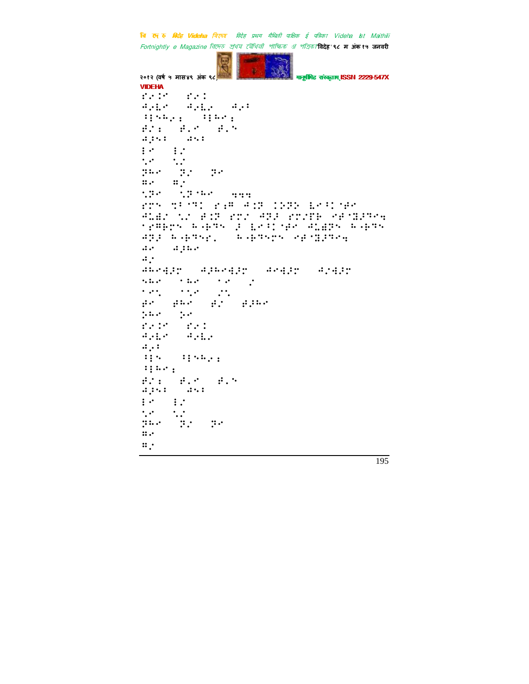```
चि एत् रू मिन्हे Videha निएन्थ विदेह प्रथम मैथिली पाक्षिक ई पत्रिका Videha Ist Maithili
Fortnightly e Magazine বিদেত প্ৰথম মৌথিনী পাক্ষিক প্ৰ পত্ৰিকা'বিदेह'९८ म अंक१५ जनवरी
                 0
                      CONTRACTOR
२०१२ (वष ५ मास४९ अंक ९८) मानुषीिमह संकृताम्ISSN 2229-547X 
VIDEHA 
"⢴⣈0!"⢴⣈!!
⢺⢴⣇0!⢺⢴⣇⢴0!⢺⢴A!!!
⢸5⢳⢴⣐0!⢸5⢳⣐!!!
∄2: ∄.n £.n
Agn: An:
50!54!!
\mathcal{M}^{\text{max}}_{\text{max}}⢽⢳0!⢽40!⢽!!
\mathbf{u}_2 = \mathbf{u}_2⣁⢽0!⣁⢽⢳!!⣒⣒⣒!!
"!⣉A⢹!"⣐⢻!⢺⣈⢽!⢵⢽⢵!⣇⢸⢾!
⢺⣅⣞4!⣁4!⢾⣈⢽!"4!⢺⢽⢼!"42⢷!⢾⣝⢼⢹⣒!
"⢻⢷!⢳B⢷⢹!⢼!⣇⢸⢾!⢺⣅⣞⢽!⢳B⢷⢹!
⢺⢽⢼!⢳B⢷⢹"E-!⢳B⢷⢹!⢾⣝⢼⢹⣒!!!!
de different
\ddot{\cdot} :
⢺⢳⣚⢼0!⢺⢼⢳⣚⢼0!⢺⣚⢼0!⢺4⣚⢼!
when the control of
∪0 ∴0!4€ 0.4€
ge gae gin giae<br>Sae Se
      \mathbb{R}^D"⢴⣈0!"⢴⣈!
⢺⢴⣇0!⢺⢴⣇⢴0!!
\mathbf{a}.
How History:
55.5<sub>5</sub>⢾4⣐0!⢾E0!⢾E!
⢺⢼A0!⢺A!
\begin{array}{ccc} \mathbb{P}^1 & \mathbb{P}^1 \\ \mathbb{P}^2 & \mathbb{P}^1 \end{array}\ddots⢽⢳0!⢽40!⢽!
\mathbf{u}.
::.
```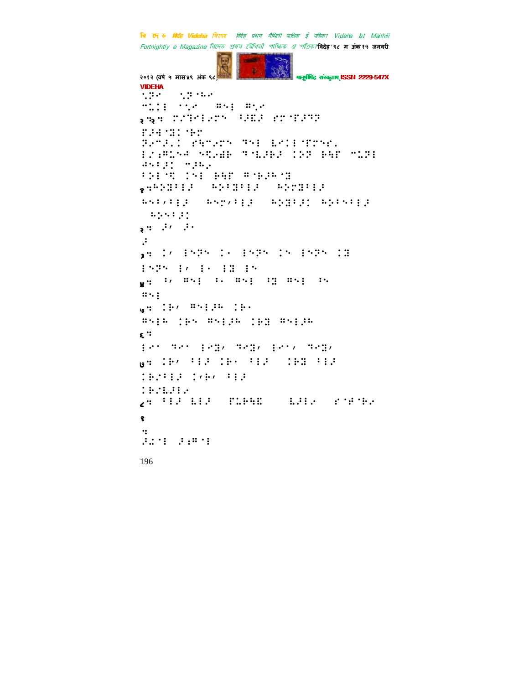**Service** 

```
ø.
२०१२ (वर्ष ५ मास४९ अंक ९८) मानुष्य कर्णाटक संकृतम् ISSN 2229-547X
VIDEHA 
               \mathcal{L}^{\text{max}}[⣅5!⣁0!⢻5!⢻⣁!
२⣒२⣒!4⣙5⢴!⢸⢼⣏⢼!"2⢼⢹⢽!
 2⢼⣚⣝⢷!!
 F_2"F_3 F_4 F_5 F_5 F_6 F_7 F_8 F_9 F_9 F_9 F_1 F_2 F_3 F_4 F_5 F_6 F_7 F_8 F_9 F_9 F_9 F_9 F_9 F_9 F_9 F_9 F_9 F_9 F_9 F_9 F_9 F_9 F_9 F_9 F_9 F_9 
 54⣐⢻⣅⢺!⣋⢴⣞⢷!⢹⣇⢼⢷⢼!⢵⢽!⢷⣓2![⣅⢽5!
 A \cup \{1\} (and A \cup \{1\})
A⢵5⣋!5!⢷⣓2!⢻⢷⢼⢳⣝;!!!
१⣒⢳⢵⣝A5⢼0!⢳⢵A⣝A5⢼0!⢳⢵⣝A5⢼0!
⢳A'A5⢼-!⢳'A5⢼0!⢳⢵⣝A⢼0⢳⢵AA5⢼!
   0.599131२: २० वि.
 \ddot{\cdot}३⣒!'!5⢽0b!5⢽0!5⢽0⣝!
 1595 17 17 18 19
لال إلا الله على الله على الله على الله على الله على الله على الله على الله على الله على الله على الله على ال<br>الله على الله على الله على الله على الله على الله على الله على الله على الله على الله على الله على الله على ا
\cdots७: : : / <sup>85</sup>¦.<sup>85</sup> | 195
B_{5} = \frac{1}{2} \frac{1}{2} = \frac{1}{2} = \frac{1}{2} = \frac{1}{2} = \frac{1}{2} = \frac{1}{2} = \frac{1}{2} = \frac{1}{2} = \frac{1}{2} = \frac{1}{2} = \frac{1}{2} = \frac{1}{2} = \frac{1}{2} = \frac{1}{2} = \frac{1}{2} = \frac{1}{2} = \frac{1}{2} =
\epsilon :
\frac{1}{2} of \frac{1}{2} \frac{1}{2} \frac{1}{2} \frac{1}{2} \frac{1}{2} \frac{1}{2} \frac{1}{2} \frac{1}{2} \frac{1}{2} \frac{1}{2} \frac{1}{2} \frac{1}{2} \frac{1}{2} \frac{1}{2} \frac{1}{2} \frac{1}{2} \frac{1}{2} \frac{1}{2} \frac{1}{2} \frac{1}{2} \frac{1}{2}७⣒!⢷'!A5⢼0⢷b!A5⢼0!⢷⣝!A5⢼!
CHATES CABA REP
 : : : : : : :८⣒!A5⢼!⣇5⢼!)2⣅⢷⣓⣏*-!⣇⢼5⢴!)"⢾⢷⢴*!
९
 \ddot{\cdot}⢼⣌5!⢼⣐⢻5!!196
```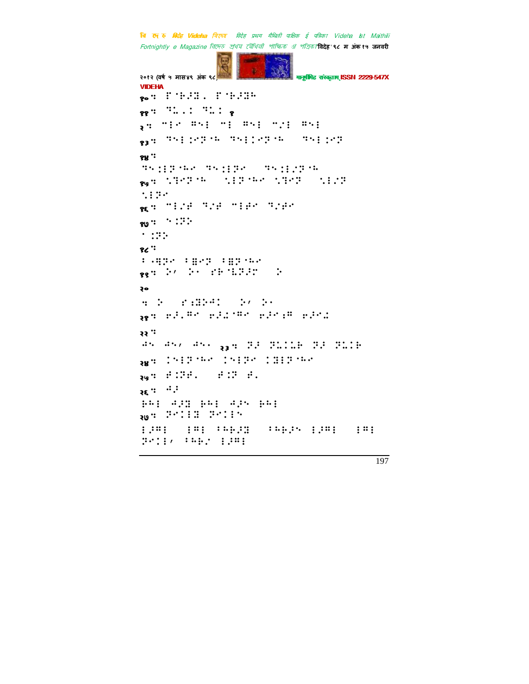**Separate** 

```
२०१२ (वर्ष ५ मास४९ अंक ९८) मानुषा मानुसीरे संस्कृतम् ISSN 2229-547X
VIDEHA 
१०: 2002. 2003. 2004.
१९ : "... "... .
२५ होते सभी ती सभी ती कि
१३⣒!⢹5⣈⢽⢳!⢹5⢽⢳-!⢹5⣈⢽!!
१४ :
SA SERA SA SERA SA SERA SA
१५⣒!⣁⣙⢽⢳0!⣁5⢽⢳!⣁⣙⢽0!⣁54⢽0!
\ddot{\phantom{0}}<sub>१६</sub>० "12∄ ए2∄ "19∼ (929)
\mathbf{P} \mathbf{B} \mathbf{B} \mathbf{C} \mathbf{D} \mathbf{D} \mathbf{D} \mathbf{D} \mathbf{D} \mathbf{D} \mathbf{D}^{\circ} :::
१८"A ABS A BAS A BASE
१९९९ के अन्य अस्ति अधिकारि
२०
\frac{1}{2} ( ) \frac{1}{2} ( ) \frac{1}{2} ( ) \frac{1}{2} ( ) \frac{1}{2} ( ) \frac{1}{2} ( ) \frac{1}{2}२१⣒!⢶⢼E⢻0⢶⢼⣌⢻!⢶⢼⣐⢻0⢶⢼⣌!!
२२ "
⢺!⢺'0⢺b!२३⣒!⢽⢼.⢽⣅⣅⢷!⢽⢼.⢽⣅⢷!!
२४ अ. 1913 (<del>)</del>
२७: #22: . #22 #.
२६ "ंं.
⢷⢳50⢺⢼⣝!⢷⢳50⢺⢼!⢷⢳5!!
२७: 3:11: 3:11:
5⢼⢻50!5⢻5!A⢳⢷⢼⣝0!A⢳⢷⢼!5⢼⢻50!5⢻5!
Solid 1991
```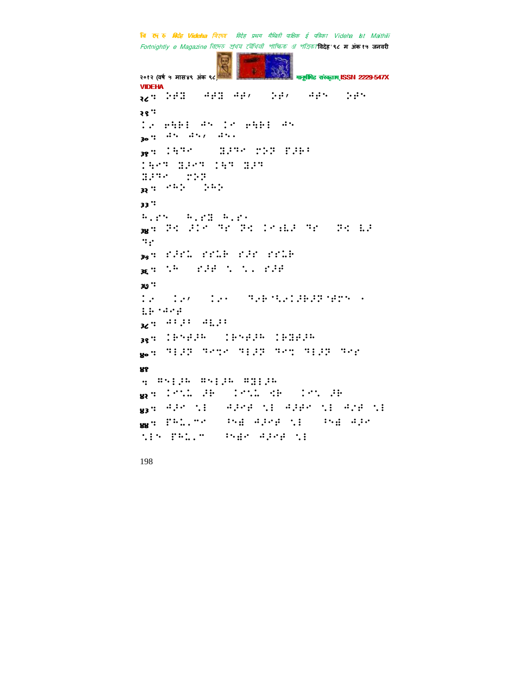```
चि एत् रू मिन्हे Videha निएन्थ विदेह प्रथम मैथिली पाक्षिक ई पत्रिका Videha Ist Maithili
Fortnightly e Magazine বিদেত প্ৰথম মৌথিনী পাক্ষিক প্ৰ পত্ৰিকা'বিदेह'९८ म अंक१५ जनवरी
                          Separate
२०१२ (वष ५ मास४९ अंक ९८) मानुषीिमह संकृताम्ISSN 2229-547X 
VIDEHA 
२८⣒!⢵⢾⣝0!⢺⢾⣝!⢺⢾'0!⢵⢾'0!⢺⢾0!⢵⢾!!
२९ "\left( . , . , . , . \right) , and the set of \left( . , . , . \right)30 \frac{3}{2} \frac{3}{2} \frac{3}{2} \frac{3}{2} \frac{3}{2} \frac{3}{2} \frac{3}{2} \frac{3}{2} \frac{3}{2} \frac{3}{2} \frac{3}{2} \frac{3}{2} \frac{3}{2} \frac{3}{2} \frac{3}{2} \frac{3}{2} \frac{3}{2} \frac{3}{2} \frac{3}{2} \frac{3}{2} \frac{3}{2} \frac{3}{३१⣒!⣓⢹!0!⣝⢼⢹)⢵⢽!2⢼⢷A*!
CAPS BEE CAPS OF STREET
⣝⢼⢹!)⢵⢽*!!
३२<sup>. क</sup>ो हिन्दी
३३ "
B EN O B E E E B E E
३४⣒!⢽⣊!⢼!⢹"0⢽⣊!⣐⣇⢼!⢹"0!⢽⣊!⣇⢼!
"३७: :2011 :111 :2011 :1111
३६⣒!⣁⢳0!"⢼⢾!⣁0⣁⣀0"⢼⢾!!
३७⣒!
D = D \cdot D , D \cdot D = D \cdot D⣇⢷⢺⢾*!!
36 \frac{364}{1000} \frac{364}{1000}३९⣒!⢷⢾⢼⢳0!⢷⢾⢼⢳!⢷⣝⢾⢼⢳!!
४०⣒!⢹5⢼⢽!⢹⣉!⢹5⢼⢽!⢹⣉0⢹5⢼⢽!⢹"!!
४१
⣒!⢻5⢼⢳!⢻5⢼⢳0⢻⣝5⢼⢳!!
µ३ :ग्धः सः । त्याः सः । त्याः सः
४३⣒!⢺⢼!⣁50!⢺⢼⢾!⣁5!⢺⢼⢾!⣁50⢺4⢾!⣁5!!
४४⣒!2⢳⣅E[0!⢸⣞!⢺⢼⢾!⣁50!⢸⣞!⢺⢼!
5!
```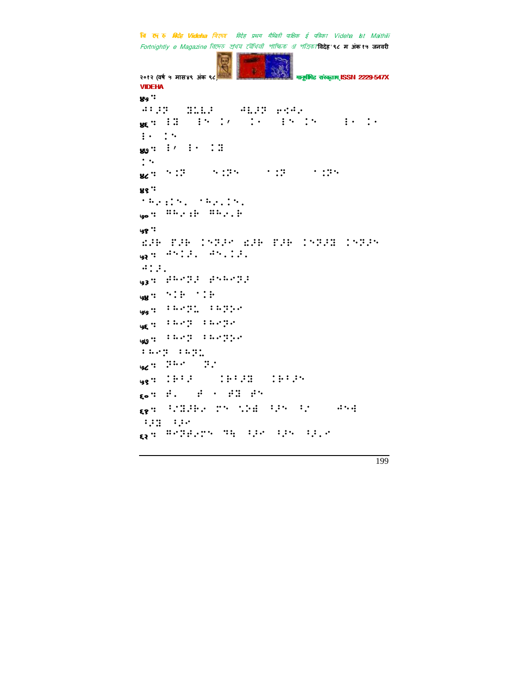```
Fortnightly e Magazine বিদেত প্ৰথম মৌথিনী পাক্ষিক প্ৰ পত্ৰিকা'বিदेह'९८ म अंक१५ जनवरी
२०१२ (वर्ष ५ मास४९ अंक ९८) मानुषिक संस्कृतम् ISSN 2229-547X
VIDEHA 
४५⣒!!
⢺A⢼⢽!)⣝⣅⣇⢼*0!⢺⣇⢼⢽)⢶⣊⢺⢴*!!
<sub>अ६</sub>०: 5∃ | 50 | 12 | 13 | 50 | 10 | 50 | 13 | 13 |
\mathbf{1} \cdot \mathbf{1} \cdot \mathbf{5}\frac{90}{5} : \frac{1}{5} : \frac{1}{5} : \frac{1}{5} : \frac{1}{5} : \frac{1}{5} : \frac{1}{5} : \frac{1}{5} : \frac{1}{5} : \frac{1}{5} : \frac{1}{5} : \frac{1}{5} : \frac{1}{5} : \frac{1}{5} : \frac{1}{5} : \frac{1}{5} : \frac{1}{5} : \frac{1}{5} : \frac{\mathbb{R}^n४८ के अपने प्राप्त कर से अपने प्राप्त कर रहे हैं। अपने प्राप्त कर से अपने प्राप्त कर रहे हैं। अपने प्राप्त कर<br>जनसङ्ख्या
४९⣒!!
⢳⢴⣐E!⢳⢴EE!!
५०⣒!⢻⢳⢴⣐⢷!⢻⢳⢴E⢷!!
५१ :
⣎⢼⢷!2⢼⢷!⢽⢼!⣎⢼⢷!2⢼⢷!⢽⢼⣝0⢽⢼!!
७२: संघातिक संघातिक संघातिक संघातिक संघातिक संघातिक संघातिक संघातिक संघातिक संघातिक संघाति
\vdots५३⣒!⢾⢳⢽⢼!⢾⢳⢽⢼!!
\mathbf{q} \mathbf{y} : \mathbf{y} \in \mathbb{R} : \mathbf{y} \in \mathbb{R}५५⣒!A⢳⢽⣅!A⢳⢽⢵!!
५६⣒!A⢳⢽!A⢳⢽!!
\nu_{99} : \cdots \vdots \cdots \cdots \cdots \cdotsA A \rightarrow B५८: : : : : : : : : : :
५९⣒!⢷A⢼!0!⢷A⢼⣝0!⢷A⢼!!
६०⣒!⢾E0!⢾!b!⢾⣝0⢾!!
६१⣒!⢸4⣝⢼⢷⢴!!⣁⢵⣞.⢸⢼0⢸40-!⢺⣚.
⢸⢼⣝0⢸⢼-!!
६२⣒!⢻⢽⢾⢴!⢹⣓!⢸⢼0⢸⢼0⢸⢼E!!!
```
चि एत् रू मिन्हे Videha निएन्थ विदेह प्रथम मैथिली पाक्षिक ई पत्रिका Videha Ist Maithili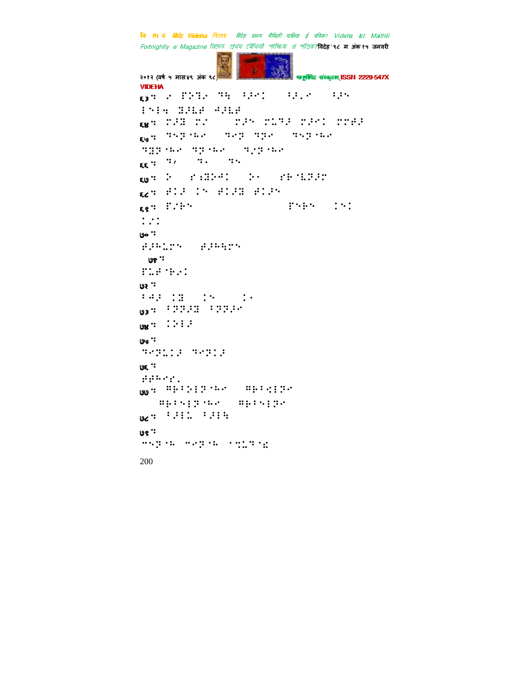**Service** 

```
२०१२ (वर्ष ५ मास४९ अंक ९८) साला मानुसार संस्कृत मानुसानित संस्कृताम् ISSN 2229-547X
VIDEHA 
200
६३⣒!⢴!2⢵⣙⢴!⢹⣓!⢸⢼0!⢸⢼E0!⢸⢼0!
55 : \frac{1}{2} \frac{1}{2} \frac{1}{2} \frac{1}{2} \frac{1}{2} \frac{1}{2} \frac{1}{2} \frac{1}{2} \frac{1}{2} \frac{1}{2} \frac{1}{2} \frac{1}{2} \frac{1}{2} \frac{1}{2} \frac{1}{2} \frac{1}{2} \frac{1}{2} \frac{1}{2} \frac{1}{2} \frac{1}{2} \frac{1}{2} \frac{1६४⣒!⢼⣝!4!0!⢼!⣅⢹⢼!⢼!⢾⢼!!
६५⣒!⢹⢽⢳0!⢹⢽!⢹⢽0!⢹⢽⢳0!
⢹⣝⢽⢳!⢹⢽⢳0!⢹4⢽⢳!!
\mathbf{t}६९\mathbf{t}^{(0)} \mathbf{t}^{(0)} \mathbf{t}^{(0)} \mathbf{t}^{(0)} \mathbf{t}^{(0)} \mathbf{t}^{(0)}६७⣒!⢵!)"⣐⣝⢵⢺*!⢵b!)"⢷⣇⢽⢼*!!
६८⣒!⢾⢼!!⢾⢼⣝!⢾⢼!!
\epsilon९९ : 2\epsilon 2, 2\epsilon 2, 2\epsilon 2, 2\epsilon 2, 2\epsilon 2, 2\epsilon 2, 2\epsilon 2, 2\epsilon 2, 2\epsilon\ddots :
७०⣒!
 ⢾⢼⢳⣅0!⢾⢼⢳⣓!!
 '' १७
 2⣅⢾⢷⢴!!
''  प्र
A \oplus B \oplus B \oplus B \oplus B \oplus B03: 177.38 177.39
\mathbf{g} : \mathbf{S}: \mathbf{S}: واق
⢹⢽⣅⢼!⢹⢽⢼!!
'' ३७
⢾⢾⢳"E!!
७७: "BPISIP'n-' "BPISIP"
     !!⢻⢷A5⢽⢳0!⢻⢷A5⢽!!
७८: 'Hali 'Ha
७९⣒!!
["\lceil"\lceil"\lceil"\lceil"\lceil"\lceil"\lceil"\lceil"\lceil"\lceil"\lceil"\lceil"\lceil"\lceil"\lceil"\lceil"\lceil"\lceil"\lceil"\lceil"\lceil"\lceil"\lceil"\lceil"\lceil"\lceil"\lceil"\lceil"\lceil"\lceil"\lceil"\lceil"\lceil"\lceil"\lceil"\lceil"\
```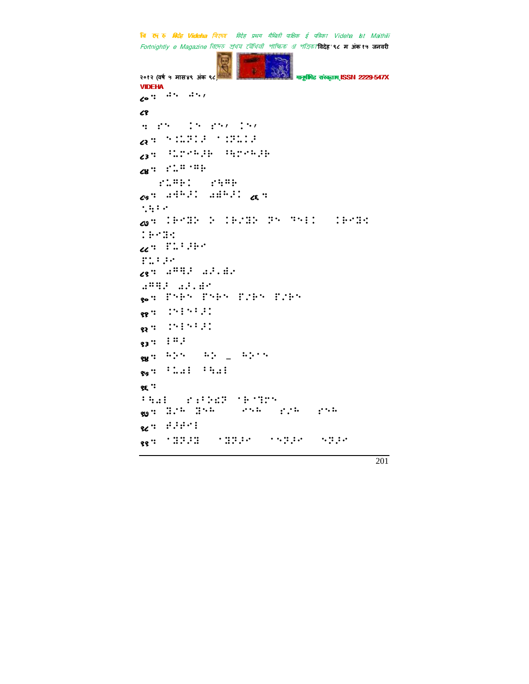```
चि एत् रू मिन्हे Videha निएन्थ विदेह प्रथम मैथिली पाक्षिक ई पत्रिका Videha Ist Maithili
 Fortnightly e Magazine বিদেত প্ৰথম মৌথিনী পাক্ষিক প্ৰ পত্ৰিকা'বিदेह'९८ म अंक१५ जनवरी
२०१२ (वर्ष ५ मास४९ अंक ९८) मानुषिक संस्कृतम् ISSN 2229-547X
VIDEHA 
\mathcal{L}^{\circ} \mathcal{L}^{\circ} \mathcal{L}^{\circ} \mathcal{L}^{\circ} \mathcal{L}^{\circ} \mathcal{L}^{\circ} \mathcal{L}^{\circ} \mathcal{L}^{\circ} \mathcal{L}^{\circ} \mathcal{L}^{\circ} \mathcal{L}^{\circ} \mathcal{L}^{\circ} \mathcal{L}^{\circ} \mathcal{L}^{\circ} \mathcal{L}^{\circ} \mathcal{L}^{\circ} \mathcal{L}^{\circ} 
८१
 HE 275 (1995) 2007
८२⣒!⣈⣅⢽⢼!⣈⢽⣅⢼!!
८३⣒!⢸⣅⢳⢼⢷!⢸⣓⢳⢼⢷!!
\alpha! \mathbb{C} : \mathbb{C} : \mathbb{C} : \mathbb{C} : \mathbb{C} : \mathbb{C} : \mathbb{C} : \mathbb{C} : \mathbb{C} : \mathbb{C} : \mathbb{C} : \mathbb{C} : \mathbb{C} : \mathbb{C} : \mathbb{C} : \mathbb{C} : \mathbb{C} : \mathbb{C} : \mathbb{C} : \mathbb{C0!"⣅⢻⢷0!"⣓⢻⢷!!
ان عمر : دا÷ان: انهام الأولى المجموعة العربي.<br>الانتخابات المجموعة المجموعة العربية المجموعة العربية المجموعة ال
 \cdot, \cdot, \cdot८७⣒!⢷⣝⢵0⢵!⢷4⣝⢵!⢽!⢹5!0⢷⣝⣊.
 ⢷⣝⣊!!
\alpha : \mathbb{R}^2 and
 2011:
८९⣒!⣔⢻⣛⢼.⣔⢼E⣞⢴!
 ⣔⢻⣛⢼.⣔⢼E⣞!!
९०⣒!2⢷.2⢷!24⢷.24⢷!
१९ : '
83. (Sinici
\frac{1}{33} : \frac{1}{3} : \frac{1}{3}९४ में <sup>अनुसा</sup>रित के लिए जाने हैं।
९५ : <del>'Adi' ''</del>
९६⣒!!
AGE (ALC) "A CASA (ALC)"<br>"Wang (ALC)" (ALC) "A CASA (ALC)" (ALC) "A CASA (ALC)" (ALC) "A CASA (ALC)" (ALC) "A CASA (ALC)" (ALC) "A CASA
                                          ९७⣒!⣝4⢳!⣝⢳!0!⢳0!"4⢳0!"⢳!!
\mathcal{C}: \mathcal{C}: \mathcal{C}९९⣒!⣝⢽⢼⣝.!⣝⢽⢼0!⢽⢼0!⢽⢼!!
```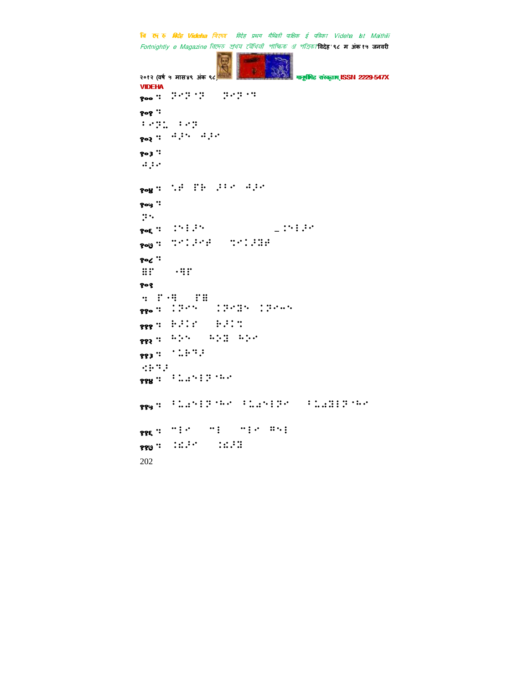२०१२ (वर्ष ५ मास४९ अंक ९८) मानुषी मानुसीरे संस्कृतम् ISSN 2229-547X VIDEHA 202 <sub>१००</sub>० २०३०३ - १०३० १०१  $\cdot$ **A**  $\overline{2}$  A  $\overline{2}$  A  $\overline{2}$  $\mathbf{R}^{\mathsf{op}}$  :  $\mathbf{R}^{\mathsf{op}}$  :  $\mathbf{R}^{\mathsf{op}}$  :  $\mathbf{R}^{\mathsf{op}}$ १०३ :  $\mathcal{A}$ jo!) jo ejggfsfou tfotfolken i staten i staten i staten i staten i staten i staten i staten i staten i <sub>?૦ષ્ઠ</sub>મ અંગે કેમ કેમ કેમ અને કેમ આ १०७°  $\mathbf{B}$  $\frac{1}{2}$  or  $\frac{1}{2}$  in Eq. ( १०७: २८:२०० १८:२ १०८  $\cdot$ ⣟2.!B⣛2!! १०९ ⣒!2B⣛.!2⣟!! <sub>११०</sub>०: 1985 - 1988 - 1986 १९९ : २२०९ : २२०९ १९२ में लिये हैं कि अपने प्राप्त हैं कि अपने प्राप्त हैं कि अपने प्राप्त हैं कि अपने प्राप्त हैं कि अपने प्राप  $\frac{1}{333}$  :  $\frac{1}{3}$ ....... ⣊⢷⢹⢼!!  $888 : 35.35 : 35.35$ १९७३ मध्य अस्ति । अस्ति अस्ति अस्ति अस्ति । अस्ति अस्ति अस्ति अस्ति अस्ति अस्ति । अस्ति अस्ति अस्ति अस्ति अस्त<br>इति अस्ति अस्ति अस्ति अस्ति अस्ति अस्ति अस्ति अस्ति अस्ति अस्ति अस्ति अस्ति अस्ति अस्ति अस्ति अस्ति अस्ति अस् ११६ में मानव करने के प्राप्त करने के प्राप्त करने के प्राप्त करने के प्राप्त करने १९७ : संस्था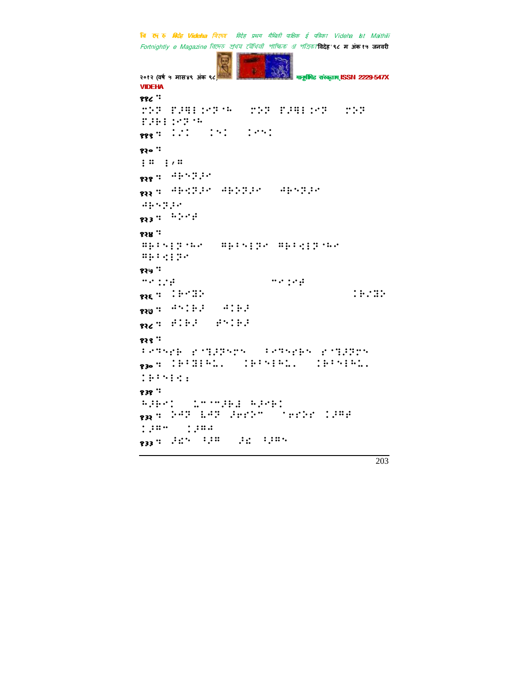```
चि एत् रू मिन्हे Videha निएन्थ विदेह प्रथम मैथिली पाक्षिक ई पत्रिका Videha Ist Maithili
 Fortnightly e Magazine বিদেত প্ৰথম মৌথিনী পাক্ষিক প্ৰ পত্ৰিকা'বিदेह'९८ म अंक१५ जनवरी
२०१२ (वर्ष ५ मास४९ अंक ९८) मानुषाय मानुसार संस्कृतम् ISSN 2229-547X
VIDEHA 
११८ "
 ⢵⢽!2⢼⣛5⣈⢽⢳0!⢵⢽!2⢼⣛5⣈⢽0!⢵⢽!
 2⢼⢷5⣈⢽⢳!!
<sub>888</sub> में 4.11 | 4.12 | 4.14 | 4.14 | 4.14 | 4.14 | 4.14 | 4.14 | 4.14 | 4.14 | 4.14 | 4.14 | 4.14 | 4.14 | 4.14 |
१२० "j := j१२१ मध्यम् अप्र
१२२⣒!⢺⢷⣊⢽⢼!⢺⢷⢵⢽⢼.!⢺⢷⢽⢼0!
⢺⢷⢽⢼!!
83: \frac{1}{2}....
१२४⣒!
⢻⢷A5⢽⢳0!⢻⢷A5⢽!⢻⢷A⣊5⢽⢳0!
 ⢻⢷A⣊5⢽!!
१२५ \cdot[⣈4⢾.!)up!uftu*[⣈⢾!!
\mathbf{R} \mathbf{x} = \mathbf{R} \mathbf{x} + \mathbf{R} \mathbf{x} + \mathbf{R} \mathbf{x} + \mathbf{R} \mathbf{x} + \mathbf{R} \mathbf{x} + \mathbf{R} \mathbf{x} + \mathbf{R} \mathbf{x} + \mathbf{R} \mathbf{x} + \mathbf{R} \mathbf{x} + \mathbf{R} \mathbf{x} + \mathbf{R} \mathbf{x} + \mathbf{R} \mathbf{x} + \mathbf{R} \mathbf{x} + \mathbf{R} \mathbf{x} + \mathbf{R} \mathbf{x} + \mathbf{R} \mathbf{x} + \mathbf{R} \mathbf{x} + \mathbf{830 : \frac{1}{20}. \frac{1}{20}. \frac{1}{20}. \frac{1}{20}. \frac{1}{20}. \frac{1}{20}. \frac{1}{20}. \frac{1}{20}. \frac{1}{20}. \frac{1}{20}. \frac{1}{20}. \frac{1}{20}. \frac{1}{20}. \frac{1}{20}. \frac{1}{20}. \frac{1}{20}. \frac{1}{20}. \frac{1}{20}१२८ : निर्वित कर्णाटक
१२९⣒!!
A STARE ROTERTY OF STARES ROTERTY
_{330}s (Pfälmi, (Pfölmi, (Pfölmi,
15:14:14:1१३१ :
\texttt{H}\frac{1}{332} % | 199 | 199 | 199 | 199 | 199 | 199 | 199 | 199 | 199 | 199 | 199 | 199 | 199 | 199 | 199 | 199 |
\frac{1}{2} \frac{1}{2} \frac{1}{2} \frac{1}{2} \frac{1}{2} \frac{1}{2} \frac{1}{2} \frac{1}{2} \frac{1}{2} \frac{1}{2} \frac{1}{2} \frac{1}{2} \frac{1}{2} \frac{1}{2} \frac{1}{2} \frac{1}{2} \frac{1}{2} \frac{1}{2} \frac{1}{2} \frac{1}{2} \frac{1}{2} \frac{1}{2} १३३ प. २००९ - २००९ - २००९ - २००९
```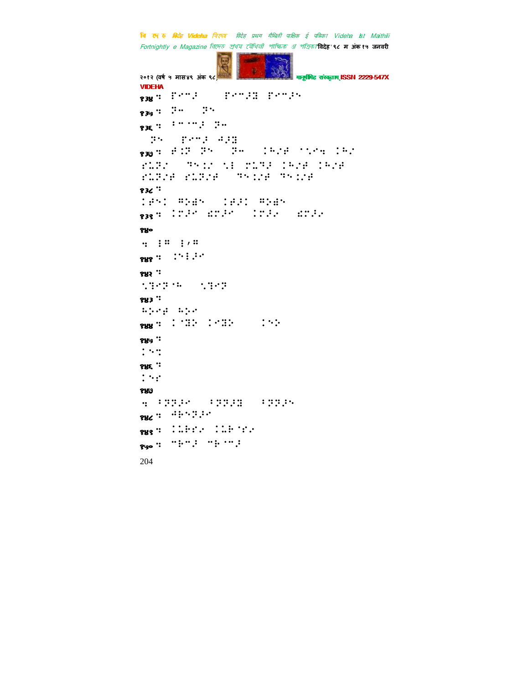**CONTRACTOR** 

```
२०१२ (वर्ष ५ मास४९ अंक ९८) मानुष्य मानुसार संस्कृताम् ISSN 2229-547X
VIDEHA 
204
१३४ <sup>: 201</sup>9 - 2010 : 2010 : 2010
834 : \frac{1}{2} : \frac{1}{2} : \frac{1}{2} :
\frac{1}{2} \frac{1}{2} \frac{1}{2} \frac{1}{2} \frac{1}{2} \frac{1}{2} \frac{1}{2} \frac{1}{2} \frac{1}{2} \frac{1}{2} \frac{1}{2} \frac{1}{2} \frac{1}{2} \frac{1}{2} \frac{1}{2} \frac{1}{2} \frac{1}{2} \frac{1}{2} \frac{1}{2} \frac{1}{2} \frac{1}{2} \frac{1}{2} )⢽*!2[⢼!⢺⢼⣝!!
१३७⣒!⢾⣈⢽!⢽!)⢽⢲*!⢳4⢾!⣁⣒!⢳40!
 "⣅⢽40!⢹⣈4!⣁5!⣅⢹⢼!⢳4⢾.⢳4⢾0!
 "⣅⢽4⢾."⣅⢽4⢾0!⢹⣈4⢾.⢹⣈4⢾!
१३८ "^{\circ} ^{\circ} ^{\circ} ^{\circ} ^{\circ} ^{\circ} ^{\circ} ^{\circ} ^{\circ} ^{\circ} ^{\circ} ^{\circ} ^{\circ} ^{\circ} ^{\circ} ^{\circ} ^{\circ} ^{\circ} ^{\circ} ^{\circ} ^{\circ} ^{\circ} ^{\circ} ^{\circ} ^{\circ} ^{\circ} ^{\circ} ^{\circ} ^{\circ} ^{\circ} ^{\circ} ^{\circ}939 : 1000 : 2000 : 1000 : 2000
१४०
 ⣒!5⢻!5'⢻!!
_{\text{ggg}} : \cdots : \cdots१४२ <sup>::</sup>
 ⣁⣙⢽⢳0!⣁⣙⢽!!
१४३ :
 \mathbf{h}^{\mathsf{A}}_{\mathsf{A}}, \mathbf{h}^{\mathsf{B}}_{\mathsf{A}}, \mathbf{h}^{\mathsf{B}}_{\mathsf{A}}, \mathbf{h}^{\mathsf{B}}_{\mathsf{A}}, \mathbf{h}^{\mathsf{B}}_{\mathsf{A}}, \mathbf{h}^{\mathsf{B}}_{\mathsf{A}}, \mathbf{h}^{\mathsf{B}}_{\mathsf{A}}, \mathbf{h}^{\mathsf{B}}_{\mathsf{A}}, \mathbf{h}^{\mathsf{B}}_{\mathsf{A}}, \mathbf{h}^{\mathsf{B}}_{\mathsf{A}}, \mathbf{h}^{\mathsf{B}}_{\mathsf{A}},१४४ : २०३१ : २०३१ : २०६
१४५ "
 : \cdot :
१४६ :
 : \cdot: \cdot१४७
 ₩ 1999.
\mathbf{R} \mathbf{B} \mathbf{C} : \mathbf{B} \mathbf{B} \mathbf{C} : \mathbf{B} \mathbf{B} \mathbf{C}888 : (1991) : (1992) : (1992) : (1992) : (1992) : (1992) : (1992) : (1992) : (1992) : (1992) : (1993) : (1993) : (
\gamma_{90} : \gamma_{\mu} \gamma_{\mu} : \gamma_{\mu} : \gamma_{\mu}
```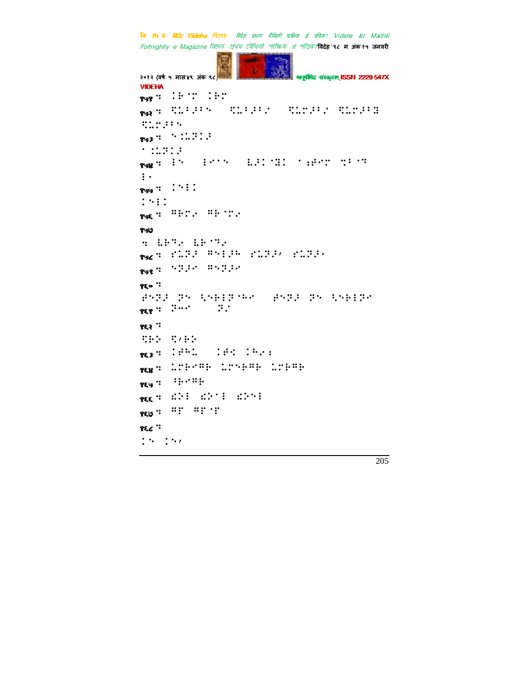```
Fortnightly e Magazine বিদেত প্ৰথম মৌথিনী পাক্ষিক প্ৰ পত্ৰিকা'বিदेह'९८ म अंक१५ जनवरी
                                        County
२०१२ (वर्ष ५ मास४९ अंक ९८) मानुषिक संस्कृतम् ISSN 2229-547X
VIDEHA 
\frac{1}{298} : \frac{1}{2} : \frac{1}{2} : \frac{1}{2} : \frac{1}{2} : \frac{1}{2}\frac{1}{2} \frac{1}{2} \frac{1}{2} \left( \frac{1}{2} \frac{1}{2} \frac{1}{2} \right) \left( \frac{1}{2} \frac{1}{2} \frac{1}{2} \frac{1}{2} \right) \left( \frac{1}{2} \frac{1}{2} \frac{1}{2} \frac{1}{2} \right) \left( \frac{1}{2} \frac{1}{2} \frac{1}{2} \frac{1}{2} \frac{1}{2} \frac{1}{2} \right) \left( \frac{1}{2} \frac{1}{2} \frac{1}{2} \frac{1}{2} \frac{1}{2} \frac{1}{2} \frac{1}{2} \frac{1}{⣋⣅⢼A!!
१५३⣒!⣈⣅⢽⢼0!!
⣈⣅⢽⢼!!
१७४ त. १९०० - 1999 त. 1999 त. 1999 त. 1999 त. 1999 त. 1999 त. 1999 त. 1999 त. 1999 त. 1999 त. 1999 त. 1999 त.
\vdotsg_{.999}: : : ::
: \cdot : :\gamma_{95}: \cdots \cdots \cdots१५७
⣒!⣇⢷⢹⢴!⣇⢷⢹⢴!!
१५८⣒!"⣅⢽⢼!⢻5⢼⢳!"⣅⢽⢼'0"⣅⢽⢼b!!
१७९९ : १९९३ : २९९३
१६० :₽NPJ PN SNEIP'R' PNPJ PN SNEIP'<br>∞∞s PH' = PJ
१९६१ : २००१ : २००१
१६२ :
THE TANK
1963 # 1991 # 1992 # 1992 # 1993
१६४⣒!⣅⢷⢻⢷.⣅⢷⢻⢷!⣅⢷⢻⢷!!
R_{49}: \cdots:::
१९६ फ कोरी कोरी कोरी
१६७⣒!⢻20⢻22!!
१६८ "25.25
```
चि एत् रू मिन्हे Videha निएन्थ विदेह प्रथम मैथिली पाक्षिक ई पत्रिका Videha Ist Maithili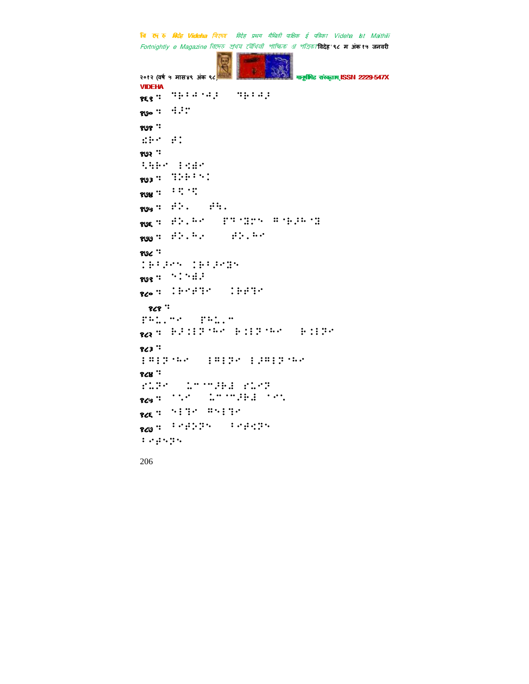**Country** 

२०१२ (वर्ष ५ मास४९ अंक ९८) मानुष्य मानुष्य संस्कृताम् ISSN 2229-547X VIDEHA १६९⣒!⢹⢷A⢺⢺⢼0!⢹⢷A⢺⢼!!  $900 ::$  : ::: १७१  $\because$ ⣎⢷!⢾!! १७२  $:$ SHEP 1555  $803$  :  $1.41$  ...  $\mathbf{R}$   $\mathbf{B}$   $\mathbf{B}$   $\mathbf{B}$   $\mathbf{B}$   $\mathbf{C}$   $\mathbf{B}$   $\mathbf{C}$  $\mathbf{y}_{\mathbf{y}\mathbf{y}} :: \vdots :: \mathbf{y}_{\mathbf{y}} :: \mathbf{y}_{\mathbf{y}}$ १७६⣒!⢾⢵E⢳)!2⢹⣝!⢻⢷⢼⢳⣝\*!!  $909$  :  $\therefore$   $\therefore$   $\therefore$   $\therefore$   $\therefore$   $\therefore$   $\therefore$   $\therefore$   $\therefore$   $\therefore$   $\therefore$   $\therefore$   $\therefore$   $\therefore$   $\therefore$   $\therefore$   $\therefore$   $\therefore$   $\therefore$   $\therefore$   $\therefore$   $\therefore$   $\therefore$   $\therefore$   $\therefore$   $\therefore$   $\therefore$   $\therefore$   $\therefore$   $\therefore$   $\therefore$   $\therefore$   $\therefore$   $\therefore$   $\therefore$   $\there$ १७८  $\cdot$ ⢷A⢼!⢷A⢼⣝!!  $\gamma$ <sub>298</sub>:  $\cdot$ :  $\cdot$ :  $\cdot$ १८० : २००१ : २००१ : २००१ १८१  $\cdot$ 2000 PRICE १८२ ण कर साथ करने के लिए जाने के लिए जाने के लिए जाने के लिए जाने के लिए जाने के लिए जाने के लिए जाने के लिए ज १८३ : 5⢻5⢽⢳0!5⢻5⢽!5⢼⢻5⢽⢳!! १८४  $"$ " १८५ : २०१९ : २०१९ : २०१९ : २०१९ १८६ में जिले में में अधिकारिक १८७ : २००० - २००० - २००० - २००० - २००० - २००० - २००० - २००० - २००० - २००० - २००० - २००० - २००० - २००० - २००० - २००० - २००० - २००० - २००० - २००० - २००० - २००० - २००० - २००० - २००० - २००० - २००० - २००० - २००० - २००० - २००० - $A \cup B \cup B$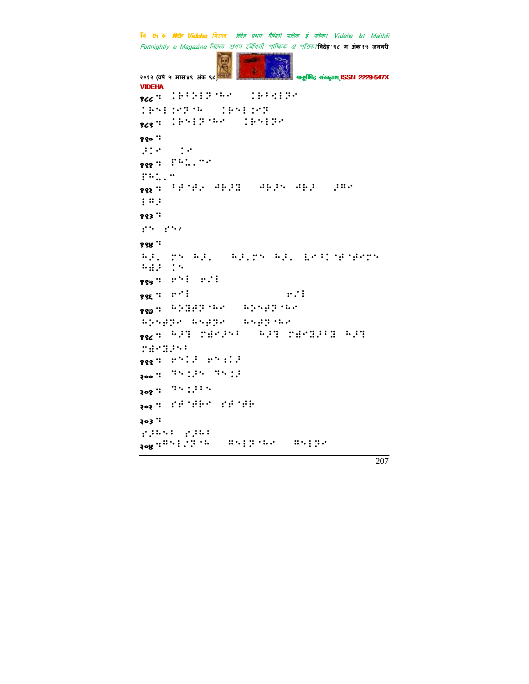```
चि एत् रू मिन्हे Videha निएन्थ विदेह प्रथम मैथिली पाक्षिक ई पत्रिका Videha Ist Maithili
Fortnightly e Magazine বিদেত প্ৰথম মৌথিনী পাক্ষিক প্ৰ পত্ৰিকা'বিदेह'९८ म अंक१५ जनवरी
```
**Country** 

```
२०१२ (वर्ष ५ मास४९ अंक ९८) मानुष्य मानुष्य संस्कृताम् ISSN 2229-547X
VIDEHA 
१८८ : २०१२:२००० : २०१३:२०
⢷5⣈⢽⢳0!⢷5⣈⢽!!
१८९९ : २००१ २००१ : २००१ : २०
१९०⣒!!
318 (18
१९१⣒!2⢳⣅E[0!!
PHL."
१९२⣒!A⢾⢾⢴!⢺⢷⢼⣝0!⢺⢷⢼!⢺⢷⢼!)⢼⢻!
\vdots \vdots१९३ "\mathcal{C}^{(n)} : \mathcal{C}^{(n)} /
१९४ :
EE. En E. E. E. E. E. E. E. E. E. E.
WHATE :
884 : "''1 : "''1\frac{1}{3} \frac{1}{3} \frac{1}{3} \frac{1}{3} \frac{1}{3} \frac{1}{4} \frac{1}{4} \frac{1}{5} \frac{1}{4} \frac{1}{5} \frac{1}{4} \frac{1}{5} \frac{1}{5} \frac{1}{5} \frac{1}{5} \frac{1}{5} \frac{1}{5} \frac{1}{5} \frac{1}{5} \frac{1}{5} \frac{1}{5} \frac{1}{5} १९७⣒!⢳⢵⣝⢾⢽⢳0!⢳⢵⢾⢽⢳0!
⢳⢵⢾⢽0⢳⢾⢽0!⢳⢾⢽⢳!!
१९८⣒!⢳⢼⣙!⣞⢼A0!⢳⢼⣙!⣞⣝⢼A⣝0⢳⢼⣙!
⣞⣝⢼A!!
१९९३ : २९९० : २०९१ : २
२०० : २०० : २०० : २०० : २०० : २०० : २०० : २०० : २०० : २०० : २०० : २०० : २०० : २०० : २०० : २०० : २०० : २०० : २०
208 : 10 \cdot 100२०२ में अर्थित के अर्थ कर
२०३ ""⢼⢳A!"⢼⢳A!!
२०४⣒⢻54⢽⢳0!⢻5⢽⢳0!⢻5⢽!!
```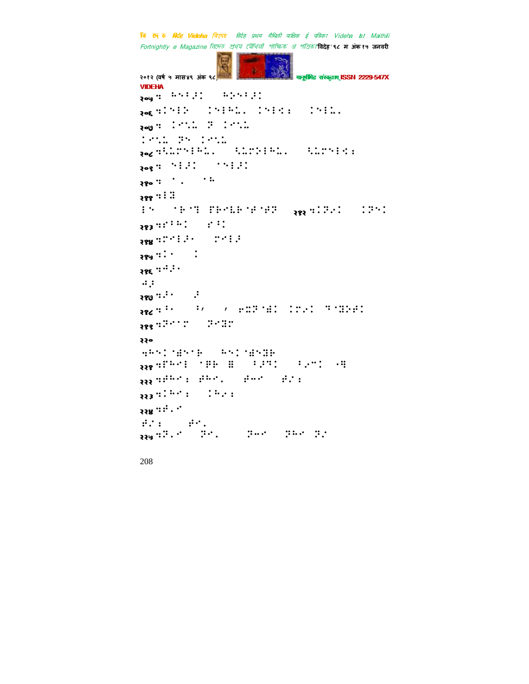```
२०१२ (वर्ष ५ मास४९ अंक ९८) मानुष्य कर्णाटक संकृतम् ISSN 2229-547X
VIDEHA 
२०५⣒!⢳A⢼0!⢳⢵A⢼!!
<sub>300</sub>8:500 (500) 1500 (500)
२०७ : २०७ : २०७ : २०७
THIL BY INTE
२०८⣒⣃⣅5⢳⣅E0!⣃⣅⢵5⢳⣅E0!⣃⣅5⣊⣐!!
२०९⣒!5⢼0!5⢼!!
२१०: ' : '२११ : : : :
5!)⢷⣙.2⢷⣇⢷⢾⢾⢽*!२१२⣒⢽⢴0!⢽!!
283 223 423 423२१४ C.C. E.S.
284 :: \cdot :
२१६\mathbb{R}^{n+1}ं\cdot\ddot{a} :
२१७ "ं में अं अं अं
२१८⣒⢸b!0⢸'!)'!⢶⣍⢽⣞!⢴!⢹⣝⢵⢾*!!
२१९ प्रतिकारित के साथ प्राप्त क
२२०
⣒⢳⣞⢷0!⢳⣞⣝⢷!!
२२१⣒2⢳5!⢿⢷!⣟0!A⢼⢹0!A⢴[!B⣛!!
२२२ परिवेक सामिले हैं जी किया है।<br>इस्रोजन
२२३⣒⢳⣐0!⢳⢴⣐!!
२२४⣒⢾E0!!
\mathbb{R}^2: \mathbb{R}^2 , \mathbb{R}^2२२५ BED 1999 - ED 2010 - ED 2010 - ED 2010 - ED 2010 - ED 2010 - ED 2010 - ED 20
```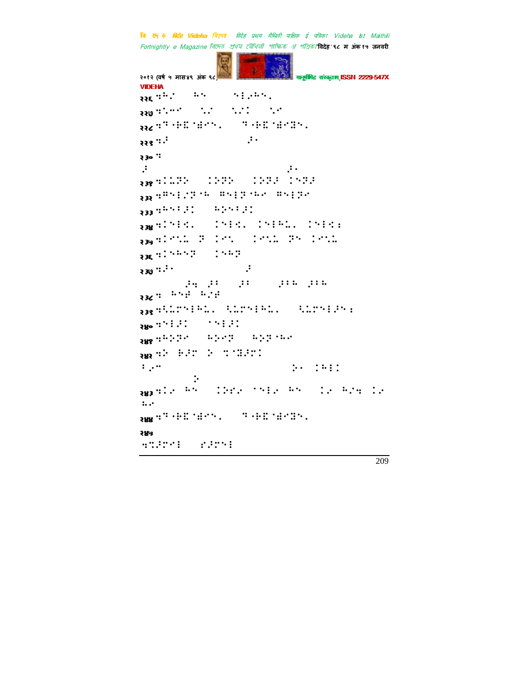```
२०१२ (वर्ष ५ मास४९ अंक ९८) मानुष्य कर्णाटक संकृतम् ISSN 2229-547X
VIDEHA 
23640.7 -0.6 -0.1 60.5२२७⣒⣁⢲0!⣁40!⣁4!0⣁!!
२२८⣒⢹B⢷⣏⣞E0!⢹B⢷⣏⣞⣝E!!
\mathcal{Q}२२९\mathcal{Q}: \mathcal{Q}२३० :\mathcal{F} ) denote the density of \mathcal{F} . We also assume that \mathcal{F}<sub>२३१</sub> साइटाल - 1999 - 1999 - 1999 -
२३२⣒⢻54⢽⢳.⢻5⢽⢳.⢻5⢽!
२३३⣒⢳A⢼.!⢳⢵A⢼!
२३४ Block of Deletic Deletic Deletic
२३५ सालिया के पालिया के सालिया
२३६ <sup>(</sup> ) <sup>194</sup>7 ( ) | 1947 (
\mathbf{a} ) denote the point \mathbf{b} is the point of \mathbf{b}.
             boe*0⢼⣒!⢼A(.⢼A(!0⢼A⢳.⢼A⢳!
२३८ में लिए में स्टेज़
२३९⣒⣃⣅5⢳⣅E.⣃⣅5⢳⣅E.!⣃⣅5⢼⣐!
२४० <sup>05</sup> सिंही संबंधित करने होते.
२४१ तक अपनी पर पर पर पर पर पर प्रदेश र अपनी पर प्रदेश र अपनी पर प्रदेश र अपनी पर प्रदेश र अपनी पर प्रदेश र अपन<br>प्रदेश र अपनी पर प्रदेश र अपनी पर प्रदेश र अपनी पर प्रदेश र अपनी प्रदेश र अपनी पर प्रदेश र अपनी पर प्रदेश र अ
२४२ मध्य अस्ति । अस्ति अस्ति । अस्ति । अस्ति । अस्ति । अस्ति । अस्ति । अस्ति । अस्ति । अस्ति । अस्ति । अस्ति ।<br>अस्ति । अस्ति । अस्ति । अस्ति । अस्ति । अस्ति । अस्ति । अस्ति । अस्ति । अस्ति । अस्ति । अस्ति । अस्ति । अस्ति 
A [)dpokvoduje pokovoduje pokovoduje pokovoduje pokovoduje pokovoduje pokovoduje pokovoduje pokovoduje pokovodu
t_{\rm b} the 0.01<sub>२४३</sub> वर्टन किले जिले हेलेला अधिकारित होते.
\cdots२४४⣒⢹B⢷⣏⣞E0!⢹B⢷⣏⣞⣝E!
२४५
⣒⣉⢼50!"⢼5!!
```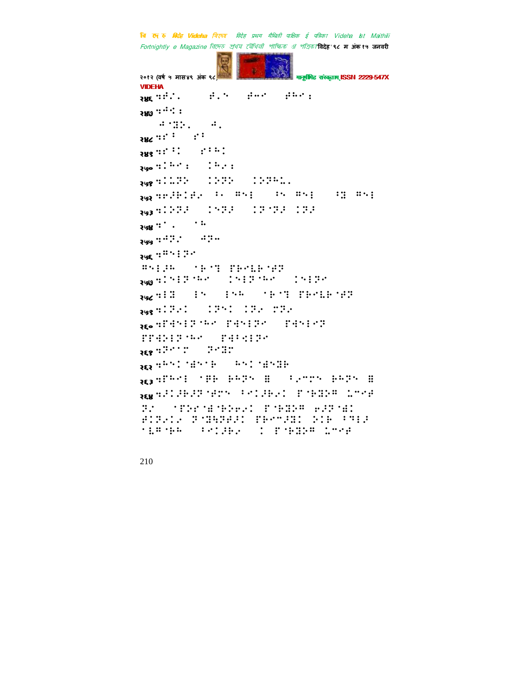२०१२ (वर्ष ५ मास४९ अंक ९८) मानुषि संस्कृत संस्कृत म् ISSN 2229-547X VIDEHA २४६ अधिकारी से प्रसिद्ध करते हैं। इस अधिकारी से अधिकारी से अधिकारी से अधिकारी से अधिकारी से अधिकारी से अधिकारी २४७ ः स्टब्स्  $\frac{1}{2}$   $\frac{1}{2}$   $\frac{1}{2}$   $\frac{1}{2}$   $\frac{1}{2}$   $\frac{1}{2}$   $\frac{1}{2}$   $\frac{1}{2}$ २४८⣒"⢸0!"A! २४९ मधी को पाए जाते हैं। २५०⣒⢳⣐0!⢳⢴⣐! २५<mark>९</mark> साइए - 1999 - 1999 E. २५२ प्राप्त संस्कृति का संस्कृति । अत्र संस्कृति । अत्र संस्कृति । अत्र संस्कृति । अत्र संस्कृति । अत्र संस्कृ २५३⣒⢵⢽⢼0!⢽⢼0!⢽⢽⢼0⢽⢼! २५४ : २५४ : २०१२ २५५⣒⢺⢽40!⢺⢽⢲! २७६ : : : : : : : : ⢻5⢼⢳!)⢷⣙!2⢷⣇⢷⢾⢽\*!! २५७⣒5⢽⢳0!5⢽⢳0!5⢽0!! २५८⣒5⣝0!50!5⢳!)⢷⣙!2⢷⣇⢷⢾⢽\*! २५९⣒⢽⢴0!⢽0⢽⢴.⢽⢴! २६० साम्राज्ञाः स्टब्स् ।<br>इ.स. १९७१ सम्राट स्थानिक स्थानिक स्थानिक स्थानिक स्थानिक स्थानिक स्थानिक स्थानिक स्थानिक स्थानिक स्थानिक स्थान 22⣚⢵5⢽⢳0!2⣚A⣊5⢽0! २६१ मध्यप्रदेश कर प्राप्त कर प्राप्त कर प्राप्त कर प्राप्त कर प्राप्त कर प्राप्त कर प्राप्त कर प्र २६२⣒⢳⣞⢷0!⢳⣞⣝⢷! २६३⣒2⢳5!⢿⢷!⢷⢳⢽!⣟0!A⢴[!⢷⢳⢽!⣟! २६४⣒⢼⢼⢷⢼⢽⢾!A⢼⢷⢴!2⢷⣝⢵⢻!⣅[⢾! ⢽40!2⢵"⣞⢷⢵⢶⢴!2⢷⣝⢵⢻!⢶⢼⢽⣞! ⢾⢽⢴⢴!⢽⣝⣓⢽⢾⢼!2⢷[⢼⣝!⢵⢷!A⢹5⢼!  $^{\prime}$  (10  $^{\prime}$  ) A  $^{\prime}$  ) A  $^{\prime}$  (2) A  $^{\prime}$  (2) A  $^{\prime}$  (2) A  $^{\prime}$  (2) A  $^{\prime}$  (2) A  $^{\prime}$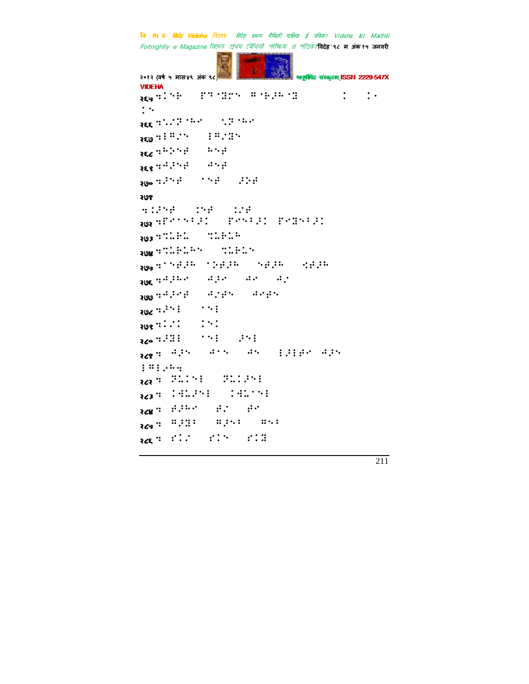२०१२ (वर्ष ५ मास४९ अंक ९८) मानुषिक संस्कृतम् ISSN 2229-547X VIDEHA २६५ º: 10 º: 10 º: 10 º: 10 º: 10 º: 10 º: 10 º: 10 º: 10 º: 10 º: 10 º: 10<br>PESCONDI  $\dddot{\cdot}$ २६६⣒⣁4⢽⢳.!⣁⢽⢳! २६७ : में से से से का का जाता है। २६८ प्रसिटिक के साथ प्राप्त २६९ <sup>०० व</sup>े परं २७०⣒⢼⢾0!⢾0!⢼⢵⢾! २७१ ⣒⣈⢼⢾0!⣈⢾0!⣈4⢾!! २७२ मध्यप्रदेश वर्तनाथ अधिकारी अधिकारी के साथ प्रदेश करते हैं। २७३⣒⣉⣅⢷⣅0!⣉⣅⢷⣅⢳! २७४ अप्रै**७४ अप्रैण्ड अप्रैण्ड अप्रैण्ड अप्रैण्ड** अप्रै २७५ था निर्माण करते हैं।<br>राजन २७६⣒⢺⢼⢳0!⢺⢼0!⢺0!⢺40! २७७ पर्यटन के सामने के सामने पर्यटन करता है। २७८⣒⢼50!5!  $208$   $\therefore$   $\therefore$   $\therefore$   $\therefore$  $26$   $:$   $:31$   $:51$   $:51$ २८१ प्राचीन जाता जाता हिन्दी होते. 5⢻5⢴⢳⣒\*! २८२⣒!⢽⣅50!⢽⣅⢼5! २८३ प्राचीन में सामान करते हैं। २८४⣒!⢾⢼⢳0!⢾40!⢾! २८५ : मेलेसे में मेला २८६ में में में अपने कारण करते हैं ।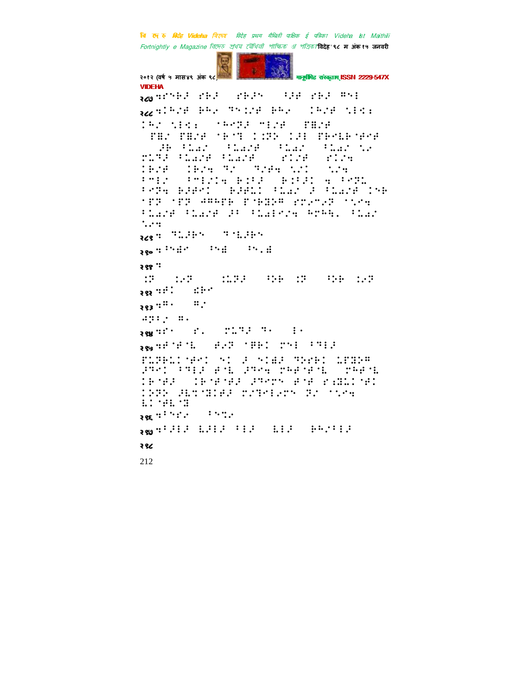

VIDEHA २८७⣒"⢷⢼0"⢷⢼0!"⢷⢼!)⢸⢼⢾!"⢷⢼!⢻5\*! २८८⣒⢳4⢾!⢷⢳⢴0⢹⣈4⢾!⢷⢳⢴0!⢳4⢾!⣁5⣊⣐0!  $142$   $143$   $144$   $145$   $147$ )<br>2 Je film (film) (film) (film) (film) (film) ..<br>Plaze atze atze ⣅⢹⢼!A⣅⣔4⢾.A⣅⣔4⢾\*0!"4⢾0!"4⣒! 1B/4 (B)4 M/ (B)4 N/4 Affirm a functional property of the property of  $\mathcal{F}_\mathcal{F}$ Anque Alente Alan de Alan anti-2⢽.2⢽!⢺⢻⢳2⢷!2⢷⣝⢵⢻!"⢴[⢴⢽!⣁⣒! AGAZA ALAN A SALAHAN ARAH SALAH  $\ddots$  : २८९⣒!⢹⣅⢼⢷0!⢹⣇⢼⢷! २९० <sup>: 15</sup># <sup>15</sup> : 15 : 15 : 16 : 16 : 17 : 18 २*९*१ : .<br><sub>sec</sub>u#l dPf २९२ ::ंं  $\mathbf{33.4}_{\text{H}}$  $\text{ATT} \times \text{BT}$ २९४ <sup>मध्य</sup>ा संस्था हो। "E संस्था हो अर्थ करने के संस्था हो।"<br>जनसङ्ख्या संस्कृतिक संस्कृतिक संस्कृतिक संस्कृतिक संस्कृतिक संस्कृतिक संस्कृतिक संस्कृतिक संस्कृतिक संस्कृतिक स<br>प्राचीन के संस्कृतिक संस्कृतिक संस्कृतिक संस्कृत २९५⣒⢾⢾⣇-)⢾⢴⢽!⢿⢷!5!A⢹5⢼! 2⣅⢽⢷⣅⢾!!⢼!⣞⢼!⢹⢵"⢷!⣅2⣝⢵⢻\*! ⢼⢹!A⢹5⢼!⢾⣇!⢼⢹⣒!⢳⢾⢾⣇0!⢳⢾⣇0!  $\overline{1}$   $\overline{1}$   $\overline{1}$   $\overline{2}$   $\overline{3}$   $\overline{1}$   $\overline{3}$   $\overline{4}$   $\overline{1}$   $\overline{2}$   $\overline{3}$   $\overline{4}$   $\overline{1}$   $\overline{2}$   $\overline{4}$   $\overline{2}$   $\overline{2}$   $\overline{4}$   $\overline{2}$   $\overline{2}$   $\overline{2}$   $\overline{2}$   $\overline{2}$   $\overline{2}$   $\overline{2$  $\overline{12}\overline{3}\overline{4}\overline{1}$  . The state of the state of the state of the state of the state of the state of the state of the state of the state of the state of the state of the state of the state of the state of the state of LITELTE<br>New Strip of Strip  $2$ ९६ $\mu$ <sup>:</sup>  $\mu$ :  $\mu$ २९७⣒A⢼5⢼0⣇⢼5⢼!A5⢼0!⣇5⢼!)⢷⢳4A5⢼\*! २९८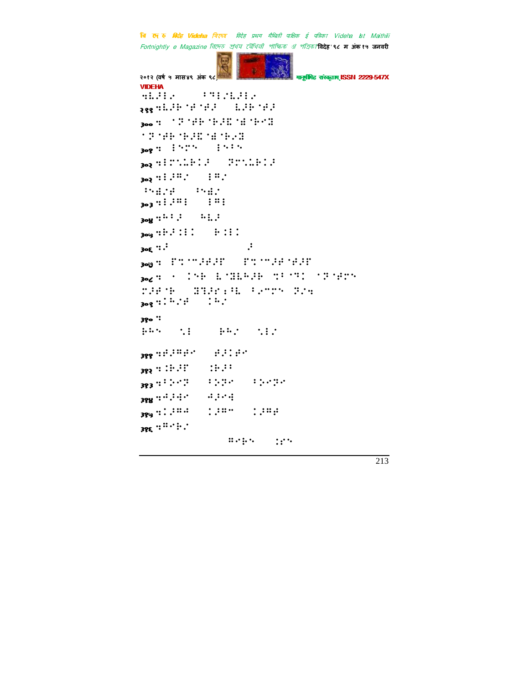```
२०१२ (वर्ष ५ मास४९ अंक ९८) मानुषिक संस्कृतम् ISSN 2229-547X
VIDEHA 
⣒⣇⢼5⢴0!)A⢹54⣇⢼5⢴*!!
२९९⣒⣇⢼⢷⢾⢾⢼0!⣇⢼⢷⢾⢼!
३००⣒!⢽⢾⢷⢷⢼⣏⣞⢷⣝0!
⢽⢾⢷⢷⢼⣏⣞⢷⢴⣝!
308 : 55.75 55.54३०२⣒5⣁⣅⢷⢼-!⢽⣁⣅⢷⢼!
302 : 1.34; : 1.34;
⢸⣞4⢾0!⢸⣞4*!!
303 : 1 : 1 : 1 : 1308 \cdots \cdots \cdots304 :: :: :: :: :: :: ::306 \ddotsاللوات الموجود التي الموجود المورد الموضح الموجود الموضح الموجود الموجود الموجود الموجود الموجود الم<br>الموجود الموجود الموجود الموجود الموجود الموجود الموجود الموجود الموجود الموجود الموجود الموجود الموجود الموجو
३०८⣒!b!⢷!⣇⣝⣇⢳⢼⢷!⣉A⢹!⢽⢾!
T.H + 100 T.H - 112 H + 12 H + 2 H308 \frac{4!}{10} \frac{4!}{10} \frac{4!}{10} \frac{4!}{10}३१०⣒!
FFS <math>\begin{bmatrix} 1 & 1 \\ 1 & 1 \end{bmatrix} \begin{bmatrix} 1 & 1 \\ 1 & 1 \end{bmatrix}३११⣒⢾⢼⢻⢾0!⢾⢼⢾!
382 \div \div \div \div \div \div \div\frac{383}{253} \frac{914 \cdot 10}{10} \frac{10}{10} \approx 10 \cdot 10^{-10} \approx 10 \cdot 10^{-10} \approx 10^{-10} \approx 10^{-10} \approx 10^{-10} \approx 10^{-10} \approx 10^{-10} \approx 10^{-10} \approx 10^{-10} \approx 10^{-10} \approx 10^{-10} \approx 10^{-10} \approx 10^{-10} \approx 10^{-10} \approx 10^{-10} \approx 10^{-10} \approx 10^{-10} \approx 10^{-10} \approx 10^{-10} \approx 1३१४ घटना अधिकारित हो।<br>३१४ प्रमोतित स्थानित<br>अधिकारितीय स्
                        \ddotsc385<sup>4:\cdot</sup>\cdot\cdot.
                                       the particle of the particle of the particle of the particle of the particle of the particle of the particle o
```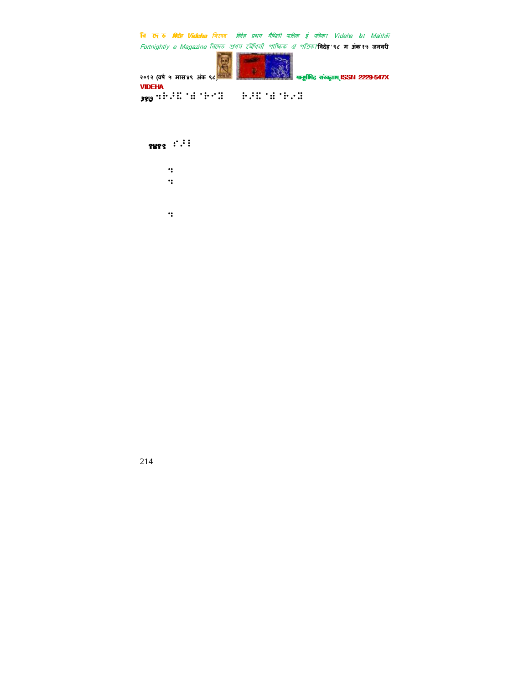**County** २०१२ (वष ५ मास४९ अंक ९८) मानुषीिमह संकृताम्ISSN 2229-547X

VIDEHA ३१७⣒⢷⢼⣏⣞⢷⣝0!⢷⢼⣏⣞⢷⢴⣝!

 $888 : :$ 

- $\mathbf{S}$
- $\frac{1}{2}$ 
	-
- Gfc 3123. September 2123.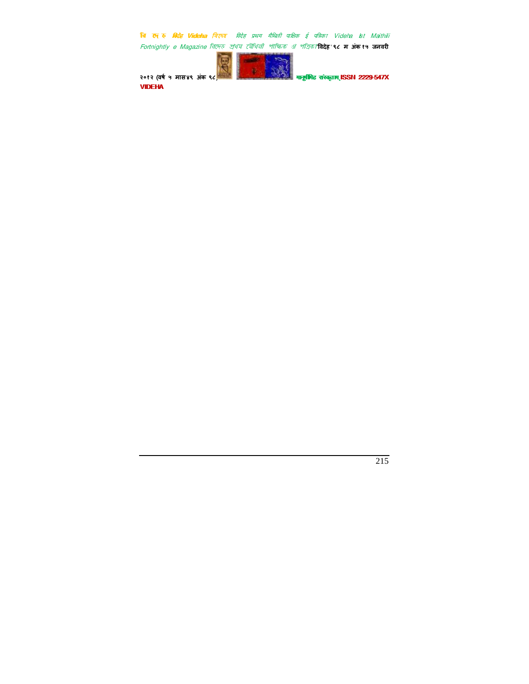

VIDEHA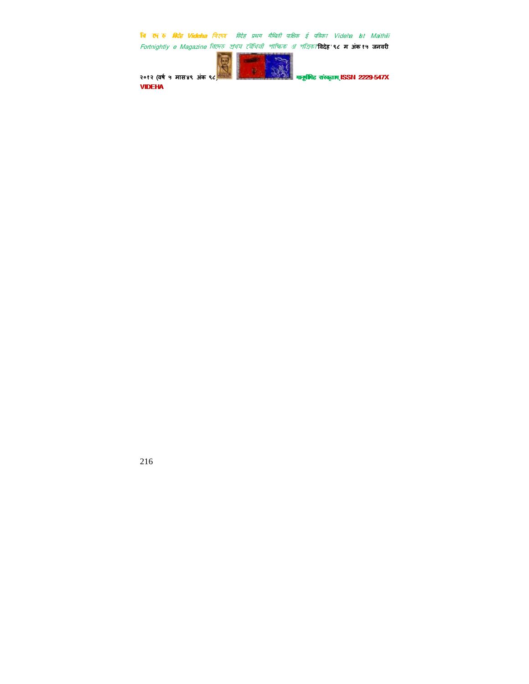

VIDEHA

२०१२ (वर्ष ५ मास४९ अंक ९८) मानुसार में अपने मानुसीरे संकलनाम् ISSN 2229-547X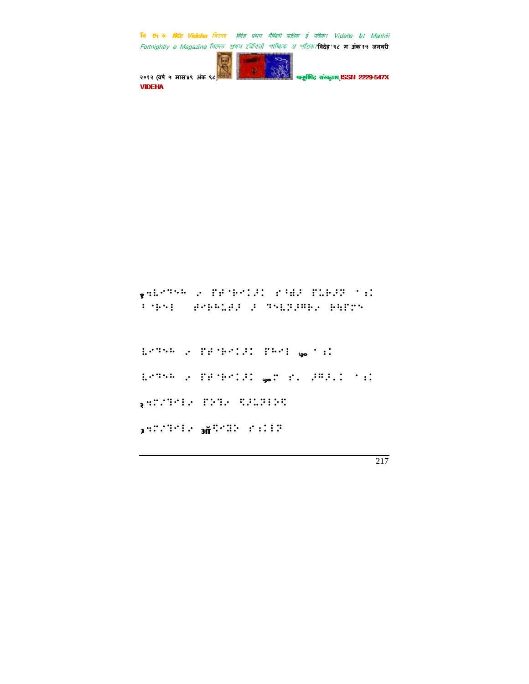ESTAR & PROBATION PRAIS WATCH ESTAR 2 PEGPIEL GO PL PRESS TE generate from Calping  $\mathfrak{z}^{\alpha\beta\gamma\gamma\gamma\gamma\gamma\gamma\gamma\gamma}$  and the set of  $\mathfrak{z}\gamma\gamma\gamma\gamma\gamma\gamma\gamma$ 

galense is proporter rank player of Presidentes a compagno empro

मानूबंगिह संस्कृतम् ISSN 2229-547X २०१२ (वर्ष ५ मास४९ अंक ९८ **VIDEHA** 



चि एक स्टिट Videha निएम्ब विदेह प्रथम मैथिली पाक्षिक ई पत्रिका Videha Ist Maithili Fortnightly e Magazine রিদেত প্রথম মৌথিনী পাক্ষিক প্র পত্রিকা**'বিदेह'९८ म अंक१५ जनवरी**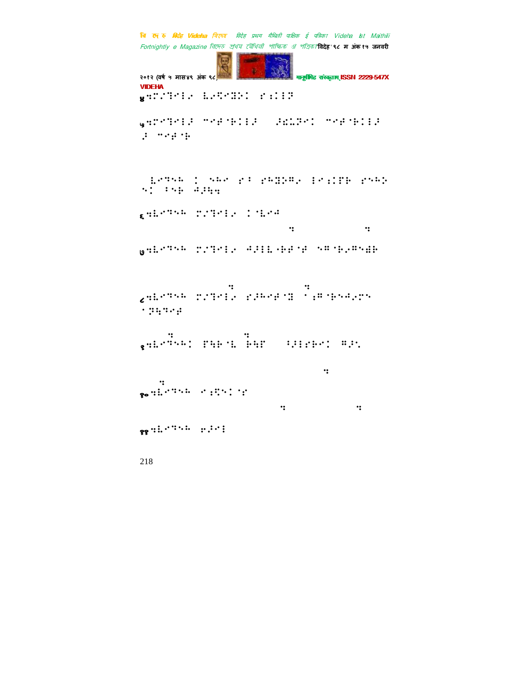```
Fortnightly e Magazine রিদেহ প্রথম মৌথিনী পাক্ষিক প্র পত্রিকা'বিदेह'९८ म अंक१५ जनवरी
                                                                    AND STREET SERVICES AND STREET SERVICES AND STREET SERVICES
                                                           \mathbf{z} .
२०१२ (वर्ष ५ मास४९ अंक ९८,
VIDEHA
generals berard rillr
GAPYRED MYBOBID (DELPY) MYBOBID
 \mathbb{R}^{n\times n} with the \mathbb{R}^{n\times n}ESTAR I ARS PROPRES PAINE PARK
 51.154 - 4344galensk privile (19184)
                                                                             \dddot{\mathbf{r}}\dddot{\bullet}WELCHAM CONFIDENTIAL AREA SECTIONARY
\mathcal{E}_{\text{dR}}(\mathcal{L}_{\text{dR}}(\mathcal{L}_{\text{dR}}(\mathcal{L}_{\text{dR}}(\mathcal{L}_{\text{dR}}(\mathcal{L}_{\text{dR}}(\mathcal{L}_{\text{dR}}(\mathcal{L}_{\text{dR}}(\mathcal{L}_{\text{dR}}(\mathcal{L}_{\text{dR}}(\mathcal{L}_{\text{dR}}(\mathcal{L}_{\text{dR}}(\mathcal{L}_{\text{dR}}(\mathcal{L}_{\text{dR}}(\mathcal{L}_{\text{dR}}(\mathcal{L}_{\text{dR}}(\mathcal{L}_{\text{dR}}(\mathcal{L}_{\text{dR}}(\mathcal{\begin{array}{c} \bullet \text{ } \uparrow \text{ } \uparrow \text{ } \uparrow \text{ } \uparrow \text{ } \uparrow \text{ } \uparrow \text{ } \uparrow \text{ } \uparrow \end{array}galerys: PHP & PAP ((PHPP) PP)
                                                                                                  \ddot{\cdot}sould the control of
                                                                           \ddot{\cdot}\cdot:88 : 1.4 1.4 1.4 1.4 1.4 1.4 1.4 1.4 1.4 1.4 1.4 1.4 1.4 1.4 1.4 1.4 1.4 1.4 1.4 1.4 1.4 1.4 1.4 1.4 1.4 1.4 1.4 1.4 1.4 1.4 1.4 1.4 1.4 1.4 1.4 1.4
```
बि एक स्टेड Videha विएक विदेह प्रथम मैथिली पाक्षिक ई पत्रिका Videha Ist Maithili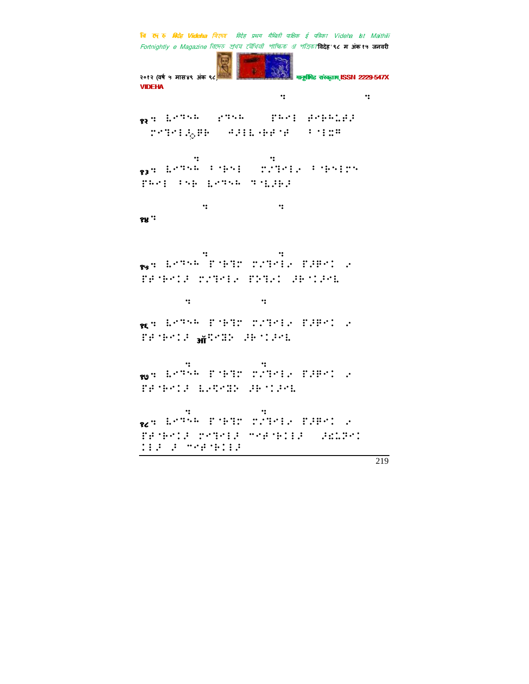चि एत् रू मिन्हे Videha निएन्थ विदेह प्रथम मैथिली पाक्षिक ई पत्रिका Videha Ist Maithili Fortnightly e Magazine বিদেত প্ৰথম মৌথিনী পাক্ষিক প্ৰ পত্ৰিকা**'বিदेह'९८ म अंक१५ जनवरी** २०१२ (वर्ष ५ मास४९ अंक ९८) मानुषिक संस्कृतम् ISSN 2229-547X VIDEHA 219 ius;00wjefib234,000wjefib234 १२⣒!⣇⢹⢳;!"⢹⢳!;!2⢳5!⢾⢷⢳⣅⢾⢼! )⣙5⢼◌़⢿⢷\*!⢺⢼5⣇B⢷⢾⢾!)A5⣍⢻\*!! tbefore the control of the control of the control of the control of the control of the control of the control of the control of the control of the control of the control of the control of the control of the control of the <sub>१३</sub>० ६८<sup>०</sup>०६ र १७५३ - १८३०३८ र १७६५३१५ -2⢳5!A⢷!⣇⢹⢳!⢹⣇⢼⢷⢼! csbimmed and the control of the control of the control of the control of the control of the control of the control of the control of the control of the control of the control of the control of the control of the control of १४ <sup>w</sup>ite<br>JTU JEFIB II HEFT bsdie bedruik in der deutsche bedruik in der deutsche bedruik in der deutsche bedruik in der deutsche bedruik १५⣒!⣇⢹⢳!2⢷⣙!4⣙5⢴!2⢼⢿!⢴! 2⢾⢷⢼!4⣙5⢴!2⢵⣙⢴!⢼⢷⢼⣇! qpuijon and the control of the control of the control of the control of the control of the control of the control of the control of the control of the control of the control of the control of the control of the control of  $\epsilon$ ९ । अत्रिकाः संक्रिप्तः संस्कृते । 2⢾⢷⢼!ऑ⣋⣝⢵!⢼⢷⢼⣇! by the control of the control of the control of the control of the control of the control of the control of the १७⣒!⣇⢹⢳!2⢷⣙!4⣙5⢴!2⢼⢿!⢴! 2⢾⢷⢼!⣇⢴⣋⣝⢵!⢼⢷⢼⣇! where  $\mathbf{q}$  is the positive point of  $\mathbf{q}$ १८⣒!⣇⢹⢳!2⢷⣙!4⣙5⢴!2⢼⢿!⢴! 2⢾⢷⢼!⣙5⢼![⢾⢷5⢼-!⢼⣎⣅⢽! 5⢼!⢼![⢾⢷5⢼!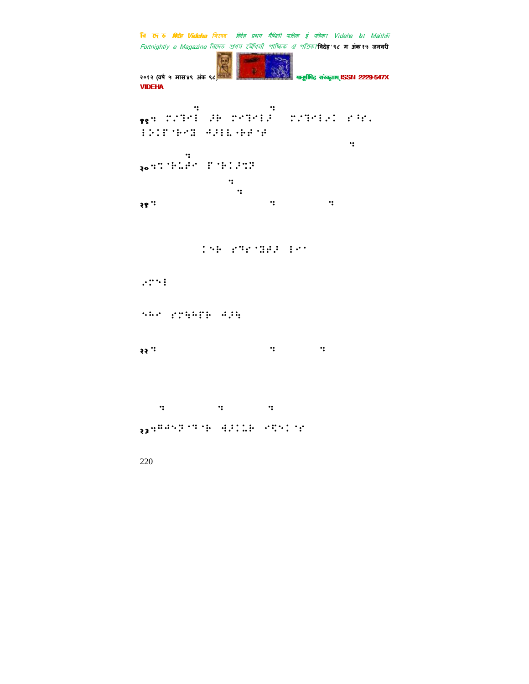२०१२ (वर्ष ५ मास४९ अंक ९८) मानुषि संस्कृति संस्कृताम् ISSN 2229-547X VIDEHA

quadre control of the control of the control of the control of the control of the control of the control of the control of the control of the control of the control of the control of the control of the control of the contr <sub>१९</sub>५ :1793 | 28 | 1999) | 1999 | 1999 | 1999 | 1999 5⢵2⢷⣝!⢺⢼5⣇B⢷⢾⢾\*! ius;00nbjuijmbvsnjuijmbvsnjuijmbvsniuijmbvsniuijmbvsniuijmbvsniuijmbvsniuijmbvsniuijmbvsniuijmbvsniuijmbvsniui https://www.facebook.com

<sub>२०</sub>०९'िसेसेल शासका ius in control de la control de la control de la control de la control de la control de la control de la control de la control de la control de la control de la control de la control de la control de la control de la contr  $\mathbf{q}$ <mark>२१</mark> भाषा प्राप्त हो। यो प्राप्त हो प्राप्त हो। यो प्राप्त हो प्राप्त हो। यो प्राप्त हो प्राप्त हो। यो प्राप्त हो

WHE FIRST STREET

 $55.5$ 

⢳!"⣓⢳2⢷!⢺⢼⣓!!

 $22$   $\frac{2}{3}$ 

vto vto vto vto vto vto vto vto

<sub>२३ प</sub>समध्य राष्ट्रीय संस्था संस्था प्राप्त करते.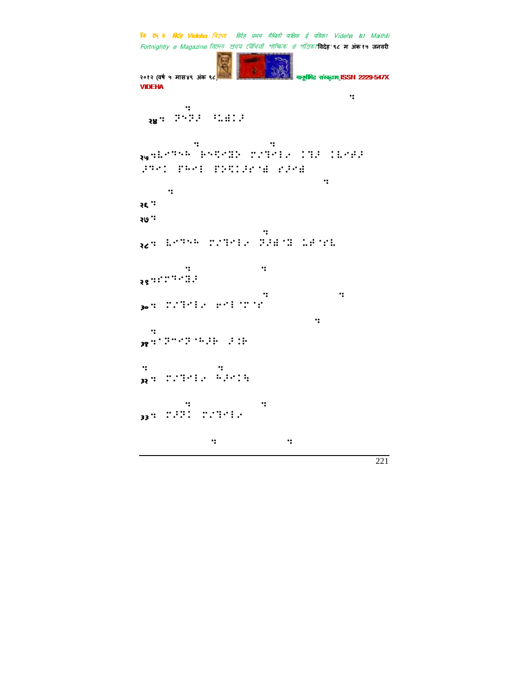```
चि एत् रू मिन्हे Videha निएन्थ विदेह प्रथम मैथिली पाक्षिक ई पत्रिका Videha Ist Maithili
Fortnightly e Magazine বিদেত প্ৰথম মৌথিনী পাক্ষিক প্ৰ পত্ৰিকা'বিदेह'९८ म अंक१५ जनवरी
२०१२ (वर्ष ५ मास४९ अंक ९८) मानुष्य करणे मानुषीिह संस्कृताम् ISSN 2229-547X
VIDEHA 
ius;00hbkfoesbuibloesbuibloesbuibloesbuibloesbuibloesbuibloesbuibloesbuibloesbuibloesbuibloesbuibloesbuibloesb
https://www.file.com
    <sub>२४</sub>: २०३३ साल
libco de la contrada de la contrada de la contrada de la contrada de la contrada de la contrada de la contrada
<sub>२५</sub>qirsh shekar 2230° ili (194
⢼⢹!2⢳5!2⢵⣋⢼"⣞!"⢼⣞!
ius (1983) in the control of the control of the control of the control of the control of the control of the co
         \ddot{\phantom{1}}२६"२७:\mathbf{g} is a set of \mathbf{g} is a set of \mathbf{g}२८⣒!⣇⢹⢳!4⣙5⢴!⢽⢼⣞⣝!⣅⢾"⣇!
esbnb, phtps://www.comphanet.com
२९ ::::::::::::::
ius (10ftbnbbe) in the company of the company of the company of the company of the company of the company of the company of the company of the company of the company of the company of the company of the company of the comp
<sub>३०</sub>० : 239:5 : 69:5 : 7
ius;00nbjuijmjegimntoja (1900-1900)
udproduce the control of the control of the control of the control of the control of the control of the control of the control of the control of the control of the control of the control of the control of the control of th
<sub>३१</sub> ५ ° २००२ का २००५ दिए
⣒cmphtqpu⣒dpn0!!
३२° III | 1991 - 1991 - 1992 - 1993 - 1994 - 1995 - 1996 - 1997 - 1998 - 1998 - 1998 - 1998 - 1998 - 1999 - 19
ibility of the company of the company of the company of the company of the company of the company of the company of the company of the company of the company of the company of the company of the company of the company of t
<sub>33</sub>q: 22001 2010121
nbjurga julijanske političare postavlja se objavlja se objavlja se objavlja se objavlja se objavlja se objavlj
```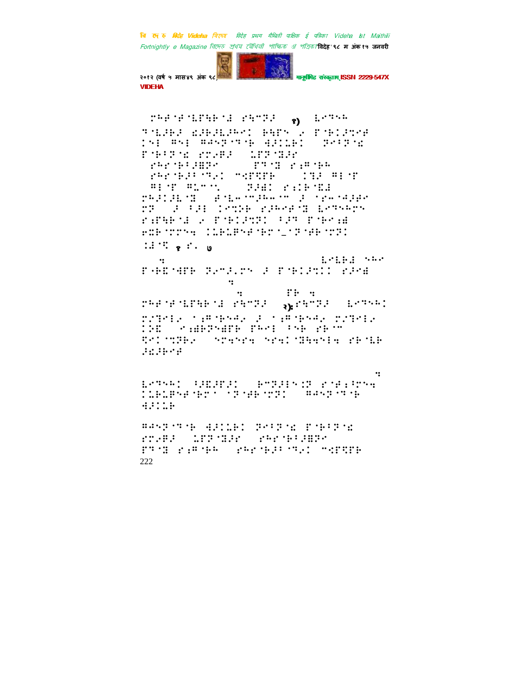

२०१२ (वर्ष ५ मास४९ अंक ९८) मानुषिक संस्कृतम् ISSN 2229-547X VIDEHA

## !⢳⢾⢾⣇2⣓⢷⣜!"⣓[⢽⢼;)१) (⣇⢹⢳(!

⢹⣇⢼⢷⢼!⣎⢼⢷⢼⣇⢼⢳!⢷⣓2!⢴.2⢷⢼⣉⢾! 5!⢻5!⢻⢺⢽⢹⢷!⣚⢼⣅⢷!!⢽A⢽⣎. 2⢷A⢽⣎."⢴⢿⢼-!⣅2⢽⣝⢼"! ) (PHISP) (2001) 2012 2020 )"⢳"⢷⢼A⢹⢴![⣊2⣋2⢷\*-!⣙⢼.⢻52! )⢻52.⢻⣅[⣁\*-!⢽⢼⣞)"⣐⢷⣏⣜\*-!  $\mathcal{P}$  , and  $\mathcal{P}$  is the constant of the constant of the constant of the constant of the constant of the constant of  $\mathbb{R}^3$  . A set  $\mathbb{R}^3$  is the second form  $\mathbb{R}^3$  is the second form "⣐2⣓⢷⣜!⢴.2⢷⢼⣉⢽!A⢼⢹!2⢷⣐⣞! ⢶⣍⢷⣒!⣅⢷⣅⢿⢾⢷–⢽⢾⢷⢽!

# $\mathbb{H}^{\mathbb{P}}$  :  $\mathbb{F}^{\mathbb{P}}$  ,  $\mathbb{F}^{\mathbb{P}}$  ,  $\mathbb{F}^{\mathbb{P}}$

Op⣒:89.92.:1883:.8.7!⣇⣇⢷⣜!⢳! P.B.MER BRAINT P.P. P.P. PORT ius in control de la control de la control de la control de la control de la control de la control de la control de la control de la control de la control de la control de la control de la control de la control de la contr

## $\ddot{\phantom{2}}$

 $\mathbb{Z}^n$ e në ndhetë viti anartit i  $\mathcal{S}_k$ anartit i derrest 4, 100 Anii 100 Anii 100 Anii 100 Anii 110 Anii 120 Anii 130<br>Ani: Anii 110 Anii 110 Anii 110 Anii 110 Anii 110 Anii 110 Anii 110 Anii 110 Anii 110 Anii 110 Anii 110 Anii 1 ∑Vanbryker foar 't gegen SAL MERA ARAMA ARAD SEREAN REALE ⢼⣎⢼⢷⢾!.Cbtfe!po!nt.trm!tfswfs!

Fohmjti.Nbjuijmj!Ejdujpobsz⣒! ⣇⢹⢳!⢸⢼⣏⢼2⢼.!⢷[⢽⢼5⣈⢽!"⢾⣐⢸⣒! ⣅⢷⣅⢿⢾⢷!⢽⢾⢷⢽.!⢻⢺⢽⢹⢷! ⣚⢼⣅⢷!

222 ⢻⢺⢽⢹⢷!⣚⢼⣅⢷!⢽A⢽⣎.2⢷A⢽⣎. "⢴⢿⢼-!⣅2⢽⣝⢼"!)"⢳"⢷A⢼⣟⢽\*!-! 2⢹⣝."⣐⢻⢷⢳!)"⢳"⢷⢼A⢹⢴![⣊2⣋2⢷\*-!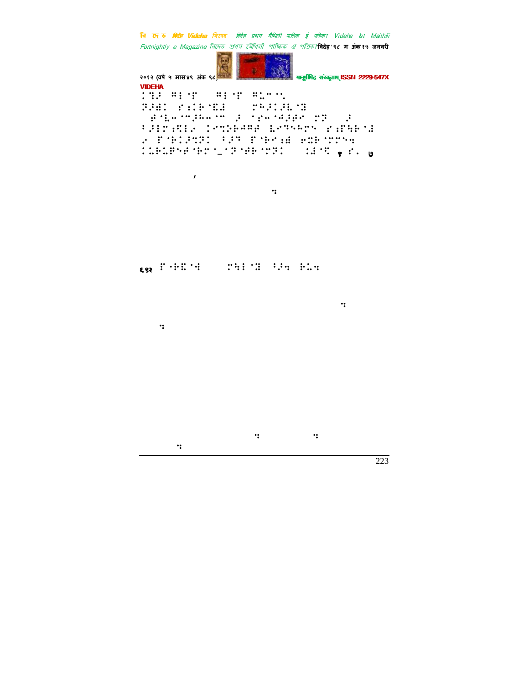摩 मानुभिह संस्कृतम् ISSN 2229-547X २०१२ (वर्ष ५ मास४९ अंक ९८, **VIDEHA THE WEST WEST WINDS** PRED PAIR ME - PRAIRLANT , galvanikuām jo krūšināju pro jo<br>Politiklis latbegga latente rimeni 2 PORTFOL FAR PORTH FOR TOTAL CLELENE NEW LIVENES WELL IN LEARLINE IN LIVE

 $\cdot$ :

ER FOREST CONFIDENTIALS

 $\mathcal{L}_{\mathcal{A}}$ 

 $\dddot{\cdot}$  $\dddot{\bullet}$ 

 $\dddot{\cdot}$  $\dddot{\cdot}$  $\dddot{\bullet}$ 

 $\overline{223}$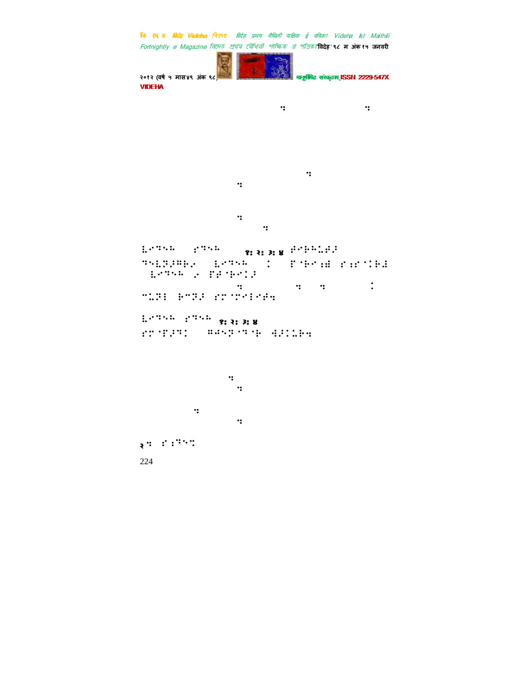

२०१२ (वर्ष ५ मास४९ अंक ९८) मानुसारी मानुसीरि संस्कृताम् ISSN 2229-547X VIDEHA

ius;00wjefib234,000wjefib234 xfctium (1980), iuu quadrum (1980), iuu qvcmjdbujpo dpn0. nbjm;tisvuj⣒qvcmjdbujpoAtisv

uj.dov. a na staro dpa je postavlja se obrazil na staro dpa je postavlja se obrazil na staro dpa je postavlja<br>Dogodka je postavlja se obrazil na staro dpa je postavlja se obrazil na staro dpa je postavlja se obrazil na s

 $\mathbb{R}^{2,3,4,5}$  ;  $\mathbb{R}^{3,4,5}$  ;  $\mathbb{R}^{3,3,3}$  &  $\mathbb{R}^{3,4,4,4,5}$ ⢹⣇⢽⢼⢻⢷⢴!#⣇⢹⢳#!-!2⢷⣐⣞!"⣐"⢷⣜!  $\overline{\phantom{a}}$ 

)iuuq;00xxx⣒wjefib⣒dp⣒jo0\*!! [⣅⢽5!⢷[⢽⢼!"5⢾⣒!

 $\frac{1}{2}$ ,  $\frac{1}{2}$ ,  $\frac{1}{2}$ ;  $\frac{1}{2}$ ;  $\frac{1}{2}$ ;  $\frac{1}{2}$ ;  $\frac{1}{2}$ ;  $\frac{1}{2}$ ;  $\frac{1}{2}$ ;  $\frac{1}{2}$ "2⢼⢹;!⢻⢺⢽⢹⢷!⣚⢼⣅⢷⣒!

ius in control de la control de la control de la control de la control de la control de la control de la control de la control de la control de la control de la control de la control de la control de la control de la contr

qvcmjdbujpo buje buje po predstavlja se po predstavlja se po po predstavlja se po po po po po po po po po po p tisvuje konstantine konstantine konstantine konstantine konstantine konstantine konstantine konstantine konstantine konstantine konstantine konstantine konstantine konstantine konstantine konstantine konstantine konstantin  $\mathbf{q}$ 

२ थे थे <sup>अभ्</sup>य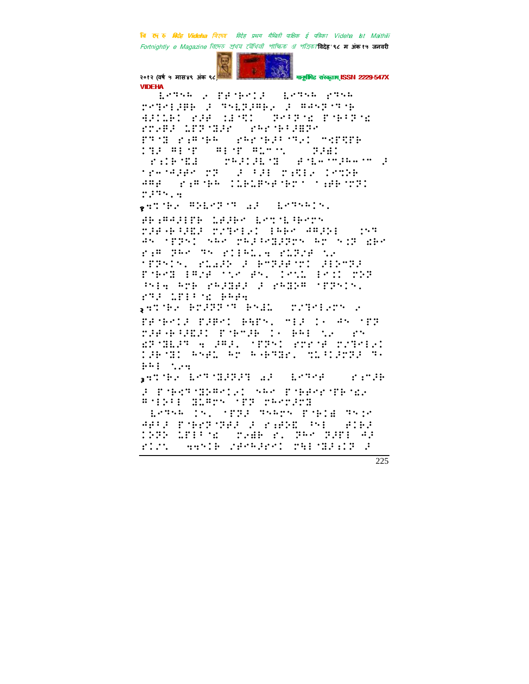

२०१२ (वर्ष ५ मास४९ अंक ९८) **VIDEHA** 

मानुमीह संस्कृतम् ISSN 2229-547X

ESTAR & PROPERTY ESTAR PTAR repetion a manimal a maspera APILEL PPP (1875) (PriPre PriPre **Profile Andrews (2002)** FROM PARTHAL PAPTERLOWS COMPETE **COMPANY SERVICES STRAIGE SECTIONS AND ACCOUNT**  $\mathbf{r}$  :  $\mathbf{r}$  and  $\mathbf{r}$ trenden 23 (3 FSE 23B) Crobb **SEPTE CONFIDENT THE TT**  $\ldots$ 

genore Ariston al Cistollo.

BEBASINE LEADY LYTTLADYT <u> 1999-1982 1999: 1990 ARIST</u>  $\mathbb{R}^n$  . The set of  $\mathbb{R}^n$ **CARA PREPRIEDS RD SIE WER**  $45.1933$ ram der de ribelle ribre tr offerir, slagb g boggeori gibogg<br>fobem igze ole ar, iell iell ppg Princeto Paggio di Paggar (2001). FUE LIST & PAPE

genome modular medicine de san e

PROBAGERBAD BEN, MER DA 45 MER MARKER PROFIL PORT OF THE EPSHEP A PRES STRAT FOR MOTORS **THE SECOND REPORT OF STATES OF** 9991 100

gende britanni an britann felh 3 EMPORTAGEMENT SPACEMENT TEMP

**B (1) : 2000 (2000)** (2000) ESTAR (A. MERE TARPA EMPLE TAIR

APPLE TOROTOPE LE PARTE PAI ( PIRE 1995 LPERNS (MAHE) S. 968 SPPE AR aanik zenkent:  $11.11$ **THE MARKET RE**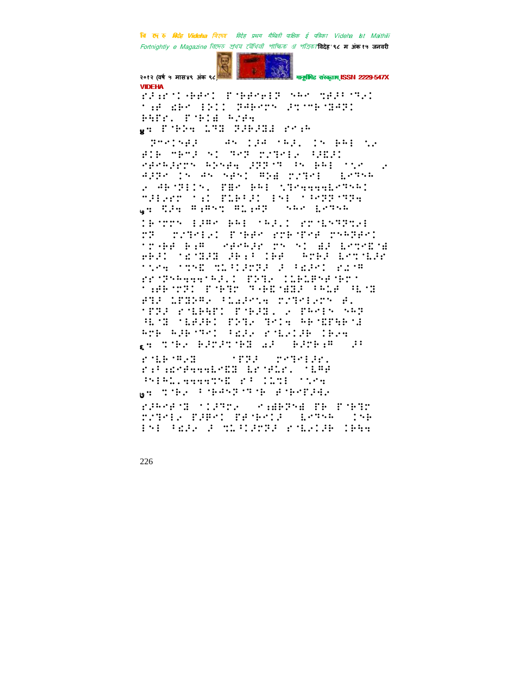

२०१२ (वर्ष ५ मास४९ अंक ९८) **VIDEHA** 

मानुबंधिह संस्कृताम् ISSN 2229-547X

ranches (Pherman Second) the der (DII Peers Stock-Sept PHP: FORCH BOAR un Pühl 193 SPR31 ren

 $(39915932)$ FIR MEMP NO MMM SYNCH (FREE) ependers novel door in his pressie appe ja an ngni mpg pinej (genam) 2 HEMPION, THA PHI NIMERALEMANI "Her th FLB(F) 151 (1877-776 **WARD BEENS BLACK SHOW LONG** 

IPTTP LPP PRI TRAIN STARTED MP (MATHIA) Pobel and The Shepper trage part against the signal batchers WHIT TETHING HER THE CATER ESTILLY **TORY TERE SERVICE PRIME FROM** rrugsAggerAd.1 PD92 (1161P56762) **MARTINER SHENBERGE SERVICE** FIR LEIPER SLAPTA CRIMERY F. **TERP POLEHED EMERGE 2 FEMIN NER** H. T. TERRY STORY TOOR ARTENTAL APROACH THAT FEATURE CHANNEL pe the Barathes ad (Barbem) at

 $2.314333322$ **STEP SECTIONS** riturementE break. 1898 PrincipalenthE at Cliff (tam **WHO IS A REPORT OF PROPERTY** 

rakranski radov, konstrukcije presp rracio figura responsa incada anos PHORES FOLKERS FORCH THE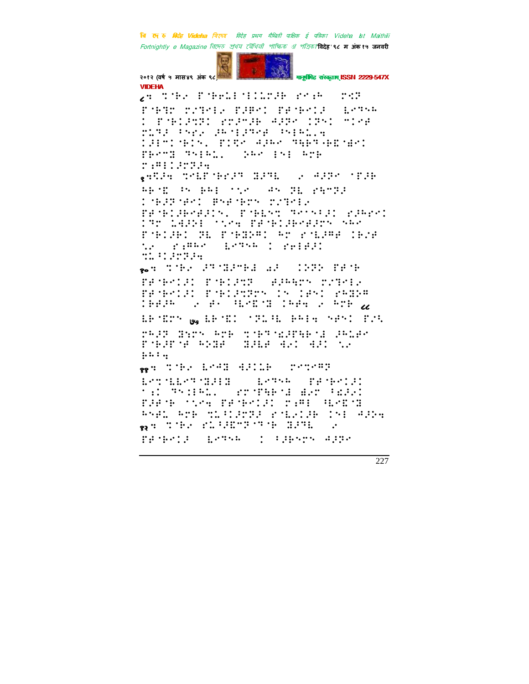

**VIDEHA** 

ga miter forbell iffliche social  $\mathbb{R}^n$ FORT TIRES FURNI PROPILE ANNA D PALEND STAGE ARR CRND MOR USE Perk BRSEPPA (Pier  $\cdots$ **TREMOGRAM STREET ARABITARY AREA** PROTH THIRD. gas população 2:8:122725 .4534 SMLP 9835 B351 (2003) M356 MP38 ABON PO BAILONE (AN NE PRONE **THERMAN BYANNY PARKER** PANELAPHAIN, PNELST TRYNIK, PAPPAI 175 LAPPE Stra PROPIPEPDS SAR PORTUGAL PARTNERS AN ENLIGHT IRIG to rame person radial that starter <sub>go</sub>a tie*r 25 maa*red af 1990 fere FRONTIE PORTRE APART STORE FROM CONTROLLERY CONTROL PARA 19825 - 2085 - Alexandr ISBN 20878-20 DROBON <sub>By</sub> DROBO COLOR RHIN SPND FOR reff dyrk ere tietigfeeld feler rung was and an an w  $......$ <sub>22</sub> TTES ESSE APPLE (PSTSP) ESTALPANEER ESTA PRAPTE na: Profel. Spromenca avr fagv: FARME MOVE FRONTIL MARI HANDON RNAL ROB SLATASTA POLYTAR INE APPA at the substitute member  $\mathbb{R}^n$ property depart of Chronologye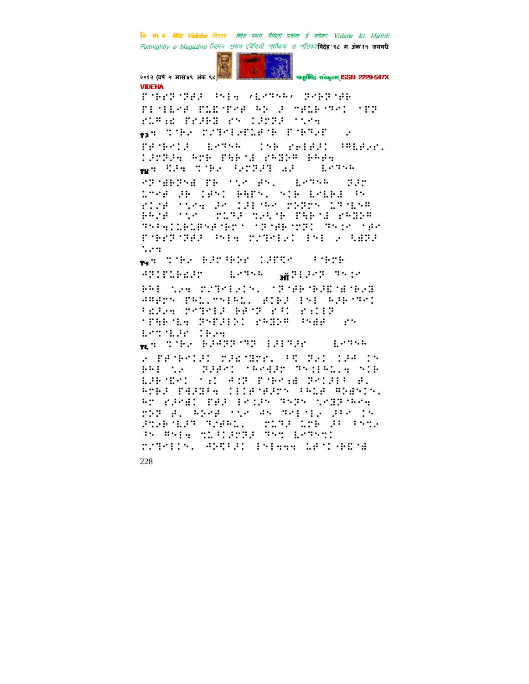

मानूबंगिह संस्कृताम् ISSN 2229-547X

२०१२ (वर्ष ५ मास४९ अंक ९८) **VIDEHA** 

PORTUGE WEEKLEYS PORTUG Figher FLEGEN AN FORLEY'S CFF risk fræg ry (2003 - 194 **B** R A THE CONTRIGUE IN THE POST  $\ddot{\phantom{0}}$ 

PROPOSE LORAL COR PRINGS PRESEN 195994 ASE PARTA 2AG2A BAAW we the the brill all shows

spreaking the type and letter thr LTYP AR 1851 RAPS, SIR EYERE PS rice time an 191756 robby 177158 PROFILED TO THE THE SECTION OF THE CONTROL THE CONDITIONS OF THE TILE THAT THE PORTUGE PHA TITLE IN STAR  $\mathcal{L}$  and  $\mathcal{L}$ 

post within Burnster Custom Construct **ATTELPART**  $\mathbb{E}\left\{\mathbb{E}^{T^{*}}\mathbb{P}^{T^{*}}\right\}=\mathbb{E}\left\{\mathbb{E}\left[\mathbb{E}^{T^{*}}\mathbb{P}^{T^{*}}\right]\mathbb{P}^{T^{*}}\right\}\mathbb{P}^{T^{*}}$ 

PRI NAM TITELIN, STOROBININGS WEBSTELLTNING BIBS INF ROBOTS <u>tale referiencie: Pichar</u>  $\cdot$   $\cdot$ Letthier Ches

es the EPPP'E EPPP' (Pro

a penendah papahan sahawan dan tr BREAKS SPEED SPEED SYMPALS SIR LARGED TEL AUF PORTAGE POINT AL RTEE PASSES INSERED FRAM REARING RE PROBLEMA POINT TOPS NORTHERN PPE B. PPER TOT PN PERCENT PROTH ang har rasal (sina hak a sina The Bright of Click of Section (1989) rranis, explicition and except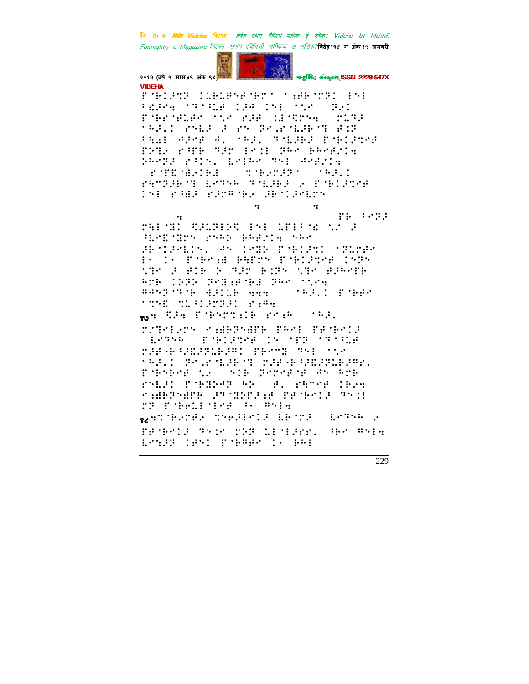the F BiB & MPP BiBS the BPBSTB RMB (1931) SPEARCHE SPAC COPA HAND THE HALLE HAN  $\mathcal{L}^{\text{L}}\left(\mathbb{R}^{n},\mathbb{R}^{n}\right)$  . The first part of **SAME ALSO SERVES** pos Win Political Prince of Wil ratelers eadproof peel presents (LORSE) PORTUGALIS OF STRUCTURE MARKETANIA MERINTAHAN **SAFLI PROPRIET TEACH CHEFLERY.** Portra na shi Portan Assamb rnic russe s a rend dem ramphare produced recent prod **TI PARALIZE A BALE** &STORYTES THERESTS EROTS (ESTAR) S PROPOSE THOM WITH LEOEDED ( HR #HER ESSER TRAT PORRES TO BAI

 $\dddot{\mathbf{r}}$  $\cdot$ : are terre MARKET START AND START AND AND A HEADYNTY PART BRENCH ARA ARTIPEIN, AN IMBN PARINT TRUNK 10 lo Tabam Arth Ballade (1926

FORCES CLEARAFORM MARKETING FERM STORE DRAMATING STAT Esterneben involverei bandene i Indie<br>1982: India allen de Veladard (edel FAWE APPE A. TAP. THIPP PIBLETH EPTA KATE TAT ESSE THA ENSENCE NEWSEL RAIN, 1918-1941 AMBRIE , romanika († 1922)<br>randakom brako aobako 2 martane 151 rad ramas Afrikans

२०१२ (वर्ष ५ मास४९ अंक ९८) **VIDEHA** 



बि एक रु मिनेट Videha विएक विदेह प्रथम मैथिली पाक्षिक ई पत्रिका Videha Ist Maithili Fortnightly e Magazine রিদেহ প্রথম মৌথিনী পাক্ষিক প্র পত্রিকা**'বিदेह'९८ म अंक१५ जनवरी** 

मानुबंधिह संस्कृताम् ISSN 2229-547X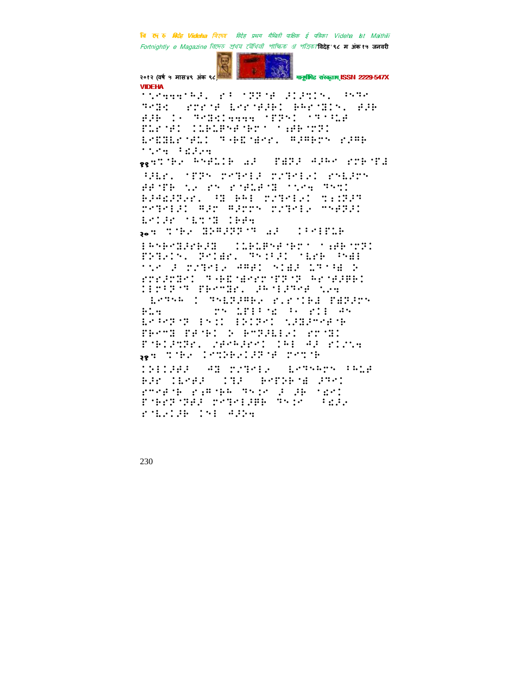

### २०१२ (वर्ष ५ मास४९ अंक ९८) **VIDEHA**

Steamered, Principale diduction (1938) **PAGE STRIP LARIBUS PROGIN, BUB** BUD IN THEIR MAN TERI TTING rir di singer de l'Adesen BOOKSTED THERE SPIRE FINE **TACH PERSON** 

genome module as craps specifical

SHER, STRA PARABLE PARABLE PALENT HETE NE PROPINENT SNAM TAND BRANCH SHE MARINE THE redell war warrs redell mseda ESTER METHOD THEM

pos the BPEPPET af Clement

ERSEKBUREUB (CLELBSPACE) (ABB)200 PRINCE POINT TESTAI SEMBORGH the Portels ARE STAR INTER aragroad (1946) marar (1979) Aasgegebi<br>1931-1971 (1945) aaste (1974) (1946) SEPTER I TELEVIRA FIRSTEL PERATE ry LEEP a Police and  $\mathbf{r}$  : ERRET IND INDED CHERRITH FROM PROBLEM ROBBERT POOR POBIANNEL CAPAARENT IAE AA RICHA per the lether.HTM retth

INICAR AN MINIMUM ARTSAMS PALA Bar (1843) (TH) Brooked and rmeans rimnes more a de nord rokradne remover avis frik rusin in And

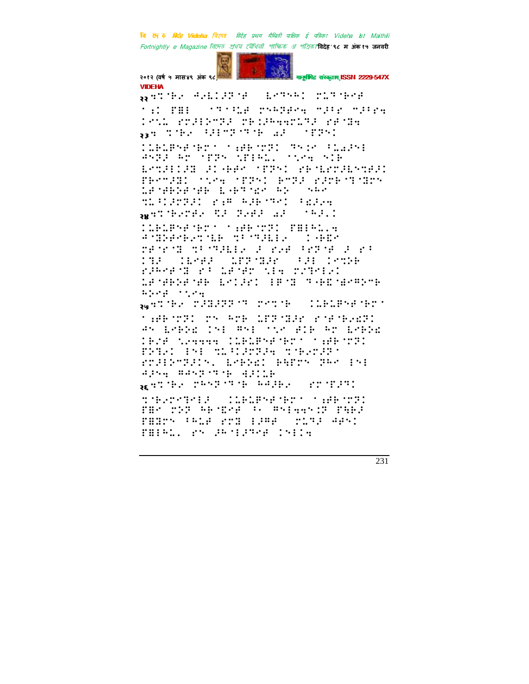

२०१२ (वर्ष ५ मास४९ अंक ९८) **VIDEHA** 

मानुबंधिह संस्कृतम् ISSN 2229-547X

man he sellers cleaved wither **TED THE STATED TOPPERS TEET TEET** Cond rollengs pricessors reng <sub>33</sub>9 TORY FREME OF WALL STRAT

**CLELBYA (Br) ( 1988-1992) PRIM (FLAPY)** AND AT MEPS NEERL SNAW NIE ESTATION OF GAS TERMI PROFESSION FROM HIS STOCK STEPS ( ROBER SIDE OF CHOO MORNING LATER AN  $\cdots$ tillerad rammarti (da. aged thereby diff deed all (1991)

**CONSERVERY (1998-1920) PHIPL.4 ANDREADNED TENTREE**  $\therefore$   $\cdots$ renna nordall d'eve ordne d'eo sta (anglis 1999) (anglis 1999) ramers ra 1878r the research LA MADA MAR (LAIGH) (1873) 7-AE MARDAR  $\mathcal{H}^1_{\mathcal{D}}\left(\mathcal{H}^1_{\mathcal{D}}\right)=\mathcal{H}^1_{\mathcal{D}}\left(\mathcal{H}^1_{\mathcal{D}}\right)$ 

**Agencies conducts in crime in CLELESE inco** talkora: ry krk 1820182 rokokaa:

An Especial information and arounded IBSE tammed COBORNERY ( WEST) FRIAL INFORMATION TOBACHER rrathers: Lebhai burre The 191 APSA #ASP THE BRIDE RESULTING THAT THE HAPPY CONTINUES.

**MOREOVER EXPLOSIVE SERVICE ENTRY** THE TIT RESEARCH RESEARCH THEF FARTY (GLA 201 1396) 2173 4851 FHING, PS PROFINGE INEIN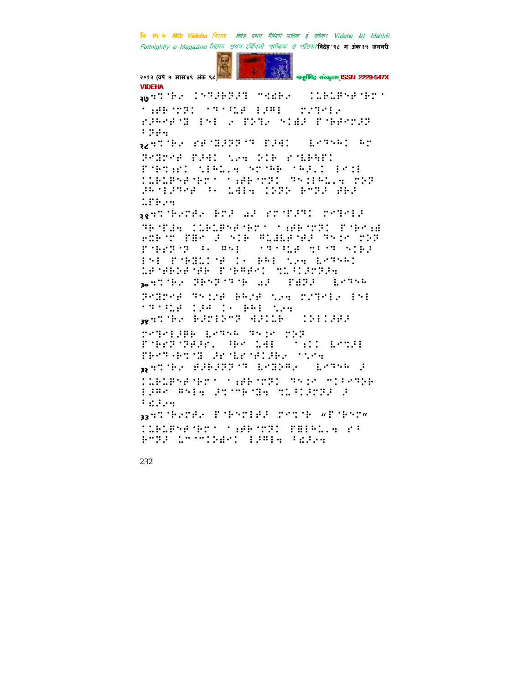

मनुषमिह संस्कृतम् ISSN 2229-547X

**VIDEHA** menter (STAPACH Toder) (LELBSP)Pro **MARK THANK HAR SANGER** rawers in a fill nime was removed  $\ldots$ Rent the control of country presents are PORTON PANE NAME DIR STRAND Portel Marke Score (82.1 Fri CHOPSE SET TO HE STRIP TROING A STAR andares ( Gale 1989 Pras Aba  $LPR$ ggan (Burdu (Bru) al cronello renelle MESTIN CLEARNESES SANESSEL PSPRAE FOR THE SECTION SECTION AND THE TOP OF THE ruers to any PH PORTING IS BREACH ESTAR LENHING TO PRESS SLIDING ment by The Port of All (PAPP) (Lense Pedrea Thina Abra new refers 151 **STARBOON IN BREADTH** sentire Bardana Aavib (1981aa) redefine feres as portion Poberogale, Gbo Lef (office Louis PROTHER IS THE SELFIED ONCE man and the control of the control of the control of the control of the control of the control of the control o CONSENSATION OF SANDRED CARDIO MOTORSH EPPO PNEW POSTESSWORTHOUSERFUL  $\ldots$ man there finded for the wider **CONSENT THERE SHIPLE C** BOND COMMISSION (SPIE FRIGHT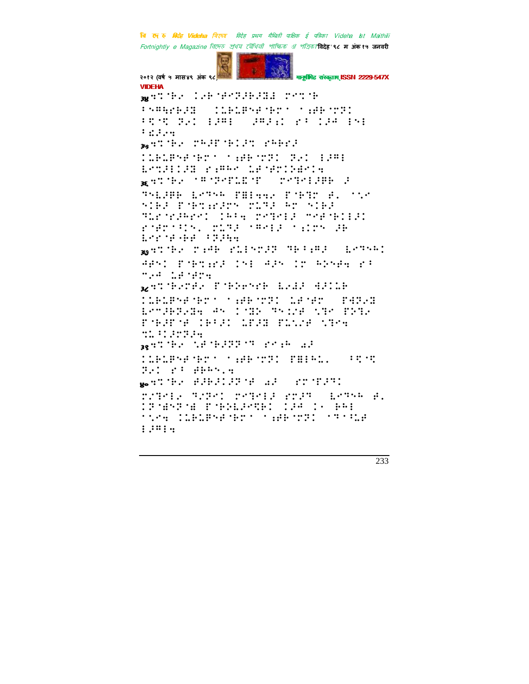**VIDEHA** 



mus de vers genomerne formere mede affir **CLELBYE YES YOUR SENSOR CONTROL** ESTARRAR AN CORPORATION CROSS ragger (Bill Schuler) (Se misterar Bending of Barrow and are **CLELPSE SET (THE STIL TOOL)** (FOST **3.1 :: ###\*.4** watthe dibition along this. rately dated retell and will be the B. IPMBYPM PMPLPMBI 194 I- BAD **TOM CORPRETED THEORY TELESCO**  $: 101111$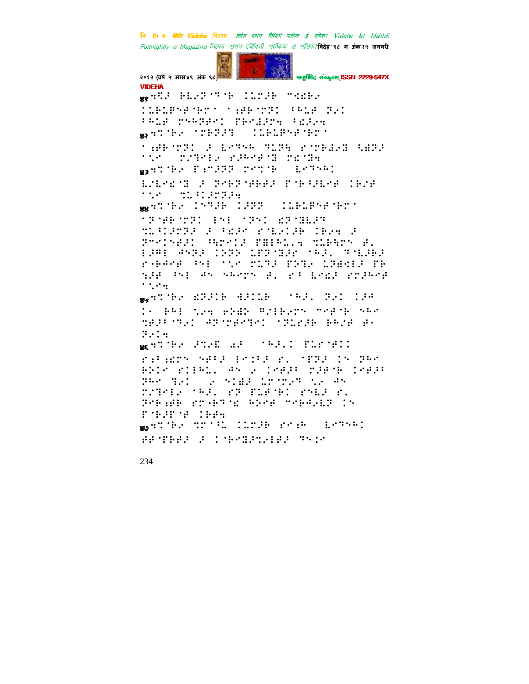

मानूबंगिह संस्कृताम् ISSN 2229-547X

**VIDEHA** well blattie liche made CONCRETENT SHENTI PROFISI **FALE TOAGES! PROBEDE FERM W**HISP STREET STREET FOR tagenti i brog otte romani tage tir Trick race Trite <sub>Ma</sub>nditer Part222 perch (Eenhal EMERGYN SA PREPYEEEN PYESHERE CEME **112 112 12 12 13 14** WHIPPY INTERNATIONAL CONDITIONS **SPORTSPILLER STORY STORY** tificati a fear robelib legg a Photogal Sarria PHIPL.4 MLPArr B. : 28: 4532 : 222 : 223 : 234 : 542 : 552 reach billion class mone landis me nie sni sni nazym e, ra izni rriaze  $\mathcal{L}^{\text{max}}$  ,  $\mathcal{L}^{\text{max}}$ WATCHER WERE ARIZED CARL BELLIED In BRE the BDBD ASEBSTA TRACK SAM MARK MAD AP MARKEY (MEDIAN ARIA AR  $\mathbb{R} \cdot \mathbb{R}$ WESTER FORD AF USERLI PLETELL ritury sets from records the man BRIC FILMS, AN 2 ICEAN TABOR ICEAN **South Additional Control Control**  $344.341$ PATER CRAINED PLACED PREACH. Preside from the Serie Schools (S ruen ist mentes dried lines reasonship BRIDGE SCHEDULER TER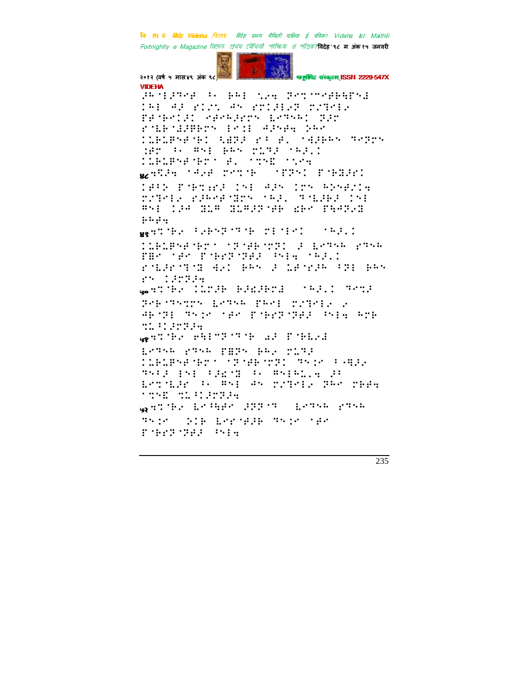

**VIDEHA** PROPERTY ROBBERT TEST TO BREEK IRE AR RIZI AN ROLABAR OZTABA FRONTIL SPEARED ESTART FRO rolbollerry from Alvey SAr CLELBYFYEL RAPP BY F. YAPERY MYPPY 182 P. R.E. BRY 2172 (P.P.) CLELBYFORD (B. COVE COPA Render telephone **STORY PRODUCT** IPPS Premare Information admands TITEL PARENTY ORL TEACHER IN #H (24 HL# HL#2P4B HP PR#P2H  $......$  $_{\rm gg}$  and the collection in the collection  $\cdots$  :  $\cdots$ CLELBYA (Britishabirg) (2) Exqyb (pqyb) FRANCH PREPERTY PART (PART) rikriti el PA (2009) (2009) rn Caraa General Month Bababea (1981) Sand Personales (Particular Personal) AB THE TRIP OFF ISBN THE THE STATE misterate. gen the and the age formula 12756 2756 FBP5 852 2173 **CLELBYE NEW YOR NEW YORK OF YOUR ABLE** 3512 ESE FRESE PO #5161.4 PP ESTALE A WAI AN TITALE THA TEEM wenth, Ersher Spring Ernst Post Thir (216 Lerosale Thir 197 POSTORE PHA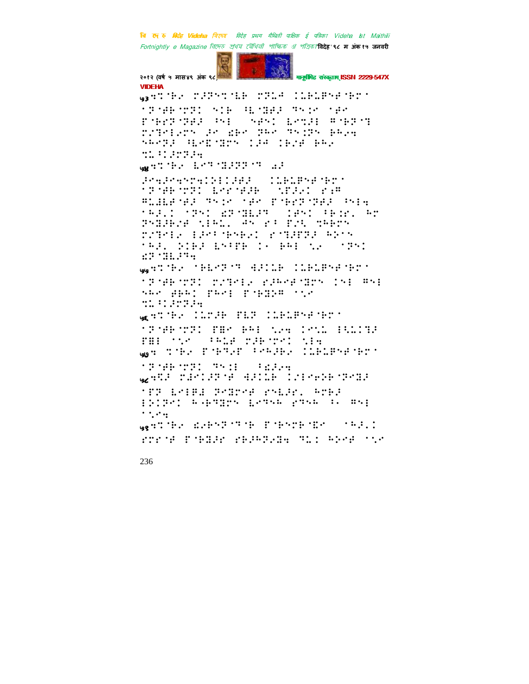

२०१२ (वर्ष ५ मास४९ अंक ९८) **VIDEHA** 

मानूबंगिह संस्कृताम् ISSN 2229-547X

WHITE PROVIDE PRIS CIENTSPORT **MINE THE SIE SENSE TO BE** PORTUGAL PHILOSHOP LETAL PORTU DZIPLADY PO WES PRO TYDES PRAW SARRE HERITING CAR CENE BAY  $11.3132334$ weither Estimates and **PrePresse:PEIPEP** COMMEDIATION **SPORTSPILLED SERVICES** BILLEYED BY: YEAR PREPARED BY: teach this groups of and teacher PARAGA SIANG AS PA PAG-AARAS ratele laethemed rotarta mens **TREL DIRECTORER IN RHE NA STEP:**  $17.111.144$ www.chronouter.com and the construction **SPORTURE CONTRES ESPAGENHOME EMPRES** and gon: prof. paggon and the Controller genoral Classe FLP Clebenshops **MINE THE BULLET OF STATES** THE SAME PACK CARDING AND WARD TO THE GROUP OF THE SAME AND THE SAME OF THE SAME OF THE SAME OF THE SAME OF THE SAME OF THE SAME OF THE SAME OF THE SAME OF THE SAME OF THE SAME OF THE SAME OF THE SAME OF THE SAME OF THE SA **SPORTS TOR SERVE** web ranche estas cherentera 'TT LAIRE TAIRAR SALES, AMRI {}}{P^} W^&\$32r\ &\$3~W& \$3~W \$0 #~{  $\cdot$  ,  $\cdot$  . Gentline activities in the profession of the C rrrie Pieder regeneer als engelisch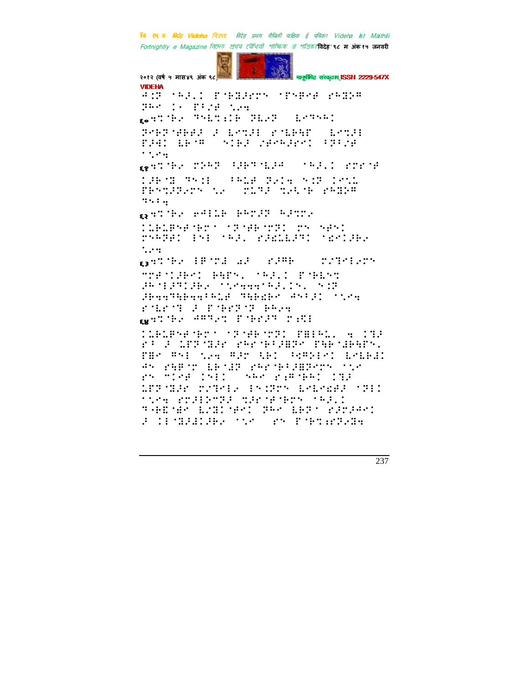

control Princip BioB (Especi POSPOSER P ESTAD POLENT  $\mathbb{R}^2$  .  $\mathbb{R}^2$  .  $\mathbb{R}^2$  : FRAN LETA (SIER SAMPARY) PRISA  $\mathcal{F}(\mathcal{F},\mathcal{F},\mathcal{G})$ ERSTED TOPS FRESHOP (1921) PERMIT

CHARACTER CONTROL STRAIN FRANKFACK NA CONSTRUCTANCH PROPR  $3.44<sub>1</sub>$ 

gandhe effik brogg rgaoe

**VIDEHA** 

CLELBYFORD CONTRECTED DY CHPC readed informationalized product  $\ddots$  :

gather EBond all speech such each

TTESTIEST PHTS. SPELI FORLOT SAMESTING MONEYARITY, NIR Shaanhhaathis nhhebr gris: 'tra FORTH FORTH PRO permanent presh per

**CLELPSEMENT MOMENTS: PHIRL, 4 COL** FOR STRINGE FREMELSING THE SHEET. FBP AND NEW ART ART PEARENT EMERGI An eard in 18 dr eardershippen the PS TIME INED THE PARTNER ITE 1PP MAR (PINPER 181PPS 181PAN) (PH) **TERR POSSERVES SERVENTED TREAT** THE NEW EVENING IS THE EER'S PROPERT F CENTRALISM (NAME) SN FNM STRING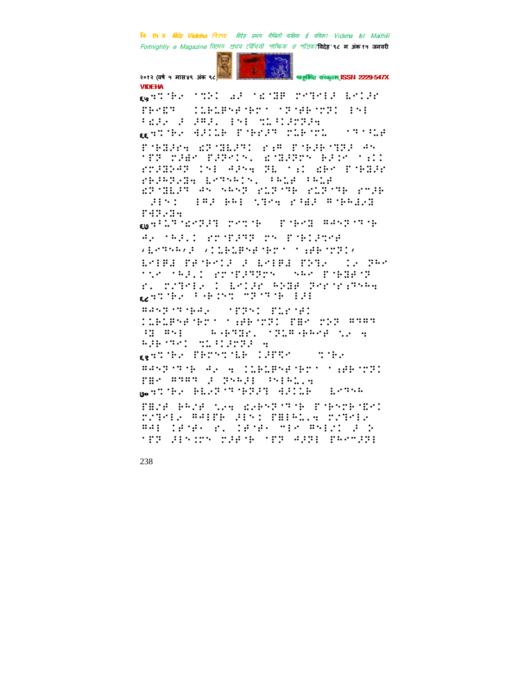FEAR PRAP NAME RAPORTER FOR THE TRAC rately Weigh Sira Shimage rately ##E CENER BL CENER MER #NESS F D **TER SENION OSENE TER ASSE ERRORE** 

a guerra de

RETURN FOR THE TEST HOLES ##SPYPE#2 (TPSI PLETE) **CONSENSATION CONSENSES** STATES SE PAL (PAPER)<br>PRESENT SISTEMA **SARATES STARFORMS TO B** <sub>ce</sub>stify from the 1985-

##527776 #2 # ILBLP56767 198772

par shan p public color...

238

AF TABLI STOPPER TH POBLETE **VERTICAL VICELENE TEST TO HERMITIC** LAIRE CRANACT D'EALRE CORD (18 CRA **TAC TREAT STORES IN THE POSSESS** r. Mikl. Clair Atle ThreeThe

weilscher Serie ausgebenden Steht

POBRE ATOBIC FR PORTH WAS A tra page raakte, komaane kaje tii PTAGENT IN: APHE TE SAI WEN FORGAM PROPERTY LETTERS, PRINT PRIN EP MEST AN NANT FOR MA FOR MA FMSA First (18) BAI the right Steaded rar.com

TRANS (MANDARY STARTING) IN **BEER FOREST ENE MILLIONER** province datase portragge planople  $\mathcal{L} \rightarrow \mathcal{L} \rightarrow \mathcal{L} \mathcal{L}$ 

**VIDEHA** EQUIPMENT TIME OF THE METHODS ENCOR

२०१२ (वर्ष ५ मास४९ अंक ९८)



मानुबंधिह संस्कृताम् ISSN 2229-547X

 $\mathbb{R}^n$  . The set of  $\mathbb{R}^n$ 

बि एक रु मिनेट Videha विएक विदेह प्रथम मैथिली पाक्षिक ई पत्रिका Videha Ist Maithili Fortnightly e Magazine রিদেহ প্রথম মৌথিনী পাক্ষিক প্রাপত্রিকা**'বিदेह'९८ म अंक१५ जनवरी**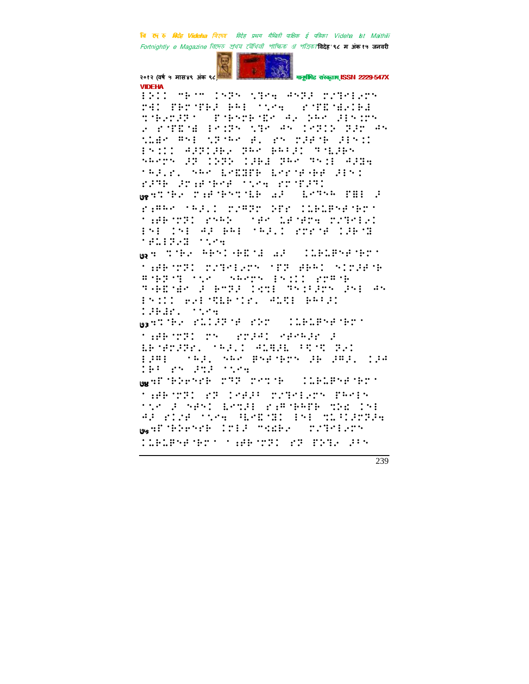

२०१२ (वर्ष ५ मास४९ अंक ९८) **VIDEHA** 

मानुबंधिह संस्कृताम् ISSN 2229-547X

ERIC MESMO INPNOVIME ANDE CATMERIN MED PROTHE RAIL SAME SOTENEDIE there we have the community of the second control of the control of the control of the control of the control o 2 kultu terkil 45 rasi belas MARK AND MESAN BL EN THE BOARD 15:11 4271282 258 65121 771285<br>55825 22 1525 1261 258 7511 4216 telen ses bszzne bsroede disc rank and new companyation **General constants of the Constants of Constants of Constants of Constants of Constants of Constants of Constant** rame (FRI) creps bor (LBLB58-Br) tagental rege (tag 120 metal riago) End (nd Al BAD (All) rrrow (SB)% 19119-1-1004 we wile best being all classes term

**THE MAIL MATHEVON STATEMED SIMPLE 16** # 92 T Ste Sherry Endl rr#de THE GROUP BOIL INTE TRIPPS INE AN ESIL BRETHETE, ALTE BARRI  $\ldots \ldots \ldots$ 

0397 TEL STATEFOR STORY CARABSE TED T time that the content caching it BRANCH MAIL ANDRE PRODUCT

fini (\*ej. ses psesprs je jnj. 194 198 PM 252 MPH

websitered 233 retire (1161854-62) tament of craft populars parts

the Poses: EstRE PARTHER the Chi AF RICH STRAG HRESHI INI TERRIFIN <sub>09</sub> di Sherrik (1913) modis ( **CONSTRUCTS** TIPLESHMENT TANKTED PROTECTS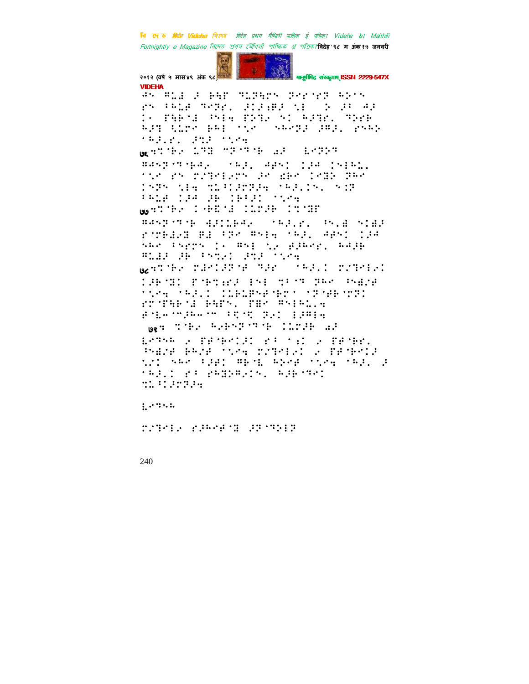

२०१२ (वर्ष ५ मास४९ अंक ९८) **VIDEHA** 

मानूबंगिह संस्कृताम् ISSN 2229-547X

AN WILL F BAP WITHON THE MT AT'N rn (For Pedr. 21238) ni (2015-02 ik parta dia provinsi seora sera<br>Administrate partamentan'ilay **TRACK AND TIME** 

**BEAUTORY LIFE MIRRING WAS EXPIRED** ##527776#2 (1821-4851-12# 15181. the restrictions as her left face 1535 MH MIRIPER (92.15. 533 **FALE (28 28 1852) Mine 00** HIM PER LE PROVINCE DE L'ESTRE

##SPORTH #PILE#2 (TRPLEL PSIE SIEP rockard Backgrounder (AP) APSI 194 SAR PSPPS IN BSE NE BRANC ARRE **WELF AND PRESS AND PEAK** WARTER PERIPPIE FREU TRAIN POTPER: **THE MILL ESTATISE IN ENERGY CONSTRAINT** ting that component there we rrowsed HPV, MBC #SIRLA FORWARD PER PAI 19814 **Ben TTEL REPROTTE COMPANY** 

ESTAR A PROPOSIC PROVISION PROPINS ãnada Andá (1964) posebblí o férenco.<br>1911 - Nem Pael Americane (1964) 1961, o **TREED BY PREPRIES REPORT MARISHER** 

 $\mathbf{L}$  and the final set of the final set of the final set of the final set of the final set of the final set of the final set of the final set of the final set of the final set of the final set of the final set of the

retta riberti di condi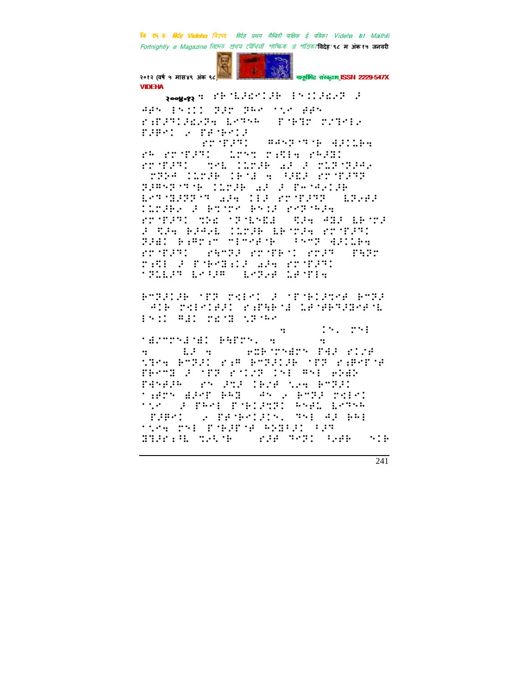

२०१२ (वर्ष ५ मास४९ अंक ९८) **VIDEHA** 

Roomer : PHOLISTIF INCLUDE P

APROINCED BEN BAR SCROBBY ranguarda agus (Pau righ) THE STREET

 $\mathbb{R}^n$  (Fig. *<u>RASHIR SHARR</u>* **APROVEMENT**  $\mathcal{C}^{4n}$  ,  $\mathcal{C}\mathcal{C}^{n}$  ,  $\mathcal{C}\mathcal{C}^{n}$  ,  $\mathcal{C}\mathcal{C}^{n}$ en mando **The County of Contractor** tinde test a Guid propos **PERM :** BRAND OF THE SALE AND ROOM OF ESTMERTS WAR IER PROFEST (ERAB ILMARY A BOSMA BRIA PARSAGE FT TERM THE STANDED THE WHI LETTE 2 SPA BJARA (1253B) BB MORA VISTUARI BAAD GAARTAM MARKA ARAB AADAGA FOSTAS (PROTA FOSTAS FOAS (PROD rati S Pjedali ale prjest <u> Milat Leigt (Lezge 1998)</u>

BMPALAB MER MAIRI A MEMBIANAR BMPA **AND THE COUNTY PAPER OF LEADERSHIPS ENGL PAC TEMP NPMP** 

 $\mathbb{R}^n$  . The set of  $\mathbb{R}^n$  is the set of  $\mathbb{R}^n$  . The set of  $\mathbb{R}^n$ 

**MARKET SHIPS, MARKET** AF a server for side  $\mathbf{Q}$  and  $\mathbf{Q}$ STAN BARAI VIA BARAIJE (PR VIAĜA)N FRAME A MER BAILER INE WAR WAR PANAGA (PN GMG 1828 NGA BMGG) taark aakt eks (45 ) ersk rolk: **SAMPLE LATER THE PERMIT PROPERTY** THROUGHTENDEN, THE 42 BH **TOM THE PHAPME RESEAR FAR** HIMAN SALTA **SAN TEXT LAN STA**